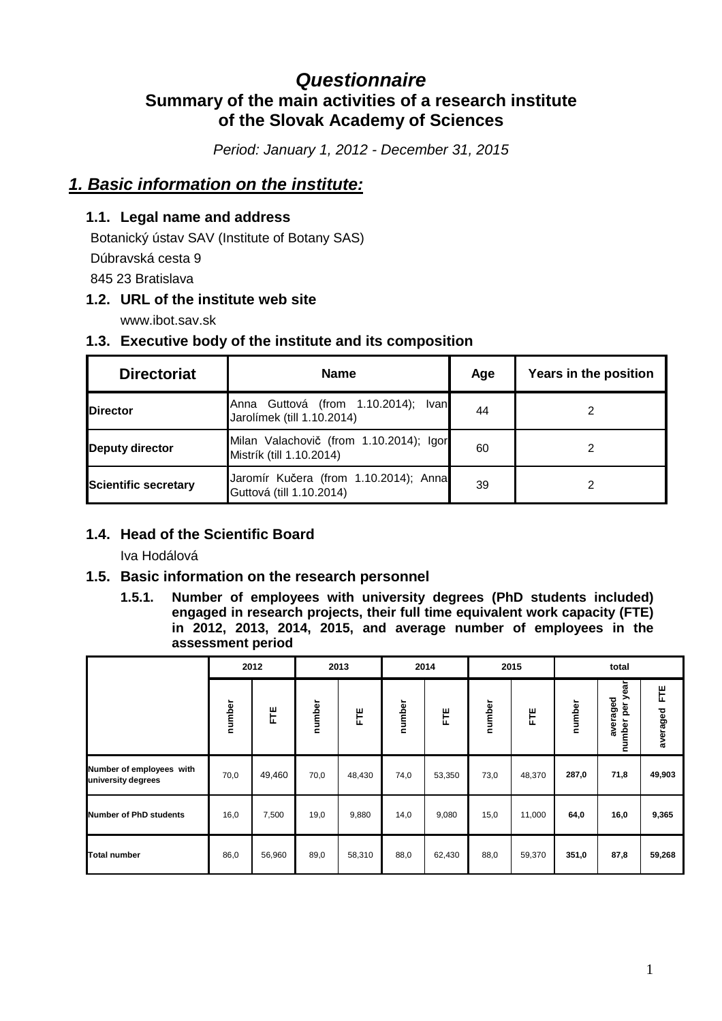# **Questionnaire Summary of the main activities of a research institute of the Slovak Academy of Sciences**

Period: January 1, 2012 - December 31, 2015

# **1. Basic information on the institute:**

# **1.1. Legal name and address**

Botanický ústav SAV (Institute of Botany SAS) Dúbravská cesta 9 845 23 Bratislava

# **1.2. URL of the institute web site**

www.ibot.sav.sk

# **1.3. Executive body of the institute and its composition**

| <b>Directoriat</b>          | <b>Name</b>                                                         | Age | Years in the position |
|-----------------------------|---------------------------------------------------------------------|-----|-----------------------|
| <b>Director</b>             | Anna Guttová (from 1.10.2014); Ivan<br>Jarolímek (till 1.10.2014)   | 44  |                       |
| Deputy director             | Milan Valachovič (from 1.10.2014); Igor<br>Mistrík (till 1.10.2014) | 60  |                       |
| <b>Scientific secretary</b> | Jaromír Kučera (from 1.10.2014); Anna<br>Guttová (till 1.10.2014)   | 39  |                       |

# **1.4. Head of the Scientific Board**

Iva Hodálová

# **1.5. Basic information on the research personnel**

**1.5.1. Number of employees with university degrees (PhD students included) engaged in research projects, their full time equivalent work capacity (FTE) in 2012, 2013, 2014, 2015, and average number of employees in the assessment period** 

|                                                | 2012   |        |        | 2013   |        | 2014   |        | 2015   | total  |                                          |               |  |
|------------------------------------------------|--------|--------|--------|--------|--------|--------|--------|--------|--------|------------------------------------------|---------------|--|
|                                                | number | Ë      | number | Ë      | number | Ë      | number | Ë      | number | ear<br>⋋<br>averaged<br>per<br>mber<br>c | Ë<br>averaged |  |
| Number of employees with<br>university degrees | 70,0   | 49,460 | 70,0   | 48,430 | 74,0   | 53,350 | 73,0   | 48,370 | 287,0  | 71,8                                     | 49,903        |  |
| Number of PhD students                         | 16,0   | 7,500  | 19,0   | 9,880  | 14,0   | 9,080  | 15,0   | 11,000 | 64,0   | 16,0                                     | 9,365         |  |
| <b>Total number</b>                            | 86,0   | 56,960 | 89,0   | 58,310 | 88,0   | 62,430 | 88,0   | 59,370 | 351,0  | 87,8                                     | 59,268        |  |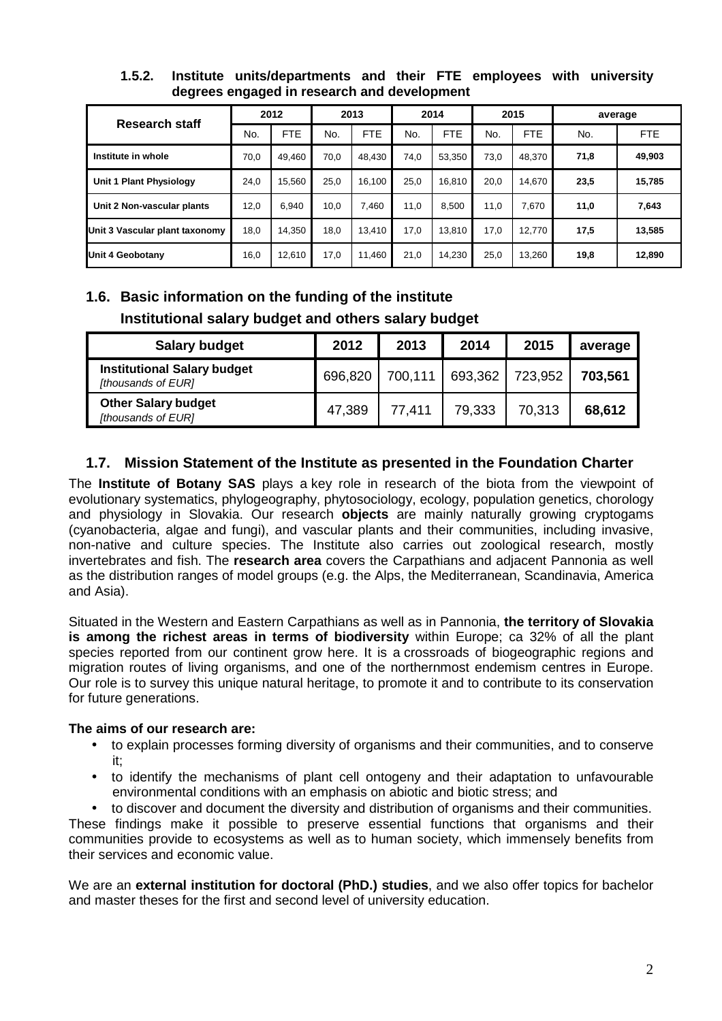| <b>Research staff</b>          |      | 2012       |      | 2013       |      | 2014       |      | 2015       | average |            |  |
|--------------------------------|------|------------|------|------------|------|------------|------|------------|---------|------------|--|
|                                | No.  | <b>FTE</b> | No.  | <b>FTE</b> | No.  | <b>FTE</b> | No.  | <b>FTE</b> | No.     | <b>FTE</b> |  |
| Institute in whole             | 70.0 | 49.460     | 70.0 | 48.430     | 74.0 | 53.350     | 73,0 | 48.370     | 71,8    | 49,903     |  |
| Unit 1 Plant Physiology        | 24.0 | 15.560     | 25.0 | 16.100     | 25.0 | 16.810     | 20.0 | 14.670     | 23,5    | 15,785     |  |
| Unit 2 Non-vascular plants     | 12,0 | 6.940      | 10.0 | 7.460      | 11.0 | 8.500      | 11.0 | 7.670      | 11,0    | 7,643      |  |
| Unit 3 Vascular plant taxonomy | 18.0 | 14.350     | 18.0 | 13.410     | 17.0 | 13.810     | 17.0 | 12.770     | 17,5    | 13,585     |  |
| <b>Unit 4 Geobotany</b>        | 16,0 | 12,610     | 17,0 | 11,460     | 21,0 | 14,230     | 25,0 | 13,260     | 19,8    | 12,890     |  |

# **1.5.2. Institute units/departments and their FTE employees with university degrees engaged in research and development**

# **1.6. Basic information on the funding of the institute Institutional salary budget and others salary budget**

| <b>Salary budget</b>                                     | 2012    | 2013    | 2014    | 2015    | average |
|----------------------------------------------------------|---------|---------|---------|---------|---------|
| <b>Institutional Salary budget</b><br>[thousands of EUR] | 696,820 | 700.111 | 693,362 | 723,952 | 703,561 |
| <b>Other Salary budget</b><br>[thousands of EUR]         | 47,389  | 77,411  | 79,333  | 70,313  | 68,612  |

# **1.7. Mission Statement of the Institute as presented in the Foundation Charter**

The **Institute of Botany SAS** plays a key role in research of the biota from the viewpoint of evolutionary systematics, phylogeography, phytosociology, ecology, population genetics, chorology and physiology in Slovakia. Our research **objects** are mainly naturally growing cryptogams (cyanobacteria, algae and fungi), and vascular plants and their communities, including invasive, non-native and culture species. The Institute also carries out zoological research, mostly invertebrates and fish. The **research area** covers the Carpathians and adjacent Pannonia as well as the distribution ranges of model groups (e.g. the Alps, the Mediterranean, Scandinavia, America and Asia).

Situated in the Western and Eastern Carpathians as well as in Pannonia, **the territory of Slovakia is among the richest areas in terms of biodiversity** within Europe; ca 32% of all the plant species reported from our continent grow here. It is a crossroads of biogeographic regions and migration routes of living organisms, and one of the northernmost endemism centres in Europe. Our role is to survey this unique natural heritage, to promote it and to contribute to its conservation for future generations.

# **The aims of our research are:**

- to explain processes forming diversity of organisms and their communities, and to conserve it;
- to identify the mechanisms of plant cell ontogeny and their adaptation to unfavourable environmental conditions with an emphasis on abiotic and biotic stress; and
- to discover and document the diversity and distribution of organisms and their communities.

These findings make it possible to preserve essential functions that organisms and their communities provide to ecosystems as well as to human society, which immensely benefits from their services and economic value.

We are an **external institution for doctoral (PhD.) studies**, and we also offer topics for bachelor and master theses for the first and second level of university education.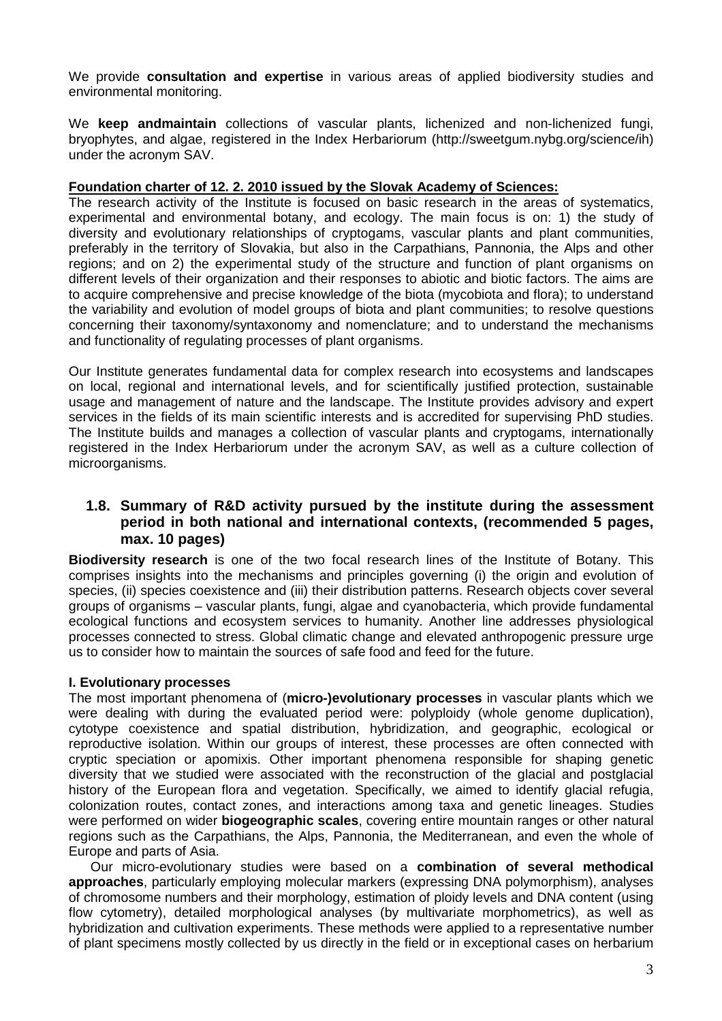We provide **consultation and expertise** in various areas of applied biodiversity studies and environmental monitoring.

We **keep andmaintain** collections of vascular plants, lichenized and non-lichenized fungi, bryophytes, and algae, registered in the Index Herbariorum (http://sweetgum.nybg.org/science/ih) under the acronym SAV.

### **Foundation charter of 12. 2. 2010 issued by the Slovak Academy of Sciences:**

The research activity of the Institute is focused on basic research in the areas of systematics, experimental and environmental botany, and ecology. The main focus is on: 1) the study of diversity and evolutionary relationships of cryptogams, vascular plants and plant communities, preferably in the territory of Slovakia, but also in the Carpathians, Pannonia, the Alps and other regions; and on 2) the experimental study of the structure and function of plant organisms on different levels of their organization and their responses to abiotic and biotic factors. The aims are to acquire comprehensive and precise knowledge of the biota (mycobiota and flora); to understand the variability and evolution of model groups of biota and plant communities; to resolve questions concerning their taxonomy/syntaxonomy and nomenclature; and to understand the mechanisms and functionality of regulating processes of plant organisms.

Our Institute generates fundamental data for complex research into ecosystems and landscapes on local, regional and international levels, and for scientifically justified protection, sustainable usage and management of nature and the landscape. The Institute provides advisory and expert services in the fields of its main scientific interests and is accredited for supervising PhD studies. The Institute builds and manages a collection of vascular plants and cryptogams, internationally registered in the Index Herbariorum under the acronym SAV, as well as a culture collection of microorganisms.

# **1.8. Summary of R&D activity pursued by the institute during the assessment period in both national and international contexts, (recommended 5 pages, max. 10 pages)**

**Biodiversity research** is one of the two focal research lines of the Institute of Botany. This comprises insights into the mechanisms and principles governing (i) the origin and evolution of species, (ii) species coexistence and (iii) their distribution patterns. Research objects cover several groups of organisms – vascular plants, fungi, algae and cyanobacteria, which provide fundamental ecological functions and ecosystem services to humanity. Another line addresses physiological processes connected to stress. Global climatic change and elevated anthropogenic pressure urge us to consider how to maintain the sources of safe food and feed for the future.

## **I. Evolutionary processes**

The most important phenomena of (**micro-)evolutionary processes** in vascular plants which we were dealing with during the evaluated period were: polyploidy (whole genome duplication), cytotype coexistence and spatial distribution, hybridization, and geographic, ecological or reproductive isolation. Within our groups of interest, these processes are often connected with cryptic speciation or apomixis. Other important phenomena responsible for shaping genetic diversity that we studied were associated with the reconstruction of the glacial and postglacial history of the European flora and vegetation. Specifically, we aimed to identify glacial refugia, colonization routes, contact zones, and interactions among taxa and genetic lineages. Studies were performed on wider **biogeographic scales**, covering entire mountain ranges or other natural regions such as the Carpathians, the Alps, Pannonia, the Mediterranean, and even the whole of Europe and parts of Asia.

Our micro-evolutionary studies were based on a **combination of several methodical approaches**, particularly employing molecular markers (expressing DNA polymorphism), analyses of chromosome numbers and their morphology, estimation of ploidy levels and DNA content (using flow cytometry), detailed morphological analyses (by multivariate morphometrics), as well as hybridization and cultivation experiments. These methods were applied to a representative number of plant specimens mostly collected by us directly in the field or in exceptional cases on herbarium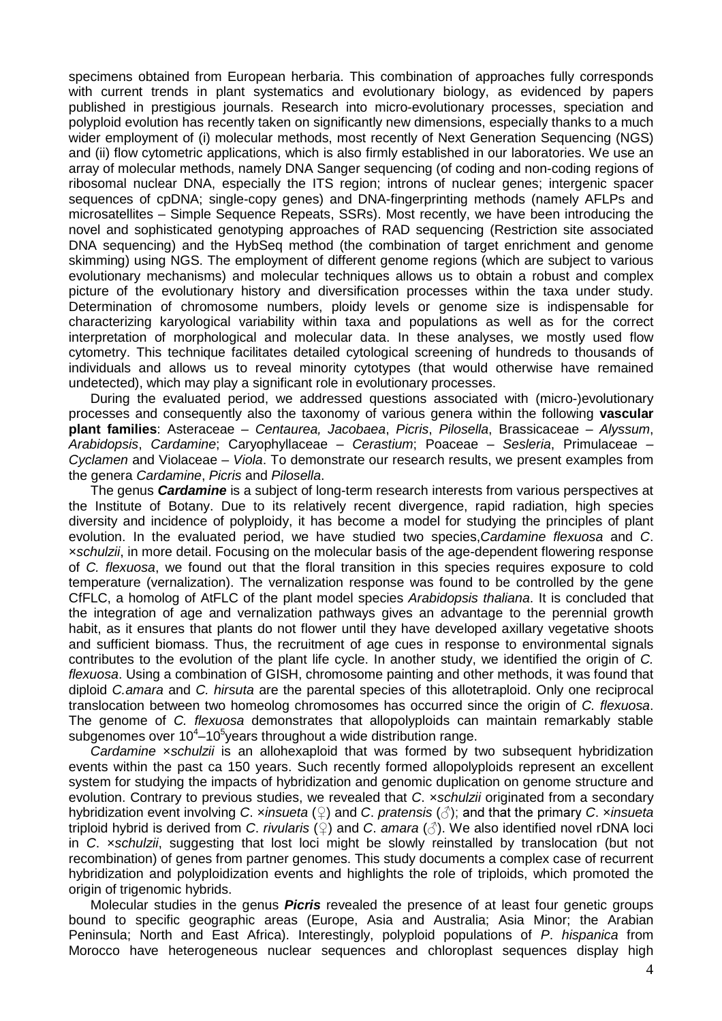specimens obtained from European herbaria. This combination of approaches fully corresponds with current trends in plant systematics and evolutionary biology, as evidenced by papers published in prestigious journals. Research into micro-evolutionary processes, speciation and polyploid evolution has recently taken on significantly new dimensions, especially thanks to a much wider employment of (i) molecular methods, most recently of Next Generation Sequencing (NGS) and (ii) flow cytometric applications, which is also firmly established in our laboratories. We use an array of molecular methods, namely DNA Sanger sequencing (of coding and non-coding regions of ribosomal nuclear DNA, especially the ITS region; introns of nuclear genes; intergenic spacer sequences of cpDNA; single-copy genes) and DNA-fingerprinting methods (namely AFLPs and microsatellites – Simple Sequence Repeats, SSRs). Most recently, we have been introducing the novel and sophisticated genotyping approaches of RAD sequencing (Restriction site associated DNA sequencing) and the HybSeq method (the combination of target enrichment and genome skimming) using NGS. The employment of different genome regions (which are subject to various evolutionary mechanisms) and molecular techniques allows us to obtain a robust and complex picture of the evolutionary history and diversification processes within the taxa under study. Determination of chromosome numbers, ploidy levels or genome size is indispensable for characterizing karyological variability within taxa and populations as well as for the correct interpretation of morphological and molecular data. In these analyses, we mostly used flow cytometry. This technique facilitates detailed cytological screening of hundreds to thousands of individuals and allows us to reveal minority cytotypes (that would otherwise have remained undetected), which may play a significant role in evolutionary processes.

During the evaluated period, we addressed questions associated with (micro-)evolutionary processes and consequently also the taxonomy of various genera within the following **vascular plant families**: Asteraceae – Centaurea, Jacobaea, Picris, Pilosella, Brassicaceae – Alyssum, Arabidopsis, Cardamine; Caryophyllaceae – Cerastium; Poaceae – Sesleria, Primulaceae – Cyclamen and Violaceae – Viola. To demonstrate our research results, we present examples from the genera Cardamine, Picris and Pilosella.

The genus **Cardamine** is a subject of long-term research interests from various perspectives at the Institute of Botany. Due to its relatively recent divergence, rapid radiation, high species diversity and incidence of polyploidy, it has become a model for studying the principles of plant evolution. In the evaluated period, we have studied two species, Cardamine flexuosa and C. ×schulzii, in more detail. Focusing on the molecular basis of the age-dependent flowering response of C. flexuosa, we found out that the floral transition in this species requires exposure to cold temperature (vernalization). The vernalization response was found to be controlled by the gene CfFLC, a homolog of AtFLC of the plant model species Arabidopsis thaliana. It is concluded that the integration of age and vernalization pathways gives an advantage to the perennial growth habit, as it ensures that plants do not flower until they have developed axillary vegetative shoots and sufficient biomass. Thus, the recruitment of age cues in response to environmental signals contributes to the evolution of the plant life cycle. In another study, we identified the origin of C. flexuosa. Using a combination of GISH, chromosome painting and other methods, it was found that diploid C.amara and C. hirsuta are the parental species of this allotetraploid. Only one reciprocal translocation between two homeolog chromosomes has occurred since the origin of C. flexuosa. The genome of C. *flexuosa* demonstrates that allopolyploids can maintain remarkably stable subgenomes over  $10^4 - 10^5$ years throughout a wide distribution range.

Cardamine xschulzii is an allohexaploid that was formed by two subsequent hybridization events within the past ca 150 years. Such recently formed allopolyploids represent an excellent system for studying the impacts of hybridization and genomic duplication on genome structure and evolution. Contrary to previous studies, we revealed that C. xschulzii originated from a secondary hybridization event involving C. xinsueta (♀) and C. pratensis (♂); and that the primary C. xinsueta triploid hybrid is derived from C. rivularis ( $\circ$ ) and C. amara ( $\circ$ ). We also identified novel rDNA loci in C. xschulzii, suggesting that lost loci might be slowly reinstalled by translocation (but not recombination) of genes from partner genomes. This study documents a complex case of recurrent hybridization and polyploidization events and highlights the role of triploids, which promoted the origin of trigenomic hybrids.

Molecular studies in the genus **Picris** revealed the presence of at least four genetic groups bound to specific geographic areas (Europe, Asia and Australia; Asia Minor; the Arabian Peninsula; North and East Africa). Interestingly, polyploid populations of P. hispanica from Morocco have heterogeneous nuclear sequences and chloroplast sequences display high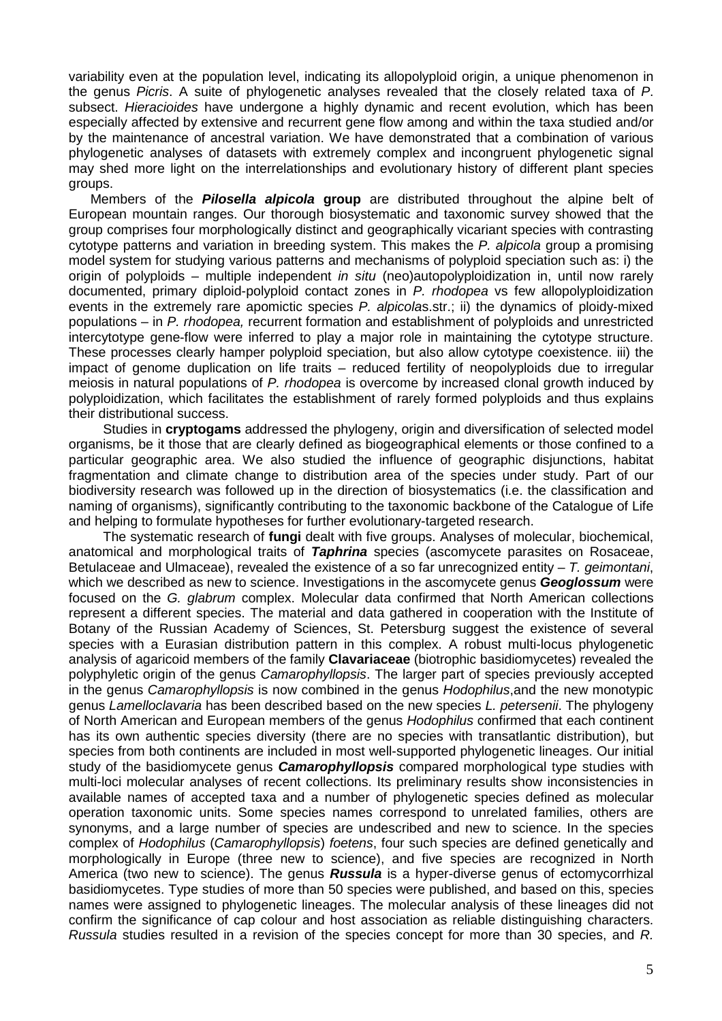variability even at the population level, indicating its allopolyploid origin, a unique phenomenon in the genus Picris. A suite of phylogenetic analyses revealed that the closely related taxa of P. subsect. Hieracioides have undergone a highly dynamic and recent evolution, which has been especially affected by extensive and recurrent gene flow among and within the taxa studied and/or by the maintenance of ancestral variation. We have demonstrated that a combination of various phylogenetic analyses of datasets with extremely complex and incongruent phylogenetic signal may shed more light on the interrelationships and evolutionary history of different plant species groups.

Members of the **Pilosella alpicola group** are distributed throughout the alpine belt of European mountain ranges. Our thorough biosystematic and taxonomic survey showed that the group comprises four morphologically distinct and geographically vicariant species with contrasting cytotype patterns and variation in breeding system. This makes the P. alpicola group a promising model system for studying various patterns and mechanisms of polyploid speciation such as: i) the origin of polyploids – multiple independent *in situ* (neo)autopolyploidization in, until now rarely documented, primary diploid-polyploid contact zones in P. rhodopea vs few allopolyploidization events in the extremely rare apomictic species P. alpicolas.str.; ii) the dynamics of ploidy-mixed populations – in P. rhodopea, recurrent formation and establishment of polyploids and unrestricted intercytotype gene-flow were inferred to play a major role in maintaining the cytotype structure. These processes clearly hamper polyploid speciation, but also allow cytotype coexistence. iii) the impact of genome duplication on life traits – reduced fertility of neopolyploids due to irregular meiosis in natural populations of P. rhodopea is overcome by increased clonal growth induced by polyploidization, which facilitates the establishment of rarely formed polyploids and thus explains their distributional success.

Studies in **cryptogams** addressed the phylogeny, origin and diversification of selected model organisms, be it those that are clearly defined as biogeographical elements or those confined to a particular geographic area. We also studied the influence of geographic disjunctions, habitat fragmentation and climate change to distribution area of the species under study. Part of our biodiversity research was followed up in the direction of biosystematics (i.e. the classification and naming of organisms), significantly contributing to the taxonomic backbone of the Catalogue of Life and helping to formulate hypotheses for further evolutionary-targeted research.

The systematic research of **fungi** dealt with five groups. Analyses of molecular, biochemical, anatomical and morphological traits of **Taphrina** species (ascomycete parasites on Rosaceae, Betulaceae and Ulmaceae), revealed the existence of a so far unrecognized entity  $-$  T. geimontani, which we described as new to science. Investigations in the ascomycete genus **Geoglossum** were focused on the G. glabrum complex. Molecular data confirmed that North American collections represent a different species. The material and data gathered in cooperation with the Institute of Botany of the Russian Academy of Sciences, St. Petersburg suggest the existence of several species with a Eurasian distribution pattern in this complex. A robust multi-locus phylogenetic analysis of agaricoid members of the family **Clavariaceae** (biotrophic basidiomycetes) revealed the polyphyletic origin of the genus Camarophyllopsis. The larger part of species previously accepted in the genus Camarophyllopsis is now combined in the genus Hodophilus,and the new monotypic genus Lamelloclavaria has been described based on the new species L. petersenii. The phylogeny of North American and European members of the genus Hodophilus confirmed that each continent has its own authentic species diversity (there are no species with transatlantic distribution), but species from both continents are included in most well-supported phylogenetic lineages. Our initial study of the basidiomycete genus **Camarophyllopsis** compared morphological type studies with multi-loci molecular analyses of recent collections. Its preliminary results show inconsistencies in available names of accepted taxa and a number of phylogenetic species defined as molecular operation taxonomic units. Some species names correspond to unrelated families, others are synonyms, and a large number of species are undescribed and new to science. In the species complex of Hodophilus (Camarophyllopsis) foetens, four such species are defined genetically and morphologically in Europe (three new to science), and five species are recognized in North America (two new to science). The genus **Russula** is a hyper-diverse genus of ectomycorrhizal basidiomycetes. Type studies of more than 50 species were published, and based on this, species names were assigned to phylogenetic lineages. The molecular analysis of these lineages did not confirm the significance of cap colour and host association as reliable distinguishing characters. Russula studies resulted in a revision of the species concept for more than 30 species, and R.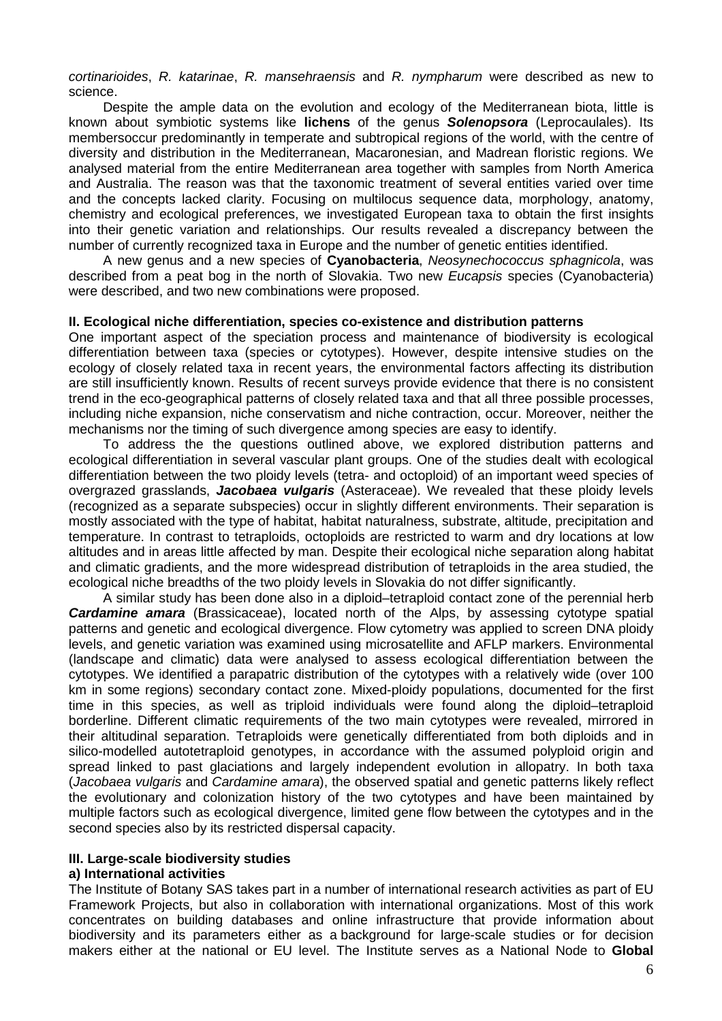cortinarioides, R. katarinae, R. mansehraensis and R. nympharum were described as new to science.

Despite the ample data on the evolution and ecology of the Mediterranean biota, little is known about symbiotic systems like **lichens** of the genus **Solenopsora** (Leprocaulales). Its membersoccur predominantly in temperate and subtropical regions of the world, with the centre of diversity and distribution in the Mediterranean, Macaronesian, and Madrean floristic regions. We analysed material from the entire Mediterranean area together with samples from North America and Australia. The reason was that the taxonomic treatment of several entities varied over time and the concepts lacked clarity. Focusing on multilocus sequence data, morphology, anatomy, chemistry and ecological preferences, we investigated European taxa to obtain the first insights into their genetic variation and relationships. Our results revealed a discrepancy between the number of currently recognized taxa in Europe and the number of genetic entities identified.

A new genus and a new species of **Cyanobacteria**, Neosynechococcus sphagnicola, was described from a peat bog in the north of Slovakia. Two new Eucapsis species (Cyanobacteria) were described, and two new combinations were proposed.

#### **II. Ecological niche differentiation, species co-existence and distribution patterns**

One important aspect of the speciation process and maintenance of biodiversity is ecological differentiation between taxa (species or cytotypes). However, despite intensive studies on the ecology of closely related taxa in recent years, the environmental factors affecting its distribution are still insufficiently known. Results of recent surveys provide evidence that there is no consistent trend in the eco-geographical patterns of closely related taxa and that all three possible processes, including niche expansion, niche conservatism and niche contraction, occur. Moreover, neither the mechanisms nor the timing of such divergence among species are easy to identify.

To address the the questions outlined above, we explored distribution patterns and ecological differentiation in several vascular plant groups. One of the studies dealt with ecological differentiation between the two ploidy levels (tetra- and octoploid) of an important weed species of overgrazed grasslands, **Jacobaea vulgaris** (Asteraceae). We revealed that these ploidy levels (recognized as a separate subspecies) occur in slightly different environments. Their separation is mostly associated with the type of habitat, habitat naturalness, substrate, altitude, precipitation and temperature. In contrast to tetraploids, octoploids are restricted to warm and dry locations at low altitudes and in areas little affected by man. Despite their ecological niche separation along habitat and climatic gradients, and the more widespread distribution of tetraploids in the area studied, the ecological niche breadths of the two ploidy levels in Slovakia do not differ significantly.

A similar study has been done also in a diploid–tetraploid contact zone of the perennial herb **Cardamine amara** (Brassicaceae), located north of the Alps, by assessing cytotype spatial patterns and genetic and ecological divergence. Flow cytometry was applied to screen DNA ploidy levels, and genetic variation was examined using microsatellite and AFLP markers. Environmental (landscape and climatic) data were analysed to assess ecological differentiation between the cytotypes. We identified a parapatric distribution of the cytotypes with a relatively wide (over 100 km in some regions) secondary contact zone. Mixed-ploidy populations, documented for the first time in this species, as well as triploid individuals were found along the diploid–tetraploid borderline. Different climatic requirements of the two main cytotypes were revealed, mirrored in their altitudinal separation. Tetraploids were genetically differentiated from both diploids and in silico-modelled autotetraploid genotypes, in accordance with the assumed polyploid origin and spread linked to past glaciations and largely independent evolution in allopatry. In both taxa (Jacobaea vulgaris and Cardamine amara), the observed spatial and genetic patterns likely reflect the evolutionary and colonization history of the two cytotypes and have been maintained by multiple factors such as ecological divergence, limited gene flow between the cytotypes and in the second species also by its restricted dispersal capacity.

#### **III. Large-scale biodiversity studies**

#### **a) International activities**

The Institute of Botany SAS takes part in a number of international research activities as part of EU Framework Projects, but also in collaboration with international organizations. Most of this work concentrates on building databases and online infrastructure that provide information about biodiversity and its parameters either as a background for large-scale studies or for decision makers either at the national or EU level. The Institute serves as a National Node to **Global**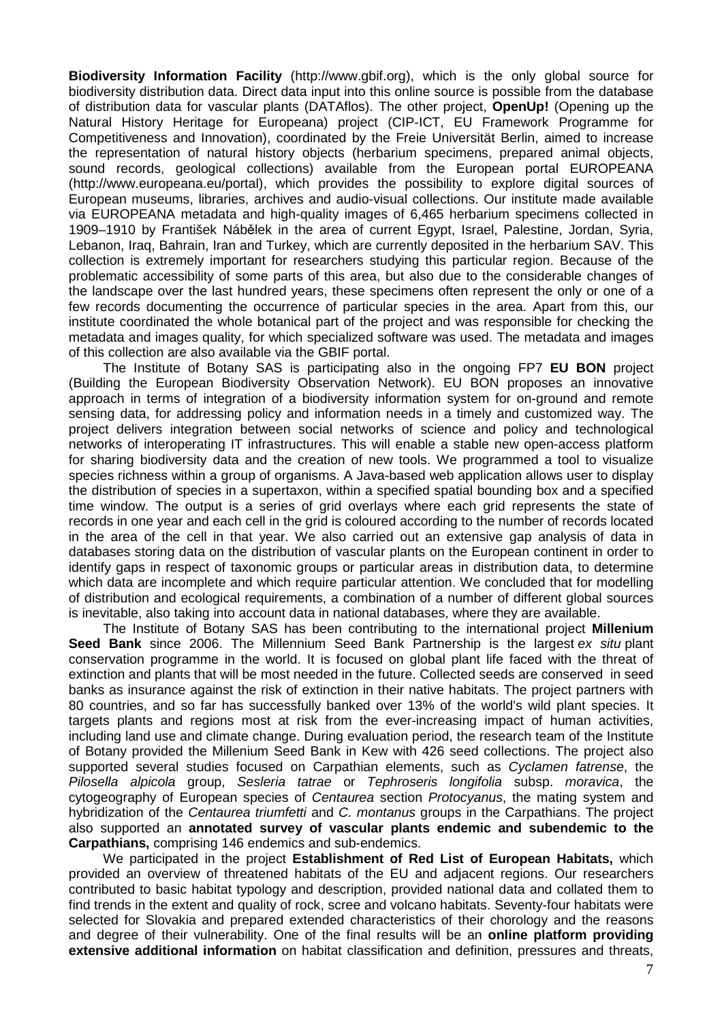**Biodiversity Information Facility** (http://www.gbif.org), which is the only global source for biodiversity distribution data. Direct data input into this online source is possible from the database of distribution data for vascular plants (DATAflos). The other project, **OpenUp!** (Opening up the Natural History Heritage for Europeana) project (CIP-ICT, EU Framework Programme for Competitiveness and Innovation), coordinated by the Freie Universität Berlin, aimed to increase the representation of natural history objects (herbarium specimens, prepared animal objects, sound records, geological collections) available from the European portal EUROPEANA (http://www.europeana.eu/portal), which provides the possibility to explore digital sources of European museums, libraries, archives and audio-visual collections. Our institute made available via EUROPEANA metadata and high-quality images of 6,465 herbarium specimens collected in 1909–1910 by František Nábělek in the area of current Egypt, Israel, Palestine, Jordan, Syria, Lebanon, Iraq, Bahrain, Iran and Turkey, which are currently deposited in the herbarium SAV. This collection is extremely important for researchers studying this particular region. Because of the problematic accessibility of some parts of this area, but also due to the considerable changes of the landscape over the last hundred years, these specimens often represent the only or one of a few records documenting the occurrence of particular species in the area. Apart from this, our institute coordinated the whole botanical part of the project and was responsible for checking the metadata and images quality, for which specialized software was used. The metadata and images of this collection are also available via the GBIF portal.

The Institute of Botany SAS is participating also in the ongoing FP7 **EU BON** project (Building the European Biodiversity Observation Network). EU BON proposes an innovative approach in terms of integration of a biodiversity information system for on-ground and remote sensing data, for addressing policy and information needs in a timely and customized way. The project delivers integration between social networks of science and policy and technological networks of interoperating IT infrastructures. This will enable a stable new open-access platform for sharing biodiversity data and the creation of new tools. We programmed a tool to visualize species richness within a group of organisms. A Java-based web application allows user to display the distribution of species in a supertaxon, within a specified spatial bounding box and a specified time window. The output is a series of grid overlays where each grid represents the state of records in one year and each cell in the grid is coloured according to the number of records located in the area of the cell in that year. We also carried out an extensive gap analysis of data in databases storing data on the distribution of vascular plants on the European continent in order to identify gaps in respect of taxonomic groups or particular areas in distribution data, to determine which data are incomplete and which require particular attention. We concluded that for modelling of distribution and ecological requirements, a combination of a number of different global sources is inevitable, also taking into account data in national databases, where they are available.

The Institute of Botany SAS has been contributing to the international project **Millenium Seed Bank** since 2006. The Millennium Seed Bank Partnership is the largest ex situ plant conservation programme in the world. It is focused on global plant life faced with the threat of extinction and plants that will be most needed in the future. Collected seeds are conserved in seed banks as insurance against the risk of extinction in their native habitats. The project partners with 80 countries, and so far has successfully banked over 13% of the world's wild plant species. It targets plants and regions most at risk from the ever-increasing impact of human activities, including land use and climate change. During evaluation period, the research team of the Institute of Botany provided the Millenium Seed Bank in Kew with 426 seed collections. The project also supported several studies focused on Carpathian elements, such as Cyclamen fatrense, the Pilosella alpicola group, Sesleria tatrae or Tephroseris longifolia subsp. moravica, the cytogeography of European species of Centaurea section Protocyanus, the mating system and hybridization of the Centaurea triumfetti and C. montanus groups in the Carpathians. The project also supported an **annotated survey of vascular plants endemic and subendemic to the Carpathians,** comprising 146 endemics and sub-endemics.

We participated in the project **Establishment of Red List of European Habitats,** which provided an overview of threatened habitats of the EU and adjacent regions. Our researchers contributed to basic habitat typology and description, provided national data and collated them to find trends in the extent and quality of rock, scree and volcano habitats. Seventy-four habitats were selected for Slovakia and prepared extended characteristics of their chorology and the reasons and degree of their vulnerability. One of the final results will be an **online platform providing extensive additional information** on habitat classification and definition, pressures and threats,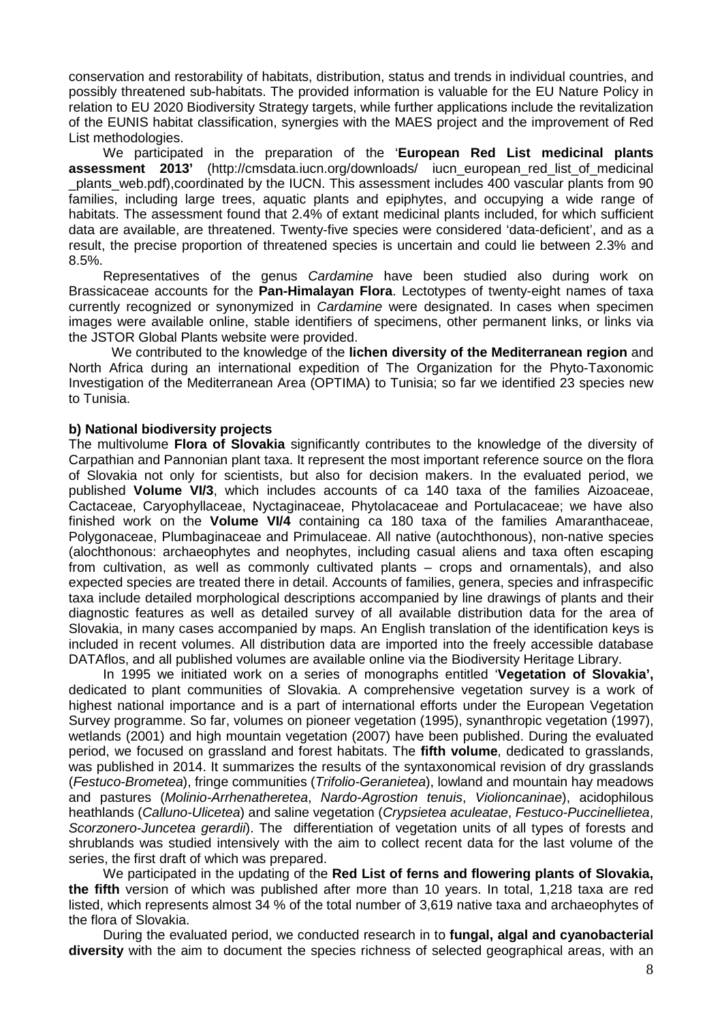conservation and restorability of habitats, distribution, status and trends in individual countries, and possibly threatened sub-habitats. The provided information is valuable for the EU Nature Policy in relation to EU 2020 Biodiversity Strategy targets, while further applications include the revitalization of the EUNIS habitat classification, synergies with the MAES project and the improvement of Red List methodologies.

We participated in the preparation of the '**European Red List medicinal plants assessment 2013'** (http://cmsdata.iucn.org/downloads/ iucn\_european\_red\_list\_of\_medicinal plants web.pdf),coordinated by the IUCN. This assessment includes 400 vascular plants from 90 families, including large trees, aquatic plants and epiphytes, and occupying a wide range of habitats. The assessment found that 2.4% of extant medicinal plants included, for which sufficient data are available, are threatened. Twenty-five species were considered 'data-deficient', and as a result, the precise proportion of threatened species is uncertain and could lie between 2.3% and 8.5%.

Representatives of the genus Cardamine have been studied also during work on Brassicaceae accounts for the **Pan-Himalayan Flora**. Lectotypes of twenty-eight names of taxa currently recognized or synonymized in *Cardamine* were designated. In cases when specimen images were available online, stable identifiers of specimens, other permanent links, or links via the JSTOR Global Plants website were provided.

We contributed to the knowledge of the **lichen diversity of the Mediterranean region** and North Africa during an international expedition of The Organization for the Phyto-Taxonomic Investigation of the Mediterranean Area (OPTIMA) to Tunisia; so far we identified 23 species new to Tunisia.

#### **b) National biodiversity projects**

The multivolume **Flora of Slovakia** significantly contributes to the knowledge of the diversity of Carpathian and Pannonian plant taxa. It represent the most important reference source on the flora of Slovakia not only for scientists, but also for decision makers. In the evaluated period, we published **Volume VI/3**, which includes accounts of ca 140 taxa of the families Aizoaceae, Cactaceae, Caryophyllaceae, Nyctaginaceae, Phytolacaceae and Portulacaceae; we have also finished work on the **Volume VI/4** containing ca 180 taxa of the families Amaranthaceae, Polygonaceae, Plumbaginaceae and Primulaceae. All native (autochthonous), non-native species (alochthonous: archaeophytes and neophytes, including casual aliens and taxa often escaping from cultivation, as well as commonly cultivated plants – crops and ornamentals), and also expected species are treated there in detail. Accounts of families, genera, species and infraspecific taxa include detailed morphological descriptions accompanied by line drawings of plants and their diagnostic features as well as detailed survey of all available distribution data for the area of Slovakia, in many cases accompanied by maps. An English translation of the identification keys is included in recent volumes. All distribution data are imported into the freely accessible database DATAflos, and all published volumes are available online via the Biodiversity Heritage Library.

In 1995 we initiated work on a series of monographs entitled '**Vegetation of Slovakia',**  dedicated to plant communities of Slovakia. A comprehensive vegetation survey is a work of highest national importance and is a part of international efforts under the European Vegetation Survey programme. So far, volumes on pioneer vegetation (1995), synanthropic vegetation (1997), wetlands (2001) and high mountain vegetation (2007) have been published. During the evaluated period, we focused on grassland and forest habitats. The **fifth volume**, dedicated to grasslands, was published in 2014. It summarizes the results of the syntaxonomical revision of dry grasslands (Festuco-Brometea), fringe communities (Trifolio-Geranietea), lowland and mountain hay meadows and pastures (Molinio-Arrhenatheretea, Nardo-Agrostion tenuis, Violioncaninae), acidophilous heathlands (Calluno-Ulicetea) and saline vegetation (Crypsietea aculeatae, Festuco-Puccinellietea, Scorzonero-Juncetea gerardii). The differentiation of vegetation units of all types of forests and shrublands was studied intensively with the aim to collect recent data for the last volume of the series, the first draft of which was prepared.

We participated in the updating of the **Red List of ferns and flowering plants of Slovakia, the fifth** version of which was published after more than 10 years. In total, 1,218 taxa are red listed, which represents almost 34 % of the total number of 3,619 native taxa and archaeophytes of the flora of Slovakia.

During the evaluated period, we conducted research in to **fungal, algal and cyanobacterial diversity** with the aim to document the species richness of selected geographical areas, with an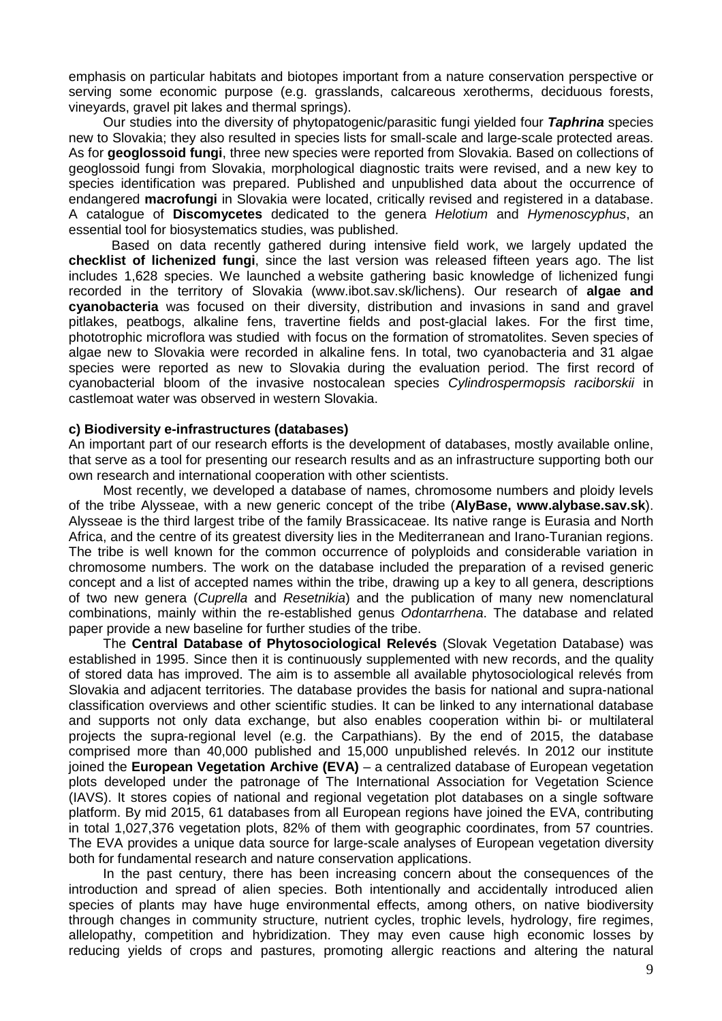emphasis on particular habitats and biotopes important from a nature conservation perspective or serving some economic purpose (e.g. grasslands, calcareous xerotherms, deciduous forests, vineyards, gravel pit lakes and thermal springs).

Our studies into the diversity of phytopatogenic/parasitic fungi yielded four **Taphrina** species new to Slovakia; they also resulted in species lists for small-scale and large-scale protected areas. As for **geoglossoid fungi**, three new species were reported from Slovakia. Based on collections of geoglossoid fungi from Slovakia, morphological diagnostic traits were revised, and a new key to species identification was prepared. Published and unpublished data about the occurrence of endangered **macrofungi** in Slovakia were located, critically revised and registered in a database. A catalogue of **Discomycetes** dedicated to the genera Helotium and Hymenoscyphus, an essential tool for biosystematics studies, was published.

Based on data recently gathered during intensive field work, we largely updated the **checklist of lichenized fungi**, since the last version was released fifteen years ago. The list includes 1,628 species. We launched a website gathering basic knowledge of lichenized fungi recorded in the territory of Slovakia (www.ibot.sav.sk/lichens). Our research of **algae and cyanobacteria** was focused on their diversity, distribution and invasions in sand and gravel pitlakes, peatbogs, alkaline fens, travertine fields and post-glacial lakes. For the first time, phototrophic microflora was studied with focus on the formation of stromatolites. Seven species of algae new to Slovakia were recorded in alkaline fens. In total, two cyanobacteria and 31 algae species were reported as new to Slovakia during the evaluation period. The first record of cyanobacterial bloom of the invasive nostocalean species Cylindrospermopsis raciborskii in castlemoat water was observed in western Slovakia.

#### **c) Biodiversity e-infrastructures (databases)**

An important part of our research efforts is the development of databases, mostly available online, that serve as a tool for presenting our research results and as an infrastructure supporting both our own research and international cooperation with other scientists.

Most recently, we developed a database of names, chromosome numbers and ploidy levels of the tribe Alysseae, with a new generic concept of the tribe (**AlyBase, www.alybase.sav.sk**). Alysseae is the third largest tribe of the family Brassicaceae. Its native range is Eurasia and North Africa, and the centre of its greatest diversity lies in the Mediterranean and Irano-Turanian regions. The tribe is well known for the common occurrence of polyploids and considerable variation in chromosome numbers. The work on the database included the preparation of a revised generic concept and a list of accepted names within the tribe, drawing up a key to all genera, descriptions of two new genera (Cuprella and Resetnikia) and the publication of many new nomenclatural combinations, mainly within the re-established genus Odontarrhena. The database and related paper provide a new baseline for further studies of the tribe.

The **Central Database of Phytosociological Relevés** (Slovak Vegetation Database) was established in 1995. Since then it is continuously supplemented with new records, and the quality of stored data has improved. The aim is to assemble all available phytosociological relevés from Slovakia and adjacent territories. The database provides the basis for national and supra-national classification overviews and other scientific studies. It can be linked to any international database and supports not only data exchange, but also enables cooperation within bi- or multilateral projects the supra-regional level (e.g. the Carpathians). By the end of 2015, the database comprised more than 40,000 published and 15,000 unpublished relevés. In 2012 our institute joined the **European Vegetation Archive (EVA)** – a centralized database of European vegetation plots developed under the patronage of The International Association for Vegetation Science (IAVS). It stores copies of national and regional vegetation plot databases on a single software platform. By mid 2015, 61 databases from all European regions have joined the EVA, contributing in total 1,027,376 vegetation plots, 82% of them with geographic coordinates, from 57 countries. The EVA provides a unique data source for large-scale analyses of European vegetation diversity both for fundamental research and nature conservation applications.

In the past century, there has been increasing concern about the consequences of the introduction and spread of alien species. Both intentionally and accidentally introduced alien species of plants may have huge environmental effects, among others, on native biodiversity through changes in community structure, nutrient cycles, trophic levels, hydrology, fire regimes, allelopathy, competition and hybridization. They may even cause high economic losses by reducing yields of crops and pastures, promoting allergic reactions and altering the natural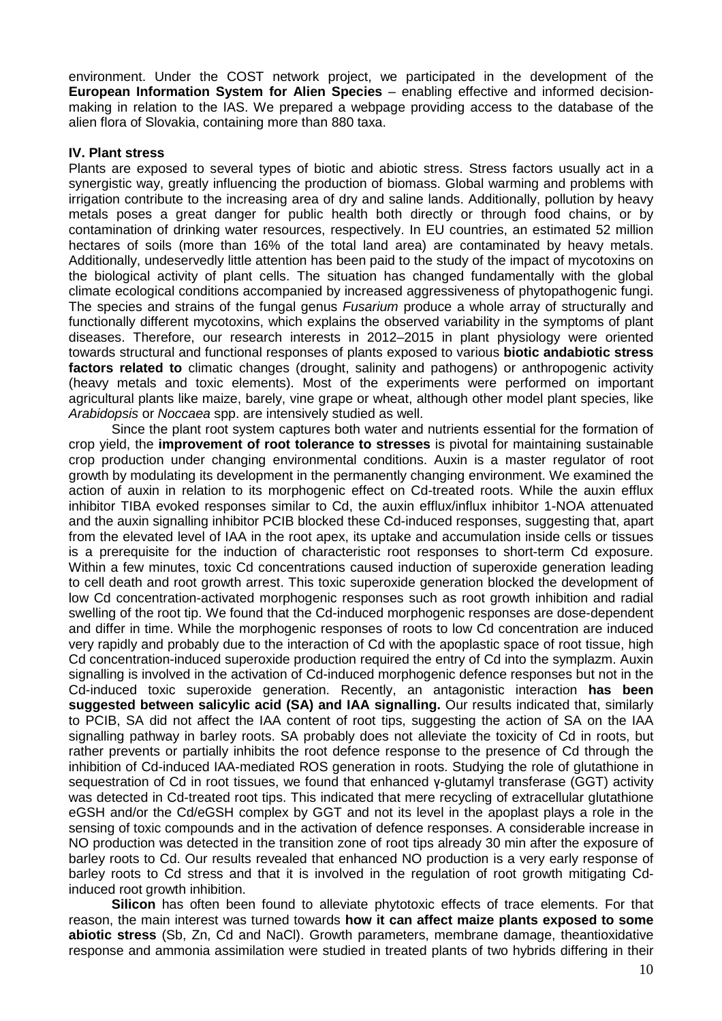environment. Under the COST network project, we participated in the development of the **European Information System for Alien Species** – enabling effective and informed decisionmaking in relation to the IAS. We prepared a webpage providing access to the database of the alien flora of Slovakia, containing more than 880 taxa.

### **IV. Plant stress**

Plants are exposed to several types of biotic and abiotic stress. Stress factors usually act in a synergistic way, greatly influencing the production of biomass. Global warming and problems with irrigation contribute to the increasing area of dry and saline lands. Additionally, pollution by heavy metals poses a great danger for public health both directly or through food chains, or by contamination of drinking water resources, respectively. In EU countries, an estimated 52 million hectares of soils (more than 16% of the total land area) are contaminated by heavy metals. Additionally, undeservedly little attention has been paid to the study of the impact of mycotoxins on the biological activity of plant cells. The situation has changed fundamentally with the global climate ecological conditions accompanied by increased aggressiveness of phytopathogenic fungi. The species and strains of the fungal genus *Fusarium* produce a whole array of structurally and functionally different mycotoxins, which explains the observed variability in the symptoms of plant diseases. Therefore, our research interests in 2012–2015 in plant physiology were oriented towards structural and functional responses of plants exposed to various **biotic andabiotic stress factors related to** climatic changes (drought, salinity and pathogens) or anthropogenic activity (heavy metals and toxic elements). Most of the experiments were performed on important agricultural plants like maize, barely, vine grape or wheat, although other model plant species, like Arabidopsis or Noccaea spp. are intensively studied as well.

Since the plant root system captures both water and nutrients essential for the formation of crop yield, the **improvement of root tolerance to stresses** is pivotal for maintaining sustainable crop production under changing environmental conditions. Auxin is a master regulator of root growth by modulating its development in the permanently changing environment. We examined the action of auxin in relation to its morphogenic effect on Cd-treated roots. While the auxin efflux inhibitor TIBA evoked responses similar to Cd, the auxin efflux/influx inhibitor 1-NOA attenuated and the auxin signalling inhibitor PCIB blocked these Cd-induced responses, suggesting that, apart from the elevated level of IAA in the root apex, its uptake and accumulation inside cells or tissues is a prerequisite for the induction of characteristic root responses to short-term Cd exposure. Within a few minutes, toxic Cd concentrations caused induction of superoxide generation leading to cell death and root growth arrest. This toxic superoxide generation blocked the development of low Cd concentration-activated morphogenic responses such as root growth inhibition and radial swelling of the root tip. We found that the Cd-induced morphogenic responses are dose-dependent and differ in time. While the morphogenic responses of roots to low Cd concentration are induced very rapidly and probably due to the interaction of Cd with the apoplastic space of root tissue, high Cd concentration-induced superoxide production required the entry of Cd into the symplazm. Auxin signalling is involved in the activation of Cd-induced morphogenic defence responses but not in the Cd-induced toxic superoxide generation. Recently, an antagonistic interaction **has been suggested between salicylic acid (SA) and IAA signalling.** Our results indicated that, similarly to PCIB, SA did not affect the IAA content of root tips, suggesting the action of SA on the IAA signalling pathway in barley roots. SA probably does not alleviate the toxicity of Cd in roots, but rather prevents or partially inhibits the root defence response to the presence of Cd through the inhibition of Cd-induced IAA-mediated ROS generation in roots. Studying the role of glutathione in sequestration of Cd in root tissues, we found that enhanced γ-glutamyl transferase (GGT) activity was detected in Cd-treated root tips. This indicated that mere recycling of extracellular glutathione eGSH and/or the Cd/eGSH complex by GGT and not its level in the apoplast plays a role in the sensing of toxic compounds and in the activation of defence responses. A considerable increase in NO production was detected in the transition zone of root tips already 30 min after the exposure of barley roots to Cd. Our results revealed that enhanced NO production is a very early response of barley roots to Cd stress and that it is involved in the regulation of root growth mitigating Cdinduced root growth inhibition.

**Silicon** has often been found to alleviate phytotoxic effects of trace elements. For that reason, the main interest was turned towards **how it can affect maize plants exposed to some abiotic stress** (Sb, Zn, Cd and NaCl). Growth parameters, membrane damage, theantioxidative response and ammonia assimilation were studied in treated plants of two hybrids differing in their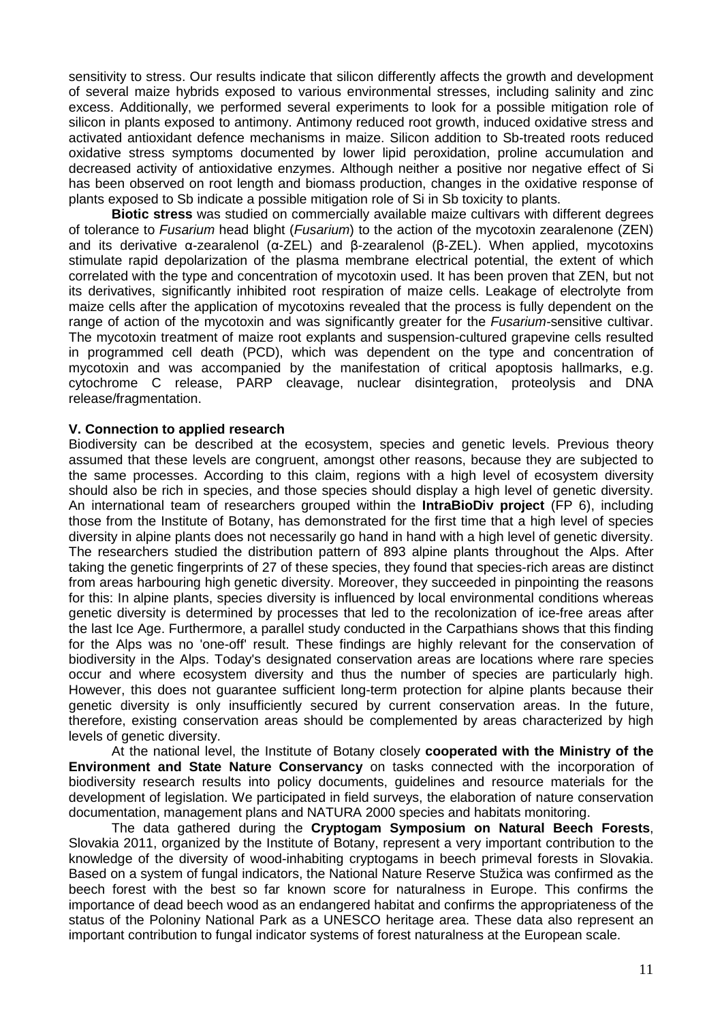sensitivity to stress. Our results indicate that silicon differently affects the growth and development of several maize hybrids exposed to various environmental stresses, including salinity and zinc excess. Additionally, we performed several experiments to look for a possible mitigation role of silicon in plants exposed to antimony. Antimony reduced root growth, induced oxidative stress and activated antioxidant defence mechanisms in maize. Silicon addition to Sb-treated roots reduced oxidative stress symptoms documented by lower lipid peroxidation, proline accumulation and decreased activity of antioxidative enzymes. Although neither a positive nor negative effect of Si has been observed on root length and biomass production, changes in the oxidative response of plants exposed to Sb indicate a possible mitigation role of Si in Sb toxicity to plants.

**Biotic stress** was studied on commercially available maize cultivars with different degrees of tolerance to Fusarium head blight (Fusarium) to the action of the mycotoxin zearalenone (ZEN) and its derivative α-zearalenol (α-ZEL) and β-zearalenol (β-ZEL). When applied, mycotoxins stimulate rapid depolarization of the plasma membrane electrical potential, the extent of which correlated with the type and concentration of mycotoxin used. It has been proven that ZEN, but not its derivatives, significantly inhibited root respiration of maize cells. Leakage of electrolyte from maize cells after the application of mycotoxins revealed that the process is fully dependent on the range of action of the mycotoxin and was significantly greater for the Fusarium-sensitive cultivar. The mycotoxin treatment of maize root explants and suspension-cultured grapevine cells resulted in programmed cell death (PCD), which was dependent on the type and concentration of mycotoxin and was accompanied by the manifestation of critical apoptosis hallmarks, e.g. cytochrome C release, PARP cleavage, nuclear disintegration, proteolysis and DNA release/fragmentation.

## **V. Connection to applied research**

Biodiversity can be described at the ecosystem, species and genetic levels. Previous theory assumed that these levels are congruent, amongst other reasons, because they are subjected to the same processes. According to this claim, regions with a high level of ecosystem diversity should also be rich in species, and those species should display a high level of genetic diversity. An international team of researchers grouped within the **IntraBioDiv project** (FP 6), including those from the Institute of Botany, has demonstrated for the first time that a high level of species diversity in alpine plants does not necessarily go hand in hand with a high level of genetic diversity. The researchers studied the distribution pattern of 893 alpine plants throughout the Alps. After taking the genetic fingerprints of 27 of these species, they found that species-rich areas are distinct from areas harbouring high genetic diversity. Moreover, they succeeded in pinpointing the reasons for this: In alpine plants, species diversity is influenced by local environmental conditions whereas genetic diversity is determined by processes that led to the recolonization of ice-free areas after the last Ice Age. Furthermore, a parallel study conducted in the Carpathians shows that this finding for the Alps was no 'one-off' result. These findings are highly relevant for the conservation of biodiversity in the Alps. Today's designated conservation areas are locations where rare species occur and where ecosystem diversity and thus the number of species are particularly high. However, this does not guarantee sufficient long-term protection for alpine plants because their genetic diversity is only insufficiently secured by current conservation areas. In the future, therefore, existing conservation areas should be complemented by areas characterized by high levels of genetic diversity.

At the national level, the Institute of Botany closely **cooperated with the Ministry of the Environment and State Nature Conservancy** on tasks connected with the incorporation of biodiversity research results into policy documents, guidelines and resource materials for the development of legislation. We participated in field surveys, the elaboration of nature conservation documentation, management plans and NATURA 2000 species and habitats monitoring.

The data gathered during the **Cryptogam Symposium on Natural Beech Forests**, Slovakia 2011, organized by the Institute of Botany, represent a very important contribution to the knowledge of the diversity of wood-inhabiting cryptogams in beech primeval forests in Slovakia. Based on a system of fungal indicators, the National Nature Reserve Stužica was confirmed as the beech forest with the best so far known score for naturalness in Europe. This confirms the importance of dead beech wood as an endangered habitat and confirms the appropriateness of the status of the Poloniny National Park as a UNESCO heritage area. These data also represent an important contribution to fungal indicator systems of forest naturalness at the European scale.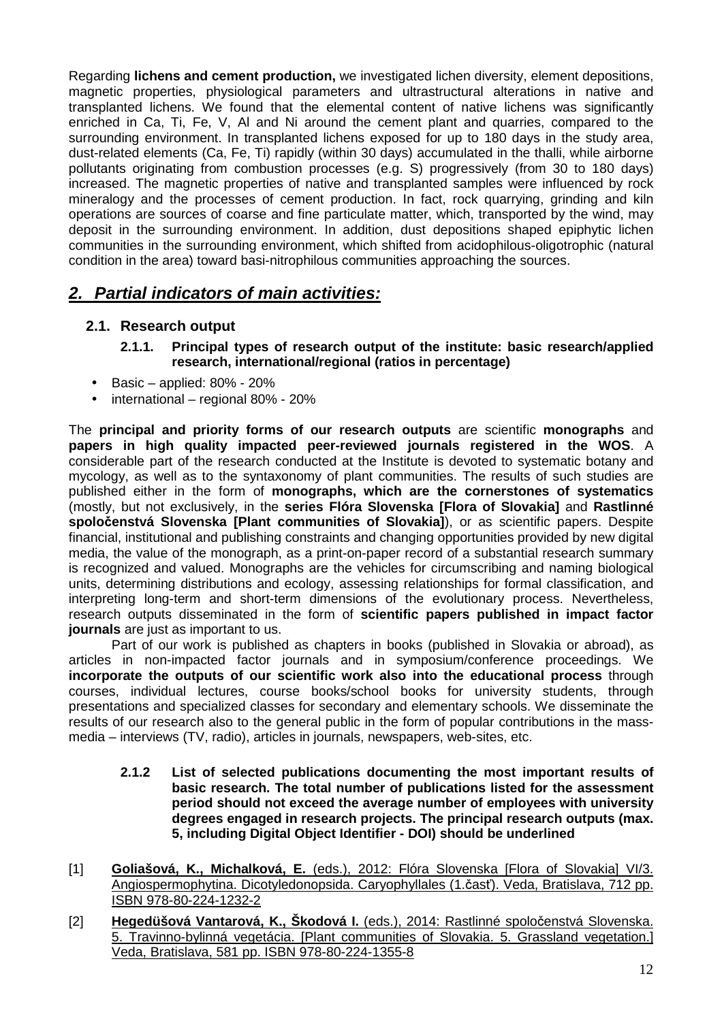Regarding **lichens and cement production,** we investigated lichen diversity, element depositions, magnetic properties, physiological parameters and ultrastructural alterations in native and transplanted lichens. We found that the elemental content of native lichens was significantly enriched in Ca, Ti, Fe, V, Al and Ni around the cement plant and quarries, compared to the surrounding environment. In transplanted lichens exposed for up to 180 days in the study area, dust-related elements (Ca, Fe, Ti) rapidly (within 30 days) accumulated in the thalli, while airborne pollutants originating from combustion processes (e.g. S) progressively (from 30 to 180 days) increased. The magnetic properties of native and transplanted samples were influenced by rock mineralogy and the processes of cement production. In fact, rock quarrying, grinding and kiln operations are sources of coarse and fine particulate matter, which, transported by the wind, may deposit in the surrounding environment. In addition, dust depositions shaped epiphytic lichen communities in the surrounding environment, which shifted from acidophilous-oligotrophic (natural condition in the area) toward basi-nitrophilous communities approaching the sources.

# **2. Partial indicators of main activities:**

# **2.1. Research output**

- **2.1.1. Principal types of research output of the institute: basic research/applied research, international/regional (ratios in percentage)**
- Basic applied: 80% 20%
- international regional 80% 20%

The **principal and priority forms of our research outputs** are scientific **monographs** and **papers in high quality impacted peer-reviewed journals registered in the WOS**. A considerable part of the research conducted at the Institute is devoted to systematic botany and mycology, as well as to the syntaxonomy of plant communities. The results of such studies are published either in the form of **monographs, which are the cornerstones of systematics** (mostly, but not exclusively, in the **series Flóra Slovenska [Flora of Slovakia]** and **Rastlinné spolo**č**enstvá Slovenska [Plant communities of Slovakia]**), or as scientific papers. Despite financial, institutional and publishing constraints and changing opportunities provided by new digital media, the value of the monograph, as a print-on-paper record of a substantial research summary is recognized and valued. Monographs are the vehicles for circumscribing and naming biological units, determining distributions and ecology, assessing relationships for formal classification, and interpreting long-term and short-term dimensions of the evolutionary process. Nevertheless, research outputs disseminated in the form of **scientific papers published in impact factor journals** are just as important to us.

Part of our work is published as chapters in books (published in Slovakia or abroad), as articles in non-impacted factor journals and in symposium/conference proceedings. We **incorporate the outputs of our scientific work also into the educational process** through courses, individual lectures, course books/school books for university students, through presentations and specialized classes for secondary and elementary schools. We disseminate the results of our research also to the general public in the form of popular contributions in the massmedia – interviews (TV, radio), articles in journals, newspapers, web-sites, etc.

- **2.1.2 List of selected publications documenting the most important results of basic research. The total number of publications listed for the assessment period should not exceed the average number of employees with university degrees engaged in research projects. The principal research outputs (max. 5, including Digital Object Identifier - DOI) should be underlined**
- [1] **Goliašová, K., Michalková, E.** (eds.), 2012: Flóra Slovenska [Flora of Slovakia] VI/3. Angiospermophytina. Dicotyledonopsida. Caryophyllales (1.časť). Veda, Bratislava, 712 pp. ISBN 978-80-224-1232-2
- [2] **Hegedüšová Vantarová, K., Škodová I.** (eds.), 2014: Rastlinné spoločenstvá Slovenska. 5. Travinno-bylinná vegetácia. [Plant communities of Slovakia. 5. Grassland vegetation.] Veda, Bratislava, 581 pp. ISBN 978-80-224-1355-8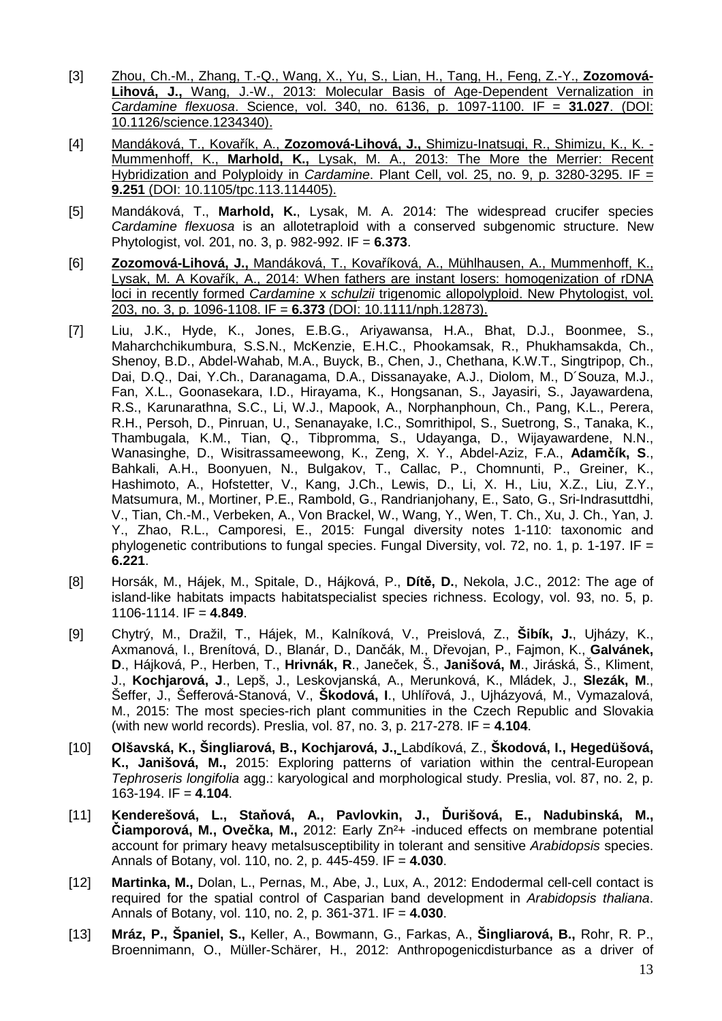- [3] Zhou, Ch.-M., Zhang, T.-Q., Wang, X., Yu, S., Lian, H., Tang, H., Feng, Z.-Y., **Zozomová-Lihová, J.,** Wang, J.-W., 2013: Molecular Basis of Age-Dependent Vernalization in Cardamine flexuosa. Science, vol. 340, no. 6136, p. 1097-1100. IF = **31.027**. (DOI: 10.1126/science.1234340).
- [4] Mandáková, T., Kovařík, A., **Zozomová-Lihová, J.,** Shimizu-Inatsugi, R., Shimizu, K., K. Mummenhoff, K., **Marhold, K.,** Lysak, M. A., 2013: The More the Merrier: Recent Hybridization and Polyploidy in Cardamine. Plant Cell, vol. 25, no. 9, p. 3280-3295. IF = **9.251** (DOI: 10.1105/tpc.113.114405).
- [5] Mandáková, T., **Marhold, K.**, Lysak, M. A. 2014: The widespread crucifer species Cardamine flexuosa is an allotetraploid with a conserved subgenomic structure. New Phytologist, vol. 201, no. 3, p. 982-992. IF = **6.373**.
- [6] **Zozomová-Lihová, J.,** Mandáková, T., Kovaříková, A., Mühlhausen, A., Mummenhoff, K., Lysak, M. A Kovařík, A., 2014: When fathers are instant losers: homogenization of rDNA loci in recently formed Cardamine x schulzii trigenomic allopolyploid. New Phytologist, vol. 203, no. 3, p. 1096-1108. IF = **6.373** (DOI: 10.1111/nph.12873).
- [7] Liu, J.K., Hyde, K., Jones, E.B.G., Ariyawansa, H.A., Bhat, D.J., Boonmee, S., Maharchchikumbura, S.S.N., McKenzie, E.H.C., Phookamsak, R., Phukhamsakda, Ch., Shenoy, B.D., Abdel-Wahab, M.A., Buyck, B., Chen, J., Chethana, K.W.T., Singtripop, Ch., Dai, D.Q., Dai, Y.Ch., Daranagama, D.A., Dissanayake, A.J., Diolom, M., D´Souza, M.J., Fan, X.L., Goonasekara, I.D., Hirayama, K., Hongsanan, S., Jayasiri, S., Jayawardena, R.S., Karunarathna, S.C., Li, W.J., Mapook, A., Norphanphoun, Ch., Pang, K.L., Perera, R.H., Persoh, D., Pinruan, U., Senanayake, I.C., Somrithipol, S., Suetrong, S., Tanaka, K., Thambugala, K.M., Tian, Q., Tibpromma, S., Udayanga, D., Wijayawardene, N.N., Wanasinghe, D., Wisitrassameewong, K., Zeng, X. Y., Abdel-Aziz, F.A., **Adam**č**ík, S**., Bahkali, A.H., Boonyuen, N., Bulgakov, T., Callac, P., Chomnunti, P., Greiner, K., Hashimoto, A., Hofstetter, V., Kang, J.Ch., Lewis, D., Li, X. H., Liu, X.Z., Liu, Z.Y., Matsumura, M., Mortiner, P.E., Rambold, G., Randrianjohany, E., Sato, G., Sri-Indrasuttdhi, V., Tian, Ch.-M., Verbeken, A., Von Brackel, W., Wang, Y., Wen, T. Ch., Xu, J. Ch., Yan, J. Y., Zhao, R.L., Camporesi, E., 2015: Fungal diversity notes 1-110: taxonomic and phylogenetic contributions to fungal species. Fungal Diversity, vol. 72, no. 1, p. 1-197. IF = **6.221**.
- [8] Horsák, M., Hájek, M., Spitale, D., Hájková, P., **Dít**ě**, D.**, Nekola, J.C., 2012: The age of island-like habitats impacts habitatspecialist species richness. Ecology, vol. 93, no. 5, p. 1106-1114. IF = **4.849**.
- [9] Chytrý, M., Dražil, T., Hájek, M., Kalníková, V., Preislová, Z., **Šibík, J.**, Ujházy, K., Axmanová, I., Brenítová, D., Blanár, D., Dančák, M., Dřevojan, P., Fajmon, K., **Galvánek, D**., Hájková, P., Herben, T., **Hrivnák, R**., Janeček, Š., **Janišová, M**., Jiráská, Š., Kliment, J., **Kochjarová, J**., Lepš, J., Leskovjanská, A., Merunková, K., Mládek, J., **Slezák, M**., Šeffer, J., Šefferová-Stanová, V., **Škodová, I**., Uhlířová, J., Ujházyová, M., Vymazalová, M., 2015: The most species-rich plant communities in the Czech Republic and Slovakia (with new world records). Preslia, vol. 87, no. 3, p. 217-278. IF = **4.104**.
- [10] **Olšavská, K., Šingliarová, B., Kochjarová, J.,** Labdíková, Z., **Škodová, I., Hegedüšová, K., Janišová, M.,** 2015: Exploring patterns of variation within the central-European Tephroseris longifolia agg.: karyological and morphological study. Preslia, vol. 87, no. 2, p. 163-194. IF = **4.104**.
- [11] **Kenderešová, L., Sta**ň**ová, A., Pavlovkin, J.,** Ď**urišová, E., Nadubinská, M.,**  Č**iamporová, M., Ove**č**ka, M.,** 2012: Early Zn²+ -induced effects on membrane potential account for primary heavy metalsusceptibility in tolerant and sensitive Arabidopsis species. Annals of Botany, vol. 110, no. 2, p. 445-459. IF = **4.030**.
- [12] **Martinka, M.,** Dolan, L., Pernas, M., Abe, J., Lux, A., 2012: Endodermal cell-cell contact is required for the spatial control of Casparian band development in Arabidopsis thaliana. Annals of Botany, vol. 110, no. 2, p. 361-371. IF = **4.030**.
- [13] **Mráz, P., Španiel, S.,** Keller, A., Bowmann, G., Farkas, A., **Šingliarová, B.,** Rohr, R. P., Broennimann, O., Müller-Schärer, H., 2012: Anthropogenicdisturbance as a driver of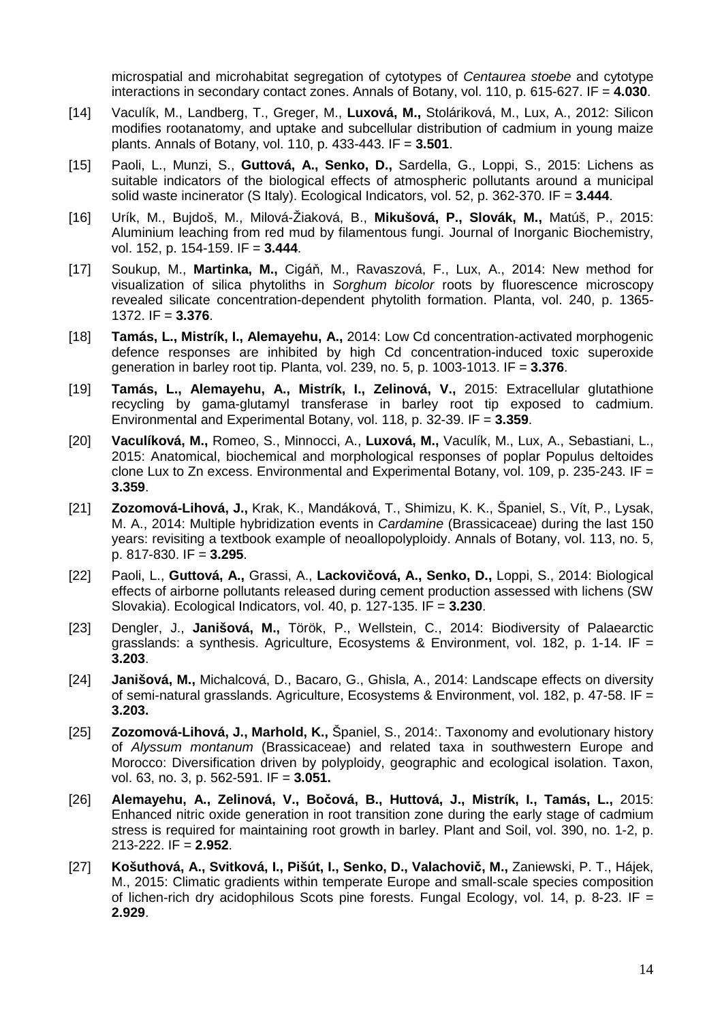microspatial and microhabitat segregation of cytotypes of Centaurea stoebe and cytotype interactions in secondary contact zones. Annals of Botany, vol. 110, p. 615-627. IF = **4.030**.

- [14] Vaculík, M., Landberg, T., Greger, M., **Luxová, M.,** Stoláriková, M., Lux, A., 2012: Silicon modifies rootanatomy, and uptake and subcellular distribution of cadmium in young maize plants. Annals of Botany, vol. 110, p. 433-443. IF = **3.501**.
- [15] Paoli, L., Munzi, S., **Guttová, A., Senko, D.,** Sardella, G., Loppi, S., 2015: Lichens as suitable indicators of the biological effects of atmospheric pollutants around a municipal solid waste incinerator (S Italy). Ecological Indicators, vol. 52, p. 362-370. IF = **3.444**.
- [16] Urík, M., Bujdoš, M., Milová-Žiaková, B., **Mikušová, P., Slovák, M.,** Matúš, P., 2015: Aluminium leaching from red mud by filamentous fungi. Journal of Inorganic Biochemistry, vol. 152, p. 154-159. IF = **3.444**.
- [17] Soukup, M., **Martinka, M.,** Cigáň, M., Ravaszová, F., Lux, A., 2014: New method for visualization of silica phytoliths in Sorghum bicolor roots by fluorescence microscopy revealed silicate concentration-dependent phytolith formation. Planta, vol. 240, p. 1365- 1372. IF = **3.376**.
- [18] **Tamás, L., Mistrík, I., Alemayehu, A.,** 2014: Low Cd concentration-activated morphogenic defence responses are inhibited by high Cd concentration-induced toxic superoxide generation in barley root tip. Planta, vol. 239, no. 5, p. 1003-1013. IF = **3.376**.
- [19] **Tamás, L., Alemayehu, A., Mistrík, I., Zelinová, V.,** 2015: Extracellular glutathione recycling by gama-glutamyl transferase in barley root tip exposed to cadmium. Environmental and Experimental Botany, vol. 118, p. 32-39. IF = **3.359**.
- [20] **Vaculíková, M.,** Romeo, S., Minnocci, A., **Luxová, M.,** Vaculík, M., Lux, A., Sebastiani, L., 2015: Anatomical, biochemical and morphological responses of poplar Populus deltoides clone Lux to Zn excess. Environmental and Experimental Botany, vol. 109, p. 235-243. IF = **3.359**.
- [21] **Zozomová-Lihová, J.,** Krak, K., Mandáková, T., Shimizu, K. K., Španiel, S., Vít, P., Lysak, M. A., 2014: Multiple hybridization events in Cardamine (Brassicaceae) during the last 150 years: revisiting a textbook example of neoallopolyploidy. Annals of Botany, vol. 113, no. 5, p. 817-830. IF = **3.295**.
- [22] Paoli, L., **Guttová, A.,** Grassi, A., **Lackovi**č**ová, A., Senko, D.,** Loppi, S., 2014: Biological effects of airborne pollutants released during cement production assessed with lichens (SW Slovakia). Ecological Indicators, vol. 40, p. 127-135. IF = **3.230**.
- [23] Dengler, J., **Janišová, M.,** Török, P., Wellstein, C., 2014: Biodiversity of Palaearctic grasslands: a synthesis. Agriculture, Ecosystems & Environment, vol. 182, p. 1-14. IF  $=$ **3.203**.
- [24] **Janišová, M.,** Michalcová, D., Bacaro, G., Ghisla, A., 2014: Landscape effects on diversity of semi-natural grasslands. Agriculture, Ecosystems & Environment, vol. 182, p. 47-58. IF = **3.203.**
- [25] **Zozomová-Lihová, J., Marhold, K.,** Španiel, S., 2014:. Taxonomy and evolutionary history of Alyssum montanum (Brassicaceae) and related taxa in southwestern Europe and Morocco: Diversification driven by polyploidy, geographic and ecological isolation. Taxon, vol. 63, no. 3, p. 562-591. IF = **3.051.**
- [26] **Alemayehu, A., Zelinová, V., Bo**č**ová, B., Huttová, J., Mistrík, I., Tamás, L.,** 2015: Enhanced nitric oxide generation in root transition zone during the early stage of cadmium stress is required for maintaining root growth in barley. Plant and Soil, vol. 390, no. 1-2, p. 213-222. IF = **2.952**.
- [27] **Košuthová, A., Svitková, I., Pišút, I., Senko, D., Valachovi**č**, M.,** Zaniewski, P. T., Hájek, M., 2015: Climatic gradients within temperate Europe and small-scale species composition of lichen-rich dry acidophilous Scots pine forests. Fungal Ecology, vol. 14, p. 8-23. IF = **2.929**.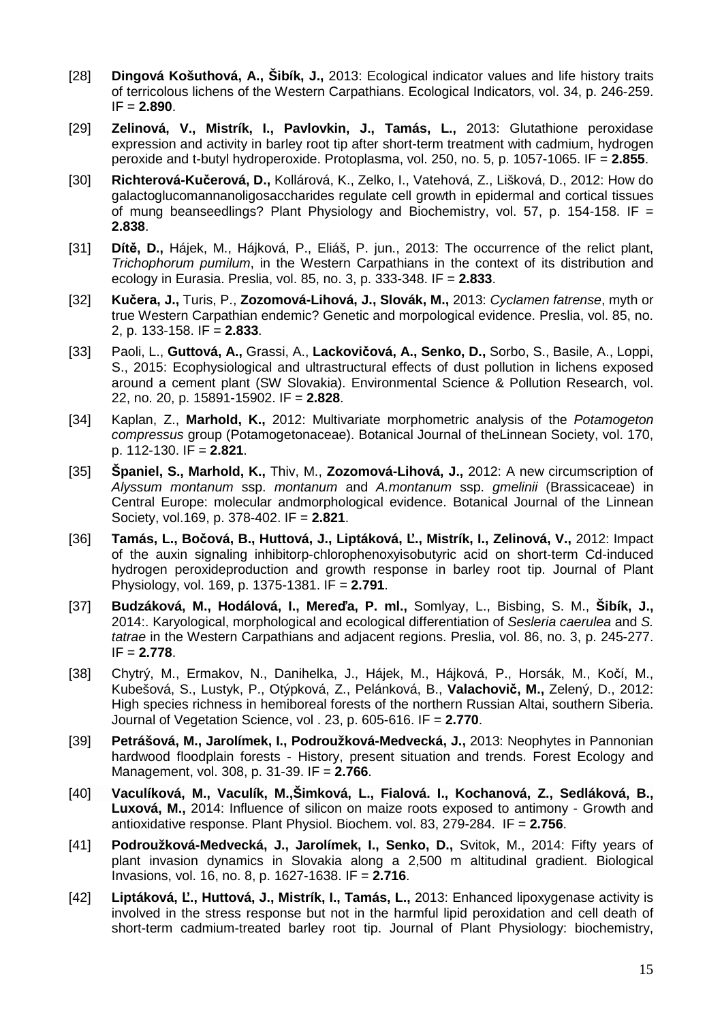- [28] **Dingová Košuthová, A., Šibík, J.,** 2013: Ecological indicator values and life history traits of terricolous lichens of the Western Carpathians. Ecological Indicators, vol. 34, p. 246-259. IF = **2.890**.
- [29] **Zelinová, V., Mistrík, I., Pavlovkin, J., Tamás, L.,** 2013: Glutathione peroxidase expression and activity in barley root tip after short-term treatment with cadmium, hydrogen peroxide and t-butyl hydroperoxide. Protoplasma, vol. 250, no. 5, p. 1057-1065. IF = **2.855**.
- [30] **Richterová-Ku**č**erová, D.,** Kollárová, K., Zelko, I., Vatehová, Z., Lišková, D., 2012: How do galactoglucomannanoligosaccharides regulate cell growth in epidermal and cortical tissues of mung beanseedlings? Plant Physiology and Biochemistry, vol. 57, p. 154-158. IF  $=$ **2.838**.
- [31] **Dít**ě**, D.,** Hájek, M., Hájková, P., Eliáš, P. jun., 2013: The occurrence of the relict plant, Trichophorum pumilum, in the Western Carpathians in the context of its distribution and ecology in Eurasia. Preslia, vol. 85, no. 3, p. 333-348. IF = **2.833**.
- [32] **Ku**č**era, J.,** Turis, P., **Zozomová-Lihová, J., Slovák, M.,** 2013: Cyclamen fatrense, myth or true Western Carpathian endemic? Genetic and morpological evidence. Preslia, vol. 85, no. 2, p. 133-158. IF = **2.833**.
- [33] Paoli, L., **Guttová, A.,** Grassi, A., **Lackovi**č**ová, A., Senko, D.,** Sorbo, S., Basile, A., Loppi, S., 2015: Ecophysiological and ultrastructural effects of dust pollution in lichens exposed around a cement plant (SW Slovakia). Environmental Science & Pollution Research, vol. 22, no. 20, p. 15891-15902. IF = **2.828**.
- [34] Kaplan, Z., **Marhold, K.,** 2012: Multivariate morphometric analysis of the Potamogeton compressus group (Potamogetonaceae). Botanical Journal of theLinnean Society, vol. 170, p. 112-130. IF = **2.821**.
- [35] **Španiel, S., Marhold, K.,** Thiv, M., **Zozomová-Lihová, J.,** 2012: A new circumscription of Alyssum montanum ssp. montanum and A.montanum ssp. gmelinii (Brassicaceae) in Central Europe: molecular andmorphological evidence. Botanical Journal of the Linnean Society, vol.169, p. 378-402. IF = **2.821**.
- [36] **Tamás, L., Bo**č**ová, B., Huttová, J., Liptáková,** Ľ**., Mistrík, I., Zelinová, V.,** 2012: Impact of the auxin signaling inhibitorp-chlorophenoxyisobutyric acid on short-term Cd-induced hydrogen peroxideproduction and growth response in barley root tip. Journal of Plant Physiology, vol. 169, p. 1375-1381. IF = **2.791**.
- [37] **Budzáková, M., Hodálová, I., Mere**ď**a, P. ml.,** Somlyay, L., Bisbing, S. M., **Šibík, J.,** 2014:. Karyological, morphological and ecological differentiation of Sesleria caerulea and S. tatrae in the Western Carpathians and adjacent regions. Preslia, vol. 86, no. 3, p. 245-277. IF = **2.778**.
- [38] Chytrý, M., Ermakov, N., Danihelka, J., Hájek, M., Hájková, P., Horsák, M., Kočí, M., Kubešová, S., Lustyk, P., Otýpková, Z., Pelánková, B., **Valachovi**č**, M.,** Zelený, D., 2012: High species richness in hemiboreal forests of the northern Russian Altai, southern Siberia. Journal of Vegetation Science, vol . 23, p. 605-616. IF = **2.770**.
- [39] **Petrášová, M., Jarolímek, I., Podroužková-Medvecká, J.,** 2013: Neophytes in Pannonian hardwood floodplain forests - History, present situation and trends. Forest Ecology and Management, vol. 308, p. 31-39. IF = **2.766**.
- [40] **Vaculíková, M., Vaculík, M.,Šimková, L., Fialová. I., Kochanová, Z., Sedláková, B., Luxová, M.,** 2014: Influence of silicon on maize roots exposed to antimony - Growth and antioxidative response. Plant Physiol. Biochem. vol. 83, 279-284. IF = **2.756**.
- [41] **Podroužková-Medvecká, J., Jarolímek, I., Senko, D.,** Svitok, M., 2014: Fifty years of plant invasion dynamics in Slovakia along a 2,500 m altitudinal gradient. Biological Invasions, vol. 16, no. 8, p. 1627-1638. IF = **2.716**.
- [42] **Liptáková,** Ľ**., Huttová, J., Mistrík, I., Tamás, L.,** 2013: Enhanced lipoxygenase activity is involved in the stress response but not in the harmful lipid peroxidation and cell death of short-term cadmium-treated barley root tip. Journal of Plant Physiology: biochemistry,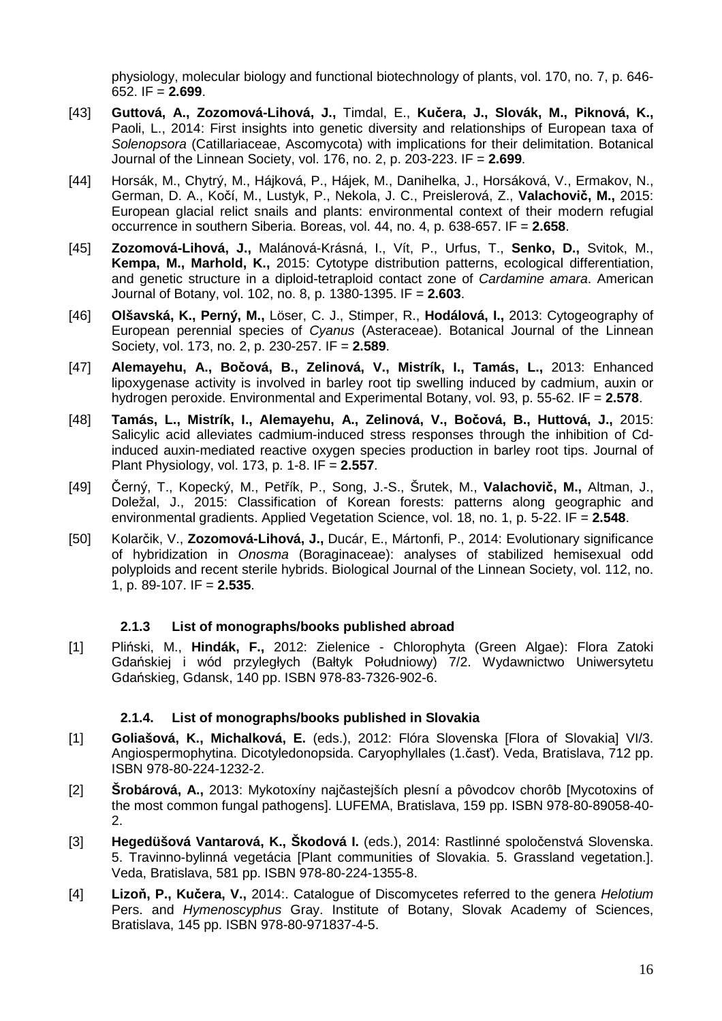physiology, molecular biology and functional biotechnology of plants, vol. 170, no. 7, p. 646- 652. IF = **2.699**.

- [43] **Guttová, A., Zozomová-Lihová, J.,** Timdal, E., **Ku**č**era, J., Slovák, M., Piknová, K.,** Paoli, L., 2014: First insights into genetic diversity and relationships of European taxa of Solenopsora (Catillariaceae, Ascomycota) with implications for their delimitation. Botanical Journal of the Linnean Society, vol. 176, no. 2, p. 203-223. IF = **2.699**.
- [44] Horsák, M., Chytrý, M., Hájková, P., Hájek, M., Danihelka, J., Horsáková, V., Ermakov, N., German, D. A., Kočí, M., Lustyk, P., Nekola, J. C., Preislerová, Z., **Valachovi**č**, M.,** 2015: European glacial relict snails and plants: environmental context of their modern refugial occurrence in southern Siberia. Boreas, vol. 44, no. 4, p. 638-657. IF = **2.658**.
- [45] **Zozomová-Lihová, J.,** Malánová-Krásná, I., Vít, P., Urfus, T., **Senko, D.,** Svitok, M., **Kempa, M., Marhold, K.,** 2015: Cytotype distribution patterns, ecological differentiation, and genetic structure in a diploid-tetraploid contact zone of Cardamine amara. American Journal of Botany, vol. 102, no. 8, p. 1380-1395. IF = **2.603**.
- [46] **Olšavská, K., Perný, M.,** Löser, C. J., Stimper, R., **Hodálová, I.,** 2013: Cytogeography of European perennial species of Cyanus (Asteraceae). Botanical Journal of the Linnean Society, vol. 173, no. 2, p. 230-257. IF = **2.589**.
- [47] **Alemayehu, A., Bo**č**ová, B., Zelinová, V., Mistrík, I., Tamás, L.,** 2013: Enhanced lipoxygenase activity is involved in barley root tip swelling induced by cadmium, auxin or hydrogen peroxide. Environmental and Experimental Botany, vol. 93, p. 55-62. IF = **2.578**.
- [48] **Tamás, L., Mistrík, I., Alemayehu, A., Zelinová, V., Bo**č**ová, B., Huttová, J.,** 2015: Salicylic acid alleviates cadmium-induced stress responses through the inhibition of Cdinduced auxin-mediated reactive oxygen species production in barley root tips. Journal of Plant Physiology, vol. 173, p. 1-8. IF = **2.557**.
- [49] Černý, T., Kopecký, M., Petřík, P., Song, J.-S., Šrutek, M., **Valachovi**č**, M.,** Altman, J., Doležal, J., 2015: Classification of Korean forests: patterns along geographic and environmental gradients. Applied Vegetation Science, vol. 18, no. 1, p. 5-22. IF = **2.548**.
- [50] Kolarčik, V., **Zozomová-Lihová, J.,** Ducár, E., Mártonfi, P., 2014: Evolutionary significance of hybridization in Onosma (Boraginaceae): analyses of stabilized hemisexual odd polyploids and recent sterile hybrids. Biological Journal of the Linnean Society, vol. 112, no. 1, p. 89-107. IF = **2.535**.

## **2.1.3 List of monographs/books published abroad**

[1] Pliński, M., **Hindák, F.,** 2012: Zielenice - Chlorophyta (Green Algae): Flora Zatoki Gdańskiej i wód przyległych (Bałtyk Południowy) 7/2. Wydawnictwo Uniwersytetu Gdańskieg, Gdansk, 140 pp. ISBN 978-83-7326-902-6.

# **2.1.4. List of monographs/books published in Slovakia**

- [1] **Goliašová, K., Michalková, E.** (eds.), 2012: Flóra Slovenska [Flora of Slovakia] VI/3. Angiospermophytina. Dicotyledonopsida. Caryophyllales (1.časť). Veda, Bratislava, 712 pp. ISBN 978-80-224-1232-2.
- [2] **Šrobárová, A.,** 2013: Mykotoxíny najčastejších plesní a pôvodcov chorôb [Mycotoxins of the most common fungal pathogens]. LUFEMA, Bratislava, 159 pp. ISBN 978-80-89058-40- 2.
- [3] **Hegedüšová Vantarová, K., Škodová I.** (eds.), 2014: Rastlinné spoločenstvá Slovenska. 5. Travinno-bylinná vegetácia [Plant communities of Slovakia. 5. Grassland vegetation.]. Veda, Bratislava, 581 pp. ISBN 978-80-224-1355-8.
- [4] **Lizo**ň**, P., Ku**č**era, V.,** 2014:. Catalogue of Discomycetes referred to the genera Helotium Pers. and Hymenoscyphus Gray. Institute of Botany, Slovak Academy of Sciences, Bratislava, 145 pp. ISBN 978-80-971837-4-5.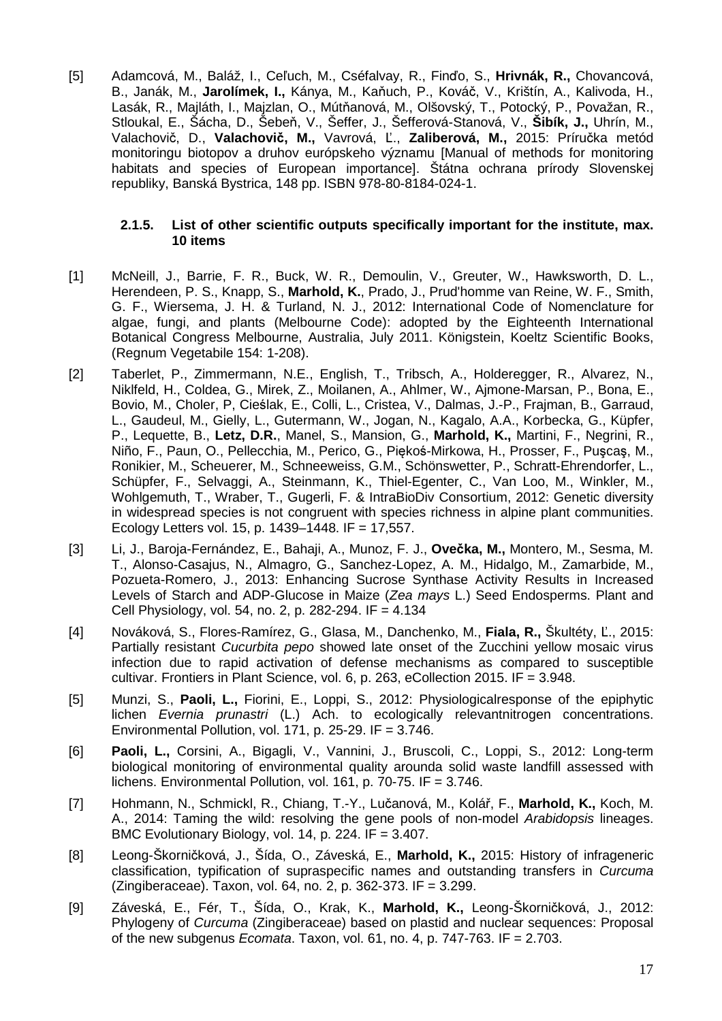[5] Adamcová, M., Baláž, I., Ceľuch, M., Cséfalvay, R., Finďo, S., **Hrivnák, R.,** Chovancová, B., Janák, M., **Jarolímek, I.,** Kánya, M., Kaňuch, P., Kováč, V., Krištín, A., Kalivoda, H., Lasák, R., Majláth, I., Majzlan, O., Mútňanová, M., Olšovský, T., Potocký, P., Považan, R., Stloukal, E., Šácha, D., Šebeň, V., Šeffer, J., Šefferová-Stanová, V., **Šibík, J.,** Uhrín, M., Valachovič, D., **Valachovi**č**, M.,** Vavrová, Ľ., **Zaliberová, M.,** 2015: Príručka metód monitoringu biotopov a druhov európskeho významu [Manual of methods for monitoring habitats and species of European importance]. Štátna ochrana prírody Slovenskej republiky, Banská Bystrica, 148 pp. ISBN 978-80-8184-024-1.

#### **2.1.5. List of other scientific outputs specifically important for the institute, max. 10 items**

- [1] McNeill, J., Barrie, F. R., Buck, W. R., Demoulin, V., Greuter, W., Hawksworth, D. L., Herendeen, P. S., Knapp, S., **Marhold, K.**, Prado, J., Prud'homme van Reine, W. F., Smith, G. F., Wiersema, J. H. & Turland, N. J., 2012: International Code of Nomenclature for algae, fungi, and plants (Melbourne Code): adopted by the Eighteenth International Botanical Congress Melbourne, Australia, July 2011. Königstein, Koeltz Scientific Books, (Regnum Vegetabile 154: 1-208).
- [2] Taberlet, P., Zimmermann, N.E., English, T., Tribsch, A., Holderegger, R., Alvarez, N., Niklfeld, H., Coldea, G., Mirek, Z., Moilanen, A., Ahlmer, W., Ajmone-Marsan, P., Bona, E., Bovio, M., Choler, P, Cieślak, E., Colli, L., Cristea, V., Dalmas, J.-P., Frajman, B., Garraud, L., Gaudeul, M., Gielly, L., Gutermann, W., Jogan, N., Kagalo, A.A., Korbecka, G., Küpfer, P., Lequette, B., **Letz, D.R.**, Manel, S., Mansion, G., **Marhold, K.,** Martini, F., Negrini, R., Niño, F., Paun, O., Pellecchia, M., Perico, G., Piękoś-Mirkowa, H., Prosser, F., Puşcaş, M., Ronikier, M., Scheuerer, M., Schneeweiss, G.M., Schönswetter, P., Schratt-Ehrendorfer, L., Schüpfer, F., Selvaggi, A., Steinmann, K., Thiel-Egenter, C., Van Loo, M., Winkler, M., Wohlgemuth, T., Wraber, T., Gugerli, F. & IntraBioDiv Consortium, 2012: Genetic diversity in widespread species is not congruent with species richness in alpine plant communities. Ecology Letters vol. 15, p. 1439–1448. IF =  $17,557$ .
- [3] Li, J., Baroja-Fernández, E., Bahaji, A., Munoz, F. J., **Ove**č**ka, M.,** Montero, M., Sesma, M. T., Alonso-Casajus, N., Almagro, G., Sanchez-Lopez, A. M., Hidalgo, M., Zamarbide, M., Pozueta-Romero, J., 2013: Enhancing Sucrose Synthase Activity Results in Increased Levels of Starch and ADP-Glucose in Maize (Zea mays L.) Seed Endosperms. Plant and Cell Physiology, vol. 54, no. 2, p. 282-294. IF = 4.134
- [4] Nováková, S., Flores-Ramírez, G., Glasa, M., Danchenko, M., **Fiala, R.,** Škultéty, Ľ., 2015: Partially resistant Cucurbita pepo showed late onset of the Zucchini yellow mosaic virus infection due to rapid activation of defense mechanisms as compared to susceptible cultivar. Frontiers in Plant Science, vol. 6, p. 263, eCollection 2015. IF = 3.948.
- [5] Munzi, S., **Paoli, L.,** Fiorini, E., Loppi, S., 2012: Physiologicalresponse of the epiphytic lichen Evernia prunastri (L.) Ach. to ecologically relevantnitrogen concentrations. Environmental Pollution, vol. 171, p. 25-29. IF =  $3.746$ .
- [6] **Paoli, L.,** Corsini, A., Bigagli, V., Vannini, J., Bruscoli, C., Loppi, S., 2012: Long-term biological monitoring of environmental quality arounda solid waste landfill assessed with lichens. Environmental Pollution, vol. 161, p. 70-75. IF = 3.746.
- [7] Hohmann, N., Schmickl, R., Chiang, T.-Y., Lučanová, M., Kolář, F., **Marhold, K.,** Koch, M. A., 2014: Taming the wild: resolving the gene pools of non-model Arabidopsis lineages. BMC Evolutionary Biology, vol. 14, p. 224. IF = 3.407.
- [8] Leong-Škorničková, J., Šída, O., Záveská, E., **Marhold, K.,** 2015: History of infrageneric classification, typification of supraspecific names and outstanding transfers in Curcuma (Zingiberaceae). Taxon, vol. 64, no. 2, p. 362-373. IF = 3.299.
- [9] Záveská, E., Fér, T., Šída, O., Krak, K., **Marhold, K.,** Leong-Škorničková, J., 2012: Phylogeny of Curcuma (Zingiberaceae) based on plastid and nuclear sequences: Proposal of the new subgenus *Ecomata*. Taxon, vol. 61, no. 4, p. 747-763. IF =  $2.703$ .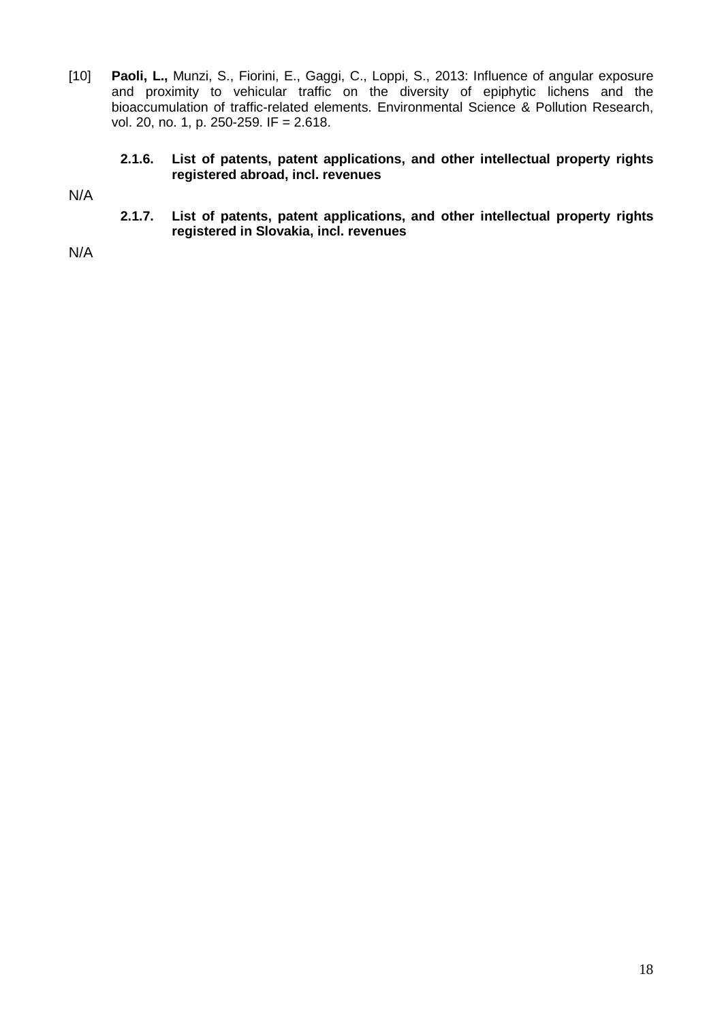[10] **Paoli, L.,** Munzi, S., Fiorini, E., Gaggi, C., Loppi, S., 2013: Influence of angular exposure and proximity to vehicular traffic on the diversity of epiphytic lichens and the bioaccumulation of traffic-related elements. Environmental Science & Pollution Research, vol. 20, no. 1, p. 250-259. IF = 2.618.

### **2.1.6. List of patents, patent applications, and other intellectual property rights registered abroad, incl. revenues**

N/A

**2.1.7. List of patents, patent applications, and other intellectual property rights registered in Slovakia, incl. revenues** 

N/A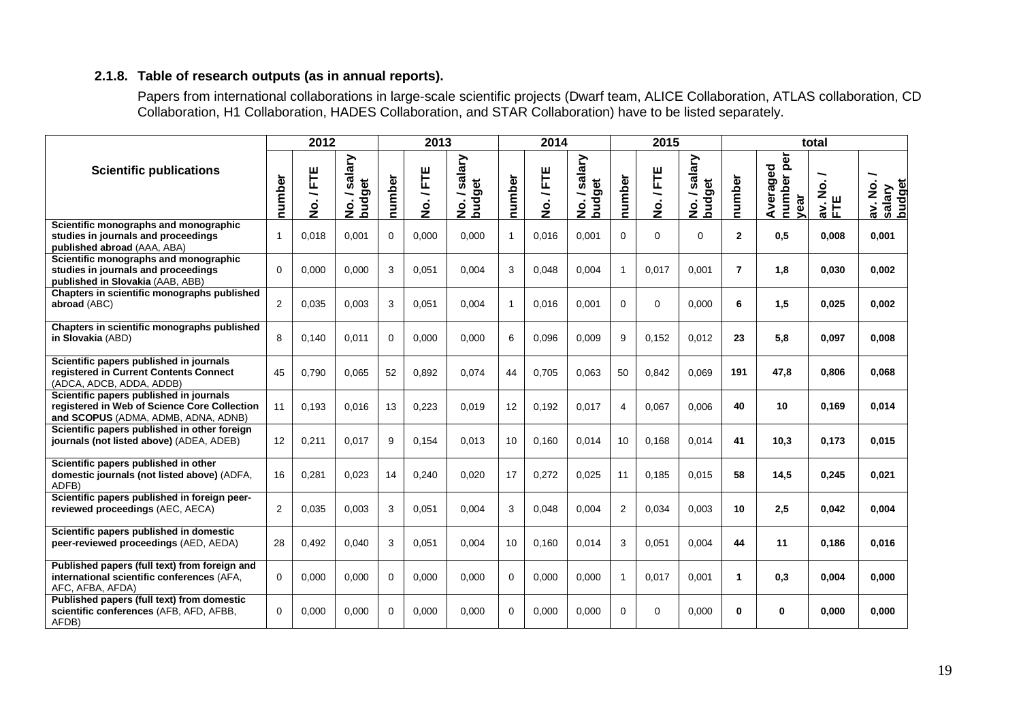# **2.1.8. Table of research outputs (as in annual reports).**

Papers from international collaborations in large-scale scientific projects (Dwarf team, ALICE Collaboration, ATLAS collaboration, CD Collaboration, H1 Collaboration, HADES Collaboration, and STAR Collaboration) have to be listed separately.

|                                                                                                                                | 2012           |             |                              |          | 2013                    |                                   | 2014           |                         |                                        | 2015            |             |                                             | total                |                                    |                                    |                                   |
|--------------------------------------------------------------------------------------------------------------------------------|----------------|-------------|------------------------------|----------|-------------------------|-----------------------------------|----------------|-------------------------|----------------------------------------|-----------------|-------------|---------------------------------------------|----------------------|------------------------------------|------------------------------------|-----------------------------------|
| <b>Scientific publications</b>                                                                                                 | number         | Ë<br>∽<br>ġ | salary<br>budget<br><u>ó</u> | number   | Ë<br>$\dot{\mathsf{z}}$ | salary<br>budget<br><u>o</u><br>2 | number         | Ë<br>∽<br><u>o</u><br>2 | salary<br>budget<br>$\dot{\mathbf{z}}$ | number          | Ë<br>ہ<br>2 | salary<br>iget<br>bud<br>$\dot{\mathbf{2}}$ | number               | number per<br>ged<br>Avera<br>year | $\dot{\mathbf{o}}$<br>Ž<br>Ш<br>ăË | ∽<br>salary<br>budget<br>ġ<br>άV. |
| Scientific monographs and monographic<br>studies in journals and proceedings<br>published abroad (AAA, ABA)                    | $\mathbf{1}$   | 0,018       | 0,001                        | $\Omega$ | 0,000                   | 0.000                             | $\mathbf{1}$   | 0,016                   | 0.001                                  | $\Omega$        | $\Omega$    | $\Omega$                                    | $\mathbf{2}$         | 0,5                                | 0,008                              | 0,001                             |
| Scientific monographs and monographic<br>studies in journals and proceedings<br>published in Slovakia (AAB, ABB)               | $\mathbf 0$    | 0,000       | 0,000                        | 3        | 0,051                   | 0,004                             | 3              | 0,048                   | 0,004                                  | -1              | 0,017       | 0,001                                       | $\overline{7}$       | 1,8                                | 0,030                              | 0,002                             |
| Chapters in scientific monographs published<br>abroad (ABC)                                                                    | $\overline{2}$ | 0,035       | 0.003                        | 3        | 0,051                   | 0.004                             | $\overline{1}$ | 0.016                   | 0.001                                  | $\mathbf 0$     | $\mathbf 0$ | 0.000                                       | 6                    | 1,5                                | 0,025                              | 0,002                             |
| Chapters in scientific monographs published<br>in Slovakia (ABD)                                                               | 8              | 0,140       | 0,011                        | $\Omega$ | 0,000                   | 0,000                             | 6              | 0,096                   | 0.009                                  | 9               | 0,152       | 0,012                                       | 23                   | 5,8                                | 0,097                              | 0,008                             |
| Scientific papers published in journals<br>registered in Current Contents Connect<br>(ADCA, ADCB, ADDA, ADDB)                  | 45             | 0,790       | 0,065                        | 52       | 0,892                   | 0,074                             | 44             | 0,705                   | 0,063                                  | 50              | 0,842       | 0,069                                       | 191                  | 47,8                               | 0,806                              | 0,068                             |
| Scientific papers published in journals<br>registered in Web of Science Core Collection<br>and SCOPUS (ADMA, ADMB, ADNA, ADNB) | 11             | 0,193       | 0,016                        | 13       | 0,223                   | 0.019                             | 12             | 0,192                   | 0,017                                  | 4               | 0.067       | 0,006                                       | 40                   | 10                                 | 0,169                              | 0,014                             |
| Scientific papers published in other foreign<br>journals (not listed above) (ADEA, ADEB)                                       | 12             | 0,211       | 0,017                        | 9        | 0,154                   | 0.013                             | 10             | 0.160                   | 0.014                                  | 10 <sup>°</sup> | 0.168       | 0,014                                       | 41                   | 10.3                               | 0.173                              | 0,015                             |
| Scientific papers published in other<br>domestic journals (not listed above) (ADFA,<br>ADFB)                                   | 16             | 0,281       | 0,023                        | 14       | 0,240                   | 0,020                             | 17             | 0,272                   | 0,025                                  | 11              | 0,185       | 0,015                                       | 58                   | 14,5                               | 0,245                              | 0,021                             |
| Scientific papers published in foreign peer-<br>reviewed proceedings (AEC, AECA)                                               | 2              | 0.035       | 0,003                        | 3        | 0.051                   | 0.004                             | 3              | 0.048                   | 0.004                                  | 2               | 0.034       | 0,003                                       | 10                   | 2,5                                | 0.042                              | 0,004                             |
| Scientific papers published in domestic<br>peer-reviewed proceedings (AED, AEDA)                                               | 28             | 0.492       | 0,040                        | 3        | 0,051                   | 0.004                             | 10             | 0.160                   | 0.014                                  | 3               | 0,051       | 0,004                                       | 44                   | 11                                 | 0,186                              | 0,016                             |
| Published papers (full text) from foreign and<br>international scientific conferences (AFA,<br>AFC, AFBA, AFDA)                | $\mathbf 0$    | 0,000       | 0,000                        | $\Omega$ | 0,000                   | 0,000                             | $\mathbf 0$    | 0,000                   | 0,000                                  | $\mathbf{1}$    | 0,017       | 0,001                                       | $\blacktriangleleft$ | 0,3                                | 0,004                              | 0,000                             |
| Published papers (full text) from domestic<br>scientific conferences (AFB, AFD, AFBB,<br>AFDB)                                 | $\mathbf 0$    | 0.000       | 0.000                        | $\Omega$ | 0.000                   | 0.000                             | $\mathbf 0$    | 0.000                   | 0.000                                  | $\mathbf 0$     | $\Omega$    | 0.000                                       | 0                    | $\bf{0}$                           | 0.000                              | 0,000                             |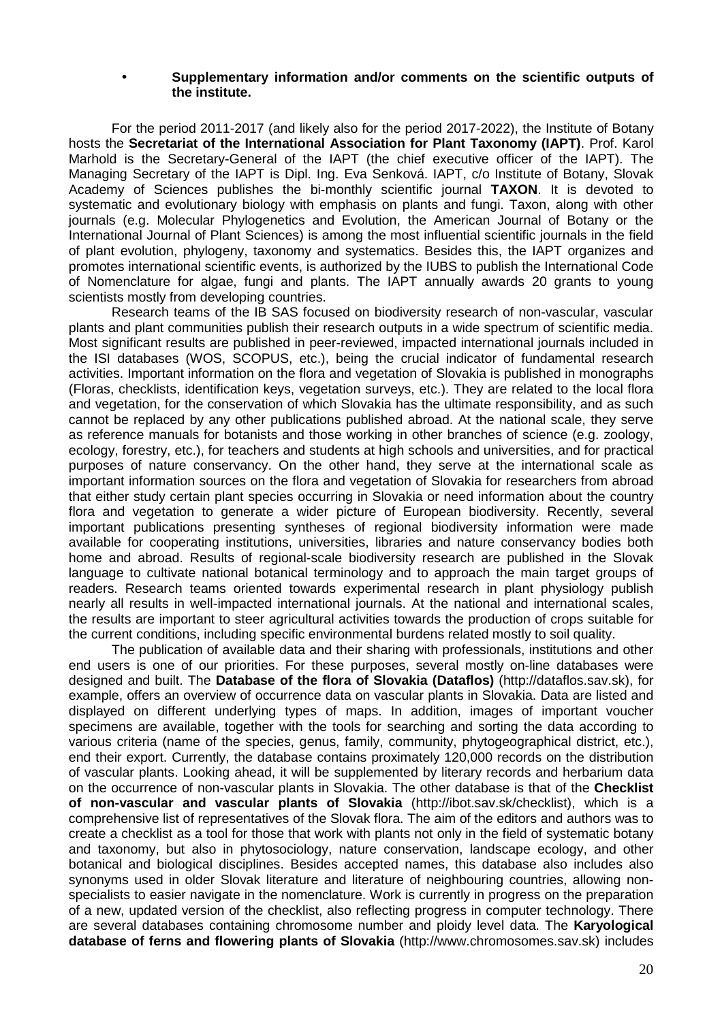#### • **Supplementary information and/or comments on the scientific outputs of the institute.**

For the period 2011-2017 (and likely also for the period 2017-2022), the Institute of Botany hosts the **Secretariat of the International Association for Plant Taxonomy (IAPT)**. Prof. Karol Marhold is the Secretary-General of the IAPT (the chief executive officer of the IAPT). The Managing Secretary of the IAPT is Dipl. Ing. Eva Senková. IAPT, c/o Institute of Botany, Slovak Academy of Sciences publishes the bi-monthly scientific journal **TAXON**. It is devoted to systematic and evolutionary biology with emphasis on plants and fungi. Taxon, along with other journals (e.g. Molecular Phylogenetics and Evolution, the American Journal of Botany or the International Journal of Plant Sciences) is among the most influential scientific journals in the field of plant evolution, phylogeny, taxonomy and systematics. Besides this, the IAPT organizes and promotes international scientific events, is authorized by the IUBS to publish the International Code of Nomenclature for algae, fungi and plants. The IAPT annually awards 20 grants to young scientists mostly from developing countries.

Research teams of the IB SAS focused on biodiversity research of non-vascular, vascular plants and plant communities publish their research outputs in a wide spectrum of scientific media. Most significant results are published in peer-reviewed, impacted international journals included in the ISI databases (WOS, SCOPUS, etc.), being the crucial indicator of fundamental research activities. Important information on the flora and vegetation of Slovakia is published in monographs (Floras, checklists, identification keys, vegetation surveys, etc.). They are related to the local flora and vegetation, for the conservation of which Slovakia has the ultimate responsibility, and as such cannot be replaced by any other publications published abroad. At the national scale, they serve as reference manuals for botanists and those working in other branches of science (e.g. zoology, ecology, forestry, etc.), for teachers and students at high schools and universities, and for practical purposes of nature conservancy. On the other hand, they serve at the international scale as important information sources on the flora and vegetation of Slovakia for researchers from abroad that either study certain plant species occurring in Slovakia or need information about the country flora and vegetation to generate a wider picture of European biodiversity. Recently, several important publications presenting syntheses of regional biodiversity information were made available for cooperating institutions, universities, libraries and nature conservancy bodies both home and abroad. Results of regional-scale biodiversity research are published in the Slovak language to cultivate national botanical terminology and to approach the main target groups of readers. Research teams oriented towards experimental research in plant physiology publish nearly all results in well-impacted international journals. At the national and international scales, the results are important to steer agricultural activities towards the production of crops suitable for the current conditions, including specific environmental burdens related mostly to soil quality.

The publication of available data and their sharing with professionals, institutions and other end users is one of our priorities. For these purposes, several mostly on-line databases were designed and built. The **Database of the flora of Slovakia (Dataflos)** (http://dataflos.sav.sk), for example, offers an overview of occurrence data on vascular plants in Slovakia. Data are listed and displayed on different underlying types of maps. In addition, images of important voucher specimens are available, together with the tools for searching and sorting the data according to various criteria (name of the species, genus, family, community, phytogeographical district, etc.), end their export. Currently, the database contains proximately 120,000 records on the distribution of vascular plants. Looking ahead, it will be supplemented by literary records and herbarium data on the occurrence of non-vascular plants in Slovakia. The other database is that of the **Checklist of non-vascular and vascular plants of Slovakia** (http://ibot.sav.sk/checklist), which is a comprehensive list of representatives of the Slovak flora. The aim of the editors and authors was to create a checklist as a tool for those that work with plants not only in the field of systematic botany and taxonomy, but also in phytosociology, nature conservation, landscape ecology, and other botanical and biological disciplines. Besides accepted names, this database also includes also synonyms used in older Slovak literature and literature of neighbouring countries, allowing nonspecialists to easier navigate in the nomenclature. Work is currently in progress on the preparation of a new, updated version of the checklist, also reflecting progress in computer technology. There are several databases containing chromosome number and ploidy level data. The **Karyological database of ferns and flowering plants of Slovakia** (http://www.chromosomes.sav.sk) includes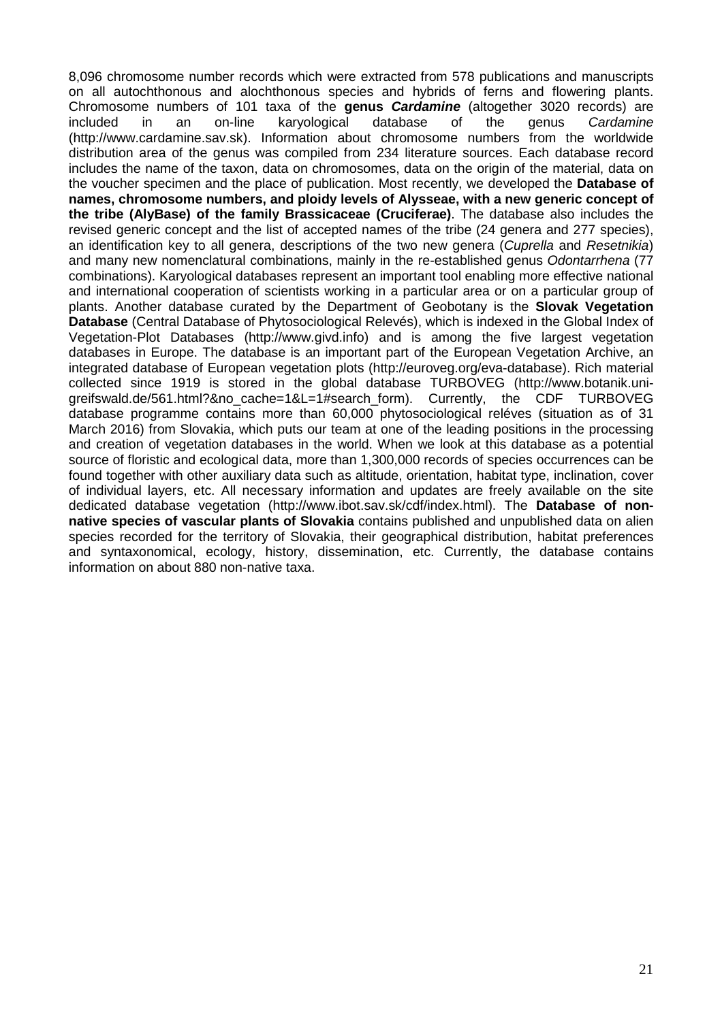8,096 chromosome number records which were extracted from 578 publications and manuscripts on all autochthonous and alochthonous species and hybrids of ferns and flowering plants. Chromosome numbers of 101 taxa of the **genus Cardamine** (altogether 3020 records) are included in an on-line karyological database of the genus Cardamine (http://www.cardamine.sav.sk). Information about chromosome numbers from the worldwide distribution area of the genus was compiled from 234 literature sources. Each database record includes the name of the taxon, data on chromosomes, data on the origin of the material, data on the voucher specimen and the place of publication. Most recently, we developed the **Database of names, chromosome numbers, and ploidy levels of Alysseae, with a new generic concept of the tribe (AlyBase) of the family Brassicaceae (Cruciferae)**. The database also includes the revised generic concept and the list of accepted names of the tribe (24 genera and 277 species), an identification key to all genera, descriptions of the two new genera (Cuprella and Resetnikia) and many new nomenclatural combinations, mainly in the re-established genus Odontarrhena (77) combinations). Karyological databases represent an important tool enabling more effective national and international cooperation of scientists working in a particular area or on a particular group of plants. Another database curated by the Department of Geobotany is the **Slovak Vegetation Database** (Central Database of Phytosociological Relevés), which is indexed in the Global Index of Vegetation-Plot Databases (http://www.givd.info) and is among the five largest vegetation databases in Europe. The database is an important part of the European Vegetation Archive, an integrated database of European vegetation plots (http://euroveg.org/eva-database). Rich material collected since 1919 is stored in the global database TURBOVEG (http://www.botanik.unigreifswald.de/561.html?&no\_cache=1&L=1#search\_form). Currently, the CDF TURBOVEG database programme contains more than 60,000 phytosociological reléves (situation as of 31 March 2016) from Slovakia, which puts our team at one of the leading positions in the processing and creation of vegetation databases in the world. When we look at this database as a potential source of floristic and ecological data, more than 1,300,000 records of species occurrences can be found together with other auxiliary data such as altitude, orientation, habitat type, inclination, cover of individual layers, etc. All necessary information and updates are freely available on the site dedicated database vegetation (http://www.ibot.sav.sk/cdf/index.html). The **Database of nonnative species of vascular plants of Slovakia** contains published and unpublished data on alien species recorded for the territory of Slovakia, their geographical distribution, habitat preferences and syntaxonomical, ecology, history, dissemination, etc. Currently, the database contains information on about 880 non-native taxa.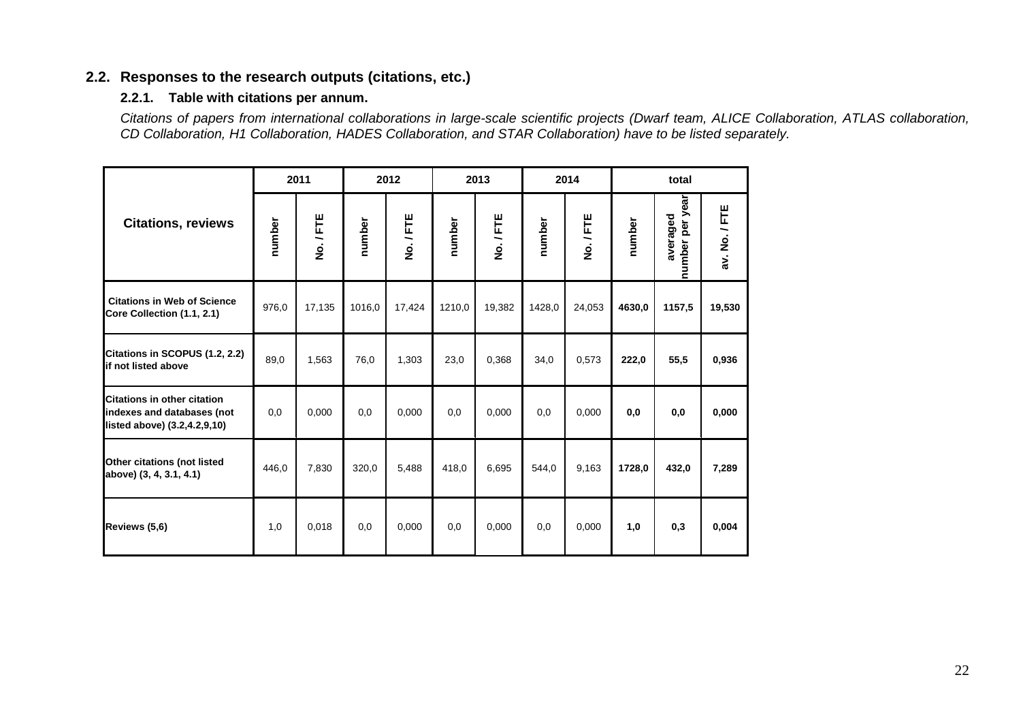# **2.2. Responses to the research outputs (citations, etc.)**

## **2.2.1. Table with citations per annum.**

Citations of papers from international collaborations in large-scale scientific projects (Dwarf team, ALICE Collaboration, ATLAS collaboration, CD Collaboration, H1 Collaboration, HADES Collaboration, and STAR Collaboration) have to be listed separately.

|                                                                                                  |        | 2011      |        | 2012    |        | 2013    |        | 2014    | total  |                             |               |  |
|--------------------------------------------------------------------------------------------------|--------|-----------|--------|---------|--------|---------|--------|---------|--------|-----------------------------|---------------|--|
| <b>Citations, reviews</b>                                                                        | number | No. / FTE | number | No./FTE | number | No./FTE | number | No./FTE | number | number per year<br>averaged | av. No. / FTE |  |
| <b>Citations in Web of Science</b><br>Core Collection (1.1, 2.1)                                 | 976,0  | 17,135    | 1016.0 | 17,424  | 1210,0 | 19,382  | 1428,0 | 24,053  | 4630,0 | 1157,5                      | 19,530        |  |
| Citations in SCOPUS (1.2, 2.2)<br>if not listed above                                            | 89.0   | 1.563     | 76.0   | 1,303   | 23.0   | 0,368   | 34.0   | 0.573   | 222,0  | 55,5                        | 0,936         |  |
| <b>Citations in other citation</b><br>indexes and databases (not<br>listed above) (3.2,4.2,9,10) | 0,0    | 0.000     | 0.0    | 0.000   | 0,0    | 0,000   | 0.0    | 0.000   | 0,0    | 0,0                         | 0,000         |  |
| Other citations (not listed<br>above) (3, 4, 3.1, 4.1)                                           | 446,0  | 7,830     | 320,0  | 5,488   | 418,0  | 6,695   | 544,0  | 9,163   | 1728,0 | 432,0                       | 7,289         |  |
| Reviews (5,6)                                                                                    | 1,0    | 0,018     | 0,0    | 0,000   | 0,0    | 0,000   | 0,0    | 0,000   | 1,0    | 0,3                         | 0,004         |  |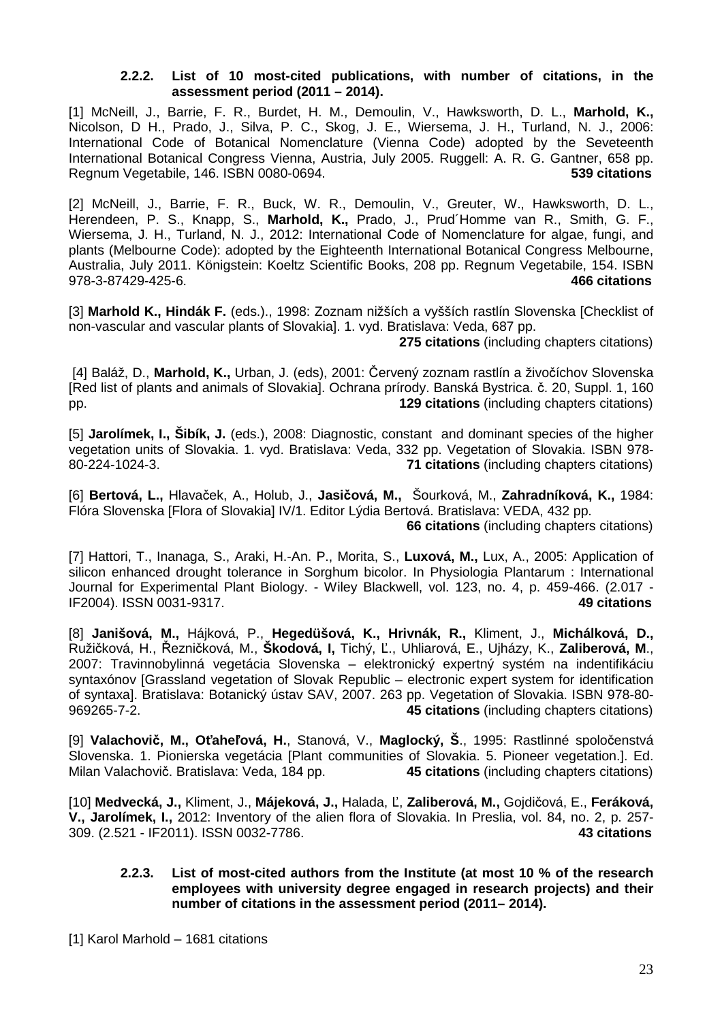## **2.2.2. List of 10 most-cited publications, with number of citations, in the assessment period (2011 – 2014).**

[1] McNeill, J., Barrie, F. R., Burdet, H. M., Demoulin, V., Hawksworth, D. L., **Marhold, K.,**  Nicolson, D H., Prado, J., Silva, P. C., Skog, J. E., Wiersema, J. H., Turland, N. J., 2006: International Code of Botanical Nomenclature (Vienna Code) adopted by the Seveteenth International Botanical Congress Vienna, Austria, July 2005. Ruggell: A. R. G. Gantner, 658 pp. Regnum Vegetabile, 146. ISBN 0080-0694. **539 citations** 

[2] McNeill, J., Barrie, F. R., Buck, W. R., Demoulin, V., Greuter, W., Hawksworth, D. L., Herendeen, P. S., Knapp, S., **Marhold, K.,** Prado, J., Prud´Homme van R., Smith, G. F., Wiersema, J. H., Turland, N. J., 2012: International Code of Nomenclature for algae, fungi, and plants (Melbourne Code): adopted by the Eighteenth International Botanical Congress Melbourne, Australia, July 2011. Königstein: Koeltz Scientific Books, 208 pp. Regnum Vegetabile, 154. ISBN 978-3-87429-425-6. **466 citations**

[3] **Marhold K., Hindák F.** (eds.)., 1998: Zoznam nižších a vyšších rastlín Slovenska [Checklist of non-vascular and vascular plants of Slovakia]. 1. vyd. Bratislava: Veda, 687 pp.

 **275 citations** (including chapters citations)

 [4] Baláž, D., **Marhold, K.,** Urban, J. (eds), 2001: Červený zoznam rastlín a živočíchov Slovenska [Red list of plants and animals of Slovakia]. Ochrana prírody. Banská Bystrica. č. 20, Suppl. 1, 160 pp. **129 citations** (including chapters citations)

[5] **Jarolímek, I., Šibík, J.** (eds.), 2008: Diagnostic, constant and dominant species of the higher vegetation units of Slovakia. 1. vyd. Bratislava: Veda, 332 pp. Vegetation of Slovakia. ISBN 978- 80-224-1024-3. **71 citations** (including chapters citations)

[6] **Bertová, L.,** Hlavaček, A., Holub, J., **Jasi**č**ová, M.,** Šourková, M., **Zahradníková, K.,** 1984: Flóra Slovenska [Flora of Slovakia] IV/1. Editor Lýdia Bertová. Bratislava: VEDA, 432 pp. **66 citations** (including chapters citations)

[7] Hattori, T., Inanaga, S., Araki, H.-An. P., Morita, S., **Luxová, M.,** Lux, A., 2005: Application of silicon enhanced drought tolerance in Sorghum bicolor. In Physiologia Plantarum : International Journal for Experimental Plant Biology. - Wiley Blackwell, vol. 123, no. 4, p. 459-466. (2.017 - IF2004). ISSN 0031-9317. **49 citations**

[8] **Janišová, M.,** Hájková, P., **Hegedüšová, K., Hrivnák, R.,** Kliment, J., **Michálková, D.,**  Ružičková, H., Řezničková, M., **Škodová, I,** Tichý, Ľ., Uhliarová, E., Ujházy, K., **Zaliberová, M**., 2007: Travinnobylinná vegetácia Slovenska – elektronický expertný systém na indentifikáciu syntaxónov [Grassland vegetation of Slovak Republic – electronic expert system for identification of syntaxa]. Bratislava: Botanický ústav SAV, 2007. 263 pp. Vegetation of Slovakia. ISBN 978-80- 969265-7-2. **45 citations** (including chapters citations)

[9] **Valachovi**č**, M., O**ť**ahe**ľ**ová, H.**, Stanová, V., **Maglocký, Š**., 1995: Rastlinné spoločenstvá Slovenska. 1. Pionierska vegetácia [Plant communities of Slovakia. 5. Pioneer vegetation.]. Ed. Milan Valachovič. Bratislava: Veda, 184 pp. **45 citations** (including chapters citations)

[10] **Medvecká, J.,** Kliment, J., **Májeková, J.,** Halada, Ľ, **Zaliberová, M.,** Gojdičová, E., **Feráková, V., Jarolímek, I.,** 2012: Inventory of the alien flora of Slovakia. In Preslia, vol. 84, no. 2, p. 257- 309. (2.521 - IF2011). ISSN 0032-7786. **43 citations** 

## **2.2.3. List of most-cited authors from the Institute (at most 10 % of the research employees with university degree engaged in research projects) and their number of citations in the assessment period (2011– 2014).**

[1] Karol Marhold - 1681 citations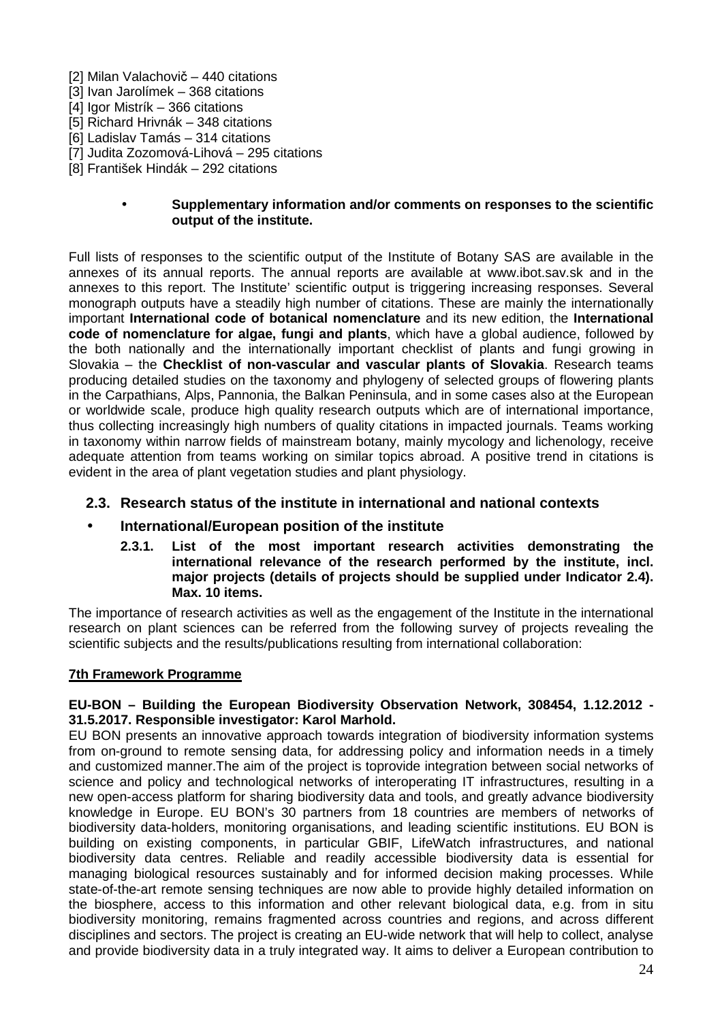- [2] Milan Valachovič 440 citations
- [3] Ivan Jarolímek 368 citations
- [4] Igor Mistrík 366 citations
- [5] Richard Hrivnák 348 citations
- [6] Ladislav Tamás 314 citations
- [7] Judita Zozomová-Lihová 295 citations
- [8] František Hindák 292 citations

### • **Supplementary information and/or comments on responses to the scientific output of the institute.**

Full lists of responses to the scientific output of the Institute of Botany SAS are available in the annexes of its annual reports. The annual reports are available at www.ibot.sav.sk and in the annexes to this report. The Institute' scientific output is triggering increasing responses. Several monograph outputs have a steadily high number of citations. These are mainly the internationally important **International code of botanical nomenclature** and its new edition, the **International code of nomenclature for algae, fungi and plants**, which have a global audience, followed by the both nationally and the internationally important checklist of plants and fungi growing in Slovakia – the **Checklist of non-vascular and vascular plants of Slovakia**. Research teams producing detailed studies on the taxonomy and phylogeny of selected groups of flowering plants in the Carpathians, Alps, Pannonia, the Balkan Peninsula, and in some cases also at the European or worldwide scale, produce high quality research outputs which are of international importance, thus collecting increasingly high numbers of quality citations in impacted journals. Teams working in taxonomy within narrow fields of mainstream botany, mainly mycology and lichenology, receive adequate attention from teams working on similar topics abroad. A positive trend in citations is evident in the area of plant vegetation studies and plant physiology.

# **2.3. Research status of the institute in international and national contexts**

## • **International/European position of the institute**

**2.3.1. List of the most important research activities demonstrating the international relevance of the research performed by the institute, incl. major projects (details of projects should be supplied under Indicator 2.4). Max. 10 items.** 

The importance of research activities as well as the engagement of the Institute in the international research on plant sciences can be referred from the following survey of projects revealing the scientific subjects and the results/publications resulting from international collaboration:

## **7th Framework Programme**

## **EU-BON – Building the European Biodiversity Observation Network, 308454, 1.12.2012 - 31.5.2017. Responsible investigator: Karol Marhold.**

EU BON presents an innovative approach towards integration of biodiversity information systems from on-ground to remote sensing data, for addressing policy and information needs in a timely and customized manner.The aim of the project is toprovide integration between social networks of science and policy and technological networks of interoperating IT infrastructures, resulting in a new open-access platform for sharing biodiversity data and tools, and greatly advance biodiversity knowledge in Europe. EU BON's 30 partners from 18 countries are members of networks of biodiversity data-holders, monitoring organisations, and leading scientific institutions. EU BON is building on existing components, in particular GBIF, LifeWatch infrastructures, and national biodiversity data centres. Reliable and readily accessible biodiversity data is essential for managing biological resources sustainably and for informed decision making processes. While state-of-the-art remote sensing techniques are now able to provide highly detailed information on the biosphere, access to this information and other relevant biological data, e.g. from in situ biodiversity monitoring, remains fragmented across countries and regions, and across different disciplines and sectors. The project is creating an EU-wide network that will help to collect, analyse and provide biodiversity data in a truly integrated way. It aims to deliver a European contribution to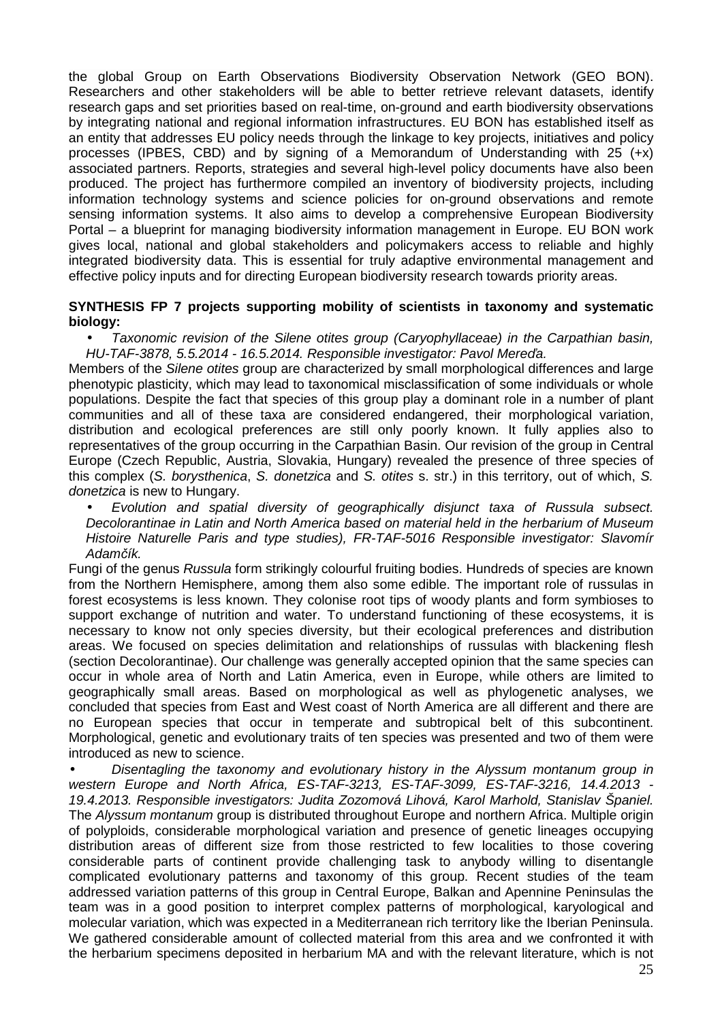the global Group on Earth Observations Biodiversity Observation Network (GEO BON). Researchers and other stakeholders will be able to better retrieve relevant datasets, identify research gaps and set priorities based on real-time, on-ground and earth biodiversity observations by integrating national and regional information infrastructures. EU BON has established itself as an entity that addresses EU policy needs through the linkage to key projects, initiatives and policy processes (IPBES, CBD) and by signing of a Memorandum of Understanding with 25 (+x) associated partners. Reports, strategies and several high-level policy documents have also been produced. The project has furthermore compiled an inventory of biodiversity projects, including information technology systems and science policies for on-ground observations and remote sensing information systems. It also aims to develop a comprehensive European Biodiversity Portal – a blueprint for managing biodiversity information management in Europe. EU BON work gives local, national and global stakeholders and policymakers access to reliable and highly integrated biodiversity data. This is essential for truly adaptive environmental management and effective policy inputs and for directing European biodiversity research towards priority areas.

### **SYNTHESIS FP 7 projects supporting mobility of scientists in taxonomy and systematic biology:**

• Taxonomic revision of the Silene otites group (Caryophyllaceae) in the Carpathian basin, HU-TAF-3878, 5.5.2014 - 16.5.2014. Responsible investigator: Pavol Mereďa.

Members of the Silene otites group are characterized by small morphological differences and large phenotypic plasticity, which may lead to taxonomical misclassification of some individuals or whole populations. Despite the fact that species of this group play a dominant role in a number of plant communities and all of these taxa are considered endangered, their morphological variation, distribution and ecological preferences are still only poorly known. It fully applies also to representatives of the group occurring in the Carpathian Basin. Our revision of the group in Central Europe (Czech Republic, Austria, Slovakia, Hungary) revealed the presence of three species of this complex (S. borysthenica, S. donetzica and S. otites s. str.) in this territory, out of which, S. donetzica is new to Hungary.

• Evolution and spatial diversity of geographically disjunct taxa of Russula subsect. Decolorantinae in Latin and North America based on material held in the herbarium of Museum Histoire Naturelle Paris and type studies), FR-TAF-5016 Responsible investigator: Slavomír Adamčík.

Fungi of the genus Russula form strikingly colourful fruiting bodies. Hundreds of species are known from the Northern Hemisphere, among them also some edible. The important role of russulas in forest ecosystems is less known. They colonise root tips of woody plants and form symbioses to support exchange of nutrition and water. To understand functioning of these ecosystems, it is necessary to know not only species diversity, but their ecological preferences and distribution areas. We focused on species delimitation and relationships of russulas with blackening flesh (section Decolorantinae). Our challenge was generally accepted opinion that the same species can occur in whole area of North and Latin America, even in Europe, while others are limited to geographically small areas. Based on morphological as well as phylogenetic analyses, we concluded that species from East and West coast of North America are all different and there are no European species that occur in temperate and subtropical belt of this subcontinent. Morphological, genetic and evolutionary traits of ten species was presented and two of them were introduced as new to science.

• Disentagling the taxonomy and evolutionary history in the Alyssum montanum group in western Europe and North Africa, ES-TAF-3213, ES-TAF-3099, ES-TAF-3216, 14.4.2013 - 19.4.2013. Responsible investigators: Judita Zozomová Lihová, Karol Marhold, Stanislav Španiel. The Alyssum montanum group is distributed throughout Europe and northern Africa. Multiple origin of polyploids, considerable morphological variation and presence of genetic lineages occupying distribution areas of different size from those restricted to few localities to those covering considerable parts of continent provide challenging task to anybody willing to disentangle complicated evolutionary patterns and taxonomy of this group. Recent studies of the team addressed variation patterns of this group in Central Europe, Balkan and Apennine Peninsulas the team was in a good position to interpret complex patterns of morphological, karyological and molecular variation, which was expected in a Mediterranean rich territory like the Iberian Peninsula. We gathered considerable amount of collected material from this area and we confronted it with the herbarium specimens deposited in herbarium MA and with the relevant literature, which is not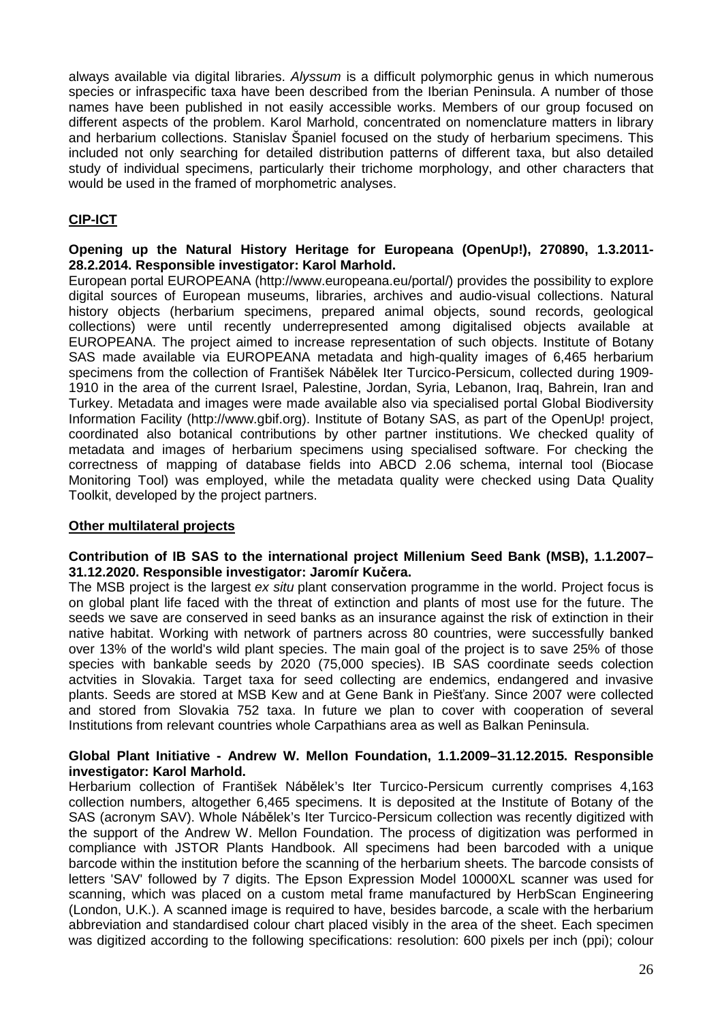always available via digital libraries. Alyssum is a difficult polymorphic genus in which numerous species or infraspecific taxa have been described from the Iberian Peninsula. A number of those names have been published in not easily accessible works. Members of our group focused on different aspects of the problem. Karol Marhold, concentrated on nomenclature matters in library and herbarium collections. Stanislav Španiel focused on the study of herbarium specimens. This included not only searching for detailed distribution patterns of different taxa, but also detailed study of individual specimens, particularly their trichome morphology, and other characters that would be used in the framed of morphometric analyses.

# **CIP-ICT**

## **Opening up the Natural History Heritage for Europeana (OpenUp!), 270890, 1.3.2011- 28.2.2014. Responsible investigator: Karol Marhold.**

European portal EUROPEANA (http://www.europeana.eu/portal/) provides the possibility to explore digital sources of European museums, libraries, archives and audio-visual collections. Natural history objects (herbarium specimens, prepared animal objects, sound records, geological collections) were until recently underrepresented among digitalised objects available at EUROPEANA. The project aimed to increase representation of such objects. Institute of Botany SAS made available via EUROPEANA metadata and high-quality images of 6,465 herbarium specimens from the collection of František Nábělek Iter Turcico-Persicum, collected during 1909- 1910 in the area of the current Israel, Palestine, Jordan, Syria, Lebanon, Iraq, Bahrein, Iran and Turkey. Metadata and images were made available also via specialised portal Global Biodiversity Information Facility (http://www.gbif.org). Institute of Botany SAS, as part of the OpenUp! project, coordinated also botanical contributions by other partner institutions. We checked quality of metadata and images of herbarium specimens using specialised software. For checking the correctness of mapping of database fields into ABCD 2.06 schema, internal tool (Biocase Monitoring Tool) was employed, while the metadata quality were checked using Data Quality Toolkit, developed by the project partners.

## **Other multilateral projects**

## **Contribution of IB SAS to the international project Millenium Seed Bank (MSB), 1.1.2007– 31.12.2020. Responsible investigator: Jaromír Ku**č**era.**

The MSB project is the largest ex situ plant conservation programme in the world. Project focus is on global plant life faced with the threat of extinction and plants of most use for the future. The seeds we save are conserved in seed banks as an insurance against the risk of extinction in their native habitat. Working with network of partners across 80 countries, were successfully banked over 13% of the world's wild plant species. The main goal of the project is to save 25% of those species with bankable seeds by 2020 (75,000 species). IB SAS coordinate seeds colection actvities in Slovakia. Target taxa for seed collecting are endemics, endangered and invasive plants. Seeds are stored at MSB Kew and at Gene Bank in Piešťany. Since 2007 were collected and stored from Slovakia 752 taxa. In future we plan to cover with cooperation of several Institutions from relevant countries whole Carpathians area as well as Balkan Peninsula.

#### **Global Plant Initiative - Andrew W. Mellon Foundation, 1.1.2009–31.12.2015. Responsible investigator: Karol Marhold.**

Herbarium collection of František Nábělek's Iter Turcico-Persicum currently comprises 4,163 collection numbers, altogether 6,465 specimens. It is deposited at the Institute of Botany of the SAS (acronym SAV). Whole Nábělek's Iter Turcico-Persicum collection was recently digitized with the support of the Andrew W. Mellon Foundation. The process of digitization was performed in compliance with JSTOR Plants Handbook. All specimens had been barcoded with a unique barcode within the institution before the scanning of the herbarium sheets. The barcode consists of letters 'SAV' followed by 7 digits. The Epson Expression Model 10000XL scanner was used for scanning, which was placed on a custom metal frame manufactured by HerbScan Engineering (London, U.K.). A scanned image is required to have, besides barcode, a scale with the herbarium abbreviation and standardised colour chart placed visibly in the area of the sheet. Each specimen was digitized according to the following specifications: resolution: 600 pixels per inch (ppi); colour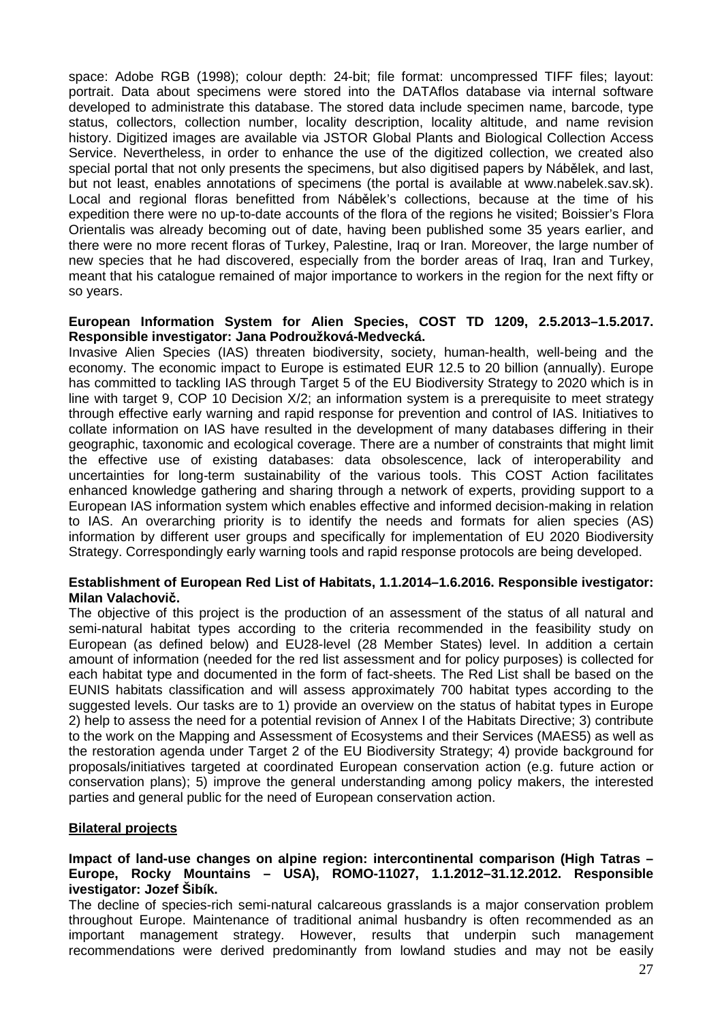space: Adobe RGB (1998); colour depth: 24-bit; file format: uncompressed TIFF files; layout: portrait. Data about specimens were stored into the DATAflos database via internal software developed to administrate this database. The stored data include specimen name, barcode, type status, collectors, collection number, locality description, locality altitude, and name revision history. Digitized images are available via JSTOR Global Plants and Biological Collection Access Service. Nevertheless, in order to enhance the use of the digitized collection, we created also special portal that not only presents the specimens, but also digitised papers by Nábělek, and last, but not least, enables annotations of specimens (the portal is available at www.nabelek.sav.sk). Local and regional floras benefitted from Nábělek's collections, because at the time of his expedition there were no up-to-date accounts of the flora of the regions he visited; Boissier's Flora Orientalis was already becoming out of date, having been published some 35 years earlier, and there were no more recent floras of Turkey, Palestine, Iraq or Iran. Moreover, the large number of new species that he had discovered, especially from the border areas of Iraq, Iran and Turkey, meant that his catalogue remained of major importance to workers in the region for the next fifty or so years.

## **European Information System for Alien Species, COST TD 1209, 2.5.2013–1.5.2017. Responsible investigator: Jana Podroužková-Medvecká.**

Invasive Alien Species (IAS) threaten biodiversity, society, human-health, well-being and the economy. The economic impact to Europe is estimated EUR 12.5 to 20 billion (annually). Europe has committed to tackling IAS through Target 5 of the EU Biodiversity Strategy to 2020 which is in line with target 9, COP 10 Decision X/2; an information system is a prerequisite to meet strategy through effective early warning and rapid response for prevention and control of IAS. Initiatives to collate information on IAS have resulted in the development of many databases differing in their geographic, taxonomic and ecological coverage. There are a number of constraints that might limit the effective use of existing databases: data obsolescence, lack of interoperability and uncertainties for long-term sustainability of the various tools. This COST Action facilitates enhanced knowledge gathering and sharing through a network of experts, providing support to a European IAS information system which enables effective and informed decision-making in relation to IAS. An overarching priority is to identify the needs and formats for alien species (AS) information by different user groups and specifically for implementation of EU 2020 Biodiversity Strategy. Correspondingly early warning tools and rapid response protocols are being developed.

#### **Establishment of European Red List of Habitats, 1.1.2014–1.6.2016. Responsible ivestigator: Milan Valachovi**č**.**

The objective of this project is the production of an assessment of the status of all natural and semi-natural habitat types according to the criteria recommended in the feasibility study on European (as defined below) and EU28-level (28 Member States) level. In addition a certain amount of information (needed for the red list assessment and for policy purposes) is collected for each habitat type and documented in the form of fact-sheets. The Red List shall be based on the EUNIS habitats classification and will assess approximately 700 habitat types according to the suggested levels. Our tasks are to 1) provide an overview on the status of habitat types in Europe 2) help to assess the need for a potential revision of Annex I of the Habitats Directive; 3) contribute to the work on the Mapping and Assessment of Ecosystems and their Services (MAES5) as well as the restoration agenda under Target 2 of the EU Biodiversity Strategy; 4) provide background for proposals/initiatives targeted at coordinated European conservation action (e.g. future action or conservation plans); 5) improve the general understanding among policy makers, the interested parties and general public for the need of European conservation action.

## **Bilateral projects**

#### **Impact of land-use changes on alpine region: intercontinental comparison (High Tatras – Europe, Rocky Mountains – USA), ROMO-11027, 1.1.2012–31.12.2012. Responsible ivestigator: Jozef Šibík.**

The decline of species-rich semi-natural calcareous grasslands is a major conservation problem throughout Europe. Maintenance of traditional animal husbandry is often recommended as an important management strategy. However, results that underpin such management recommendations were derived predominantly from lowland studies and may not be easily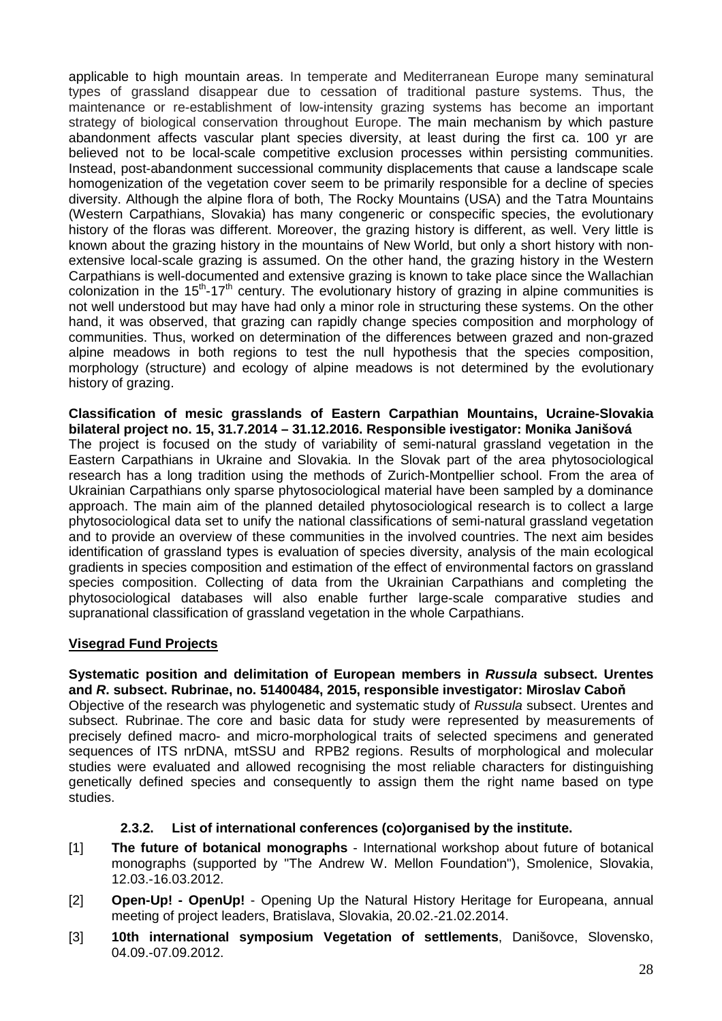applicable to high mountain areas. In temperate and Mediterranean Europe many seminatural types of grassland disappear due to cessation of traditional pasture systems. Thus, the maintenance or re-establishment of low-intensity grazing systems has become an important strategy of biological conservation throughout Europe. The main mechanism by which pasture abandonment affects vascular plant species diversity, at least during the first ca. 100 yr are believed not to be local-scale competitive exclusion processes within persisting communities. Instead, post-abandonment successional community displacements that cause a landscape scale homogenization of the vegetation cover seem to be primarily responsible for a decline of species diversity. Although the alpine flora of both, The Rocky Mountains (USA) and the Tatra Mountains (Western Carpathians, Slovakia) has many congeneric or conspecific species, the evolutionary history of the floras was different. Moreover, the grazing history is different, as well. Very little is known about the grazing history in the mountains of New World, but only a short history with nonextensive local-scale grazing is assumed. On the other hand, the grazing history in the Western Carpathians is well-documented and extensive grazing is known to take place since the Wallachian colonization in the 15<sup>th</sup>-17<sup>th</sup> century. The evolutionary history of grazing in alpine communities is not well understood but may have had only a minor role in structuring these systems. On the other hand, it was observed, that grazing can rapidly change species composition and morphology of communities. Thus, worked on determination of the differences between grazed and non-grazed alpine meadows in both regions to test the null hypothesis that the species composition, morphology (structure) and ecology of alpine meadows is not determined by the evolutionary history of grazing.

**Classification of mesic grasslands of Eastern Carpathian Mountains, Ucraine-Slovakia bilateral project no. 15, 31.7.2014 – 31.12.2016. Responsible ivestigator: Monika Janišová**  The project is focused on the study of variability of semi-natural grassland vegetation in the Eastern Carpathians in Ukraine and Slovakia. In the Slovak part of the area phytosociological research has a long tradition using the methods of Zurich-Montpellier school. From the area of Ukrainian Carpathians only sparse phytosociological material have been sampled by a dominance approach. The main aim of the planned detailed phytosociological research is to collect a large phytosociological data set to unify the national classifications of semi-natural grassland vegetation and to provide an overview of these communities in the involved countries. The next aim besides identification of grassland types is evaluation of species diversity, analysis of the main ecological gradients in species composition and estimation of the effect of environmental factors on grassland species composition. Collecting of data from the Ukrainian Carpathians and completing the phytosociological databases will also enable further large-scale comparative studies and supranational classification of grassland vegetation in the whole Carpathians.

# **Visegrad Fund Projects**

## **Systematic position and delimitation of European members in Russula subsect. Urentes and R. subsect. Rubrinae, no. 51400484, 2015, responsible investigator: Miroslav Cabo**ň

Objective of the research was phylogenetic and systematic study of Russula subsect. Urentes and subsect. Rubrinae. The core and basic data for study were represented by measurements of precisely defined macro- and micro-morphological traits of selected specimens and generated sequences of ITS nrDNA, mtSSU and RPB2 regions. Results of morphological and molecular studies were evaluated and allowed recognising the most reliable characters for distinguishing genetically defined species and consequently to assign them the right name based on type studies.

## **2.3.2. List of international conferences (co)organised by the institute.**

- [1] **The future of botanical monographs** International workshop about future of botanical monographs (supported by "The Andrew W. Mellon Foundation"), Smolenice, Slovakia, 12.03.-16.03.2012.
- [2] **Open-Up! OpenUp!** Opening Up the Natural History Heritage for Europeana, annual meeting of project leaders, Bratislava, Slovakia, 20.02.-21.02.2014.
- [3] **10th international symposium Vegetation of settlements**, Danišovce, Slovensko, 04.09.-07.09.2012.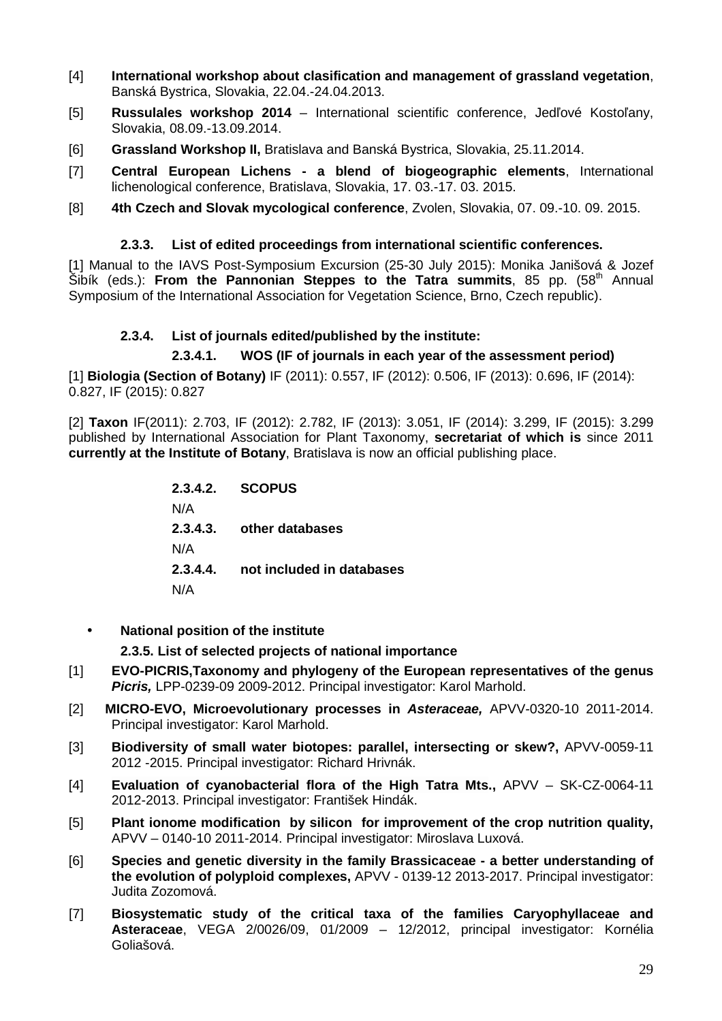- [4] **International workshop about clasification and management of grassland vegetation**, Banská Bystrica, Slovakia, 22.04.-24.04.2013.
- [5] **Russulales workshop 2014** International scientific conference, Jedľové Kostoľany, Slovakia, 08.09.-13.09.2014.
- [6] **Grassland Workshop II,** Bratislava and Banská Bystrica, Slovakia, 25.11.2014.
- [7] **Central European Lichens a blend of biogeographic elements**, International lichenological conference, Bratislava, Slovakia, 17. 03.-17. 03. 2015.
- [8] **4th Czech and Slovak mycological conference**, Zvolen, Slovakia, 07. 09.-10. 09. 2015.

#### **2.3.3. List of edited proceedings from international scientific conferences.**

[1] Manual to the IAVS Post-Symposium Excursion (25-30 July 2015): Monika Janišová & Jozef Šibík (eds.): **From the Pannonian Steppes to the Tatra summits**, 85 pp. (58th Annual Symposium of the International Association for Vegetation Science, Brno, Czech republic).

#### **2.3.4. List of journals edited/published by the institute:**

# **2.3.4.1. WOS (IF of journals in each year of the assessment period)**

[1] **Biologia (Section of Botany)** IF (2011): 0.557, IF (2012): 0.506, IF (2013): 0.696, IF (2014): 0.827, IF (2015): 0.827

[2] **Taxon** IF(2011): 2.703, IF (2012): 2.782, IF (2013): 3.051, IF (2014): 3.299, IF (2015): 3.299 published by International Association for Plant Taxonomy, **secretariat of which is** since 2011 **currently at the Institute of Botany**, Bratislava is now an official publishing place.

> **2.3.4.2. SCOPUS**  N/A **2.3.4.3. other databases**  N/A **2.3.4.4. not included in databases**  N/A

• **National position of the institute** 

**2.3.5. List of selected projects of national importance** 

- [1] **EVO-PICRIS,Taxonomy and phylogeny of the European representatives of the genus Picris,** LPP-0239-09 2009-2012. Principal investigator: Karol Marhold.
- [2] **MICRO-EVO, Microevolutionary processes in Asteraceae,** APVV-0320-10 2011-2014. Principal investigator: Karol Marhold.
- [3] **Biodiversity of small water biotopes: parallel, intersecting or skew?,** APVV-0059-11 2012 -2015. Principal investigator: Richard Hrivnák.
- [4] **Evaluation of cyanobacterial flora of the High Tatra Mts.,** APVV SK-CZ-0064-11 2012-2013. Principal investigator: František Hindák.
- [5] **Plant ionome modification by silicon for improvement of the crop nutrition quality,** APVV – 0140-10 2011-2014. Principal investigator: Miroslava Luxová.
- [6] **Species and genetic diversity in the family Brassicaceae a better understanding of the evolution of polyploid complexes,** APVV - 0139-12 2013-2017. Principal investigator: Judita Zozomová.
- [7] **Biosystematic study of the critical taxa of the families Caryophyllaceae and Asteraceae**, VEGA 2/0026/09, 01/2009 – 12/2012, principal investigator: Kornélia Goliašová.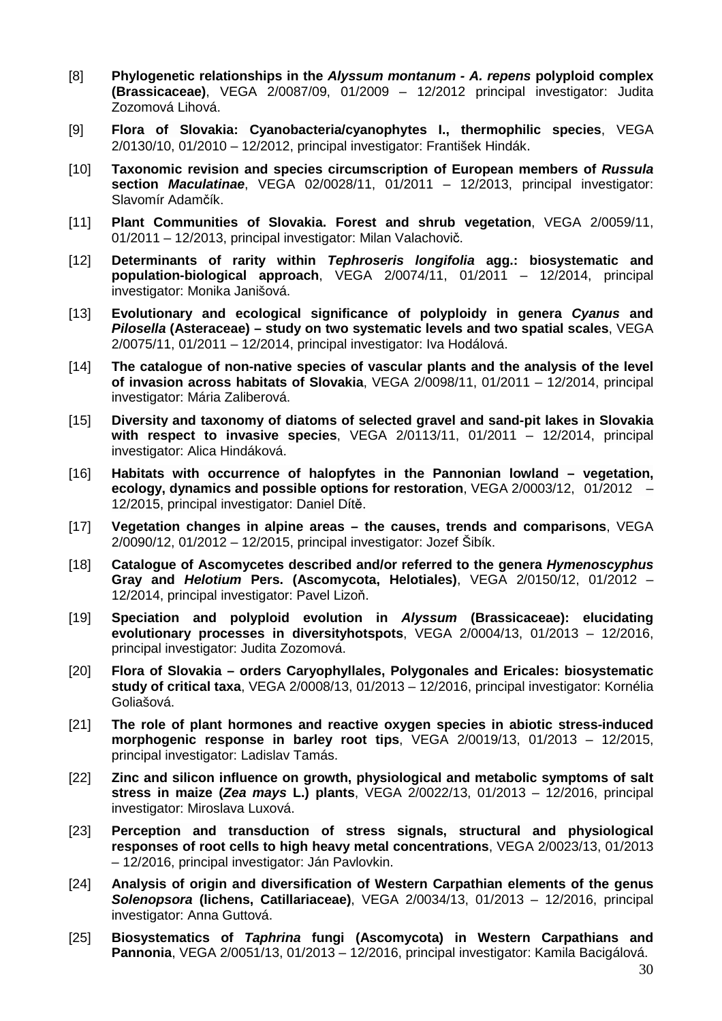- [8] **Phylogenetic relationships in the Alyssum montanum A. repens polyploid complex (Brassicaceae)**, VEGA 2/0087/09, 01/2009 – 12/2012 principal investigator: Judita Zozomová Lihová.
- [9] **Flora of Slovakia: Cyanobacteria/cyanophytes I., thermophilic species**, VEGA 2/0130/10, 01/2010 – 12/2012, principal investigator: František Hindák.
- [10] **Taxonomic revision and species circumscription of European members of Russula section Maculatinae**, VEGA 02/0028/11, 01/2011 – 12/2013, principal investigator: Slavomír Adamčík.
- [11] **Plant Communities of Slovakia. Forest and shrub vegetation**, VEGA 2/0059/11, 01/2011 – 12/2013, principal investigator: Milan Valachovič.
- [12] **Determinants of rarity within Tephroseris longifolia agg.: biosystematic and population-biological approach**, VEGA 2/0074/11, 01/2011 – 12/2014, principal investigator: Monika Janišová.
- [13] **Evolutionary and ecological significance of polyploidy in genera Cyanus and Pilosella (Asteraceae) – study on two systematic levels and two spatial scales**, VEGA 2/0075/11, 01/2011 – 12/2014, principal investigator: Iva Hodálová.
- [14] **The catalogue of non-native species of vascular plants and the analysis of the level of invasion across habitats of Slovakia**, VEGA 2/0098/11, 01/2011 – 12/2014, principal investigator: Mária Zaliberová.
- [15] **Diversity and taxonomy of diatoms of selected gravel and sand-pit lakes in Slovakia with respect to invasive species**, VEGA 2/0113/11, 01/2011 – 12/2014, principal investigator: Alica Hindáková.
- [16] **Habitats with occurrence of halopfytes in the Pannonian lowland vegetation, ecology, dynamics and possible options for restoration**, VEGA 2/0003/12, 01/2012 – 12/2015, principal investigator: Daniel Dítě.
- [17] **Vegetation changes in alpine areas the causes, trends and comparisons**, VEGA 2/0090/12, 01/2012 – 12/2015, principal investigator: Jozef Šibík.
- [18] **Catalogue of Ascomycetes described and/or referred to the genera Hymenoscyphus Gray and Helotium Pers. (Ascomycota, Helotiales)**, VEGA 2/0150/12, 01/2012 – 12/2014, principal investigator: Pavel Lizoň.
- [19] **Speciation and polyploid evolution in Alyssum (Brassicaceae): elucidating evolutionary processes in diversityhotspots**, VEGA 2/0004/13, 01/2013 – 12/2016, principal investigator: Judita Zozomová.
- [20] **Flora of Slovakia orders Caryophyllales, Polygonales and Ericales: biosystematic study of critical taxa**, VEGA 2/0008/13, 01/2013 – 12/2016, principal investigator: Kornélia Goliašová.
- [21] **The role of plant hormones and reactive oxygen species in abiotic stress-induced morphogenic response in barley root tips**, VEGA 2/0019/13, 01/2013 – 12/2015, principal investigator: Ladislav Tamás.
- [22] **Zinc and silicon influence on growth, physiological and metabolic symptoms of salt stress in maize (Zea mays L.) plants**, VEGA 2/0022/13, 01/2013 – 12/2016, principal investigator: Miroslava Luxová.
- [23] **Perception and transduction of stress signals, structural and physiological responses of root cells to high heavy metal concentrations**, VEGA 2/0023/13, 01/2013 – 12/2016, principal investigator: Ján Pavlovkin.
- [24] **Analysis of origin and diversification of Western Carpathian elements of the genus Solenopsora (lichens, Catillariaceae)**, VEGA 2/0034/13, 01/2013 – 12/2016, principal investigator: Anna Guttová.
- [25] **Biosystematics of Taphrina fungi (Ascomycota) in Western Carpathians and Pannonia**, VEGA 2/0051/13, 01/2013 – 12/2016, principal investigator: Kamila Bacigálová.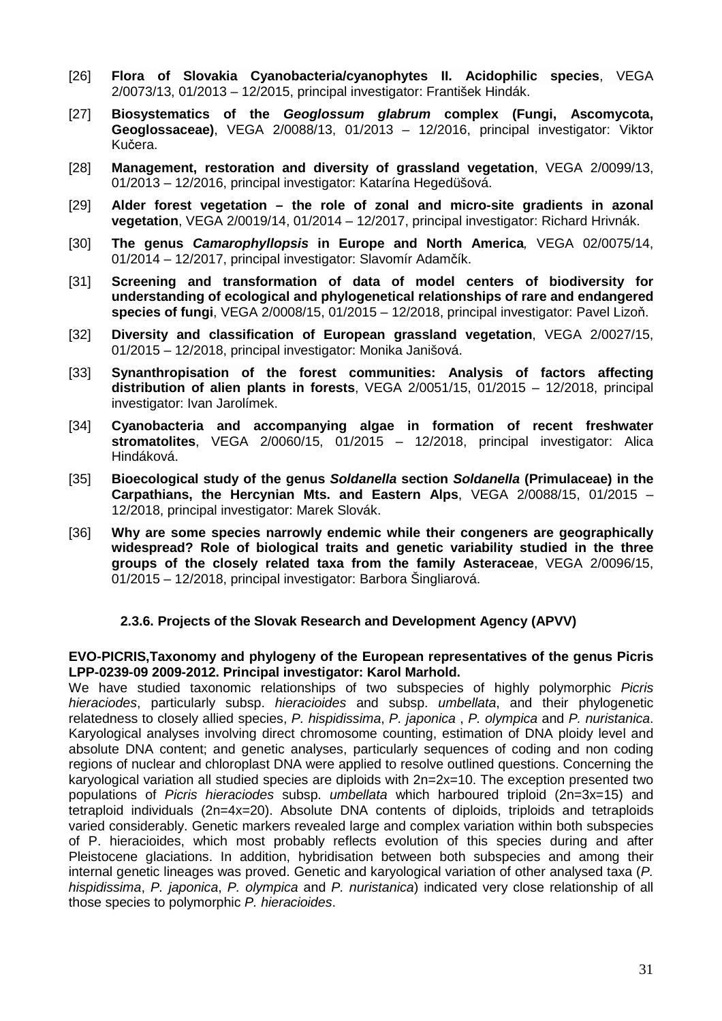- [26] **Flora of Slovakia Cyanobacteria/cyanophytes II. Acidophilic species**, VEGA 2/0073/13, 01/2013 – 12/2015, principal investigator: František Hindák.
- [27] **Biosystematics of the Geoglossum glabrum complex (Fungi, Ascomycota, Geoglossaceae)**, VEGA 2/0088/13, 01/2013 – 12/2016, principal investigator: Viktor Kučera.
- [28] **Management, restoration and diversity of grassland vegetation**, VEGA 2/0099/13, 01/2013 – 12/2016, principal investigator: Katarína Hegedüšová.
- [29] **Alder forest vegetation the role of zonal and micro-site gradients in azonal vegetation**, VEGA 2/0019/14, 01/2014 – 12/2017, principal investigator: Richard Hrivnák.
- [30] **The genus Camarophyllopsis in Europe and North America**, VEGA 02/0075/14, 01/2014 – 12/2017, principal investigator: Slavomír Adamčík.
- [31] **Screening and transformation of data of model centers of biodiversity for understanding of ecological and phylogenetical relationships of rare and endangered species of fungi**, VEGA 2/0008/15, 01/2015 – 12/2018, principal investigator: Pavel Lizoň.
- [32] **Diversity and classification of European grassland vegetation**, VEGA 2/0027/15, 01/2015 – 12/2018, principal investigator: Monika Janišová.
- [33] **Synanthropisation of the forest communities: Analysis of factors affecting distribution of alien plants in forests**, VEGA 2/0051/15, 01/2015 – 12/2018, principal investigator: Ivan Jarolímek.
- [34] **Cyanobacteria and accompanying algae in formation of recent freshwater stromatolites**, VEGA 2/0060/15, 01/2015 – 12/2018, principal investigator: Alica Hindáková.
- [35] **Bioecological study of the genus Soldanella section Soldanella (Primulaceae) in the Carpathians, the Hercynian Mts. and Eastern Alps**, VEGA 2/0088/15, 01/2015 – 12/2018, principal investigator: Marek Slovák.
- [36] **Why are some species narrowly endemic while their congeners are geographically widespread? Role of biological traits and genetic variability studied in the three groups of the closely related taxa from the family Asteraceae**, VEGA 2/0096/15, 01/2015 – 12/2018, principal investigator: Barbora Šingliarová.

# **2.3.6. Projects of the Slovak Research and Development Agency (APVV)**

## **EVO-PICRIS,Taxonomy and phylogeny of the European representatives of the genus Picris LPP-0239-09 2009-2012. Principal investigator: Karol Marhold.**

We have studied taxonomic relationships of two subspecies of highly polymorphic Picris hieraciodes, particularly subsp. hieracioides and subsp. umbellata, and their phylogenetic relatedness to closely allied species, P. hispidissima, P. japonica, P. olympica and P. nuristanica. Karyological analyses involving direct chromosome counting, estimation of DNA ploidy level and absolute DNA content; and genetic analyses, particularly sequences of coding and non coding regions of nuclear and chloroplast DNA were applied to resolve outlined questions. Concerning the karyological variation all studied species are diploids with 2n=2x=10. The exception presented two populations of Picris hieraciodes subsp. umbellata which harboured triploid (2n=3x=15) and tetraploid individuals (2n=4x=20). Absolute DNA contents of diploids, triploids and tetraploids varied considerably. Genetic markers revealed large and complex variation within both subspecies of P. hieracioides, which most probably reflects evolution of this species during and after Pleistocene glaciations. In addition, hybridisation between both subspecies and among their internal genetic lineages was proved. Genetic and karyological variation of other analysed taxa (P. hispidissima, P. japonica, P. olympica and P. nuristanica) indicated very close relationship of all those species to polymorphic P. hieracioides.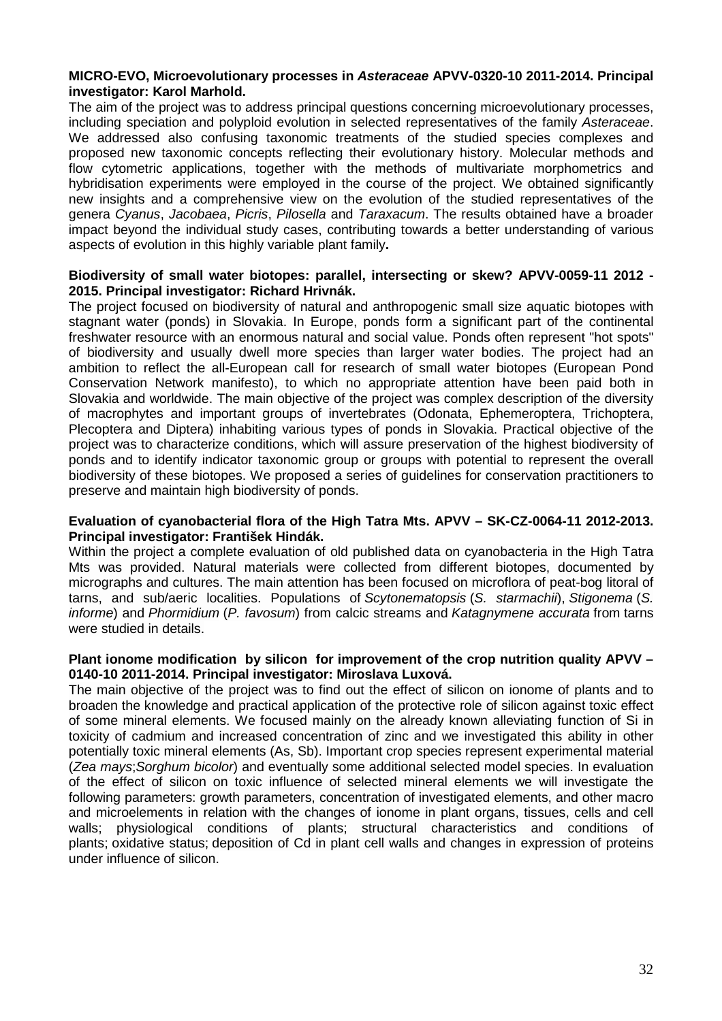### **MICRO-EVO, Microevolutionary processes in Asteraceae APVV-0320-10 2011-2014. Principal investigator: Karol Marhold.**

The aim of the project was to address principal questions concerning microevolutionary processes, including speciation and polyploid evolution in selected representatives of the family Asteraceae. We addressed also confusing taxonomic treatments of the studied species complexes and proposed new taxonomic concepts reflecting their evolutionary history. Molecular methods and flow cytometric applications, together with the methods of multivariate morphometrics and hybridisation experiments were employed in the course of the project. We obtained significantly new insights and a comprehensive view on the evolution of the studied representatives of the genera Cyanus, Jacobaea, Picris, Pilosella and Taraxacum. The results obtained have a broader impact beyond the individual study cases, contributing towards a better understanding of various aspects of evolution in this highly variable plant family**.** 

#### **Biodiversity of small water biotopes: parallel, intersecting or skew? APVV-0059-11 2012 - 2015. Principal investigator: Richard Hrivnák.**

The project focused on biodiversity of natural and anthropogenic small size aquatic biotopes with stagnant water (ponds) in Slovakia. In Europe, ponds form a significant part of the continental freshwater resource with an enormous natural and social value. Ponds often represent "hot spots" of biodiversity and usually dwell more species than larger water bodies. The project had an ambition to reflect the all-European call for research of small water biotopes (European Pond Conservation Network manifesto), to which no appropriate attention have been paid both in Slovakia and worldwide. The main objective of the project was complex description of the diversity of macrophytes and important groups of invertebrates (Odonata, Ephemeroptera, Trichoptera, Plecoptera and Diptera) inhabiting various types of ponds in Slovakia. Practical objective of the project was to characterize conditions, which will assure preservation of the highest biodiversity of ponds and to identify indicator taxonomic group or groups with potential to represent the overall biodiversity of these biotopes. We proposed a series of guidelines for conservation practitioners to preserve and maintain high biodiversity of ponds.

#### **Evaluation of cyanobacterial flora of the High Tatra Mts. APVV – SK-CZ-0064-11 2012-2013. Principal investigator: František Hindák.**

Within the project a complete evaluation of old published data on cyanobacteria in the High Tatra Mts was provided. Natural materials were collected from different biotopes, documented by micrographs and cultures. The main attention has been focused on microflora of peat-bog litoral of tarns, and sub/aeric localities. Populations of Scytonematopsis (S. starmachii), Stigonema (S. informe) and Phormidium (P. favosum) from calcic streams and Katagnymene accurata from tarns were studied in details.

#### **Plant ionome modification by silicon for improvement of the crop nutrition quality APVV – 0140-10 2011-2014. Principal investigator: Miroslava Luxová.**

The main objective of the project was to find out the effect of silicon on ionome of plants and to broaden the knowledge and practical application of the protective role of silicon against toxic effect of some mineral elements. We focused mainly on the already known alleviating function of Si in toxicity of cadmium and increased concentration of zinc and we investigated this ability in other potentially toxic mineral elements (As, Sb). Important crop species represent experimental material (Zea mays;Sorghum bicolor) and eventually some additional selected model species. In evaluation of the effect of silicon on toxic influence of selected mineral elements we will investigate the following parameters: growth parameters, concentration of investigated elements, and other macro and microelements in relation with the changes of ionome in plant organs, tissues, cells and cell walls; physiological conditions of plants; structural characteristics and conditions of plants; oxidative status; deposition of Cd in plant cell walls and changes in expression of proteins under influence of silicon.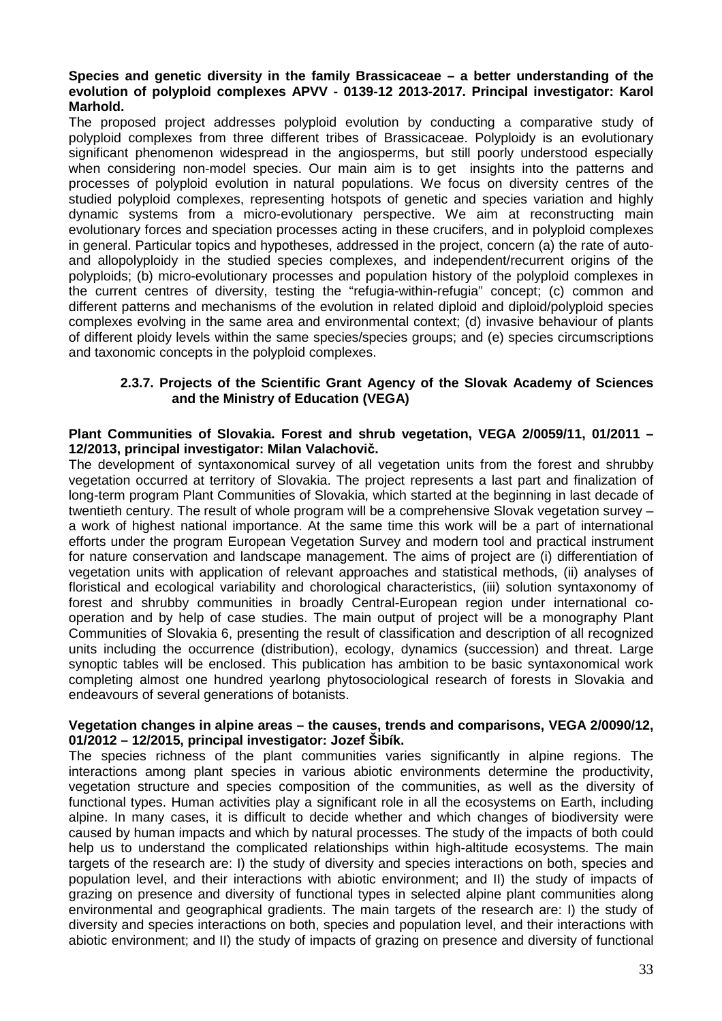#### **Species and genetic diversity in the family Brassicaceae – a better understanding of the evolution of polyploid complexes APVV - 0139-12 2013-2017. Principal investigator: Karol Marhold.**

The proposed project addresses polyploid evolution by conducting a comparative study of polyploid complexes from three different tribes of Brassicaceae. Polyploidy is an evolutionary significant phenomenon widespread in the angiosperms, but still poorly understood especially when considering non-model species. Our main aim is to get insights into the patterns and processes of polyploid evolution in natural populations. We focus on diversity centres of the studied polyploid complexes, representing hotspots of genetic and species variation and highly dynamic systems from a micro-evolutionary perspective. We aim at reconstructing main evolutionary forces and speciation processes acting in these crucifers, and in polyploid complexes in general. Particular topics and hypotheses, addressed in the project, concern (a) the rate of autoand allopolyploidy in the studied species complexes, and independent/recurrent origins of the polyploids; (b) micro-evolutionary processes and population history of the polyploid complexes in the current centres of diversity, testing the "refugia-within-refugia" concept; (c) common and different patterns and mechanisms of the evolution in related diploid and diploid/polyploid species complexes evolving in the same area and environmental context; (d) invasive behaviour of plants of different ploidy levels within the same species/species groups; and (e) species circumscriptions and taxonomic concepts in the polyploid complexes.

## **2.3.7. Projects of the Scientific Grant Agency of the Slovak Academy of Sciences and the Ministry of Education (VEGA)**

#### **Plant Communities of Slovakia. Forest and shrub vegetation, VEGA 2/0059/11, 01/2011 – 12/2013, principal investigator: Milan Valachovi**č**.**

The development of syntaxonomical survey of all vegetation units from the forest and shrubby vegetation occurred at territory of Slovakia. The project represents a last part and finalization of long-term program Plant Communities of Slovakia, which started at the beginning in last decade of twentieth century. The result of whole program will be a comprehensive Slovak vegetation survey – a work of highest national importance. At the same time this work will be a part of international efforts under the program European Vegetation Survey and modern tool and practical instrument for nature conservation and landscape management. The aims of project are (i) differentiation of vegetation units with application of relevant approaches and statistical methods, (ii) analyses of floristical and ecological variability and chorological characteristics, (iii) solution syntaxonomy of forest and shrubby communities in broadly Central-European region under international cooperation and by help of case studies. The main output of project will be a monography Plant Communities of Slovakia 6, presenting the result of classification and description of all recognized units including the occurrence (distribution), ecology, dynamics (succession) and threat. Large synoptic tables will be enclosed. This publication has ambition to be basic syntaxonomical work completing almost one hundred yearlong phytosociological research of forests in Slovakia and endeavours of several generations of botanists.

#### **Vegetation changes in alpine areas – the causes, trends and comparisons, VEGA 2/0090/12, 01/2012 – 12/2015, principal investigator: Jozef Šibík.**

The species richness of the plant communities varies significantly in alpine regions. The interactions among plant species in various abiotic environments determine the productivity, vegetation structure and species composition of the communities, as well as the diversity of functional types. Human activities play a significant role in all the ecosystems on Earth, including alpine. In many cases, it is difficult to decide whether and which changes of biodiversity were caused by human impacts and which by natural processes. The study of the impacts of both could help us to understand the complicated relationships within high-altitude ecosystems. The main targets of the research are: I) the study of diversity and species interactions on both, species and population level, and their interactions with abiotic environment; and II) the study of impacts of grazing on presence and diversity of functional types in selected alpine plant communities along environmental and geographical gradients. The main targets of the research are: I) the study of diversity and species interactions on both, species and population level, and their interactions with abiotic environment; and II) the study of impacts of grazing on presence and diversity of functional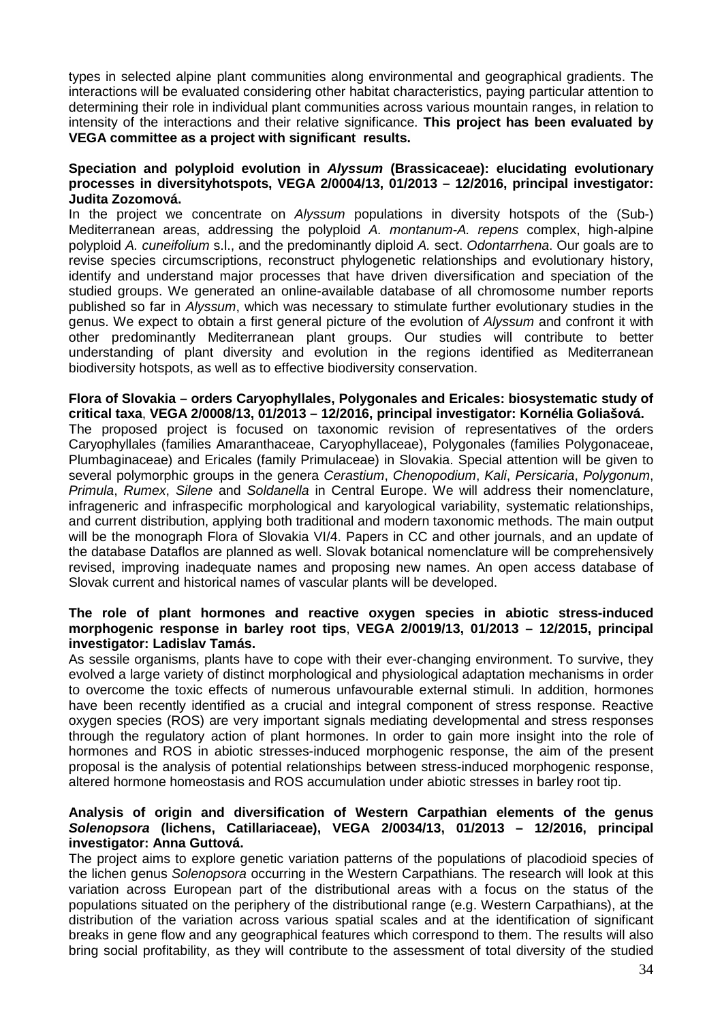types in selected alpine plant communities along environmental and geographical gradients. The interactions will be evaluated considering other habitat characteristics, paying particular attention to determining their role in individual plant communities across various mountain ranges, in relation to intensity of the interactions and their relative significance. **This project has been evaluated by VEGA committee as a project with significant results.** 

### **Speciation and polyploid evolution in Alyssum (Brassicaceae): elucidating evolutionary processes in diversityhotspots, VEGA 2/0004/13, 01/2013 – 12/2016, principal investigator: Judita Zozomová.**

In the project we concentrate on Alyssum populations in diversity hotspots of the (Sub-) Mediterranean areas, addressing the polyploid A. montanum-A. repens complex, high-alpine polyploid A. cuneifolium s.l., and the predominantly diploid A. sect. Odontarrhena. Our goals are to revise species circumscriptions, reconstruct phylogenetic relationships and evolutionary history, identify and understand major processes that have driven diversification and speciation of the studied groups. We generated an online-available database of all chromosome number reports published so far in Alyssum, which was necessary to stimulate further evolutionary studies in the genus. We expect to obtain a first general picture of the evolution of Alyssum and confront it with other predominantly Mediterranean plant groups. Our studies will contribute to better understanding of plant diversity and evolution in the regions identified as Mediterranean biodiversity hotspots, as well as to effective biodiversity conservation.

#### **Flora of Slovakia – orders Caryophyllales, Polygonales and Ericales: biosystematic study of critical taxa**, **VEGA 2/0008/13, 01/2013 – 12/2016, principal investigator: Kornélia Goliašová.**

The proposed project is focused on taxonomic revision of representatives of the orders Caryophyllales (families Amaranthaceae, Caryophyllaceae), Polygonales (families Polygonaceae, Plumbaginaceae) and Ericales (family Primulaceae) in Slovakia. Special attention will be given to several polymorphic groups in the genera Cerastium, Chenopodium, Kali, Persicaria, Polygonum, Primula, Rumex, Silene and Soldanella in Central Europe. We will address their nomenclature, infrageneric and infraspecific morphological and karyological variability, systematic relationships, and current distribution, applying both traditional and modern taxonomic methods. The main output will be the monograph Flora of Slovakia VI/4. Papers in CC and other journals, and an update of the database Dataflos are planned as well. Slovak botanical nomenclature will be comprehensively revised, improving inadequate names and proposing new names. An open access database of Slovak current and historical names of vascular plants will be developed.

#### **The role of plant hormones and reactive oxygen species in abiotic stress-induced morphogenic response in barley root tips**, **VEGA 2/0019/13, 01/2013 – 12/2015, principal investigator: Ladislav Tamás.**

As sessile organisms, plants have to cope with their ever-changing environment. To survive, they evolved a large variety of distinct morphological and physiological adaptation mechanisms in order to overcome the toxic effects of numerous unfavourable external stimuli. In addition, hormones have been recently identified as a crucial and integral component of stress response. Reactive oxygen species (ROS) are very important signals mediating developmental and stress responses through the regulatory action of plant hormones. In order to gain more insight into the role of hormones and ROS in abiotic stresses-induced morphogenic response, the aim of the present proposal is the analysis of potential relationships between stress-induced morphogenic response, altered hormone homeostasis and ROS accumulation under abiotic stresses in barley root tip.

#### **Analysis of origin and diversification of Western Carpathian elements of the genus Solenopsora (lichens, Catillariaceae), VEGA 2/0034/13, 01/2013 – 12/2016, principal investigator: Anna Guttová.**

The project aims to explore genetic variation patterns of the populations of placodioid species of the lichen genus Solenopsora occurring in the Western Carpathians. The research will look at this variation across European part of the distributional areas with a focus on the status of the populations situated on the periphery of the distributional range (e.g. Western Carpathians), at the distribution of the variation across various spatial scales and at the identification of significant breaks in gene flow and any geographical features which correspond to them. The results will also bring social profitability, as they will contribute to the assessment of total diversity of the studied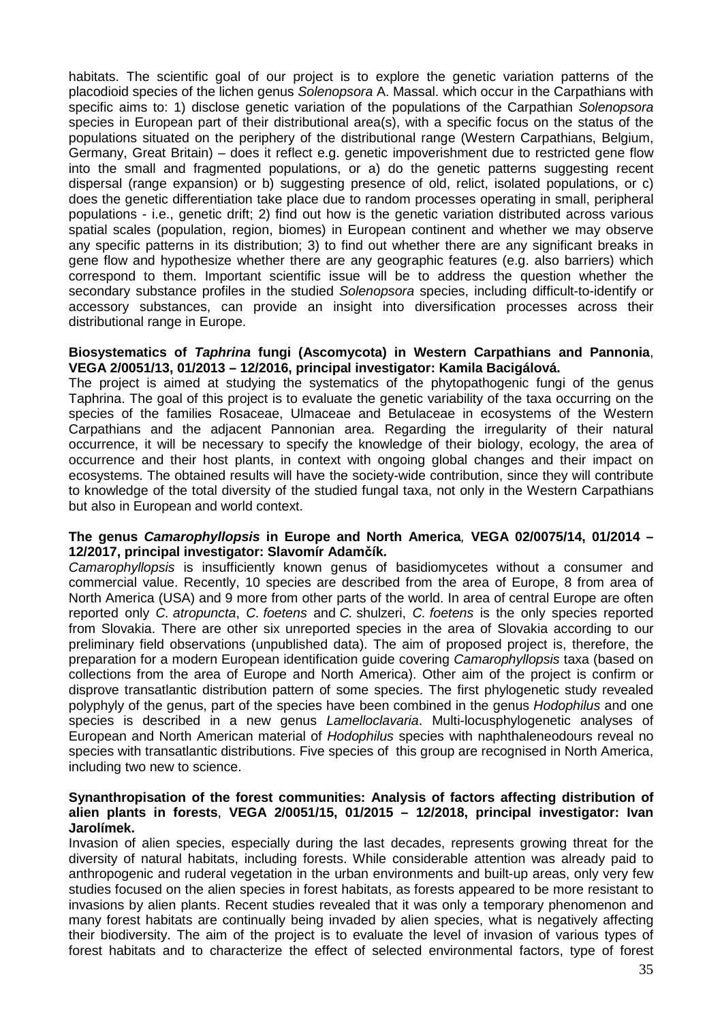habitats. The scientific goal of our project is to explore the genetic variation patterns of the placodioid species of the lichen genus Solenopsora A. Massal. which occur in the Carpathians with specific aims to: 1) disclose genetic variation of the populations of the Carpathian Solenopsora species in European part of their distributional area(s), with a specific focus on the status of the populations situated on the periphery of the distributional range (Western Carpathians, Belgium, Germany, Great Britain) – does it reflect e.g. genetic impoverishment due to restricted gene flow into the small and fragmented populations, or a) do the genetic patterns suggesting recent dispersal (range expansion) or b) suggesting presence of old, relict, isolated populations, or c) does the genetic differentiation take place due to random processes operating in small, peripheral populations - i.e., genetic drift; 2) find out how is the genetic variation distributed across various spatial scales (population, region, biomes) in European continent and whether we may observe any specific patterns in its distribution; 3) to find out whether there are any significant breaks in gene flow and hypothesize whether there are any geographic features (e.g. also barriers) which correspond to them. Important scientific issue will be to address the question whether the secondary substance profiles in the studied Solenopsora species, including difficult-to-identify or accessory substances, can provide an insight into diversification processes across their distributional range in Europe.

#### **Biosystematics of Taphrina fungi (Ascomycota) in Western Carpathians and Pannonia**, **VEGA 2/0051/13, 01/2013 – 12/2016, principal investigator: Kamila Bacigálová.**

The project is aimed at studying the systematics of the phytopathogenic fungi of the genus Taphrina. The goal of this project is to evaluate the genetic variability of the taxa occurring on the species of the families Rosaceae, Ulmaceae and Betulaceae in ecosystems of the Western Carpathians and the adjacent Pannonian area. Regarding the irregularity of their natural occurrence, it will be necessary to specify the knowledge of their biology, ecology, the area of occurrence and their host plants, in context with ongoing global changes and their impact on ecosystems. The obtained results will have the society-wide contribution, since they will contribute to knowledge of the total diversity of the studied fungal taxa, not only in the Western Carpathians but also in European and world context.

#### **The genus Camarophyllopsis in Europe and North America**, **VEGA 02/0075/14, 01/2014 – 12/2017, principal investigator: Slavomír Adam**č**ík.**

Camarophyllopsis is insufficiently known genus of basidiomycetes without a consumer and commercial value. Recently, 10 species are described from the area of Europe, 8 from area of North America (USA) and 9 more from other parts of the world. In area of central Europe are often reported only C. atropuncta, C. foetens and C. shulzeri, C. foetens is the only species reported from Slovakia. There are other six unreported species in the area of Slovakia according to our preliminary field observations (unpublished data). The aim of proposed project is, therefore, the preparation for a modern European identification guide covering Camarophyllopsis taxa (based on collections from the area of Europe and North America). Other aim of the project is confirm or disprove transatlantic distribution pattern of some species. The first phylogenetic study revealed polyphyly of the genus, part of the species have been combined in the genus Hodophilus and one species is described in a new genus Lamelloclavaria. Multi-locusphylogenetic analyses of European and North American material of Hodophilus species with naphthaleneodours reveal no species with transatlantic distributions. Five species of this group are recognised in North America, including two new to science.

#### **Synanthropisation of the forest communities: Analysis of factors affecting distribution of alien plants in forests**, **VEGA 2/0051/15, 01/2015 – 12/2018, principal investigator: Ivan Jarolímek.**

Invasion of alien species, especially during the last decades, represents growing threat for the diversity of natural habitats, including forests. While considerable attention was already paid to anthropogenic and ruderal vegetation in the urban environments and built-up areas, only very few studies focused on the alien species in forest habitats, as forests appeared to be more resistant to invasions by alien plants. Recent studies revealed that it was only a temporary phenomenon and many forest habitats are continually being invaded by alien species, what is negatively affecting their biodiversity. The aim of the project is to evaluate the level of invasion of various types of forest habitats and to characterize the effect of selected environmental factors, type of forest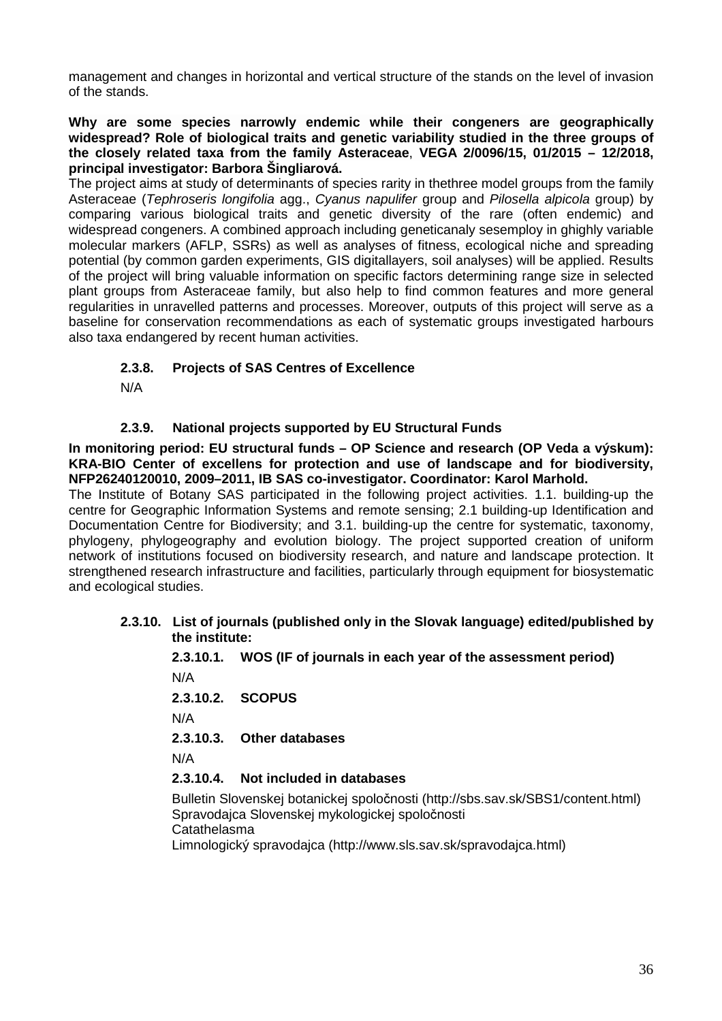management and changes in horizontal and vertical structure of the stands on the level of invasion of the stands.

#### **Why are some species narrowly endemic while their congeners are geographically widespread? Role of biological traits and genetic variability studied in the three groups of the closely related taxa from the family Asteraceae**, **VEGA 2/0096/15, 01/2015 – 12/2018, principal investigator: Barbora Šingliarová.**

The project aims at study of determinants of species rarity in thethree model groups from the family Asteraceae (Tephroseris longifolia agg., Cyanus napulifer group and Pilosella alpicola group) by comparing various biological traits and genetic diversity of the rare (often endemic) and widespread congeners. A combined approach including geneticanaly sesemploy in ghighly variable molecular markers (AFLP, SSRs) as well as analyses of fitness, ecological niche and spreading potential (by common garden experiments, GIS digitallayers, soil analyses) will be applied. Results of the project will bring valuable information on specific factors determining range size in selected plant groups from Asteraceae family, but also help to find common features and more general regularities in unravelled patterns and processes. Moreover, outputs of this project will serve as a baseline for conservation recommendations as each of systematic groups investigated harbours also taxa endangered by recent human activities.

# **2.3.8. Projects of SAS Centres of Excellence**

N/A

# **2.3.9. National projects supported by EU Structural Funds**

**In monitoring period: EU structural funds – OP Science and research (OP Veda a výskum): KRA-BIO Center of excellens for protection and use of landscape and for biodiversity, NFP26240120010, 2009–2011, IB SAS co-investigator. Coordinator: Karol Marhold.** 

The Institute of Botany SAS participated in the following project activities. 1.1. building-up the centre for Geographic Information Systems and remote sensing; 2.1 building-up Identification and Documentation Centre for Biodiversity; and 3.1. building-up the centre for systematic, taxonomy, phylogeny, phylogeography and evolution biology. The project supported creation of uniform network of institutions focused on biodiversity research, and nature and landscape protection. It strengthened research infrastructure and facilities, particularly through equipment for biosystematic and ecological studies.

# **2.3.10. List of journals (published only in the Slovak language) edited/published by the institute:**

**2.3.10.1. WOS (IF of journals in each year of the assessment period)**  N/A

**2.3.10.2. SCOPUS** 

N/A

**2.3.10.3. Other databases** 

N/A

# **2.3.10.4. Not included in databases**

Bulletin Slovenskej botanickej spoločnosti (http://sbs.sav.sk/SBS1/content.html) Spravodajca Slovenskej mykologickej spoločnosti Catathelasma

Limnologický spravodajca (http://www.sls.sav.sk/spravodajca.html)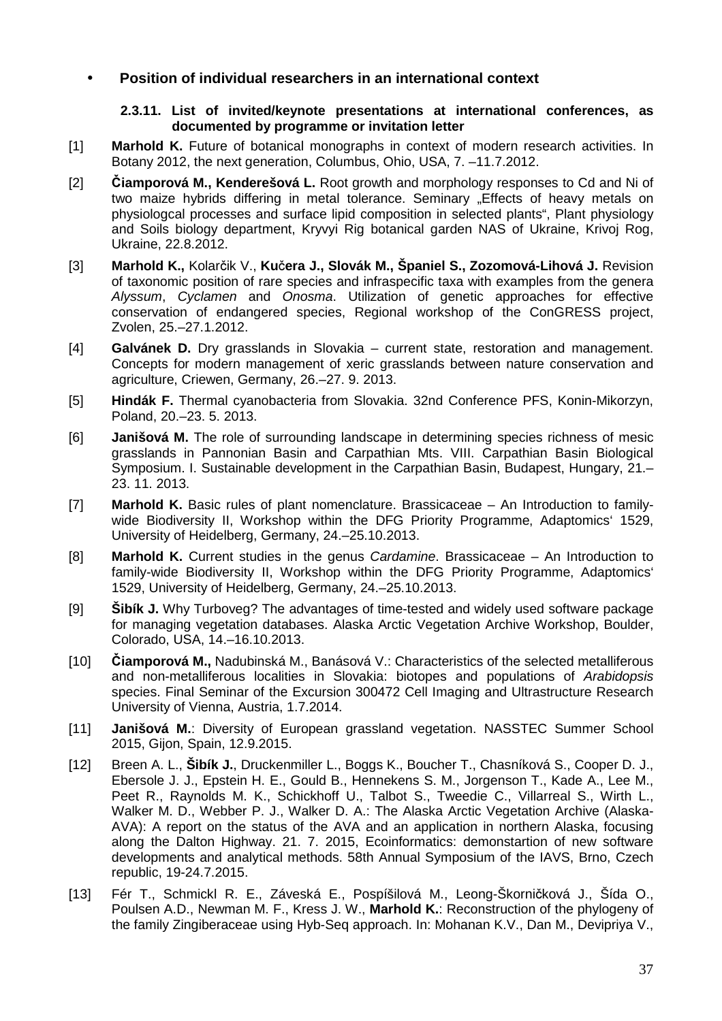# • **Position of individual researchers in an international context**

# **2.3.11. List of invited/keynote presentations at international conferences, as documented by programme or invitation letter**

- [1] **Marhold K.** Future of botanical monographs in context of modern research activities. In Botany 2012, the next generation, Columbus, Ohio, USA, 7. –11.7.2012.
- [2]Č**iamporová M., Kenderešová L.** Root growth and morphology responses to Cd and Ni of two maize hybrids differing in metal tolerance. Seminary "Effects of heavy metals on physiologcal processes and surface lipid composition in selected plants", Plant physiology and Soils biology department, Kryvyi Rig botanical garden NAS of Ukraine, Krivoj Rog, Ukraine, 22.8.2012.
- [3] **Marhold K.,** Kolarčik V., **Ku**č**era J., Slovák M., Španiel S., Zozomová-Lihová J.** Revision of taxonomic position of rare species and infraspecific taxa with examples from the genera Alyssum, Cyclamen and Onosma. Utilization of genetic approaches for effective conservation of endangered species, Regional workshop of the ConGRESS project, Zvolen, 25.–27.1.2012.
- [4] **Galvánek D.** Dry grasslands in Slovakia current state, restoration and management. Concepts for modern management of xeric grasslands between nature conservation and agriculture, Criewen, Germany, 26.–27. 9. 2013.
- [5] **Hindák F.** Thermal cyanobacteria from Slovakia. 32nd Conference PFS, Konin-Mikorzyn, Poland, 20.–23. 5. 2013.
- [6] **Janišová M.** The role of surrounding landscape in determining species richness of mesic grasslands in Pannonian Basin and Carpathian Mts. VIII. Carpathian Basin Biological Symposium. I. Sustainable development in the Carpathian Basin, Budapest, Hungary, 21.– 23. 11. 2013.
- [7] **Marhold K.** Basic rules of plant nomenclature. Brassicaceae An Introduction to familywide Biodiversity II, Workshop within the DFG Priority Programme, Adaptomics' 1529, University of Heidelberg, Germany, 24.–25.10.2013.
- [8] **Marhold K.** Current studies in the genus Cardamine. Brassicaceae An Introduction to family-wide Biodiversity II, Workshop within the DFG Priority Programme, Adaptomics' 1529, University of Heidelberg, Germany, 24.–25.10.2013.
- [9] **Šibík J.** Why Turboveg? The advantages of time-tested and widely used software package for managing vegetation databases. Alaska Arctic Vegetation Archive Workshop, Boulder, Colorado, USA, 14.–16.10.2013.
- [10]Č**iamporová M.,** Nadubinská M., Banásová V.: Characteristics of the selected metalliferous and non-metalliferous localities in Slovakia: biotopes and populations of Arabidopsis species. Final Seminar of the Excursion 300472 Cell Imaging and Ultrastructure Research University of Vienna, Austria, 1.7.2014.
- [11] **Janišová M.**: Diversity of European grassland vegetation. NASSTEC Summer School 2015, Gijon, Spain, 12.9.2015.
- [12]Breen A. L., **Šibík J.**, Druckenmiller L., Boggs K., Boucher T., Chasníková S., Cooper D. J., Ebersole J. J., Epstein H. E., Gould B., Hennekens S. M., Jorgenson T., Kade A., Lee M., Peet R., Raynolds M. K., Schickhoff U., Talbot S., Tweedie C., Villarreal S., Wirth L., Walker M. D., Webber P. J., Walker D. A.: The Alaska Arctic Vegetation Archive (Alaska-AVA): A report on the status of the AVA and an application in northern Alaska, focusing along the Dalton Highway. 21. 7. 2015, Ecoinformatics: demonstartion of new software developments and analytical methods. 58th Annual Symposium of the IAVS, Brno, Czech republic, 19-24.7.2015.
- [13]Fér T., Schmickl R. E., Záveská E., Pospíšilová M., Leong-Škorničková J., Šída O., Poulsen A.D., Newman M. F., Kress J. W., **Marhold K.**: Reconstruction of the phylogeny of the family Zingiberaceae using Hyb-Seq approach. In: Mohanan K.V., Dan M., Devipriya V.,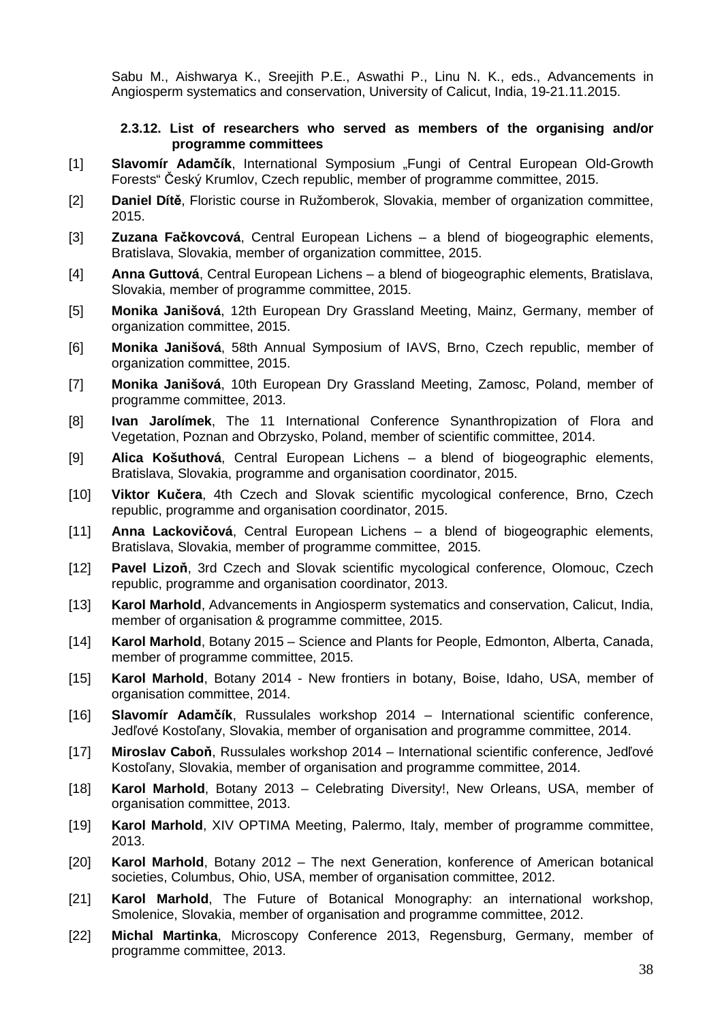Sabu M., Aishwarya K., Sreejith P.E., Aswathi P., Linu N. K., eds., Advancements in Angiosperm systematics and conservation, University of Calicut, India, 19-21.11.2015.

#### **2.3.12. List of researchers who served as members of the organising and/or programme committees**

- [1] **Slavomír Adam**č**ík**, International Symposium "Fungi of Central European Old-Growth Forests" Český Krumlov, Czech republic, member of programme committee, 2015.
- [2] **Daniel Dít**ě, Floristic course in Ružomberok, Slovakia, member of organization committee, 2015.
- [3] **Zuzana Fa**č**kovcová**, Central European Lichens a blend of biogeographic elements, Bratislava, Slovakia, member of organization committee, 2015.
- [4] **Anna Guttová**, Central European Lichens a blend of biogeographic elements, Bratislava, Slovakia, member of programme committee, 2015.
- [5] **Monika Janišová**, 12th European Dry Grassland Meeting, Mainz, Germany, member of organization committee, 2015.
- [6] **Monika Janišová**, 58th Annual Symposium of IAVS, Brno, Czech republic, member of organization committee, 2015.
- [7] **Monika Janišová**, 10th European Dry Grassland Meeting, Zamosc, Poland, member of programme committee, 2013.
- [8] **Ivan Jarolímek**, The 11 International Conference Synanthropization of Flora and Vegetation, Poznan and Obrzysko, Poland, member of scientific committee, 2014.
- [9] **Alica Košuthová**, Central European Lichens a blend of biogeographic elements, Bratislava, Slovakia, programme and organisation coordinator, 2015.
- [10] **Viktor Ku**č**era**, 4th Czech and Slovak scientific mycological conference, Brno, Czech republic, programme and organisation coordinator, 2015.
- [11] **Anna Lackovi**č**ová**, Central European Lichens a blend of biogeographic elements, Bratislava, Slovakia, member of programme committee, 2015.
- [12] **Pavel Lizo**ň, 3rd Czech and Slovak scientific mycological conference, Olomouc, Czech republic, programme and organisation coordinator, 2013.
- [13] **Karol Marhold**, Advancements in Angiosperm systematics and conservation, Calicut, India, member of organisation & programme committee, 2015.
- [14] **Karol Marhold**, Botany 2015 Science and Plants for People, Edmonton, Alberta, Canada, member of programme committee, 2015.
- [15] **Karol Marhold**, Botany 2014 New frontiers in botany, Boise, Idaho, USA, member of organisation committee, 2014.
- [16] **Slavomír Adam**č**ík**, Russulales workshop 2014 International scientific conference, Jedľové Kostoľany, Slovakia, member of organisation and programme committee, 2014.
- [17] **Miroslav Cabo**ň, Russulales workshop 2014 International scientific conference, Jedľové Kostoľany, Slovakia, member of organisation and programme committee, 2014.
- [18] **Karol Marhold**, Botany 2013 Celebrating Diversity!, New Orleans, USA, member of organisation committee, 2013.
- [19] **Karol Marhold**, XIV OPTIMA Meeting, Palermo, Italy, member of programme committee, 2013.
- [20] **Karol Marhold**, Botany 2012 The next Generation, konference of American botanical societies, Columbus, Ohio, USA, member of organisation committee, 2012.
- [21] **Karol Marhold**, The Future of Botanical Monography: an international workshop, Smolenice, Slovakia, member of organisation and programme committee, 2012.
- [22] **Michal Martinka**, Microscopy Conference 2013, Regensburg, Germany, member of programme committee, 2013.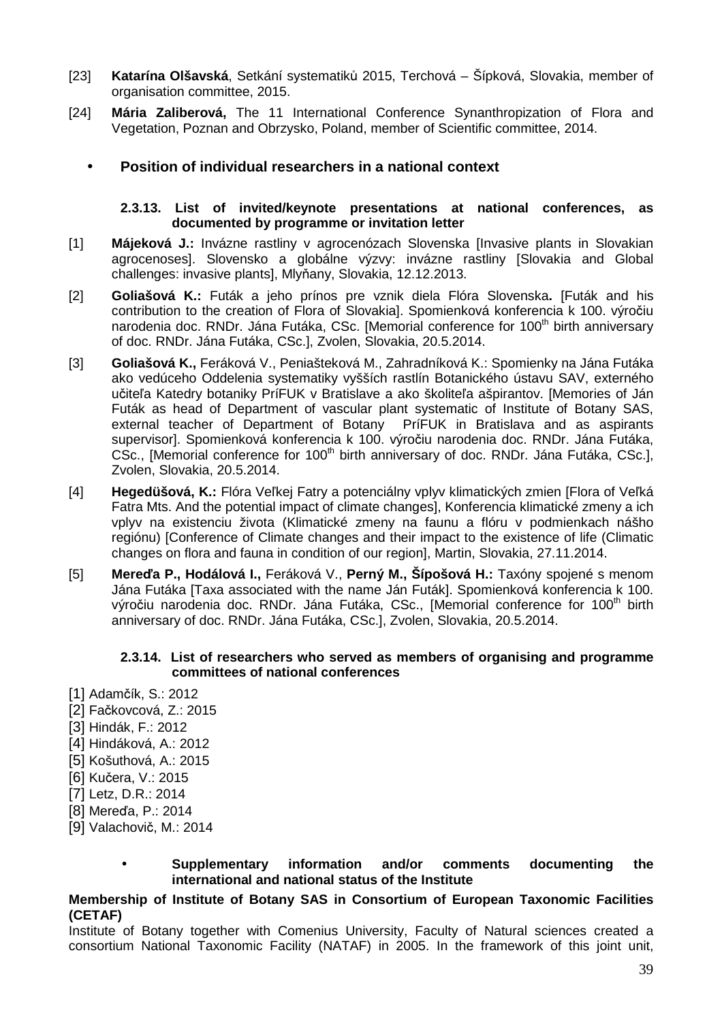- [23] **Katarína Olšavská**, Setkání systematiků 2015, Terchová Šípková, Slovakia, member of organisation committee, 2015.
- [24] **Mária Zaliberová,** The 11 International Conference Synanthropization of Flora and Vegetation, Poznan and Obrzysko, Poland, member of Scientific committee, 2014.

# • **Position of individual researchers in a national context**

# **2.3.13. List of invited/keynote presentations at national conferences, as documented by programme or invitation letter**

- [1] **Májeková J.:** Invázne rastliny v agrocenózach Slovenska [Invasive plants in Slovakian agrocenoses]. Slovensko a globálne výzvy: invázne rastliny [Slovakia and Global challenges: invasive plants], Mlyňany, Slovakia, 12.12.2013.
- [2] **Goliašová K.:** Futák a jeho prínos pre vznik diela Flóra Slovenska**.** [Futák and his contribution to the creation of Flora of Slovakia]. Spomienková konferencia k 100. výročiu narodenia doc. RNDr. Jána Futáka, CSc. [Memorial conference for 100<sup>th</sup> birth anniversary of doc. RNDr. Jána Futáka, CSc.], Zvolen, Slovakia, 20.5.2014.
- [3] **Goliašová K.,** Feráková V., Peniašteková M., Zahradníková K.: Spomienky na Jána Futáka ako vedúceho Oddelenia systematiky vyšších rastlín Botanického ústavu SAV, externého učiteľa Katedry botaniky PríFUK v Bratislave a ako školiteľa ašpirantov. [Memories of Ján Futák as head of Department of vascular plant systematic of Institute of Botany SAS, external teacher of Department of Botany PríFUK in Bratislava and as aspirants supervisor]. Spomienková konferencia k 100. výročiu narodenia doc. RNDr. Jána Futáka, CSc., [Memorial conference for 100<sup>th</sup> birth anniversary of doc. RNDr. Jána Futáka, CSc.], Zvolen, Slovakia, 20.5.2014.
- [4] **Hegedüšová, K.:** Flóra Veľkej Fatry a potenciálny vplyv klimatických zmien [Flora of Veľká Fatra Mts. And the potential impact of climate changes], Konferencia klimatické zmeny a ich vplyv na existenciu života (Klimatické zmeny na faunu a flóru v podmienkach nášho regiónu) [Conference of Climate changes and their impact to the existence of life (Climatic changes on flora and fauna in condition of our region], Martin, Slovakia, 27.11.2014.
- [5] **Mere**ď**a P., Hodálová I.,** Feráková V., **Perný M., Šípošová H.:** Taxóny spojené s menom Jána Futáka [Taxa associated with the name Ján Futák]. Spomienková konferencia k 100. výročiu narodenia doc. RNDr. Jána Futáka, CSc., [Memorial conference for 100<sup>th</sup> birth anniversary of doc. RNDr. Jána Futáka, CSc.], Zvolen, Slovakia, 20.5.2014.

# **2.3.14. List of researchers who served as members of organising and programme committees of national conferences**

- [1] Adamčík, S.: 2012
- [2] Fačkovcová, Z.: 2015
- [3] Hindák, F.: 2012
- [4] Hindáková, A.: 2012
- [5] Košuthová, A.: 2015
- [6] Kučera, V.: 2015
- [7] Letz, D.R.: 2014
- [8] Mereďa, P.: 2014
- [9] Valachovič, M.: 2014

# • **Supplementary information and/or comments documenting the international and national status of the Institute**

# **Membership of Institute of Botany SAS in Consortium of European Taxonomic Facilities (CETAF)**

Institute of Botany together with Comenius University, Faculty of Natural sciences created a consortium National Taxonomic Facility (NATAF) in 2005. In the framework of this joint unit,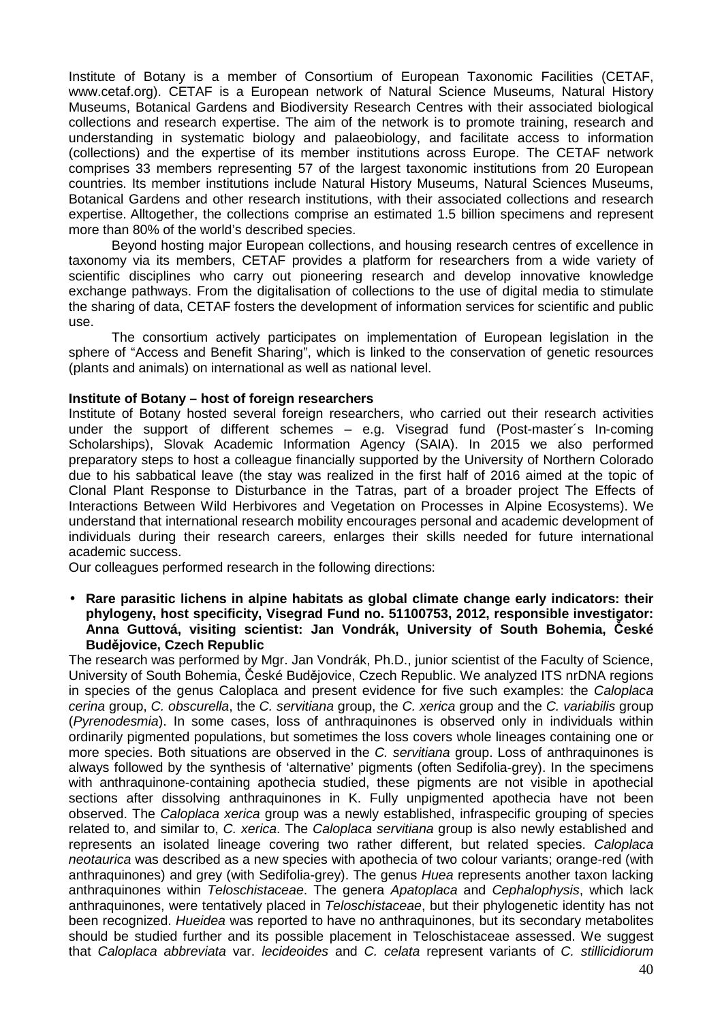Institute of Botany is a member of Consortium of European Taxonomic Facilities (CETAF, www.cetaf.org). CETAF is a European network of Natural Science Museums, Natural History Museums, Botanical Gardens and Biodiversity Research Centres with their associated biological collections and research expertise. The aim of the network is to promote training, research and understanding in systematic biology and palaeobiology, and facilitate access to information (collections) and the expertise of its member institutions across Europe. The CETAF network comprises 33 members representing 57 of the largest taxonomic institutions from 20 European countries. Its member institutions include Natural History Museums, Natural Sciences Museums, Botanical Gardens and other research institutions, with their associated collections and research expertise. Alltogether, the collections comprise an estimated 1.5 billion specimens and represent more than 80% of the world's described species.

Beyond hosting major European collections, and housing research centres of excellence in taxonomy via its members, CETAF provides a platform for researchers from a wide variety of scientific disciplines who carry out pioneering research and develop innovative knowledge exchange pathways. From the digitalisation of collections to the use of digital media to stimulate the sharing of data, CETAF fosters the development of information services for scientific and public use.

The consortium actively participates on implementation of European legislation in the sphere of "Access and Benefit Sharing", which is linked to the conservation of genetic resources (plants and animals) on international as well as national level.

#### **Institute of Botany – host of foreign researchers**

Institute of Botany hosted several foreign researchers, who carried out their research activities under the support of different schemes – e.g. Visegrad fund (Post-master´s In-coming Scholarships), Slovak Academic Information Agency (SAIA). In 2015 we also performed preparatory steps to host a colleague financially supported by the University of Northern Colorado due to his sabbatical leave (the stay was realized in the first half of 2016 aimed at the topic of Clonal Plant Response to Disturbance in the Tatras, part of a broader project The Effects of Interactions Between Wild Herbivores and Vegetation on Processes in Alpine Ecosystems). We understand that international research mobility encourages personal and academic development of individuals during their research careers, enlarges their skills needed for future international academic success.

Our colleagues performed research in the following directions:

• **Rare parasitic lichens in alpine habitats as global climate change early indicators: their phylogeny, host specificity, Visegrad Fund no. 51100753, 2012, responsible investigator: Anna Guttová, visiting scientist: Jan Vondrák, University of South Bohemia,** Č**eské Bud**ě**jovice, Czech Republic** 

The research was performed by Mgr. Jan Vondrák, Ph.D., junior scientist of the Faculty of Science, University of South Bohemia, České Budějovice, Czech Republic. We analyzed ITS nrDNA regions in species of the genus Caloplaca and present evidence for five such examples: the Caloplaca cerina group, C. obscurella, the C. servitiana group, the C. xerica group and the C. variabilis group (Pyrenodesmia). In some cases, loss of anthraquinones is observed only in individuals within ordinarily pigmented populations, but sometimes the loss covers whole lineages containing one or more species. Both situations are observed in the C, servitiana group. Loss of anthraquinones is always followed by the synthesis of 'alternative' pigments (often Sedifolia-grey). In the specimens with anthraquinone-containing apothecia studied, these pigments are not visible in apothecial sections after dissolving anthraquinones in K. Fully unpigmented apothecia have not been observed. The Caloplaca xerica group was a newly established, infraspecific grouping of species related to, and similar to, C. xerica. The Caloplaca servitiana group is also newly established and represents an isolated lineage covering two rather different, but related species. Caloplaca neotaurica was described as a new species with apothecia of two colour variants; orange-red (with anthraquinones) and grey (with Sedifolia-grey). The genus Huea represents another taxon lacking anthraquinones within Teloschistaceae. The genera Apatoplaca and Cephalophysis, which lack anthraquinones, were tentatively placed in Teloschistaceae, but their phylogenetic identity has not been recognized. Hueidea was reported to have no anthraquinones, but its secondary metabolites should be studied further and its possible placement in Teloschistaceae assessed. We suggest that Caloplaca abbreviata var. lecideoides and C. celata represent variants of C. stillicidiorum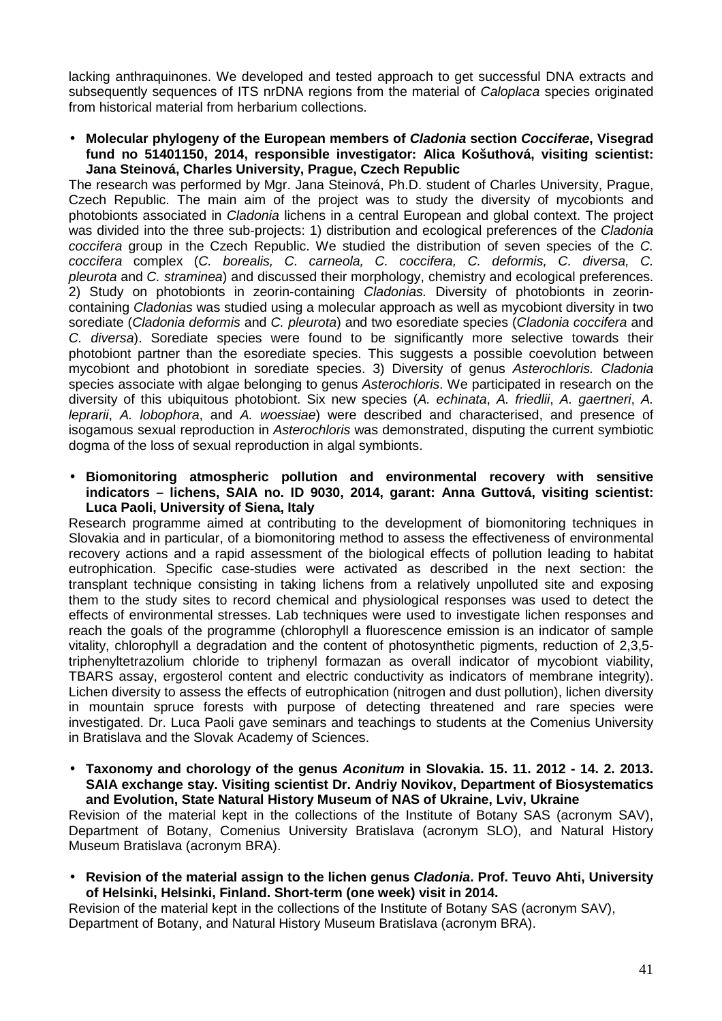lacking anthraquinones. We developed and tested approach to get successful DNA extracts and subsequently sequences of ITS nrDNA regions from the material of Caloplaca species originated from historical material from herbarium collections.

• **Molecular phylogeny of the European members of Cladonia section Cocciferae, Visegrad fund no 51401150, 2014, responsible investigator: Alica Košuthová, visiting scientist: Jana Steinová, Charles University, Prague, Czech Republic** 

The research was performed by Mgr. Jana Steinová, Ph.D. student of Charles University, Prague, Czech Republic. The main aim of the project was to study the diversity of mycobionts and photobionts associated in Cladonia lichens in a central European and global context. The project was divided into the three sub-projects: 1) distribution and ecological preferences of the Cladonia coccifera group in the Czech Republic. We studied the distribution of seven species of the C. coccifera complex (C. borealis, C. carneola, C. coccifera, C. deformis, C. diversa, C. pleurota and C. straminea) and discussed their morphology, chemistry and ecological preferences. 2) Study on photobionts in zeorin-containing Cladonias. Diversity of photobionts in zeorincontaining Cladonias was studied using a molecular approach as well as mycobiont diversity in two sorediate (Cladonia deformis and C. pleurota) and two esorediate species (Cladonia coccifera and C. diversa). Sorediate species were found to be significantly more selective towards their photobiont partner than the esorediate species. This suggests a possible coevolution between mycobiont and photobiont in sorediate species. 3) Diversity of genus Asterochloris. Cladonia species associate with algae belonging to genus Asterochloris. We participated in research on the diversity of this ubiquitous photobiont. Six new species (A. echinata, A. friedlii, A. gaertneri, A. leprarii, A. lobophora, and A. woessiae) were described and characterised, and presence of isogamous sexual reproduction in Asterochloris was demonstrated, disputing the current symbiotic dogma of the loss of sexual reproduction in algal symbionts.

• **Biomonitoring atmospheric pollution and environmental recovery with sensitive indicators – lichens, SAIA no. ID 9030, 2014, garant: Anna Guttová, visiting scientist: Luca Paoli, University of Siena, Italy** 

Research programme aimed at contributing to the development of biomonitoring techniques in Slovakia and in particular, of a biomonitoring method to assess the effectiveness of environmental recovery actions and a rapid assessment of the biological effects of pollution leading to habitat eutrophication. Specific case-studies were activated as described in the next section: the transplant technique consisting in taking lichens from a relatively unpolluted site and exposing them to the study sites to record chemical and physiological responses was used to detect the effects of environmental stresses. Lab techniques were used to investigate lichen responses and reach the goals of the programme (chlorophyll a fluorescence emission is an indicator of sample vitality, chlorophyll a degradation and the content of photosynthetic pigments, reduction of 2,3,5 triphenyltetrazolium chloride to triphenyl formazan as overall indicator of mycobiont viability, TBARS assay, ergosterol content and electric conductivity as indicators of membrane integrity). Lichen diversity to assess the effects of eutrophication (nitrogen and dust pollution), lichen diversity in mountain spruce forests with purpose of detecting threatened and rare species were investigated. Dr. Luca Paoli gave seminars and teachings to students at the Comenius University in Bratislava and the Slovak Academy of Sciences.

• **Taxonomy and chorology of the genus Aconitum in Slovakia. 15. 11. 2012 - 14. 2. 2013. SAIA exchange stay. Visiting scientist Dr. Andriy Novikov, Department of Biosystematics and Evolution, State Natural History Museum of NAS of Ukraine, Lviv, Ukraine** 

Revision of the material kept in the collections of the Institute of Botany SAS (acronym SAV), Department of Botany, Comenius University Bratislava (acronym SLO), and Natural History Museum Bratislava (acronym BRA).

• **Revision of the material assign to the lichen genus Cladonia. Prof. Teuvo Ahti, University of Helsinki, Helsinki, Finland. Short-term (one week) visit in 2014.** 

Revision of the material kept in the collections of the Institute of Botany SAS (acronym SAV), Department of Botany, and Natural History Museum Bratislava (acronym BRA).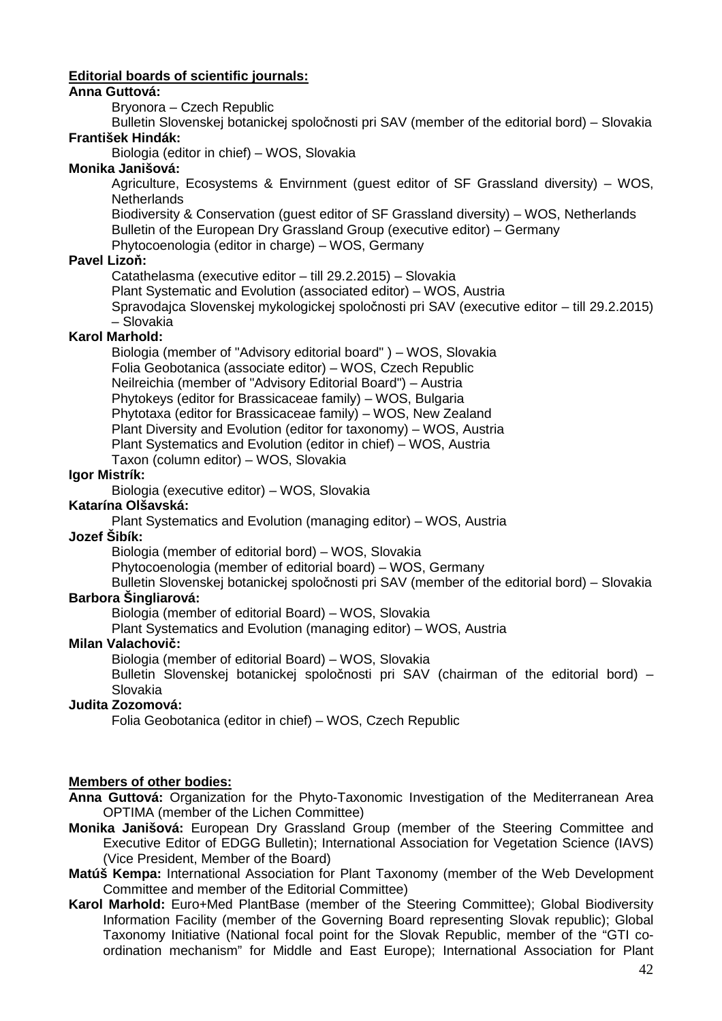# **Editorial boards of scientific journals:**

#### **Anna Guttová:**

Bryonora – Czech Republic

Bulletin Slovenskej botanickej spoločnosti pri SAV (member of the editorial bord) – Slovakia **František Hindák:** 

Biologia (editor in chief) – WOS, Slovakia

# **Monika Janišová:**

Agriculture, Ecosystems & Envirnment (guest editor of SF Grassland diversity) – WOS, **Netherlands** 

Biodiversity & Conservation (guest editor of SF Grassland diversity) – WOS, Netherlands Bulletin of the European Dry Grassland Group (executive editor) – Germany

Phytocoenologia (editor in charge) – WOS, Germany

#### **Pavel Lizo**ň**:**

Catathelasma (executive editor – till 29.2.2015) – Slovakia

Plant Systematic and Evolution (associated editor) – WOS, Austria

Spravodajca Slovenskej mykologickej spoločnosti pri SAV (executive editor – till 29.2.2015) – Slovakia

#### **Karol Marhold:**

Biologia (member of "Advisory editorial board" ) – WOS, Slovakia Folia Geobotanica (associate editor) – WOS, Czech Republic Neilreichia (member of "Advisory Editorial Board") – Austria Phytokeys (editor for Brassicaceae family) – WOS, Bulgaria Phytotaxa (editor for Brassicaceae family) – WOS, New Zealand Plant Diversity and Evolution (editor for taxonomy) – WOS, Austria Plant Systematics and Evolution (editor in chief) – WOS, Austria Taxon (column editor) – WOS, Slovakia

#### **Igor Mistrík:**

Biologia (executive editor) – WOS, Slovakia

# **Katarína Olšavská:**

Plant Systematics and Evolution (managing editor) – WOS, Austria

#### **Jozef Šibík:**

Biologia (member of editorial bord) – WOS, Slovakia

Phytocoenologia (member of editorial board) – WOS, Germany

Bulletin Slovenskej botanickej spoločnosti pri SAV (member of the editorial bord) – Slovakia

# **Barbora Šingliarová:**

Biologia (member of editorial Board) – WOS, Slovakia

Plant Systematics and Evolution (managing editor) – WOS, Austria

#### **Milan Valachovi**č**:**

Biologia (member of editorial Board) – WOS, Slovakia

Bulletin Slovenskej botanickej spoločnosti pri SAV (chairman of the editorial bord) – Slovakia

#### **Judita Zozomová:**

Folia Geobotanica (editor in chief) – WOS, Czech Republic

## **Members of other bodies:**

**Anna Guttová:** Organization for the Phyto-Taxonomic Investigation of the Mediterranean Area OPTIMA (member of the Lichen Committee)

- **Monika Janišová:** European Dry Grassland Group (member of the Steering Committee and Executive Editor of EDGG Bulletin); International Association for Vegetation Science (IAVS) (Vice President, Member of the Board)
- **Matúš Kempa:** International Association for Plant Taxonomy (member of the Web Development Committee and member of the Editorial Committee)
- **Karol Marhold:** Euro+Med PlantBase (member of the Steering Committee); Global Biodiversity Information Facility (member of the Governing Board representing Slovak republic); Global Taxonomy Initiative (National focal point for the Slovak Republic, member of the "GTI coordination mechanism" for Middle and East Europe); International Association for Plant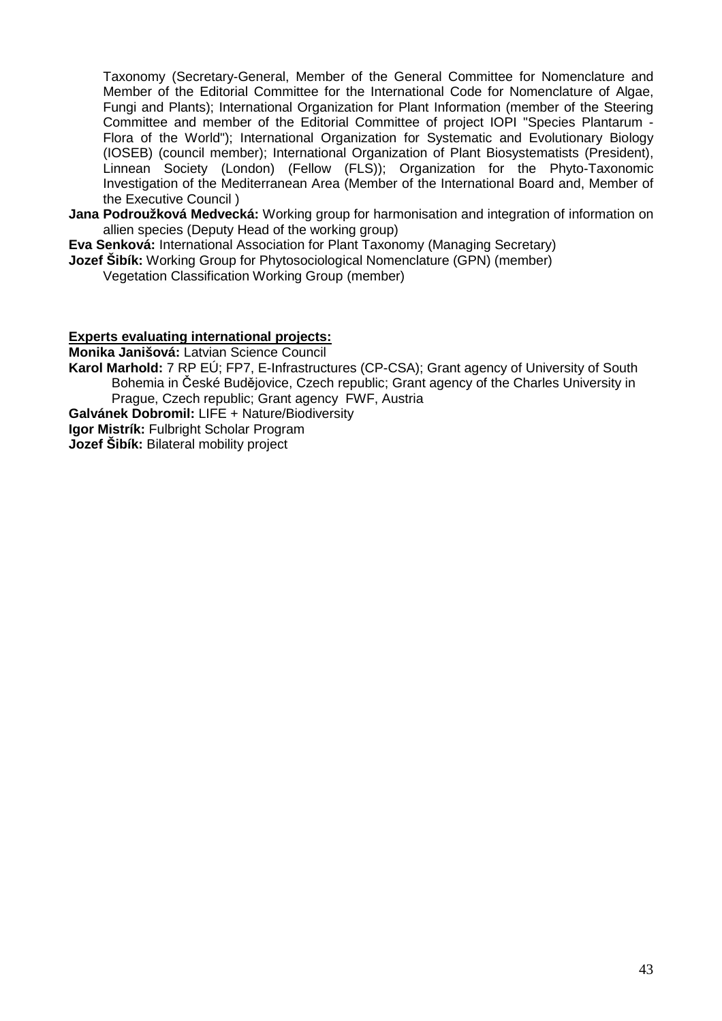Taxonomy (Secretary-General, Member of the General Committee for Nomenclature and Member of the Editorial Committee for the International Code for Nomenclature of Algae, Fungi and Plants); International Organization for Plant Information (member of the Steering Committee and member of the Editorial Committee of project IOPI "Species Plantarum - Flora of the World"); International Organization for Systematic and Evolutionary Biology (IOSEB) (council member); International Organization of Plant Biosystematists (President), Linnean Society (London) (Fellow (FLS)); Organization for the Phyto-Taxonomic Investigation of the Mediterranean Area (Member of the International Board and, Member of the Executive Council )

**Jana Podroužková Medvecká:** Working group for harmonisation and integration of information on allien species (Deputy Head of the working group)

**Eva Senková:** International Association for Plant Taxonomy (Managing Secretary)

**Jozef Šibík:** Working Group for Phytosociological Nomenclature (GPN) (member)

Vegetation Classification Working Group (member)

#### **Experts evaluating international projects:**

**Monika Janišová:** Latvian Science Council

**Karol Marhold:** 7 RP EÚ; FP7, E-Infrastructures (CP-CSA); Grant agency of University of South Bohemia in České Budějovice, Czech republic; Grant agency of the Charles University in Prague, Czech republic; Grant agency FWF, Austria

**Galvánek Dobromil:** LIFE + Nature/Biodiversity

**Igor Mistrík:** Fulbright Scholar Program

**Jozef Šibík:** Bilateral mobility project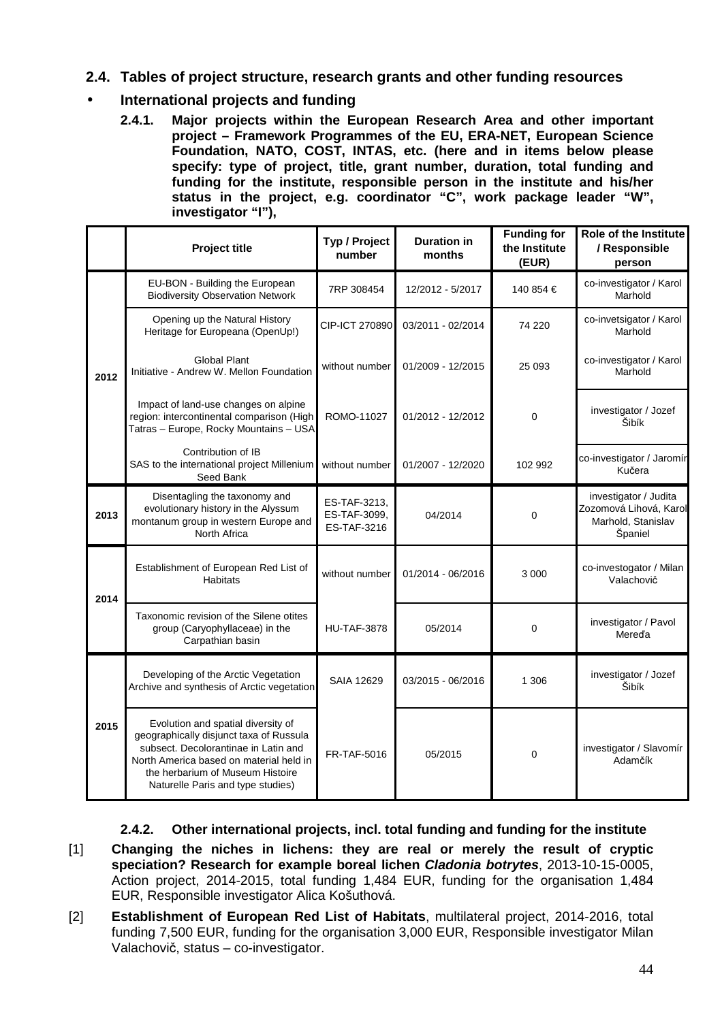- **2.4. Tables of project structure, research grants and other funding resources**
- **International projects and funding** 
	- **2.4.1. Major projects within the European Research Area and other important project – Framework Programmes of the EU, ERA-NET, European Science Foundation, NATO, COST, INTAS, etc. (here and in items below please specify: type of project, title, grant number, duration, total funding and funding for the institute, responsible person in the institute and his/her status in the project, e.g. coordinator "C", work package leader "W", investigator "I"),**

|      | <b>Project title</b>                                                                                                                                                                                                                      | Typ / Project<br>number                     | <b>Duration in</b><br>months | <b>Funding for</b><br>the Institute<br>(EUR) | Role of the Institute<br>/ Responsible<br>person                                 |
|------|-------------------------------------------------------------------------------------------------------------------------------------------------------------------------------------------------------------------------------------------|---------------------------------------------|------------------------------|----------------------------------------------|----------------------------------------------------------------------------------|
|      | EU-BON - Building the European<br><b>Biodiversity Observation Network</b>                                                                                                                                                                 | 7RP 308454                                  | 12/2012 - 5/2017             | 140 854 €                                    | co-investigator / Karol<br>Marhold                                               |
|      | Opening up the Natural History<br>Heritage for Europeana (OpenUp!)                                                                                                                                                                        | CIP-ICT 270890                              | 03/2011 - 02/2014            | 74 220                                       | co-invetsigator / Karol<br>Marhold                                               |
| 2012 | <b>Global Plant</b><br>Initiative - Andrew W. Mellon Foundation                                                                                                                                                                           | without number                              | 01/2009 - 12/2015            | 25 093                                       | co-investigator / Karol<br>Marhold                                               |
|      | Impact of land-use changes on alpine<br>region: intercontinental comparison (High<br>Tatras - Europe, Rocky Mountains - USA                                                                                                               | ROMO-11027                                  | 01/2012 - 12/2012            | $\overline{0}$                               | investigator / Jozef<br>Šibík                                                    |
|      | Contribution of IB<br>SAS to the international project Millenium<br>Seed Bank                                                                                                                                                             | without number                              | 01/2007 - 12/2020            | 102 992                                      | co-investigator / Jaromír<br>Kučera                                              |
| 2013 | Disentagling the taxonomy and<br>evolutionary history in the Alyssum<br>montanum group in western Europe and<br>North Africa                                                                                                              | ES-TAF-3213,<br>ES-TAF-3099.<br>ES-TAF-3216 | 04/2014                      | $\mathbf 0$                                  | investigator / Judita<br>Zozomová Lihová, Karol<br>Marhold, Stanislav<br>Španiel |
| 2014 | Establishment of European Red List of<br><b>Habitats</b>                                                                                                                                                                                  | without number                              | 01/2014 - 06/2016            | 3 0 0 0                                      | co-investogator / Milan<br>Valachovič                                            |
|      | Taxonomic revision of the Silene otites<br>group (Caryophyllaceae) in the<br>Carpathian basin                                                                                                                                             | <b>HU-TAF-3878</b>                          | 05/2014                      | 0                                            | investigator / Pavol<br>Mereda                                                   |
|      | Developing of the Arctic Vegetation<br>Archive and synthesis of Arctic vegetation                                                                                                                                                         | <b>SAIA 12629</b>                           | 03/2015 - 06/2016            | 1 306                                        | investigator / Jozef<br>Šibík                                                    |
| 2015 | Evolution and spatial diversity of<br>geographically disjunct taxa of Russula<br>subsect. Decolorantinae in Latin and<br>North America based on material held in<br>the herbarium of Museum Histoire<br>Naturelle Paris and type studies) | <b>FR-TAF-5016</b>                          | 05/2015                      | $\pmb{0}$                                    | investigator / Slavomír<br>Adamčík                                               |

**2.4.2. Other international projects, incl. total funding and funding for the institute** 

- [1] **Changing the niches in lichens: they are real or merely the result of cryptic speciation? Research for example boreal lichen Cladonia botrytes**, 2013-10-15-0005, Action project, 2014-2015, total funding 1,484 EUR, funding for the organisation 1,484 EUR, Responsible investigator Alica Košuthová.
- [2] **Establishment of European Red List of Habitats**, multilateral project, 2014-2016, total funding 7,500 EUR, funding for the organisation 3,000 EUR, Responsible investigator Milan Valachovič, status – co-investigator.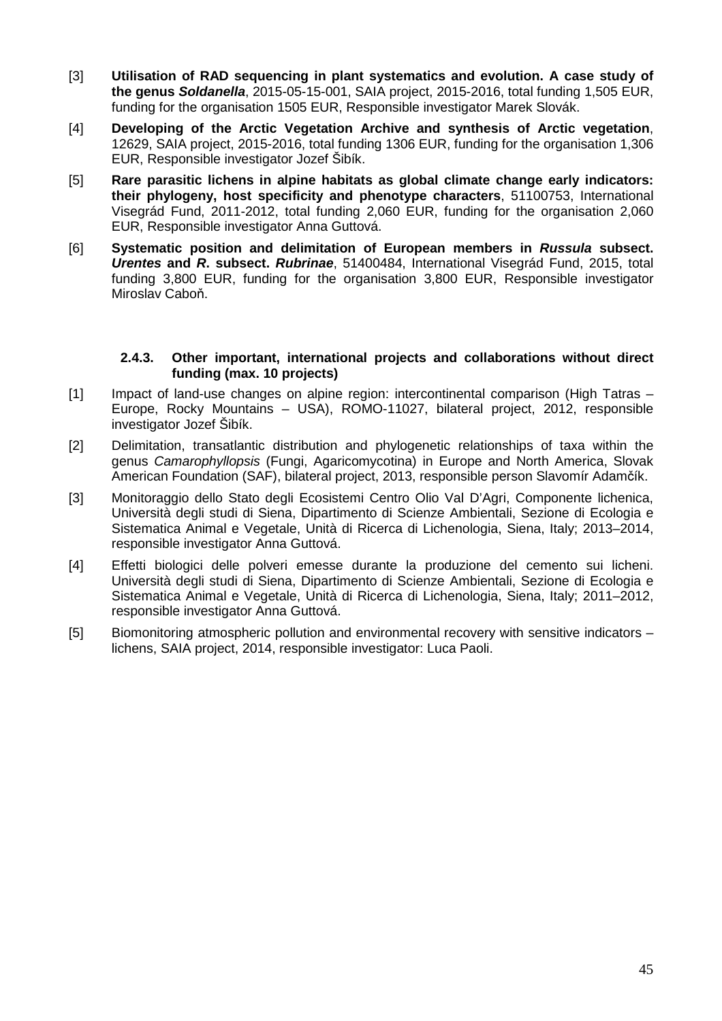- [3] **Utilisation of RAD sequencing in plant systematics and evolution. A case study of the genus Soldanella**, 2015-05-15-001, SAIA project, 2015-2016, total funding 1,505 EUR, funding for the organisation 1505 EUR, Responsible investigator Marek Slovák.
- [4] **Developing of the Arctic Vegetation Archive and synthesis of Arctic vegetation**, 12629, SAIA project, 2015-2016, total funding 1306 EUR, funding for the organisation 1,306 EUR, Responsible investigator Jozef Šibík.
- [5] **Rare parasitic lichens in alpine habitats as global climate change early indicators: their phylogeny, host specificity and phenotype characters**, 51100753, International Visegrád Fund, 2011-2012, total funding 2,060 EUR, funding for the organisation 2,060 EUR, Responsible investigator Anna Guttová.
- [6] **Systematic position and delimitation of European members in Russula subsect. Urentes and R. subsect. Rubrinae**, 51400484, International Visegrád Fund, 2015, total funding 3,800 EUR, funding for the organisation 3,800 EUR, Responsible investigator Miroslav Caboň.

# **2.4.3. Other important, international projects and collaborations without direct funding (max. 10 projects)**

- [1] Impact of land-use changes on alpine region: intercontinental comparison (High Tatras Europe, Rocky Mountains – USA), ROMO-11027, bilateral project, 2012, responsible investigator Jozef Šibík.
- [2] Delimitation, transatlantic distribution and phylogenetic relationships of taxa within the genus Camarophyllopsis (Fungi, Agaricomycotina) in Europe and North America, Slovak American Foundation (SAF), bilateral project, 2013, responsible person Slavomír Adamčík.
- [3] Monitoraggio dello Stato degli Ecosistemi Centro Olio Val D'Agri, Componente lichenica, Università degli studi di Siena, Dipartimento di Scienze Ambientali, Sezione di Ecologia e Sistematica Animal e Vegetale, Unità di Ricerca di Lichenologia, Siena, Italy; 2013–2014, responsible investigator Anna Guttová.
- [4] Effetti biologici delle polveri emesse durante la produzione del cemento sui licheni. Università degli studi di Siena, Dipartimento di Scienze Ambientali, Sezione di Ecologia e Sistematica Animal e Vegetale, Unità di Ricerca di Lichenologia, Siena, Italy; 2011–2012, responsible investigator Anna Guttová.
- [5] Biomonitoring atmospheric pollution and environmental recovery with sensitive indicators lichens, SAIA project, 2014, responsible investigator: Luca Paoli.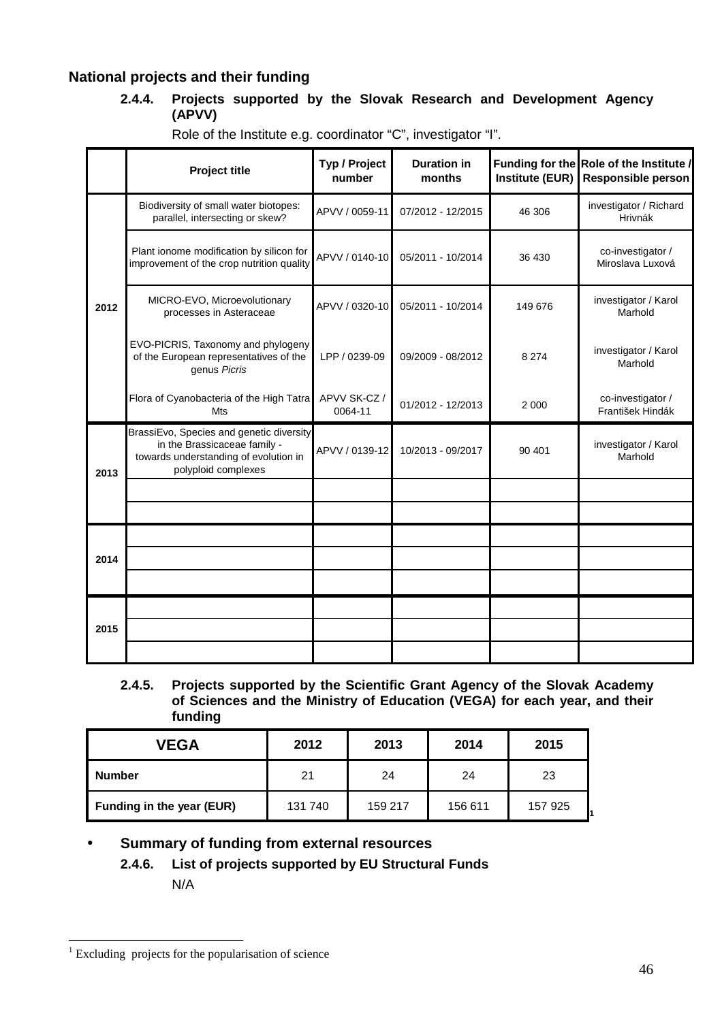# **National projects and their funding**

# **2.4.4. Projects supported by the Slovak Research and Development Agency (APVV)**

|      | <b>Project title</b>                                                                                                                     | Typ / Project<br>number | <b>Duration in</b><br>months | Institute (EUR) | Funding for the Role of the Institute /<br><b>Responsible person</b> |
|------|------------------------------------------------------------------------------------------------------------------------------------------|-------------------------|------------------------------|-----------------|----------------------------------------------------------------------|
|      | Biodiversity of small water biotopes:<br>parallel, intersecting or skew?                                                                 | APVV / 0059-11          | 07/2012 - 12/2015            | 46 30 6         | investigator / Richard<br>Hrivnák                                    |
|      | Plant ionome modification by silicon for<br>improvement of the crop nutrition quality                                                    | APVV / 0140-10          | 05/2011 - 10/2014            | 36 430          | co-investigator /<br>Miroslava Luxová                                |
| 2012 | MICRO-EVO, Microevolutionary<br>processes in Asteraceae                                                                                  | APVV / 0320-10          | 05/2011 - 10/2014            | 149 676         | investigator / Karol<br>Marhold                                      |
|      | EVO-PICRIS, Taxonomy and phylogeny<br>of the European representatives of the<br>genus Picris                                             | LPP / 0239-09           | 09/2009 - 08/2012            | 8 2 7 4         | investigator / Karol<br>Marhold                                      |
|      | Flora of Cyanobacteria of the High Tatra<br>Mts                                                                                          | APVV SK-CZ /<br>0064-11 | 01/2012 - 12/2013            | 2 0 0 0         | co-investigator /<br>František Hindák                                |
| 2013 | BrassiEvo, Species and genetic diversity<br>in the Brassicaceae family -<br>towards understanding of evolution in<br>polyploid complexes | APVV / 0139-12          | 10/2013 - 09/2017            | 90 401          | investigator / Karol<br>Marhold                                      |
|      |                                                                                                                                          |                         |                              |                 |                                                                      |
|      |                                                                                                                                          |                         |                              |                 |                                                                      |
| 2014 |                                                                                                                                          |                         |                              |                 |                                                                      |
|      |                                                                                                                                          |                         |                              |                 |                                                                      |
| 2015 |                                                                                                                                          |                         |                              |                 |                                                                      |
|      |                                                                                                                                          |                         |                              |                 |                                                                      |

Role of the Institute e.g. coordinator "C", investigator "I".

**2.4.5. Projects supported by the Scientific Grant Agency of the Slovak Academy of Sciences and the Ministry of Education (VEGA) for each year, and their funding** 

| <b>VEGA</b>               | 2012    | 2013    |         | 2015    |
|---------------------------|---------|---------|---------|---------|
| Number                    | 21      | 24      | 24      | 23      |
| Funding in the year (EUR) | 131 740 | 159 217 | 156 611 | 157 925 |

# • **Summary of funding from external resources**

# **2.4.6. List of projects supported by EU Structural Funds** N/A

<sup>&</sup>lt;sup>1</sup> Excluding projects for the popularisation of science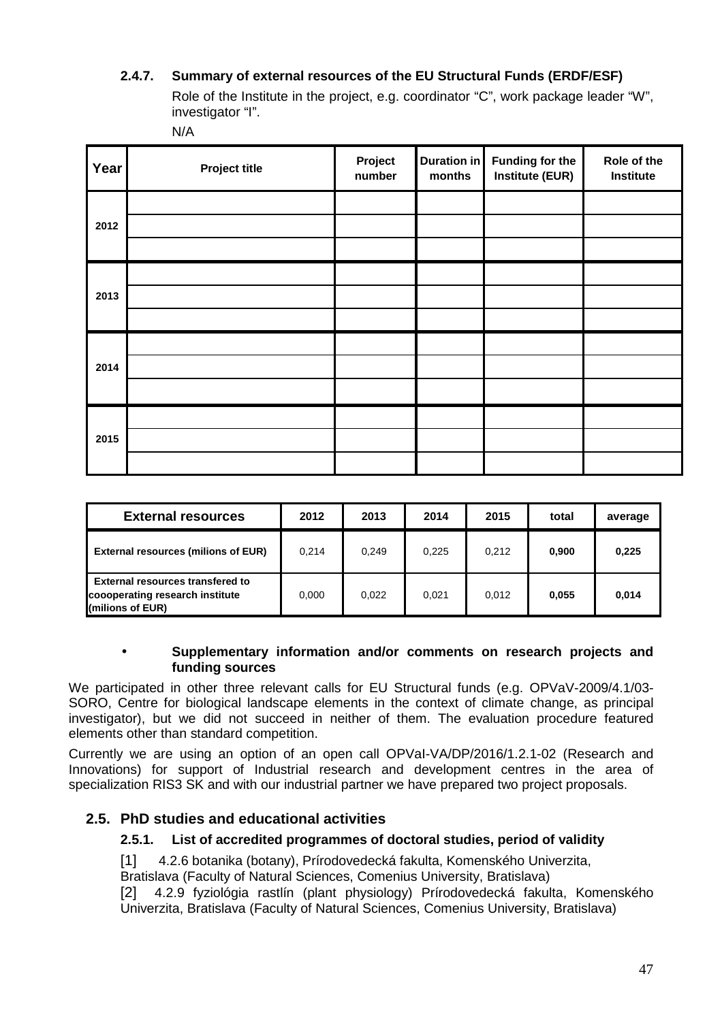# **2.4.7. Summary of external resources of the EU Structural Funds (ERDF/ESF)**

Role of the Institute in the project, e.g. coordinator "C", work package leader "W", investigator "I".

N/A

| Year | Project title | Project<br>number | Duration in<br>months | <b>Funding for the</b><br><b>Institute (EUR)</b> | Role of the<br>Institute |
|------|---------------|-------------------|-----------------------|--------------------------------------------------|--------------------------|
| 2012 |               |                   |                       |                                                  |                          |
|      |               |                   |                       |                                                  |                          |
|      |               |                   |                       |                                                  |                          |
| 2013 |               |                   |                       |                                                  |                          |
|      |               |                   |                       |                                                  |                          |
| 2014 |               |                   |                       |                                                  |                          |
|      |               |                   |                       |                                                  |                          |
| 2015 |               |                   |                       |                                                  |                          |
|      |               |                   |                       |                                                  |                          |

| <b>External resources</b>                                                                      | 2012  | 2013  | 2014  | 2015  | total | average |
|------------------------------------------------------------------------------------------------|-------|-------|-------|-------|-------|---------|
| <b>External resources (milions of EUR)</b>                                                     | 0.214 | 0.249 | 0.225 | 0.212 | 0.900 | 0.225   |
| <b>External resources transfered to</b><br>coooperating research institute<br>(milions of EUR) | 0.000 | 0.022 | 0.021 | 0.012 | 0.055 | 0.014   |

# • **Supplementary information and/or comments on research projects and funding sources**

We participated in other three relevant calls for EU Structural funds (e.g. OPVaV-2009/4.1/03- SORO, Centre for biological landscape elements in the context of climate change, as principal investigator), but we did not succeed in neither of them. The evaluation procedure featured elements other than standard competition.

Currently we are using an option of an open call OPVaI-VA/DP/2016/1.2.1-02 (Research and Innovations) for support of Industrial research and development centres in the area of specialization RIS3 SK and with our industrial partner we have prepared two project proposals.

# **2.5. PhD studies and educational activities**

# **2.5.1. List of accredited programmes of doctoral studies, period of validity**

[1] 4.2.6 botanika (botany), Prírodovedecká fakulta, Komenského Univerzita,

Bratislava (Faculty of Natural Sciences, Comenius University, Bratislava)

[2] 4.2.9 fyziológia rastlín (plant physiology) Prírodovedecká fakulta, Komenského Univerzita, Bratislava (Faculty of Natural Sciences, Comenius University, Bratislava)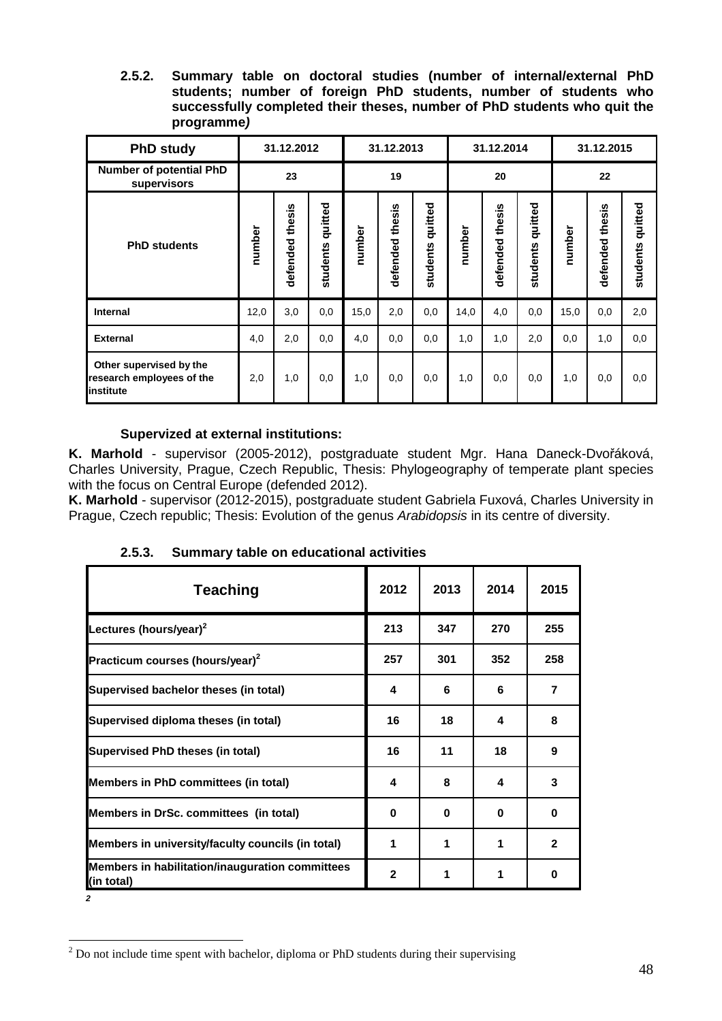**2.5.2. Summary table on doctoral studies (number of internal/external PhD students; number of foreign PhD students, number of students who successfully completed their theses, number of PhD students who quit the programme)** 

| <b>PhD study</b>                                                   |        | 31.12.2012                             |                     |        | 31.12.2013      |                     |        | 31.12.2014      |                     |        | 31.12.2015      |                     |
|--------------------------------------------------------------------|--------|----------------------------------------|---------------------|--------|-----------------|---------------------|--------|-----------------|---------------------|--------|-----------------|---------------------|
| Number of potential PhD<br>supervisors                             |        | 23                                     |                     |        | 19              |                     |        | 20              |                     |        | 22              |                     |
| <b>PhD students</b>                                                | number | sis<br>قع<br><del>11</del><br>defended | quitted<br>students | number | defended thesis | quitted<br>students | number | defended thesis | quitted<br>students | number | defended thesis | quitted<br>students |
| <b>Internal</b>                                                    | 12,0   | 3,0                                    | 0,0                 | 15,0   | 2,0             | 0,0                 | 14,0   | 4,0             | 0,0                 | 15,0   | 0,0             | 2,0                 |
| <b>External</b>                                                    | 4,0    | 2,0                                    | 0,0                 | 4,0    | 0,0             | 0,0                 | 1,0    | 1,0             | 2,0                 | 0,0    | 1,0             | 0,0                 |
| Other supervised by the<br>research employees of the<br>linstitute | 2,0    | 1,0                                    | 0,0                 | 1,0    | 0,0             | 0,0                 | 1,0    | 0,0             | 0,0                 | 1,0    | 0,0             | 0,0                 |

# **Supervized at external institutions:**

**K. Marhold** - supervisor (2005-2012), postgraduate student Mgr. Hana Daneck-Dvořáková, Charles University, Prague, Czech Republic, Thesis: Phylogeography of temperate plant species with the focus on Central Europe (defended 2012).

**K. Marhold** - supervisor (2012-2015), postgraduate student Gabriela Fuxová, Charles University in Prague, Czech republic; Thesis: Evolution of the genus Arabidopsis in its centre of diversity.

| 2.5.3. | <b>Summary table on educational activities</b> |
|--------|------------------------------------------------|
|--------|------------------------------------------------|

| 2012         | 2013     | 2014     | 2015           |
|--------------|----------|----------|----------------|
| 213          | 347      | 270      | 255            |
| 257          | 301      | 352      | 258            |
| 4            | 6        | 6        | $\overline{7}$ |
| 16           | 18       | 4        | 8              |
| 16           | 11       | 18       | 9              |
| 4            | 8        | 4        | 3              |
| $\bf{0}$     | $\bf{0}$ | $\bf{0}$ | $\Omega$       |
| 1            | 1        | 1        | $\overline{2}$ |
| $\mathbf{2}$ | 1        | 1        | $\bf{0}$       |
|              |          |          |                |

 $2^{2}$  Do not include time spent with bachelor, diploma or PhD students during their supervising

 $\overline{a}$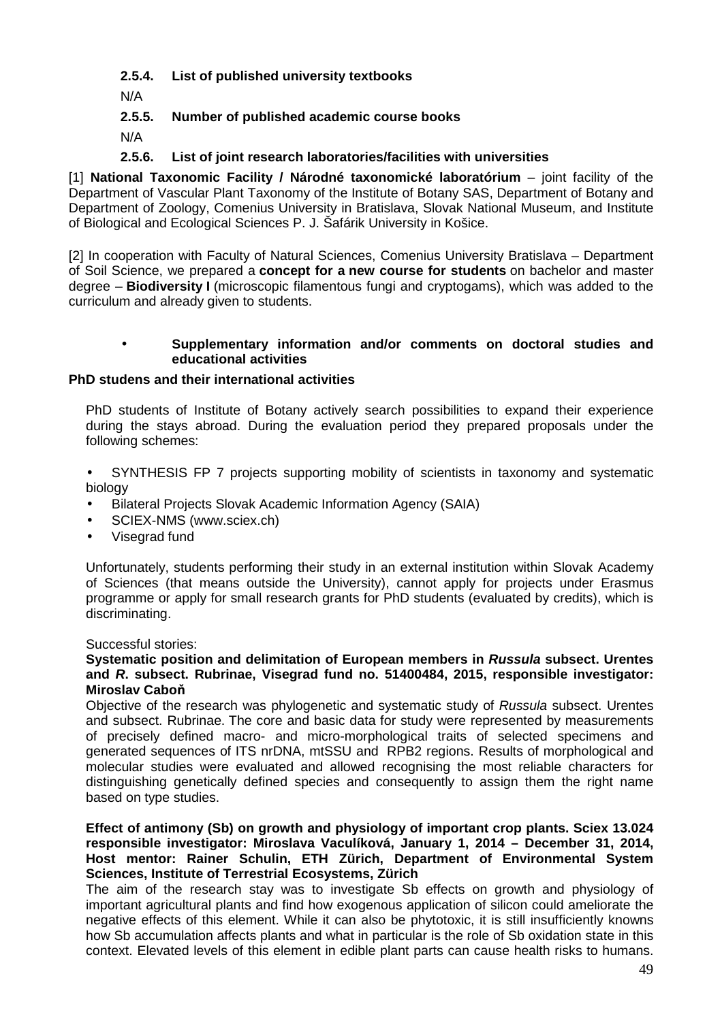**2.5.4. List of published university textbooks** 

N/A

# **2.5.5. Number of published academic course books**

N/A

# **2.5.6. List of joint research laboratories/facilities with universities**

[1] **National Taxonomic Facility / Národné taxonomické laboratórium** – joint facility of the Department of Vascular Plant Taxonomy of the Institute of Botany SAS, Department of Botany and Department of Zoology, Comenius University in Bratislava, Slovak National Museum, and Institute of Biological and Ecological Sciences P. J. Šafárik University in Košice.

[2] In cooperation with Faculty of Natural Sciences, Comenius University Bratislava – Department of Soil Science, we prepared a **concept for a new course for students** on bachelor and master degree – **Biodiversity I** (microscopic filamentous fungi and cryptogams), which was added to the curriculum and already given to students.

# • **Supplementary information and/or comments on doctoral studies and educational activities**

# **PhD studens and their international activities**

PhD students of Institute of Botany actively search possibilities to expand their experience during the stays abroad. During the evaluation period they prepared proposals under the following schemes:

• SYNTHESIS FP 7 projects supporting mobility of scientists in taxonomy and systematic biology

- Bilateral Projects Slovak Academic Information Agency (SAIA)
- SCIEX-NMS (www.sciex.ch)
- Visegrad fund

Unfortunately, students performing their study in an external institution within Slovak Academy of Sciences (that means outside the University), cannot apply for projects under Erasmus programme or apply for small research grants for PhD students (evaluated by credits), which is discriminating.

# Successful stories:

# **Systematic position and delimitation of European members in Russula subsect. Urentes and R. subsect. Rubrinae, Visegrad fund no. 51400484, 2015, responsible investigator: Miroslav Cabo**ň

Objective of the research was phylogenetic and systematic study of Russula subsect. Urentes and subsect. Rubrinae. The core and basic data for study were represented by measurements of precisely defined macro- and micro-morphological traits of selected specimens and generated sequences of ITS nrDNA, mtSSU and RPB2 regions. Results of morphological and molecular studies were evaluated and allowed recognising the most reliable characters for distinguishing genetically defined species and consequently to assign them the right name based on type studies.

# **Effect of antimony (Sb) on growth and physiology of important crop plants. Sciex 13.024 responsible investigator: Miroslava Vaculíková, January 1, 2014 – December 31, 2014, Host mentor: Rainer Schulin, ETH Zürich, Department of Environmental System Sciences, Institute of Terrestrial Ecosystems, Zürich**

The aim of the research stay was to investigate Sb effects on growth and physiology of important agricultural plants and find how exogenous application of silicon could ameliorate the negative effects of this element. While it can also be phytotoxic, it is still insufficiently knowns how Sb accumulation affects plants and what in particular is the role of Sb oxidation state in this context. Elevated levels of this element in edible plant parts can cause health risks to humans.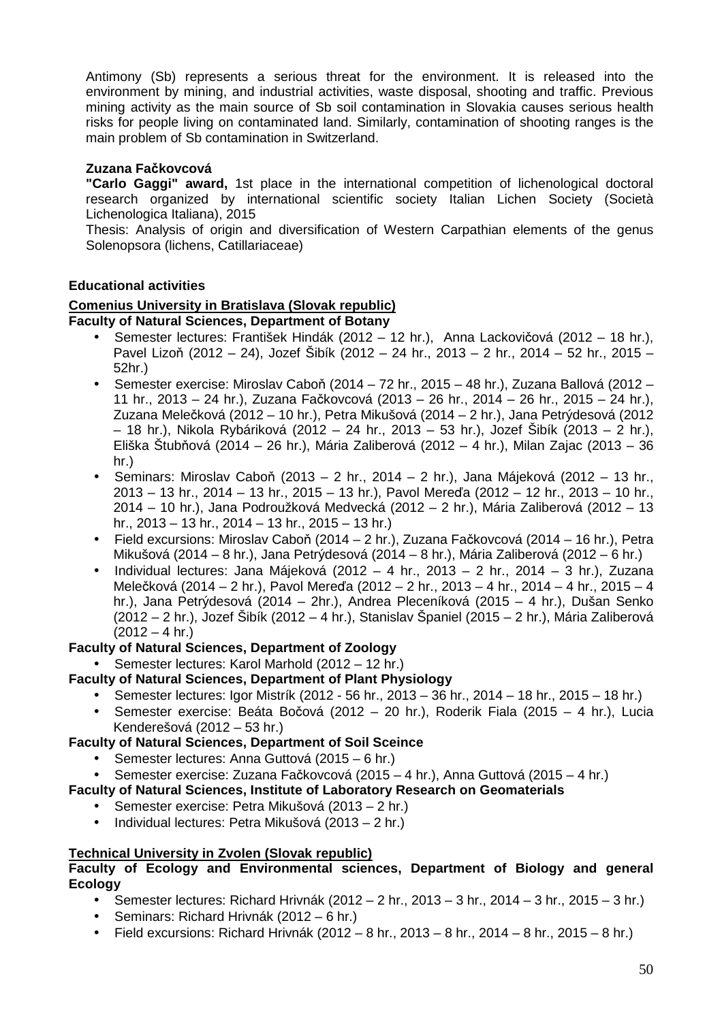Antimony (Sb) represents a serious threat for the environment. It is released into the environment by mining, and industrial activities, waste disposal, shooting and traffic. Previous mining activity as the main source of Sb soil contamination in Slovakia causes serious health risks for people living on contaminated land. Similarly, contamination of shooting ranges is the main problem of Sb contamination in Switzerland.

# **Zuzana Fa**č**kovcová**

**"Carlo Gaggi" award,** 1st place in the international competition of lichenological doctoral research organized by international scientific society Italian Lichen Society (Società Lichenologica Italiana), 2015

Thesis: Analysis of origin and diversification of Western Carpathian elements of the genus Solenopsora (lichens, Catillariaceae)

# **Educational activities**

#### **Comenius University in Bratislava (Slovak republic) Faculty of Natural Sciences, Department of Botany**

- Semester lectures: František Hindák (2012 12 hr.), Anna Lackovičová (2012 18 hr.), Pavel Lizoň (2012 – 24), Jozef Šibík (2012 – 24 hr., 2013 – 2 hr., 2014 – 52 hr., 2015 – 52hr.)
- Semester exercise: Miroslav Caboň (2014 72 hr., 2015 48 hr.), Zuzana Ballová (2012 11 hr., 2013 – 24 hr.), Zuzana Fačkovcová (2013 – 26 hr., 2014 – 26 hr., 2015 – 24 hr.), Zuzana Melečková (2012 – 10 hr.), Petra Mikušová (2014 – 2 hr.), Jana Petrýdesová (2012 – 18 hr.), Nikola Rybáriková (2012 – 24 hr., 2013 – 53 hr.), Jozef Šibík (2013 – 2 hr.), Eliška Štubňová (2014 – 26 hr.), Mária Zaliberová (2012 – 4 hr.), Milan Zajac (2013 – 36 hr.)
- Seminars: Miroslav Caboň (2013 2 hr., 2014 2 hr.), Jana Májeková (2012 13 hr., 2013 – 13 hr., 2014 – 13 hr., 2015 – 13 hr.), Pavol Mereďa (2012 – 12 hr., 2013 – 10 hr., 2014 – 10 hr.), Jana Podroužková Medvecká (2012 – 2 hr.), Mária Zaliberová (2012 – 13 hr., 2013 – 13 hr., 2014 – 13 hr., 2015 – 13 hr.)
- Field excursions: Miroslav Caboň (2014 2 hr.), Zuzana Fačkovcová (2014 16 hr.), Petra Mikušová (2014 – 8 hr.), Jana Petrýdesová (2014 – 8 hr.), Mária Zaliberová (2012 – 6 hr.)
- Individual lectures: Jana Májeková (2012 4 hr., 2013 2 hr., 2014 3 hr.), Zuzana Melečková (2014 – 2 hr.), Pavol Mereďa (2012 – 2 hr., 2013 – 4 hr., 2014 – 4 hr., 2015 – 4 hr.), Jana Petrýdesová (2014 – 2hr.), Andrea Pleceníková (2015 – 4 hr.), Dušan Senko (2012 – 2 hr.), Jozef Šibík (2012 – 4 hr.), Stanislav Španiel (2015 – 2 hr.), Mária Zaliberová  $(2012 - 4 hr.)$

# **Faculty of Natural Sciences, Department of Zoology**

• Semester lectures: Karol Marhold (2012 – 12 hr.)

# **Faculty of Natural Sciences, Department of Plant Physiology**

- Semester lectures: Igor Mistrík (2012 56 hr., 2013 36 hr., 2014 18 hr., 2015 18 hr.)
- Semester exercise: Beáta Bočová (2012 20 hr.), Roderik Fiala (2015 4 hr.), Lucia Kenderešová (2012 – 53 hr.)

# **Faculty of Natural Sciences, Department of Soil Sceince**

- Semester lectures: Anna Guttová (2015 6 hr.)
- Semester exercise: Zuzana Fačkovcová (2015 4 hr.), Anna Guttová (2015 4 hr.)

**Faculty of Natural Sciences, Institute of Laboratory Research on Geomaterials** 

- Semester exercise: Petra Mikušová (2013 2 hr.)
- Individual lectures: Petra Mikušová (2013 2 hr.)

# **Technical University in Zvolen (Slovak republic)**

# **Faculty of Ecology and Environmental sciences, Department of Biology and general Ecology**

- Semester lectures: Richard Hrivnák (2012 2 hr., 2013 3 hr., 2014 3 hr., 2015 3 hr.)
- Seminars: Richard Hrivnák (2012 6 hr.)
- Field excursions: Richard Hrivnák (2012 8 hr., 2013 8 hr., 2014 8 hr., 2015 8 hr.)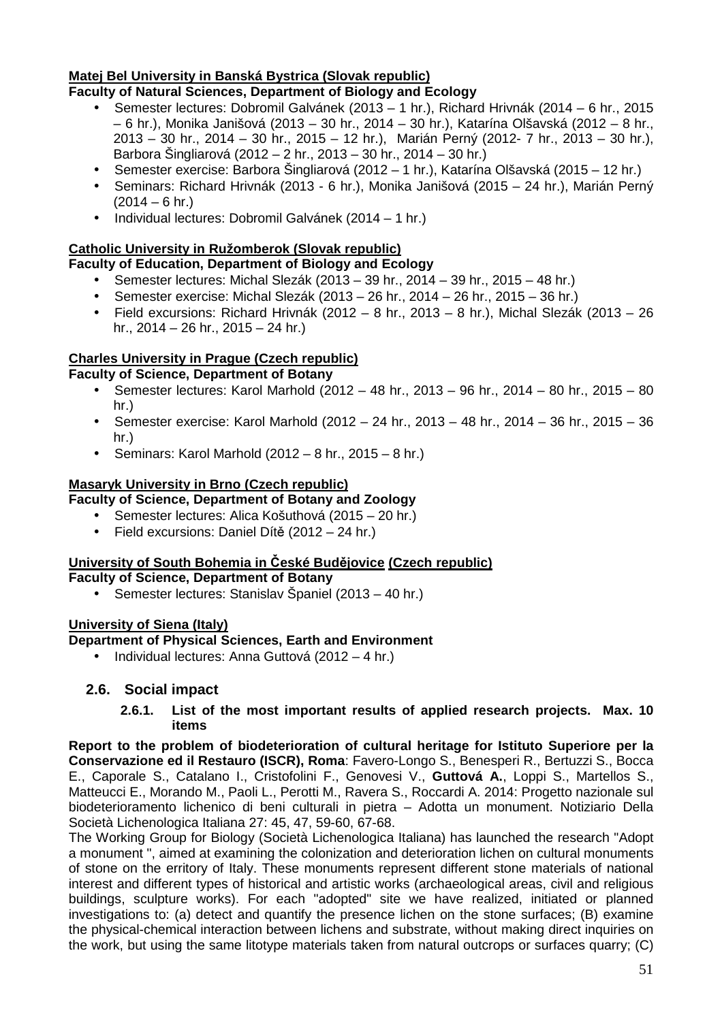# **Matej Bel University in Banská Bystrica (Slovak republic)**

# **Faculty of Natural Sciences, Department of Biology and Ecology**

- Semester lectures: Dobromil Galvánek (2013 1 hr.), Richard Hrivnák (2014 6 hr., 2015 – 6 hr.), Monika Janišová (2013 – 30 hr., 2014 – 30 hr.), Katarína Olšavská (2012 – 8 hr., 2013 – 30 hr., 2014 – 30 hr., 2015 – 12 hr.), Marián Perný (2012- 7 hr., 2013 – 30 hr.), Barbora Šingliarová (2012 – 2 hr., 2013 – 30 hr., 2014 – 30 hr.)
- Semester exercise: Barbora Šingliarová (2012 1 hr.), Katarína Olšavská (2015 12 hr.)
- Seminars: Richard Hrivnák (2013 6 hr.), Monika Janišová (2015 24 hr.), Marián Perný  $(2014 - 6)$  hr.)
- Individual lectures: Dobromil Galvánek (2014 1 hr.)

# **Catholic University in Ružomberok (Slovak republic)**

# **Faculty of Education, Department of Biology and Ecology**

- Semester lectures: Michal Slezák (2013 39 hr., 2014 39 hr., 2015 48 hr.)
- Semester exercise: Michal Slezák (2013 26 hr., 2014 26 hr., 2015 36 hr.)
- Field excursions: Richard Hrivnák (2012 8 hr., 2013 8 hr.), Michal Slezák (2013 26 hr., 2014 – 26 hr., 2015 – 24 hr.)

# **Charles University in Prague (Czech republic)**

# **Faculty of Science, Department of Botany**

- Semester lectures: Karol Marhold (2012 48 hr., 2013 96 hr., 2014 80 hr., 2015 80 hr.)
- Semester exercise: Karol Marhold (2012 24 hr., 2013 48 hr., 2014 36 hr., 2015 36 hr.)
- Seminars: Karol Marhold  $(2012 8)$  hr.,  $2015 8$  hr.)

# **Masaryk University in Brno (Czech republic)**

# **Faculty of Science, Department of Botany and Zoology**

- Semester lectures: Alica Košuthová (2015 20 hr.)
- Field excursions: Daniel Dítě (2012 24 hr.)

# **University of South Bohemia in** Č**eské Bud**ě**jovice (Czech republic)**

# **Faculty of Science, Department of Botany**

• Semester lectures: Stanislav Španiel (2013 – 40 hr.)

# **University of Siena (Italy)**

# **Department of Physical Sciences, Earth and Environment**

• Individual lectures: Anna Guttová (2012 – 4 hr.)

# **2.6. Social impact**

#### **2.6.1. List of the most important results of applied research projects. Max. 10 items**

**Report to the problem of biodeterioration of cultural heritage for Istituto Superiore per la Conservazione ed il Restauro (ISCR), Roma**: Favero-Longo S., Benesperi R., Bertuzzi S., Bocca E., Caporale S., Catalano I., Cristofolini F., Genovesi V., **Guttová A.**, Loppi S., Martellos S., Matteucci E., Morando M., Paoli L., Perotti M., Ravera S., Roccardi A. 2014: Progetto nazionale sul biodeterioramento lichenico di beni culturali in pietra – Adotta un monument. Notiziario Della Società Lichenologica Italiana 27: 45, 47, 59-60, 67-68.

The Working Group for Biology (Società Lichenologica Italiana) has launched the research "Adopt a monument ", aimed at examining the colonization and deterioration lichen on cultural monuments of stone on the erritory of Italy. These monuments represent different stone materials of national interest and different types of historical and artistic works (archaeological areas, civil and religious buildings, sculpture works). For each "adopted" site we have realized, initiated or planned investigations to: (a) detect and quantify the presence lichen on the stone surfaces; (B) examine the physical-chemical interaction between lichens and substrate, without making direct inquiries on the work, but using the same litotype materials taken from natural outcrops or surfaces quarry; (C)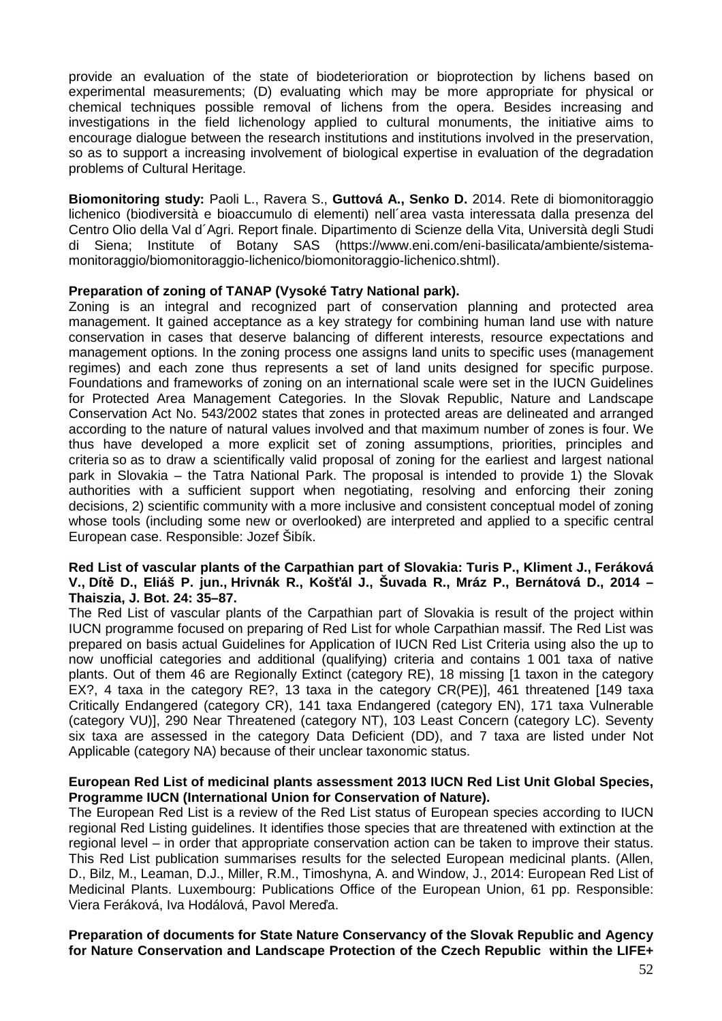provide an evaluation of the state of biodeterioration or bioprotection by lichens based on experimental measurements; (D) evaluating which may be more appropriate for physical or chemical techniques possible removal of lichens from the opera. Besides increasing and investigations in the field lichenology applied to cultural monuments, the initiative aims to encourage dialogue between the research institutions and institutions involved in the preservation, so as to support a increasing involvement of biological expertise in evaluation of the degradation problems of Cultural Heritage.

**Biomonitoring study:** Paoli L., Ravera S., **Guttová A., Senko D.** 2014. Rete di biomonitoraggio lichenico (biodiversità e bioaccumulo di elementi) nell´area vasta interessata dalla presenza del Centro Olio della Val d´Agri. Report finale. Dipartimento di Scienze della Vita, Università degli Studi di Siena; Institute of Botany SAS (https://www.eni.com/eni-basilicata/ambiente/sistemamonitoraggio/biomonitoraggio-lichenico/biomonitoraggio-lichenico.shtml).

#### **Preparation of zoning of TANAP (Vysoké Tatry National park).**

Zoning is an integral and recognized part of conservation planning and protected area management. It gained acceptance as a key strategy for combining human land use with nature conservation in cases that deserve balancing of different interests, resource expectations and management options. In the zoning process one assigns land units to specific uses (management regimes) and each zone thus represents a set of land units designed for specific purpose. Foundations and frameworks of zoning on an international scale were set in the IUCN Guidelines for Protected Area Management Categories. In the Slovak Republic, Nature and Landscape Conservation Act No. 543/2002 states that zones in protected areas are delineated and arranged according to the nature of natural values involved and that maximum number of zones is four. We thus have developed a more explicit set of zoning assumptions, priorities, principles and criteria so as to draw a scientifically valid proposal of zoning for the earliest and largest national park in Slovakia – the Tatra National Park. The proposal is intended to provide 1) the Slovak authorities with a sufficient support when negotiating, resolving and enforcing their zoning decisions, 2) scientific community with a more inclusive and consistent conceptual model of zoning whose tools (including some new or overlooked) are interpreted and applied to a specific central European case. Responsible: Jozef Šibík.

#### **Red List of vascular plants of the Carpathian part of Slovakia: Turis P., Kliment J., Feráková V., Dít**ě **D., Eliáš P. jun., Hrivnák R., Koš**ť**ál J., Šuvada R., Mráz P., Bernátová D., 2014 – Thaiszia, J. Bot. 24: 35–87.**

The Red List of vascular plants of the Carpathian part of Slovakia is result of the project within IUCN programme focused on preparing of Red List for whole Carpathian massif. The Red List was prepared on basis actual Guidelines for Application of IUCN Red List Criteria using also the up to now unofficial categories and additional (qualifying) criteria and contains 1 001 taxa of native plants. Out of them 46 are Regionally Extinct (category RE), 18 missing [1 taxon in the category EX?, 4 taxa in the category RE?, 13 taxa in the category CR(PE)], 461 threatened [149 taxa Critically Endangered (category CR), 141 taxa Endangered (category EN), 171 taxa Vulnerable (category VU)], 290 Near Threatened (category NT), 103 Least Concern (category LC). Seventy six taxa are assessed in the category Data Deficient (DD), and 7 taxa are listed under Not Applicable (category NA) because of their unclear taxonomic status.

#### **European Red List of medicinal plants assessment 2013 IUCN Red List Unit Global Species, Programme IUCN (International Union for Conservation of Nature).**

The European Red List is a review of the Red List status of European species according to IUCN regional Red Listing guidelines. It identifies those species that are threatened with extinction at the regional level – in order that appropriate conservation action can be taken to improve their status. This Red List publication summarises results for the selected European medicinal plants. (Allen, D., Bilz, M., Leaman, D.J., Miller, R.M., Timoshyna, A. and Window, J., 2014: European Red List of Medicinal Plants. Luxembourg: Publications Office of the European Union, 61 pp. Responsible: Viera Feráková, Iva Hodálová, Pavol Mereďa.

**Preparation of documents for State Nature Conservancy of the Slovak Republic and Agency for Nature Conservation and Landscape Protection of the Czech Republic within the LIFE+**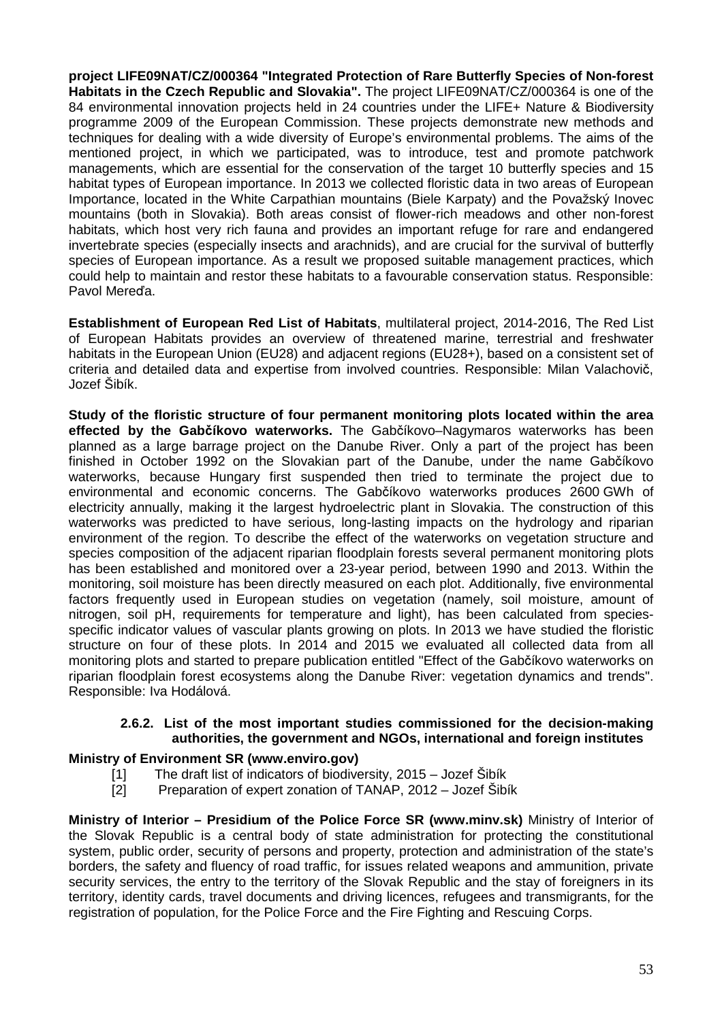**project LIFE09NAT/CZ/000364 "Integrated Protection of Rare Butterfly Species of Non-forest Habitats in the Czech Republic and Slovakia".** The project LIFE09NAT/CZ/000364 is one of the 84 environmental innovation projects held in 24 countries under the LIFE+ Nature & Biodiversity programme 2009 of the European Commission. These projects demonstrate new methods and techniques for dealing with a wide diversity of Europe's environmental problems. The aims of the mentioned project, in which we participated, was to introduce, test and promote patchwork managements, which are essential for the conservation of the target 10 butterfly species and 15 habitat types of European importance. In 2013 we collected floristic data in two areas of European Importance, located in the White Carpathian mountains (Biele Karpaty) and the Považský Inovec mountains (both in Slovakia). Both areas consist of flower-rich meadows and other non-forest habitats, which host very rich fauna and provides an important refuge for rare and endangered invertebrate species (especially insects and arachnids), and are crucial for the survival of butterfly species of European importance. As a result we proposed suitable management practices, which could help to maintain and restor these habitats to a favourable conservation status. Responsible: Pavol Mereďa.

**Establishment of European Red List of Habitats**, multilateral project, 2014-2016, The Red List of European Habitats provides an overview of threatened marine, terrestrial and freshwater habitats in the European Union (EU28) and adiacent regions (EU28+), based on a consistent set of criteria and detailed data and expertise from involved countries. Responsible: Milan Valachovič, Jozef Šibík.

**Study of the floristic structure of four permanent monitoring plots located within the area effected by the Gab**č**íkovo waterworks.** The Gabčíkovo–Nagymaros waterworks has been planned as a large barrage project on the Danube River. Only a part of the project has been finished in October 1992 on the Slovakian part of the Danube, under the name Gabčíkovo waterworks, because Hungary first suspended then tried to terminate the project due to environmental and economic concerns. The Gabčíkovo waterworks produces 2600 GWh of electricity annually, making it the largest hydroelectric plant in Slovakia. The construction of this waterworks was predicted to have serious, long-lasting impacts on the hydrology and riparian environment of the region. To describe the effect of the waterworks on vegetation structure and species composition of the adjacent riparian floodplain forests several permanent monitoring plots has been established and monitored over a 23-year period, between 1990 and 2013. Within the monitoring, soil moisture has been directly measured on each plot. Additionally, five environmental factors frequently used in European studies on vegetation (namely, soil moisture, amount of nitrogen, soil pH, requirements for temperature and light), has been calculated from speciesspecific indicator values of vascular plants growing on plots. In 2013 we have studied the floristic structure on four of these plots. In 2014 and 2015 we evaluated all collected data from all monitoring plots and started to prepare publication entitled "Effect of the Gabčíkovo waterworks on riparian floodplain forest ecosystems along the Danube River: vegetation dynamics and trends". Responsible: Iva Hodálová.

# **2.6.2. List of the most important studies commissioned for the decision-making authorities, the government and NGOs, international and foreign institutes**

# **Ministry of Environment SR (www.enviro.gov)**

- [1] The draft list of indicators of biodiversity, 2015 Jozef Šibík
- [2] Preparation of expert zonation of TANAP, 2012 Jozef Šibík

**Ministry of Interior – Presidium of the Police Force SR (www.minv.sk)** Ministry of Interior of the Slovak Republic is a central body of state administration for protecting the constitutional system, public order, security of persons and property, protection and administration of the state's borders, the safety and fluency of road traffic, for issues related weapons and ammunition, private security services, the entry to the territory of the Slovak Republic and the stay of foreigners in its territory, identity cards, travel documents and driving licences, refugees and transmigrants, for the registration of population, for the Police Force and the Fire Fighting and Rescuing Corps.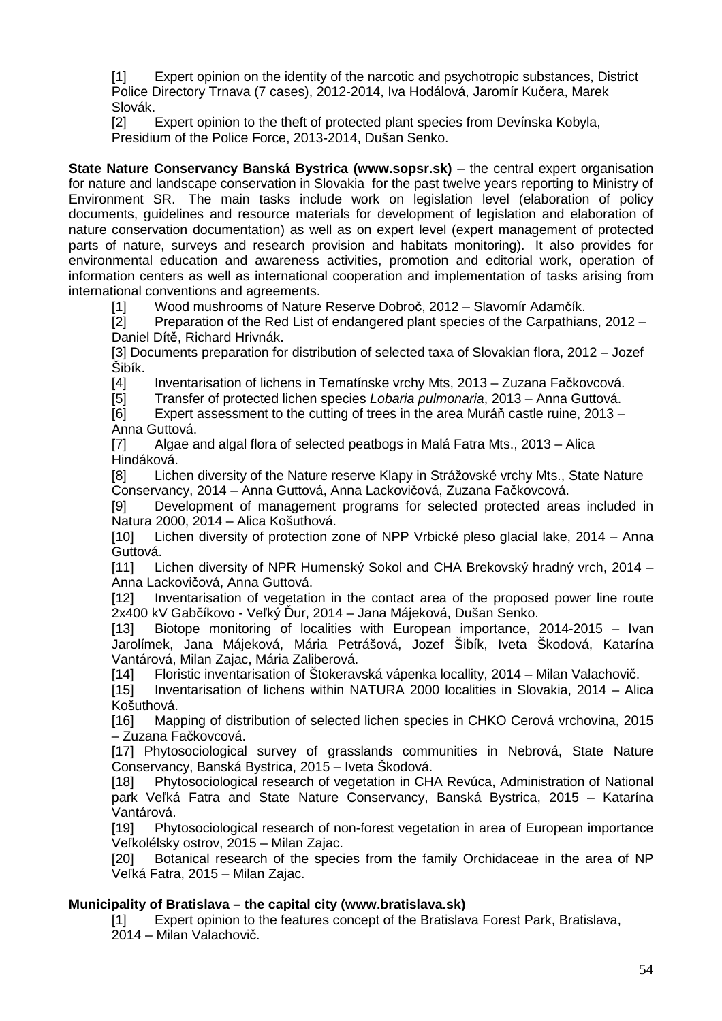[1] Expert opinion on the identity of the narcotic and psychotropic substances, District Police Directory Trnava (7 cases), 2012-2014, Iva Hodálová, Jaromír Kučera, Marek Slovák.

[2] Expert opinion to the theft of protected plant species from Devínska Kobyla, Presidium of the Police Force, 2013-2014, Dušan Senko.

**State Nature Conservancy Banská Bystrica (www.sopsr.sk)** – the central expert organisation for nature and landscape conservation in Slovakia for the past twelve years reporting to Ministry of Environment SR. The main tasks include work on legislation level (elaboration of policy documents, guidelines and resource materials for development of legislation and elaboration of nature conservation documentation) as well as on expert level (expert management of protected parts of nature, surveys and research provision and habitats monitoring). It also provides for environmental education and awareness activities, promotion and editorial work, operation of information centers as well as international cooperation and implementation of tasks arising from international conventions and agreements.

[1] Wood mushrooms of Nature Reserve Dobroč, 2012 – Slavomír Adamčík.

[2] Preparation of the Red List of endangered plant species of the Carpathians, 2012 – Daniel Dítě, Richard Hrivnák.

[3] Documents preparation for distribution of selected taxa of Slovakian flora, 2012 – Jozef Šibík.

[4] Inventarisation of lichens in Tematínske vrchy Mts, 2013 – Zuzana Fačkovcová.

[5] Transfer of protected lichen species Lobaria pulmonaria, 2013 – Anna Guttová.

[6] Expert assessment to the cutting of trees in the area Muráň castle ruine, 2013 – Anna Guttová.

[7] Algae and algal flora of selected peatbogs in Malá Fatra Mts., 2013 – Alica Hindáková.

[8] Lichen diversity of the Nature reserve Klapy in Strážovské vrchy Mts., State Nature Conservancy, 2014 – Anna Guttová, Anna Lackovičová, Zuzana Fačkovcová.

[9] Development of management programs for selected protected areas included in Natura 2000, 2014 – Alica Košuthová.

[10] Lichen diversity of protection zone of NPP Vrbické pleso glacial lake, 2014 – Anna Guttová.

[11] Lichen diversity of NPR Humenský Sokol and CHA Brekovský hradný vrch, 2014 – Anna Lackovičová, Anna Guttová.

[12] Inventarisation of vegetation in the contact area of the proposed power line route 2x400 kV Gabčíkovo - Veľký Ďur, 2014 – Jana Májeková, Dušan Senko.

[13] Biotope monitoring of localities with European importance, 2014-2015 – Ivan Jarolímek, Jana Májeková, Mária Petrášová, Jozef Šibík, Iveta Škodová, Katarína Vantárová, Milan Zajac, Mária Zaliberová.

[14] Floristic inventarisation of Štokeravská vápenka locallity, 2014 – Milan Valachovič.

[15] Inventarisation of lichens within NATURA 2000 localities in Slovakia, 2014 – Alica Košuthová.

[16] Mapping of distribution of selected lichen species in CHKO Cerová vrchovina, 2015 – Zuzana Fačkovcová.

[17] Phytosociological survey of grasslands communities in Nebrová, State Nature Conservancy, Banská Bystrica, 2015 – Iveta Škodová.

[18] Phytosociological research of vegetation in CHA Revúca, Administration of National park Veľká Fatra and State Nature Conservancy, Banská Bystrica, 2015 – Katarína Vantárová.

[19] Phytosociological research of non-forest vegetation in area of European importance Veľkolélsky ostrov, 2015 – Milan Zajac.

[20] Botanical research of the species from the family Orchidaceae in the area of NP Veľká Fatra, 2015 – Milan Zajac.

# **Municipality of Bratislava – the capital city (www.bratislava.sk)**

[1] Expert opinion to the features concept of the Bratislava Forest Park, Bratislava,

2014 – Milan Valachovič.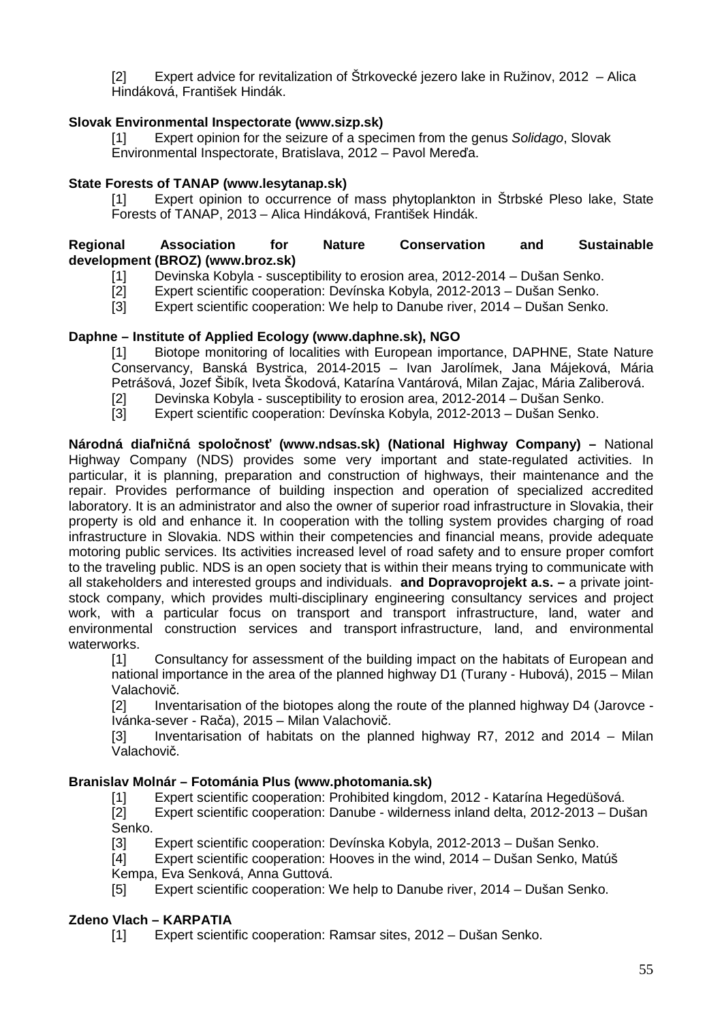[2] Expert advice for revitalization of Štrkovecké jezero lake in Ružinov, 2012 – Alica Hindáková, František Hindák.

# **Slovak Environmental Inspectorate (www.sizp.sk)**

[1] Expert opinion for the seizure of a specimen from the genus Solidago, Slovak Environmental Inspectorate, Bratislava, 2012 – Pavol Mereďa.

# **State Forests of TANAP (www.lesytanap.sk)**

[1] Expert opinion to occurrence of mass phytoplankton in Štrbské Pleso lake, State Forests of TANAP, 2013 – Alica Hindáková, František Hindák.

# **Regional Association for Nature Conservation and Sustainable development (BROZ) (www.broz.sk)**

- [1] Devinska Kobyla susceptibility to erosion area, 2012-2014 Dušan Senko.
- [2] Expert scientific cooperation: Devínska Kobyla, 2012-2013 Dušan Senko.
- [3] Expert scientific cooperation: We help to Danube river, 2014 Dušan Senko.

# **Daphne – Institute of Applied Ecology (www.daphne.sk), NGO**

[1] Biotope monitoring of localities with European importance, DAPHNE, State Nature Conservancy, Banská Bystrica, 2014-2015 – Ivan Jarolímek, Jana Májeková, Mária Petrášová, Jozef Šibík, Iveta Škodová, Katarína Vantárová, Milan Zajac, Mária Zaliberová. [2] Devinska Kobyla - susceptibility to erosion area, 2012-2014 – Dušan Senko.

[3] Expert scientific cooperation: Devínska Kobyla, 2012-2013 – Dušan Senko.

**Národná dia**ľ**ni**č**ná spolo**č**nos**ť **(www.ndsas.sk) (National Highway Company) –** National Highway Company (NDS) provides some very important and state-regulated activities. In particular, it is planning, preparation and construction of highways, their maintenance and the repair. Provides performance of building inspection and operation of specialized accredited laboratory. It is an administrator and also the owner of superior road infrastructure in Slovakia, their property is old and enhance it. In cooperation with the tolling system provides charging of road infrastructure in Slovakia. NDS within their competencies and financial means, provide adequate motoring public services. Its activities increased level of road safety and to ensure proper comfort to the traveling public. NDS is an open society that is within their means trying to communicate with all stakeholders and interested groups and individuals. **and Dopravoprojekt a.s. –** a private jointstock company, which provides multi-disciplinary engineering consultancy services and project work, with a particular focus on transport and transport infrastructure, land, water and environmental construction services and transport infrastructure, land, and environmental waterworks.

[1] Consultancy for assessment of the building impact on the habitats of European and national importance in the area of the planned highway D1 (Turany - Hubová), 2015 – Milan Valachovič.

[2] Inventarisation of the biotopes along the route of the planned highway D4 (Jarovce - Ivánka-sever - Rača), 2015 – Milan Valachovič.

[3] Inventarisation of habitats on the planned highway R7, 2012 and 2014 – Milan Valachovič.

# **Branislav Molnár – Fotománia Plus (www.photomania.sk)**

[1] Expert scientific cooperation: Prohibited kingdom, 2012 - Katarína Hegedüšová.

[2] Expert scientific cooperation: Danube - wilderness inland delta, 2012-2013 – Dušan Senko.

- [3] Expert scientific cooperation: Devínska Kobyla, 2012-2013 Dušan Senko.
- [4] Expert scientific cooperation: Hooves in the wind, 2014 Dušan Senko, Matúš
- Kempa, Eva Senková, Anna Guttová.
- [5] Expert scientific cooperation: We help to Danube river, 2014 Dušan Senko.

# **Zdeno Vlach – KARPATIA**

[1] Expert scientific cooperation: Ramsar sites, 2012 – Dušan Senko.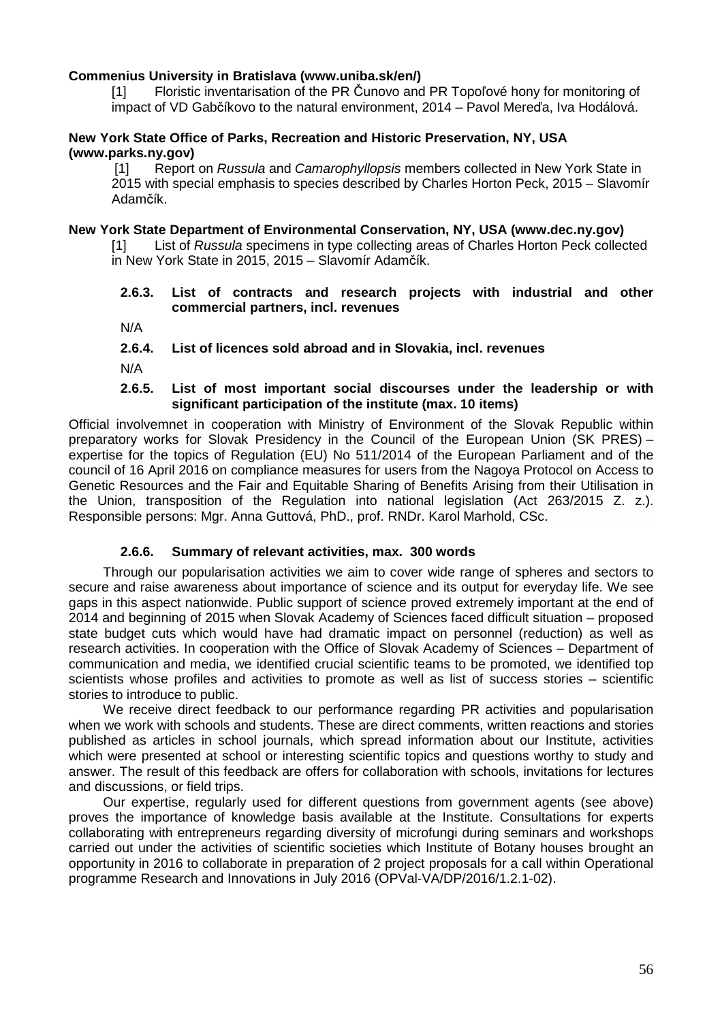#### **Commenius University in Bratislava (www.uniba.sk/en/)**

[1] Floristic inventarisation of the PR Čunovo and PR Topoľové hony for monitoring of impact of VD Gabčíkovo to the natural environment, 2014 – Pavol Mereďa, Iva Hodálová.

#### **New York State Office of Parks, Recreation and Historic Preservation, NY, USA (www.parks.ny.gov)**

[1] Report on Russula and Camarophyllopsis members collected in New York State in 2015 with special emphasis to species described by Charles Horton Peck, 2015 – Slavomír Adamčík.

#### **New York State Department of Environmental Conservation, NY, USA (www.dec.ny.gov)**

[1] List of Russula specimens in type collecting areas of Charles Horton Peck collected in New York State in 2015, 2015 – Slavomír Adamčík.

# **2.6.3. List of contracts and research projects with industrial and other commercial partners, incl. revenues**

N/A

**2.6.4. List of licences sold abroad and in Slovakia, incl. revenues** 

N/A

#### **2.6.5. List of most important social discourses under the leadership or with significant participation of the institute (max. 10 items)**

Official involvemnet in cooperation with Ministry of Environment of the Slovak Republic within preparatory works for Slovak Presidency in the Council of the European Union (SK PRES) – expertise for the topics of Regulation (EU) No 511/2014 of the European Parliament and of the council of 16 April 2016 on compliance measures for users from the Nagoya Protocol on Access to Genetic Resources and the Fair and Equitable Sharing of Benefits Arising from their Utilisation in the Union, transposition of the Regulation into national legislation (Act 263/2015 Z. z.). Responsible persons: Mgr. Anna Guttová, PhD., prof. RNDr. Karol Marhold, CSc.

# **2.6.6. Summary of relevant activities, max. 300 words**

 Through our popularisation activities we aim to cover wide range of spheres and sectors to secure and raise awareness about importance of science and its output for everyday life. We see gaps in this aspect nationwide. Public support of science proved extremely important at the end of 2014 and beginning of 2015 when Slovak Academy of Sciences faced difficult situation – proposed state budget cuts which would have had dramatic impact on personnel (reduction) as well as research activities. In cooperation with the Office of Slovak Academy of Sciences – Department of communication and media, we identified crucial scientific teams to be promoted, we identified top scientists whose profiles and activities to promote as well as list of success stories – scientific stories to introduce to public.

 We receive direct feedback to our performance regarding PR activities and popularisation when we work with schools and students. These are direct comments, written reactions and stories published as articles in school journals, which spread information about our Institute, activities which were presented at school or interesting scientific topics and questions worthy to study and answer. The result of this feedback are offers for collaboration with schools, invitations for lectures and discussions, or field trips.

 Our expertise, regularly used for different questions from government agents (see above) proves the importance of knowledge basis available at the Institute. Consultations for experts collaborating with entrepreneurs regarding diversity of microfungi during seminars and workshops carried out under the activities of scientific societies which Institute of Botany houses brought an opportunity in 2016 to collaborate in preparation of 2 project proposals for a call within Operational programme Research and Innovations in July 2016 (OPVal-VA/DP/2016/1.2.1-02).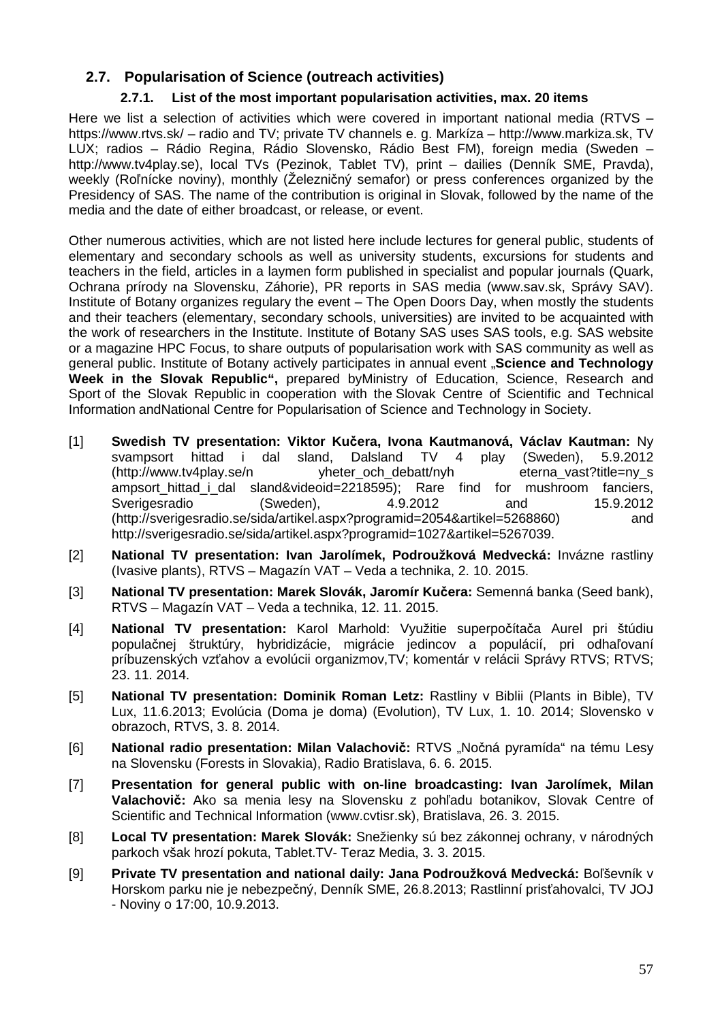# **2.7. Popularisation of Science (outreach activities)**

# **2.7.1. List of the most important popularisation activities, max. 20 items**

Here we list a selection of activities which were covered in important national media (RTVS – https://www.rtvs.sk/ – radio and TV; private TV channels e. g. Markíza – http://www.markiza.sk, TV LUX; radios – Rádio Regina, Rádio Slovensko, Rádio Best FM), foreign media (Sweden – http://www.tv4play.se), local TVs (Pezinok, Tablet TV), print – dailies (Denník SME, Pravda), weekly (Roľnícke noviny), monthly (Železničný semafor) or press conferences organized by the Presidency of SAS. The name of the contribution is original in Slovak, followed by the name of the media and the date of either broadcast, or release, or event.

Other numerous activities, which are not listed here include lectures for general public, students of elementary and secondary schools as well as university students, excursions for students and teachers in the field, articles in a laymen form published in specialist and popular journals (Quark, Ochrana prírody na Slovensku, Záhorie), PR reports in SAS media (www.sav.sk, Správy SAV). Institute of Botany organizes regulary the event – The Open Doors Day, when mostly the students and their teachers (elementary, secondary schools, universities) are invited to be acquainted with the work of researchers in the Institute. Institute of Botany SAS uses SAS tools, e.g. SAS website or a magazine HPC Focus, to share outputs of popularisation work with SAS community as well as general public. Institute of Botany actively participates in annual event "**Science and Technology Week in the Slovak Republic",** prepared byMinistry of Education, Science, Research and Sport of the Slovak Republic in cooperation with the Slovak Centre of Scientific and Technical Information andNational Centre for Popularisation of Science and Technology in Society.

- [1] **Swedish TV presentation: Viktor Ku**č**era, Ivona Kautmanová, Václav Kautman:** Ny svampsort hittad i dal sland, Dalsland TV 4 play (Sweden), 5.9.2012 (http://www.tv4play.se/n vheter\_och\_debatt/nyh eterna\_vast?title=ny\_s ampsort hittad i dal sland&videoid=2218595); Rare find for mushroom fanciers, Sverigesradio (Sweden), 4.9.2012 and 15.9.2012 (http://sverigesradio.se/sida/artikel.aspx?programid=2054&artikel=5268860) and http://sverigesradio.se/sida/artikel.aspx?programid=1027&artikel=5267039.
- [2] **National TV presentation: Ivan Jarolímek, Podroužková Medvecká:** Invázne rastliny (Ivasive plants), RTVS – Magazín VAT – Veda a technika, 2. 10. 2015.
- [3] **National TV presentation: Marek Slovák, Jaromír Ku**č**era:** Semenná banka (Seed bank), RTVS – Magazín VAT – Veda a technika, 12. 11. 2015.
- [4] **National TV presentation:** Karol Marhold: Využitie superpočítača Aurel pri štúdiu populačnej štruktúry, hybridizácie, migrácie jedincov a populácií, pri odhaľovaní príbuzenských vzťahov a evolúcii organizmov,TV; komentár v relácii Správy RTVS; RTVS; 23. 11. 2014.
- [5] **National TV presentation: Dominik Roman Letz:** Rastliny v Biblii (Plants in Bible), TV Lux, 11.6.2013; Evolúcia (Doma je doma) (Evolution), TV Lux, 1. 10. 2014; Slovensko v obrazoch, RTVS, 3. 8. 2014.
- [6] National radio presentation: Milan Valachovič: RTVS "Nočná pyramída" na tému Lesy na Slovensku (Forests in Slovakia), Radio Bratislava, 6. 6. 2015.
- [7] **Presentation for general public with on-line broadcasting: Ivan Jarolímek, Milan Valachovi**č**:** Ako sa menia lesy na Slovensku z pohľadu botanikov, Slovak Centre of Scientific and Technical Information (www.cvtisr.sk), Bratislava, 26. 3. 2015.
- [8] **Local TV presentation: Marek Slovák:** Snežienky sú bez zákonnej ochrany, v národných parkoch však hrozí pokuta, Tablet.TV- Teraz Media, 3. 3. 2015.
- [9] **Private TV presentation and national daily: Jana Podroužková Medvecká:** Boľševník v Horskom parku nie je nebezpečný, Denník SME, 26.8.2013; Rastlinní prisťahovalci, TV JOJ - Noviny o 17:00, 10.9.2013.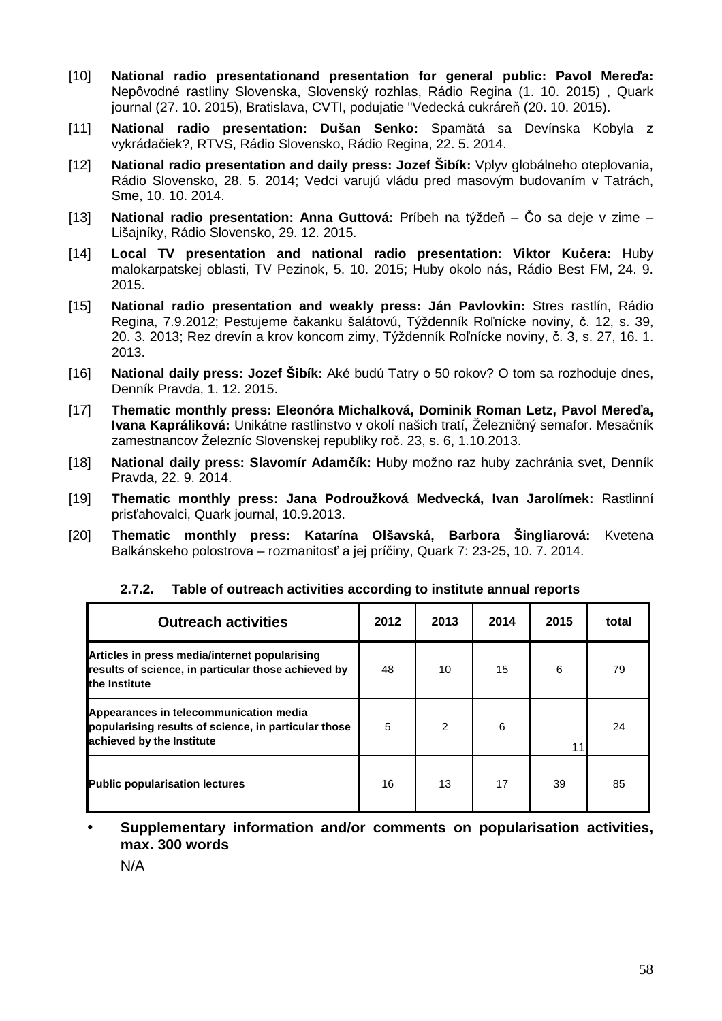- [10] **National radio presentationand presentation for general public: Pavol Mere**ď**a:** Nepôvodné rastliny Slovenska, Slovenský rozhlas, Rádio Regina (1. 10. 2015) , Quark journal (27. 10. 2015), Bratislava, CVTI, podujatie "Vedecká cukráreň (20. 10. 2015).
- [11] **National radio presentation: Dušan Senko:** Spamätá sa Devínska Kobyla z vykrádačiek?, RTVS, Rádio Slovensko, Rádio Regina, 22. 5. 2014.
- [12] **National radio presentation and daily press: Jozef Šibík:** Vplyv globálneho oteplovania, Rádio Slovensko, 28. 5. 2014; Vedci varujú vládu pred masovým budovaním v Tatrách, Sme, 10. 10. 2014.
- [13] **National radio presentation: Anna Guttová:** Príbeh na týždeň Čo sa deje v zime Lišajníky, Rádio Slovensko, 29. 12. 2015.
- [14] **Local TV presentation and national radio presentation: Viktor Ku**č**era:** Huby malokarpatskej oblasti, TV Pezinok, 5. 10. 2015; Huby okolo nás, Rádio Best FM, 24. 9. 2015.
- [15] **National radio presentation and weakly press: Ján Pavlovkin:** Stres rastlín, Rádio Regina, 7.9.2012; Pestujeme čakanku šalátovú, Týždenník Roľnícke noviny, č. 12, s. 39, 20. 3. 2013; Rez drevín a krov koncom zimy, Týždenník Roľnícke noviny, č. 3, s. 27, 16. 1. 2013.
- [16] **National daily press: Jozef Šibík:** Aké budú Tatry o 50 rokov? O tom sa rozhoduje dnes, Denník Pravda, 1. 12. 2015.
- [17] **Thematic monthly press: Eleonóra Michalková, Dominik Roman Letz, Pavol Mere**ď**a, Ivana Kapráliková:** Unikátne rastlinstvo v okolí našich tratí, Železničný semafor. Mesačník zamestnancov Železníc Slovenskej republiky roč. 23, s. 6, 1.10.2013.
- [18] **National daily press: Slavomír Adam**č**ík:** Huby možno raz huby zachránia svet, Denník Pravda, 22. 9. 2014.
- [19] **Thematic monthly press: Jana Podroužková Medvecká, Ivan Jarolímek:** Rastlinní prisťahovalci, Quark journal, 10.9.2013.
- [20] **Thematic monthly press: Katarína Olšavská, Barbora Šingliarová:** Kvetena Balkánskeho polostrova – rozmanitosť a jej príčiny, Quark 7: 23-25, 10. 7. 2014.

| <b>Outreach activities</b>                                                                                                  | 2012 | 2013           | 2014 | 2015 | total |
|-----------------------------------------------------------------------------------------------------------------------------|------|----------------|------|------|-------|
| Articles in press media/internet popularising<br>results of science, in particular those achieved by<br>the Institute       | 48   | 10             | 15   | 6    | 79    |
| Appearances in telecommunication media<br>popularising results of science, in particular those<br>achieved by the Institute | 5    | $\overline{2}$ | 6    | 11   | 24    |
| <b>Public popularisation lectures</b>                                                                                       | 16   | 13             | 17   | 39   | 85    |

# **2.7.2. Table of outreach activities according to institute annual reports**

• **Supplementary information and/or comments on popularisation activities, max. 300 words** 

N/A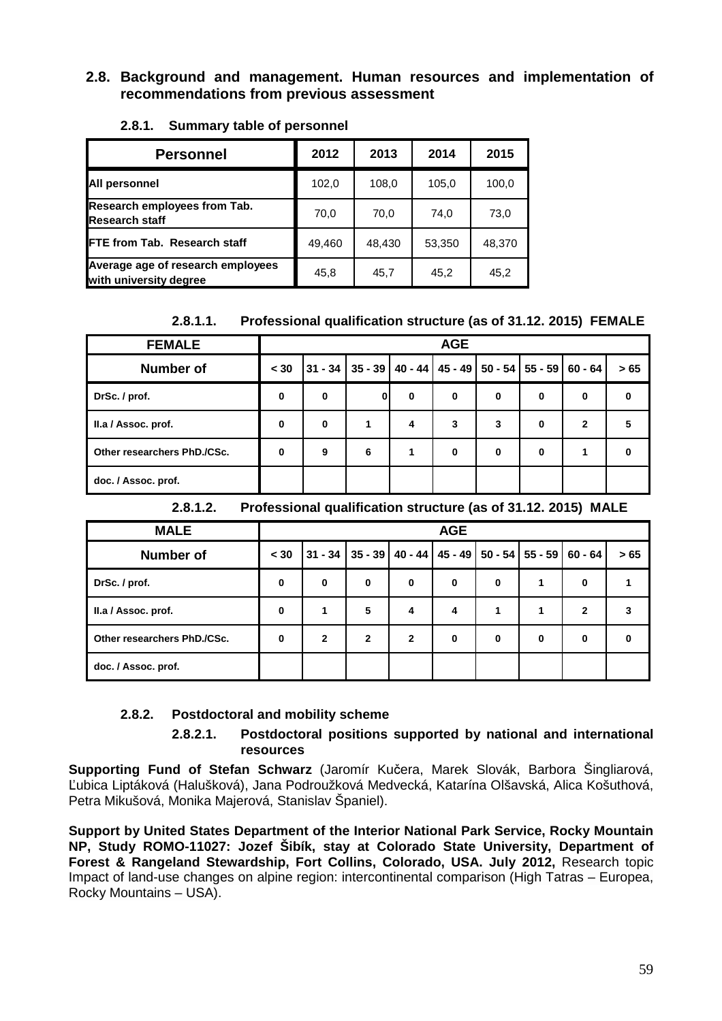# **2.8. Background and management. Human resources and implementation of recommendations from previous assessment**

| <b>Personnel</b>                                            | 2012   | 2013   | 2014   | 2015   |
|-------------------------------------------------------------|--------|--------|--------|--------|
| All personnel                                               | 102,0  | 108,0  | 105,0  | 100,0  |
| Research employees from Tab.<br><b>Research staff</b>       | 70,0   | 70.0   | 74.0   | 73,0   |
| <b>FTE from Tab. Research staff</b>                         | 49,460 | 48,430 | 53,350 | 48,370 |
| Average age of research employees<br>with university degree | 45,8   | 45,7   | 45,2   | 45,2   |

# **2.8.1. Summary table of personnel**

**2.8.1.1. Professional qualification structure (as of 31.12. 2015) FEMALE** 

| <b>FEMALE</b>               |          |           |   |   | <b>AGE</b>  |                                                             |   |              |      |
|-----------------------------|----------|-----------|---|---|-------------|-------------------------------------------------------------|---|--------------|------|
| <b>Number of</b>            | < 30     | $31 - 34$ |   |   |             | $35 - 39$ $40 - 44$ $45 - 49$ $50 - 54$ $55 - 59$ $60 - 64$ |   |              | > 65 |
| DrSc. / prof.               | $\bf{0}$ | 0         | 0 | 0 | $\bf{0}$    | 0                                                           | 0 | 0            | 0    |
| II.a / Assoc. prof.         | $\bf{0}$ | $\bf{0}$  |   | 4 | 3           | 3                                                           | 0 | $\mathbf{2}$ | 5    |
| Other researchers PhD./CSc. | 0        | 9         | 6 |   | $\mathbf 0$ | 0                                                           | 0 |              | 0    |
| doc. / Assoc. prof.         |          |           |   |   |             |                                                             |   |              |      |

**2.8.1.2. Professional qualification structure (as of 31.12. 2015) MALE** 

| <b>MALE</b>                 |      |                |                |              | <b>AGE</b>                                        |   |   |              |      |
|-----------------------------|------|----------------|----------------|--------------|---------------------------------------------------|---|---|--------------|------|
| Number of                   | < 30 | $31 - 34$      |                |              | $35 - 39$   40 - 44   45 - 49   50 - 54   55 - 59 |   |   | $60 - 64$    | > 65 |
| DrSc. / prof.               | 0    | $\bf{0}$       | 0              | $\mathbf 0$  | $\mathbf 0$                                       | 0 | 1 | 0            |      |
| II.a / Assoc. prof.         | 0    |                | 5              | 4            | 4                                                 |   | 1 | $\mathbf{2}$ |      |
| Other researchers PhD./CSc. | 0    | $\overline{2}$ | $\overline{2}$ | $\mathbf{2}$ | $\mathbf 0$                                       | 0 | 0 | $\bf{0}$     | 0    |
| doc. / Assoc. prof.         |      |                |                |              |                                                   |   |   |              |      |

# **2.8.2. Postdoctoral and mobility scheme**

# **2.8.2.1. Postdoctoral positions supported by national and international resources**

**Supporting Fund of Stefan Schwarz** (Jaromír Kučera, Marek Slovák, Barbora Šingliarová, Ľubica Liptáková (Halušková), Jana Podroužková Medvecká, Katarína Olšavská, Alica Košuthová, Petra Mikušová, Monika Majerová, Stanislav Španiel).

**Support by United States Department of the Interior National Park Service, Rocky Mountain NP, Study ROMO-11027: Jozef Šibík, stay at Colorado State University, Department of Forest & Rangeland Stewardship, Fort Collins, Colorado, USA. July 2012,** Research topic Impact of land-use changes on alpine region: intercontinental comparison (High Tatras – Europea, Rocky Mountains – USA).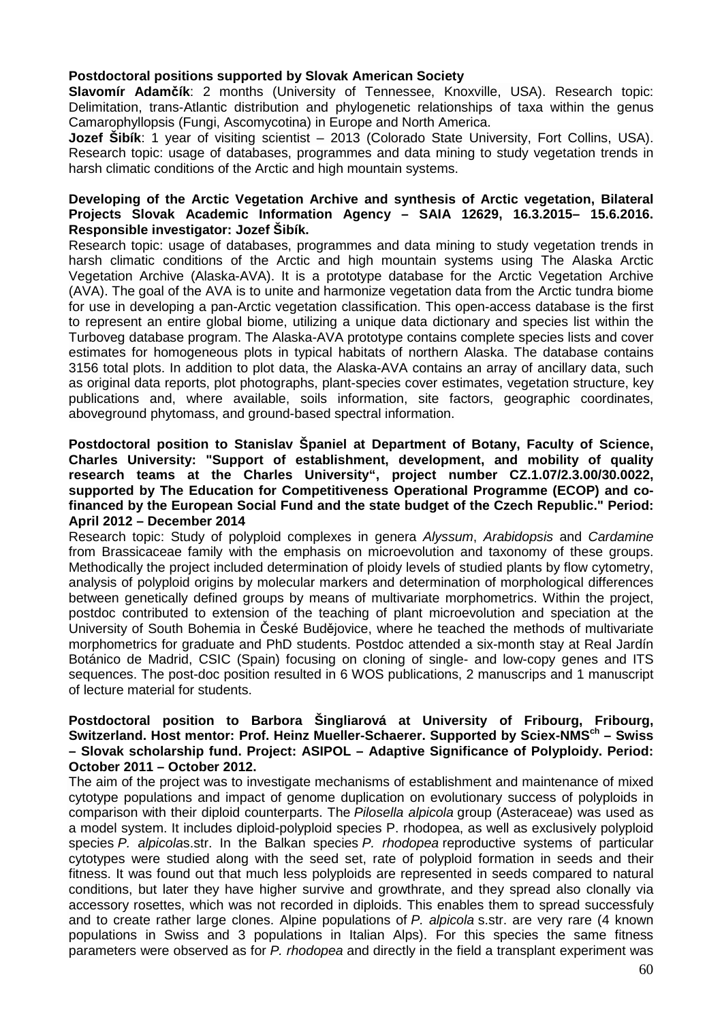# **Postdoctoral positions supported by Slovak American Society**

**Slavomír Adam**č**ík**: 2 months (University of Tennessee, Knoxville, USA). Research topic: Delimitation, trans-Atlantic distribution and phylogenetic relationships of taxa within the genus Camarophyllopsis (Fungi, Ascomycotina) in Europe and North America.

**Jozef Šibík**: 1 year of visiting scientist – 2013 (Colorado State University, Fort Collins, USA). Research topic: usage of databases, programmes and data mining to study vegetation trends in harsh climatic conditions of the Arctic and high mountain systems.

# **Developing of the Arctic Vegetation Archive and synthesis of Arctic vegetation, Bilateral Projects Slovak Academic Information Agency – SAIA 12629, 16.3.2015– 15.6.2016. Responsible investigator: Jozef Šibík.**

Research topic: usage of databases, programmes and data mining to study vegetation trends in harsh climatic conditions of the Arctic and high mountain systems using The Alaska Arctic Vegetation Archive (Alaska-AVA). It is a prototype database for the Arctic Vegetation Archive (AVA). The goal of the AVA is to unite and harmonize vegetation data from the Arctic tundra biome for use in developing a pan-Arctic vegetation classification. This open-access database is the first to represent an entire global biome, utilizing a unique data dictionary and species list within the Turboveg database program. The Alaska-AVA prototype contains complete species lists and cover estimates for homogeneous plots in typical habitats of northern Alaska. The database contains 3156 total plots. In addition to plot data, the Alaska-AVA contains an array of ancillary data, such as original data reports, plot photographs, plant-species cover estimates, vegetation structure, key publications and, where available, soils information, site factors, geographic coordinates, aboveground phytomass, and ground-based spectral information.

#### **Postdoctoral position to Stanislav Španiel at Department of Botany, Faculty of Science, Charles University: "Support of establishment, development, and mobility of quality research teams at the Charles University", project number CZ.1.07/2.3.00/30.0022, supported by The Education for Competitiveness Operational Programme (ECOP) and cofinanced by the European Social Fund and the state budget of the Czech Republic." Period: April 2012 – December 2014**

Research topic: Study of polyploid complexes in genera Alyssum, Arabidopsis and Cardamine from Brassicaceae family with the emphasis on microevolution and taxonomy of these groups. Methodically the project included determination of ploidy levels of studied plants by flow cytometry, analysis of polyploid origins by molecular markers and determination of morphological differences between genetically defined groups by means of multivariate morphometrics. Within the project, postdoc contributed to extension of the teaching of plant microevolution and speciation at the University of South Bohemia in České Budějovice, where he teached the methods of multivariate morphometrics for graduate and PhD students. Postdoc attended a six-month stay at Real Jardín Botánico de Madrid, CSIC (Spain) focusing on cloning of single- and low-copy genes and ITS sequences. The post-doc position resulted in 6 WOS publications, 2 manuscrips and 1 manuscript of lecture material for students.

#### **Postdoctoral position to Barbora Šingliarová at University of Fribourg, Fribourg, Switzerland. Host mentor: Prof. Heinz Mueller-Schaerer. Supported by Sciex-NMSch – Swiss – Slovak scholarship fund. Project: ASIPOL – Adaptive Significance of Polyploidy. Period: October 2011 – October 2012.**

The aim of the project was to investigate mechanisms of establishment and maintenance of mixed cytotype populations and impact of genome duplication on evolutionary success of polyploids in comparison with their diploid counterparts. The Pilosella alpicola group (Asteraceae) was used as a model system. It includes diploid-polyploid species P. rhodopea, as well as exclusively polyploid species P. alpicolas.str. In the Balkan species P. rhodopea reproductive systems of particular cytotypes were studied along with the seed set, rate of polyploid formation in seeds and their fitness. It was found out that much less polyploids are represented in seeds compared to natural conditions, but later they have higher survive and growthrate, and they spread also clonally via accessory rosettes, which was not recorded in diploids. This enables them to spread successfuly and to create rather large clones. Alpine populations of P. alpicola s.str. are very rare (4 known populations in Swiss and 3 populations in Italian Alps). For this species the same fitness parameters were observed as for P. rhodopea and directly in the field a transplant experiment was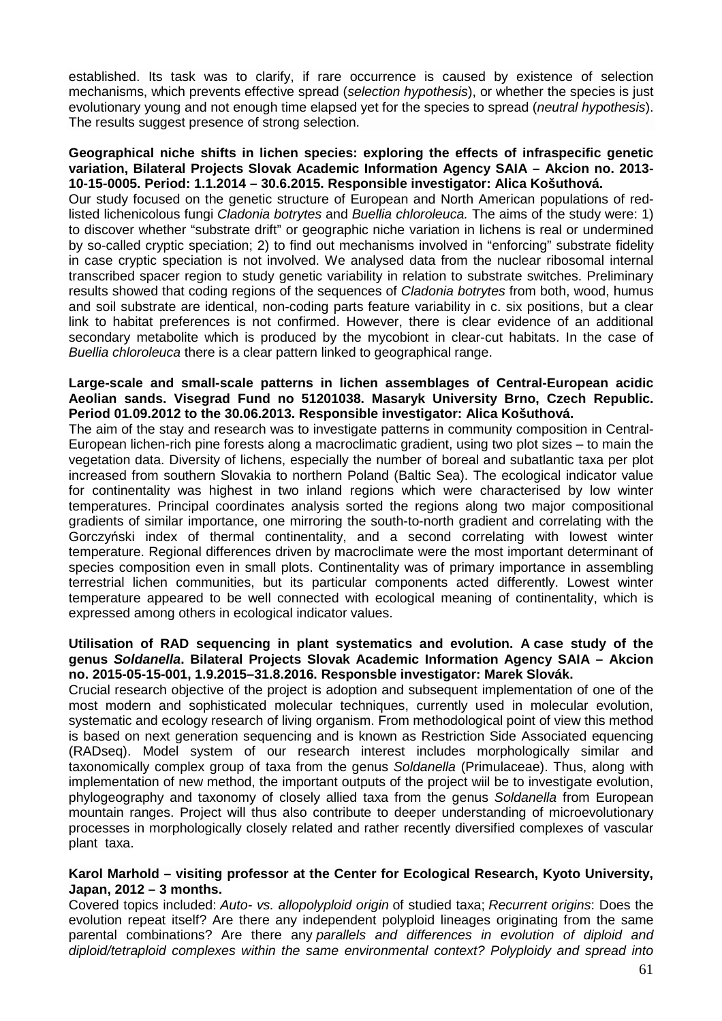established. Its task was to clarify, if rare occurrence is caused by existence of selection mechanisms, which prevents effective spread (selection hypothesis), or whether the species is just evolutionary young and not enough time elapsed yet for the species to spread (*neutral hypothesis*). The results suggest presence of strong selection.

#### **Geographical niche shifts in lichen species: exploring the effects of infraspecific genetic variation, Bilateral Projects Slovak Academic Information Agency SAIA – Akcion no. 2013- 10-15-0005. Period: 1.1.2014 – 30.6.2015. Responsible investigator: Alica Košuthová.**

Our study focused on the genetic structure of European and North American populations of redlisted lichenicolous fungi Cladonia botrytes and Buellia chloroleuca. The aims of the study were: 1) to discover whether "substrate drift" or geographic niche variation in lichens is real or undermined by so-called cryptic speciation; 2) to find out mechanisms involved in "enforcing" substrate fidelity in case cryptic speciation is not involved. We analysed data from the nuclear ribosomal internal transcribed spacer region to study genetic variability in relation to substrate switches. Preliminary results showed that coding regions of the sequences of Cladonia botrytes from both, wood, humus and soil substrate are identical, non-coding parts feature variability in c. six positions, but a clear link to habitat preferences is not confirmed. However, there is clear evidence of an additional secondary metabolite which is produced by the mycobiont in clear-cut habitats. In the case of Buellia chloroleuca there is a clear pattern linked to geographical range.

#### **Large-scale and small-scale patterns in lichen assemblages of Central-European acidic Aeolian sands. Visegrad Fund no 51201038. Masaryk University Brno, Czech Republic. Period 01.09.2012 to the 30.06.2013. Responsible investigator: Alica Košuthová.**

The aim of the stay and research was to investigate patterns in community composition in Central-European lichen-rich pine forests along a macroclimatic gradient, using two plot sizes – to main the vegetation data. Diversity of lichens, especially the number of boreal and subatlantic taxa per plot increased from southern Slovakia to northern Poland (Baltic Sea). The ecological indicator value for continentality was highest in two inland regions which were characterised by low winter temperatures. Principal coordinates analysis sorted the regions along two major compositional gradients of similar importance, one mirroring the south-to-north gradient and correlating with the Gorczyński index of thermal continentality, and a second correlating with lowest winter temperature. Regional differences driven by macroclimate were the most important determinant of species composition even in small plots. Continentality was of primary importance in assembling terrestrial lichen communities, but its particular components acted differently. Lowest winter temperature appeared to be well connected with ecological meaning of continentality, which is expressed among others in ecological indicator values.

# **Utilisation of RAD sequencing in plant systematics and evolution. A case study of the genus Soldanella. Bilateral Projects Slovak Academic Information Agency SAIA – Akcion no. 2015-05-15-001, 1.9.2015–31.8.2016. Responsble investigator: Marek Slovák.**

Crucial research objective of the project is adoption and subsequent implementation of one of the most modern and sophisticated molecular techniques, currently used in molecular evolution, systematic and ecology research of living organism. From methodological point of view this method is based on next generation sequencing and is known as Restriction Side Associated equencing (RADseq). Model system of our research interest includes morphologically similar and taxonomically complex group of taxa from the genus Soldanella (Primulaceae). Thus, along with implementation of new method, the important outputs of the project wiil be to investigate evolution, phylogeography and taxonomy of closely allied taxa from the genus Soldanella from European mountain ranges. Project will thus also contribute to deeper understanding of microevolutionary processes in morphologically closely related and rather recently diversified complexes of vascular plant taxa.

#### **Karol Marhold – visiting professor at the Center for Ecological Research, Kyoto University, Japan, 2012 – 3 months.**

Covered topics included: Auto- vs. allopolyploid origin of studied taxa; Recurrent origins: Does the evolution repeat itself? Are there any independent polyploid lineages originating from the same parental combinations? Are there any parallels and differences in evolution of diploid and diploid/tetraploid complexes within the same environmental context? Polyploidy and spread into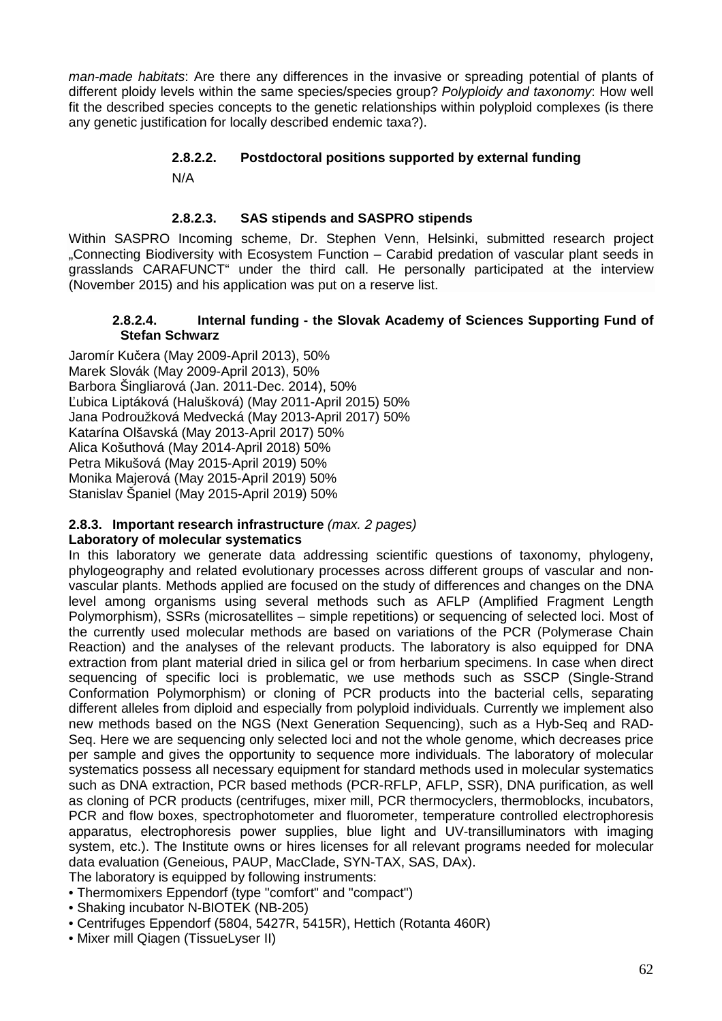man-made habitats: Are there any differences in the invasive or spreading potential of plants of different ploidy levels within the same species/species group? Polyploidy and taxonomy: How well fit the described species concepts to the genetic relationships within polyploid complexes (is there any genetic justification for locally described endemic taxa?).

# **2.8.2.2. Postdoctoral positions supported by external funding**

N/A

# **2.8.2.3. SAS stipends and SASPRO stipends**

Within SASPRO Incoming scheme, Dr. Stephen Venn, Helsinki, submitted research project "Connecting Biodiversity with Ecosystem Function – Carabid predation of vascular plant seeds in grasslands CARAFUNCT" under the third call. He personally participated at the interview (November 2015) and his application was put on a reserve list.

# **2.8.2.4. Internal funding - the Slovak Academy of Sciences Supporting Fund of Stefan Schwarz**

Jaromír Kučera (May 2009-April 2013), 50% Marek Slovák (May 2009-April 2013), 50% Barbora Šingliarová (Jan. 2011-Dec. 2014), 50% Ľubica Liptáková (Halušková) (May 2011-April 2015) 50% Jana Podroužková Medvecká (May 2013-April 2017) 50% Katarína Olšavská (May 2013-April 2017) 50% Alica Košuthová (May 2014-April 2018) 50% Petra Mikušová (May 2015-April 2019) 50% Monika Majerová (May 2015-April 2019) 50% Stanislav Španiel (May 2015-April 2019) 50%

# **2.8.3. Important research infrastructure** (max. 2 pages)

# **Laboratory of molecular systematics**

In this laboratory we generate data addressing scientific questions of taxonomy, phylogeny, phylogeography and related evolutionary processes across different groups of vascular and nonvascular plants. Methods applied are focused on the study of differences and changes on the DNA level among organisms using several methods such as AFLP (Amplified Fragment Length Polymorphism), SSRs (microsatellites – simple repetitions) or sequencing of selected loci. Most of the currently used molecular methods are based on variations of the PCR (Polymerase Chain Reaction) and the analyses of the relevant products. The laboratory is also equipped for DNA extraction from plant material dried in silica gel or from herbarium specimens. In case when direct sequencing of specific loci is problematic, we use methods such as SSCP (Single-Strand Conformation Polymorphism) or cloning of PCR products into the bacterial cells, separating different alleles from diploid and especially from polyploid individuals. Currently we implement also new methods based on the NGS (Next Generation Sequencing), such as a Hyb-Seq and RAD-Seq. Here we are sequencing only selected loci and not the whole genome, which decreases price per sample and gives the opportunity to sequence more individuals. The laboratory of molecular systematics possess all necessary equipment for standard methods used in molecular systematics such as DNA extraction, PCR based methods (PCR-RFLP, AFLP, SSR), DNA purification, as well as cloning of PCR products (centrifuges, mixer mill, PCR thermocyclers, thermoblocks, incubators, PCR and flow boxes, spectrophotometer and fluorometer, temperature controlled electrophoresis apparatus, electrophoresis power supplies, blue light and UV-transilluminators with imaging system, etc.). The Institute owns or hires licenses for all relevant programs needed for molecular data evaluation (Geneious, PAUP, MacClade, SYN-TAX, SAS, DAx).

The laboratory is equipped by following instruments:

- Thermomixers Eppendorf (type "comfort" and "compact")
- Shaking incubator N-BIOTEK (NB-205)
- Centrifuges Eppendorf (5804, 5427R, 5415R), Hettich (Rotanta 460R)
- Mixer mill Qiagen (TissueLyser II)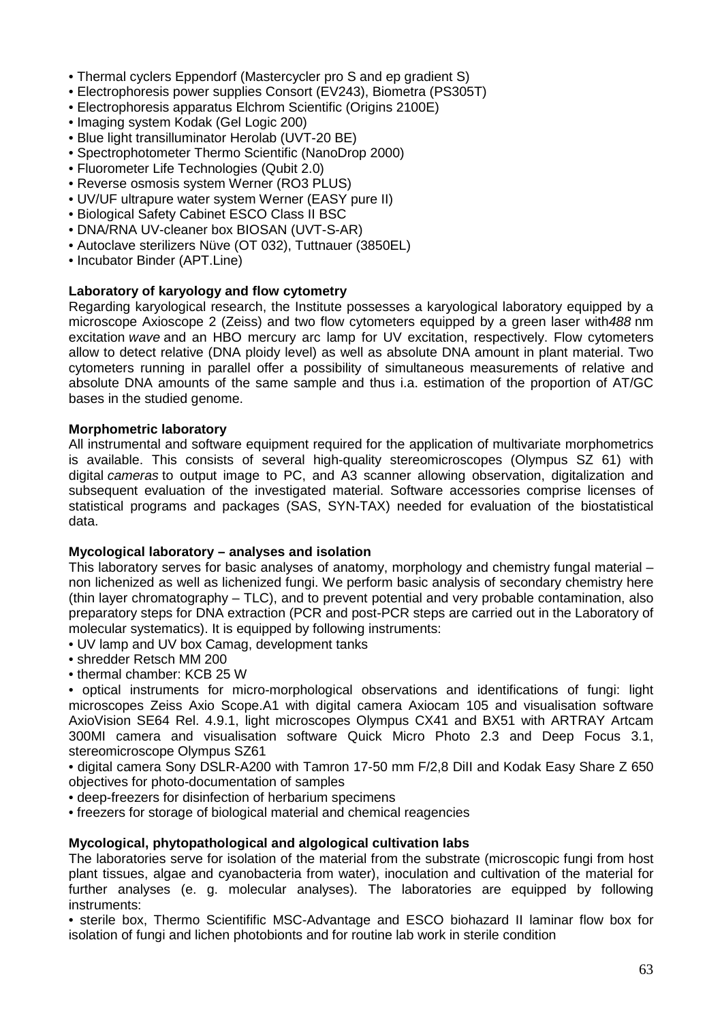- Thermal cyclers Eppendorf (Mastercycler pro S and ep gradient S)
- Electrophoresis power supplies Consort (EV243), Biometra (PS305T)
- Electrophoresis apparatus Elchrom Scientific (Origins 2100E)
- Imaging system Kodak (Gel Logic 200)
- Blue light transilluminator Herolab (UVT-20 BE)
- Spectrophotometer Thermo Scientific (NanoDrop 2000)
- Fluorometer Life Technologies (Qubit 2.0)
- Reverse osmosis system Werner (RO3 PLUS)
- UV/UF ultrapure water system Werner (EASY pure II)
- Biological Safety Cabinet ESCO Class II BSC
- DNA/RNA UV-cleaner box BIOSAN (UVT-S-AR)
- Autoclave sterilizers Nüve (OT 032), Tuttnauer (3850EL)
- Incubator Binder (APT.Line)

# **Laboratory of karyology and flow cytometry**

Regarding karyological research, the Institute possesses a karyological laboratory equipped by a microscope Axioscope 2 (Zeiss) and two flow cytometers equipped by a green laser with488 nm excitation wave and an HBO mercury arc lamp for UV excitation, respectively. Flow cytometers allow to detect relative (DNA ploidy level) as well as absolute DNA amount in plant material. Two cytometers running in parallel offer a possibility of simultaneous measurements of relative and absolute DNA amounts of the same sample and thus i.a. estimation of the proportion of AT/GC bases in the studied genome.

# **Morphometric laboratory**

All instrumental and software equipment required for the application of multivariate morphometrics is available. This consists of several high-quality stereomicroscopes (Olympus SZ 61) with digital cameras to output image to PC, and A3 scanner allowing observation, digitalization and subsequent evaluation of the investigated material. Software accessories comprise licenses of statistical programs and packages (SAS, SYN-TAX) needed for evaluation of the biostatistical data.

# **Mycological laboratory – analyses and isolation**

This laboratory serves for basic analyses of anatomy, morphology and chemistry fungal material – non lichenized as well as lichenized fungi. We perform basic analysis of secondary chemistry here (thin layer chromatography – TLC), and to prevent potential and very probable contamination, also preparatory steps for DNA extraction (PCR and post-PCR steps are carried out in the Laboratory of molecular systematics). It is equipped by following instruments:

- UV lamp and UV box Camag, development tanks
- shredder Retsch MM 200
- thermal chamber: KCB 25 W

• optical instruments for micro-morphological observations and identifications of fungi: light microscopes Zeiss Axio Scope.A1 with digital camera Axiocam 105 and visualisation software AxioVision SE64 Rel. 4.9.1, light microscopes Olympus CX41 and BX51 with ARTRAY Artcam 300MI camera and visualisation software Quick Micro Photo 2.3 and Deep Focus 3.1, stereomicroscope Olympus SZ61

• digital camera Sony DSLR-A200 with Tamron 17-50 mm F/2,8 DiII and Kodak Easy Share Z 650 objectives for photo-documentation of samples

• deep-freezers for disinfection of herbarium specimens

• freezers for storage of biological material and chemical reagencies

# **Mycological, phytopathological and algological cultivation labs**

The laboratories serve for isolation of the material from the substrate (microscopic fungi from host plant tissues, algae and cyanobacteria from water), inoculation and cultivation of the material for further analyses (e. g. molecular analyses). The laboratories are equipped by following instruments:

• sterile box, Thermo Scientifific MSC-Advantage and ESCO biohazard II laminar flow box for isolation of fungi and lichen photobionts and for routine lab work in sterile condition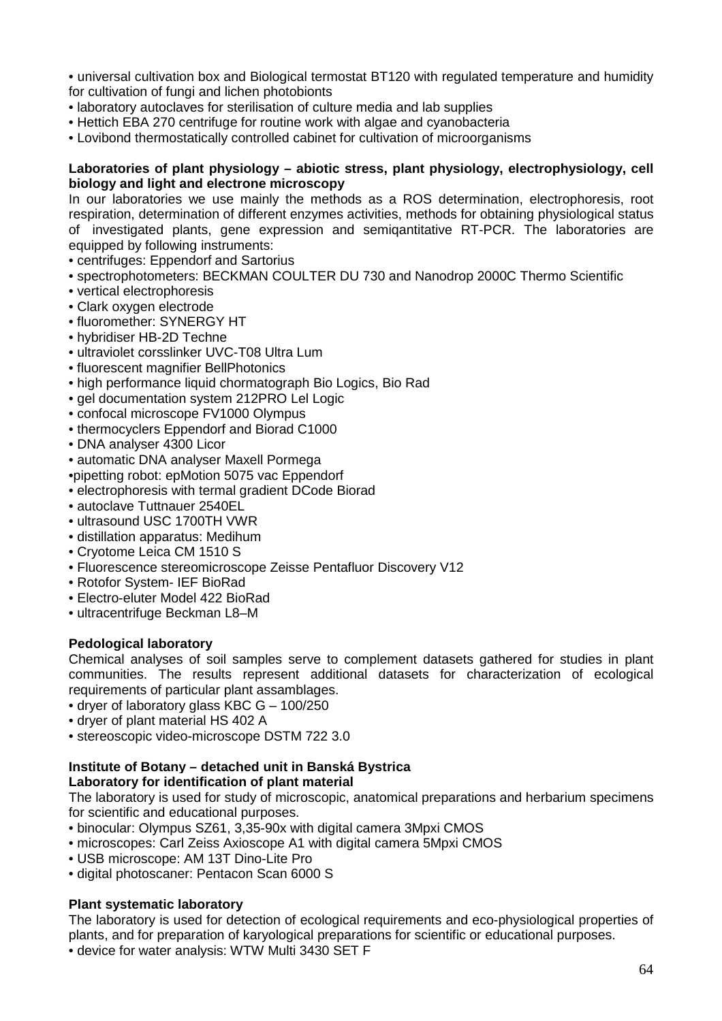• universal cultivation box and Biological termostat BT120 with regulated temperature and humidity for cultivation of fungi and lichen photobionts

- laboratory autoclaves for sterilisation of culture media and lab supplies
- Hettich EBA 270 centrifuge for routine work with algae and cyanobacteria

• Lovibond thermostatically controlled cabinet for cultivation of microorganisms

# **Laboratories of plant physiology – abiotic stress, plant physiology, electrophysiology, cell biology and light and electrone microscopy**

In our laboratories we use mainly the methods as a ROS determination, electrophoresis, root respiration, determination of different enzymes activities, methods for obtaining physiological status of investigated plants, gene expression and semiqantitative RT-PCR. The laboratories are equipped by following instruments:

- centrifuges: Eppendorf and Sartorius
- spectrophotometers: BECKMAN COULTER DU 730 and Nanodrop 2000C Thermo Scientific
- vertical electrophoresis
- Clark oxygen electrode
- fluoromether: SYNERGY HT
- hybridiser HB-2D Techne
- ultraviolet corsslinker UVC-T08 Ultra Lum
- fluorescent magnifier BellPhotonics
- high performance liquid chormatograph Bio Logics, Bio Rad
- gel documentation system 212PRO Lel Logic
- confocal microscope FV1000 Olympus
- thermocyclers Eppendorf and Biorad C1000
- DNA analyser 4300 Licor
- automatic DNA analyser Maxell Pormega
- •pipetting robot: epMotion 5075 vac Eppendorf
- electrophoresis with termal gradient DCode Biorad
- autoclave Tuttnauer 2540EL
- ultrasound USC 1700TH VWR
- distillation apparatus: Medihum
- Cryotome Leica CM 1510 S
- Fluorescence stereomicroscope Zeisse Pentafluor Discovery V12
- Rotofor System- IEF BioRad
- Electro-eluter Model 422 BioRad
- ultracentrifuge Beckman L8–M

# **Pedological laboratory**

Chemical analyses of soil samples serve to complement datasets gathered for studies in plant communities. The results represent additional datasets for characterization of ecological requirements of particular plant assamblages.

- dryer of laboratory glass KBC G 100/250
- dryer of plant material HS 402 A
- stereoscopic video-microscope DSTM 722 3.0

#### **Institute of Botany – detached unit in Banská Bystrica Laboratory for identification of plant material**

The laboratory is used for study of microscopic, anatomical preparations and herbarium specimens for scientific and educational purposes.

- binocular: Olympus SZ61, 3,35-90x with digital camera 3Mpxi CMOS
- microscopes: Carl Zeiss Axioscope A1 with digital camera 5Mpxi CMOS
- USB microscope: AM 13T Dino-Lite Pro
- digital photoscaner: Pentacon Scan 6000 S

# **Plant systematic laboratory**

The laboratory is used for detection of ecological requirements and eco-physiological properties of plants, and for preparation of karyological preparations for scientific or educational purposes. • device for water analysis: WTW Multi 3430 SET F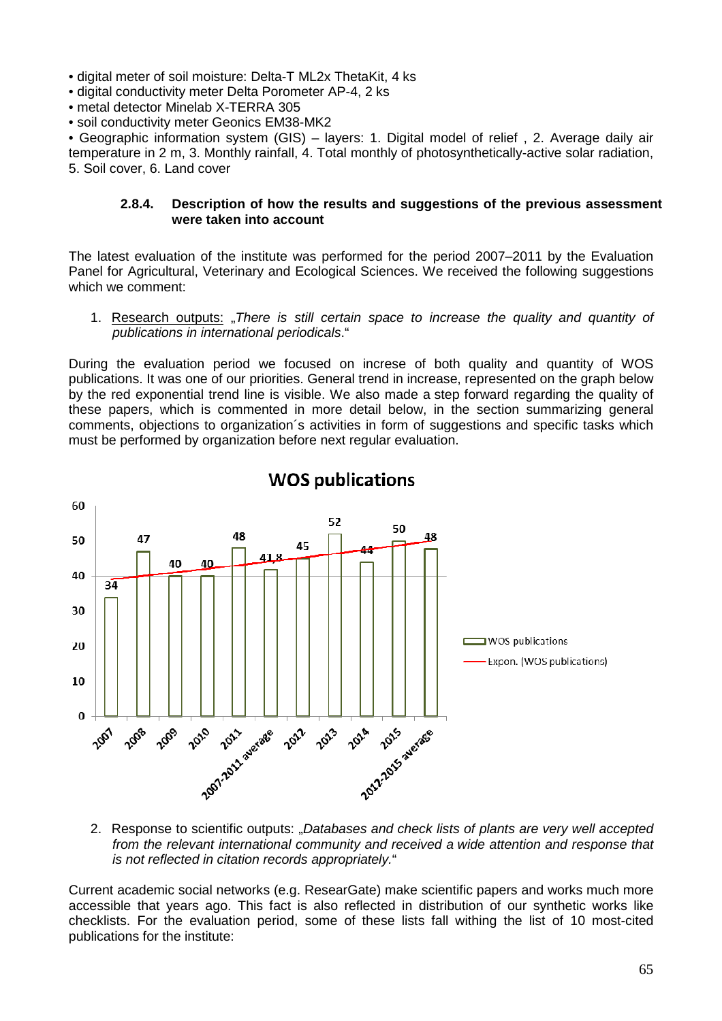- digital meter of soil moisture: Delta-T ML2x ThetaKit, 4 ks
- digital conductivity meter Delta Porometer AP-4, 2 ks
- metal detector Minelab X-TERRA 305
- soil conductivity meter Geonics EM38-MK2

• Geographic information system (GIS) – layers: 1. Digital model of relief , 2. Average daily air temperature in 2 m, 3. Monthly rainfall, 4. Total monthly of photosynthetically-active solar radiation, 5. Soil cover, 6. Land cover

#### **2.8.4. Description of how the results and suggestions of the previous assessment were taken into account**

The latest evaluation of the institute was performed for the period 2007–2011 by the Evaluation Panel for Agricultural, Veterinary and Ecological Sciences. We received the following suggestions which we comment:

1. Research outputs: "There is still certain space to increase the quality and quantity of publications in international periodicals."

During the evaluation period we focused on increse of both quality and quantity of WOS publications. It was one of our priorities. General trend in increase, represented on the graph below by the red exponential trend line is visible. We also made a step forward regarding the quality of these papers, which is commented in more detail below, in the section summarizing general comments, objections to organization´s activities in form of suggestions and specific tasks which must be performed by organization before next regular evaluation.



# **WOS publications**

2. Response to scientific outputs: "Databases and check lists of plants are very well accepted from the relevant international community and received a wide attention and response that is not reflected in citation records appropriately."

Current academic social networks (e.g. ResearGate) make scientific papers and works much more accessible that years ago. This fact is also reflected in distribution of our synthetic works like checklists. For the evaluation period, some of these lists fall withing the list of 10 most-cited publications for the institute: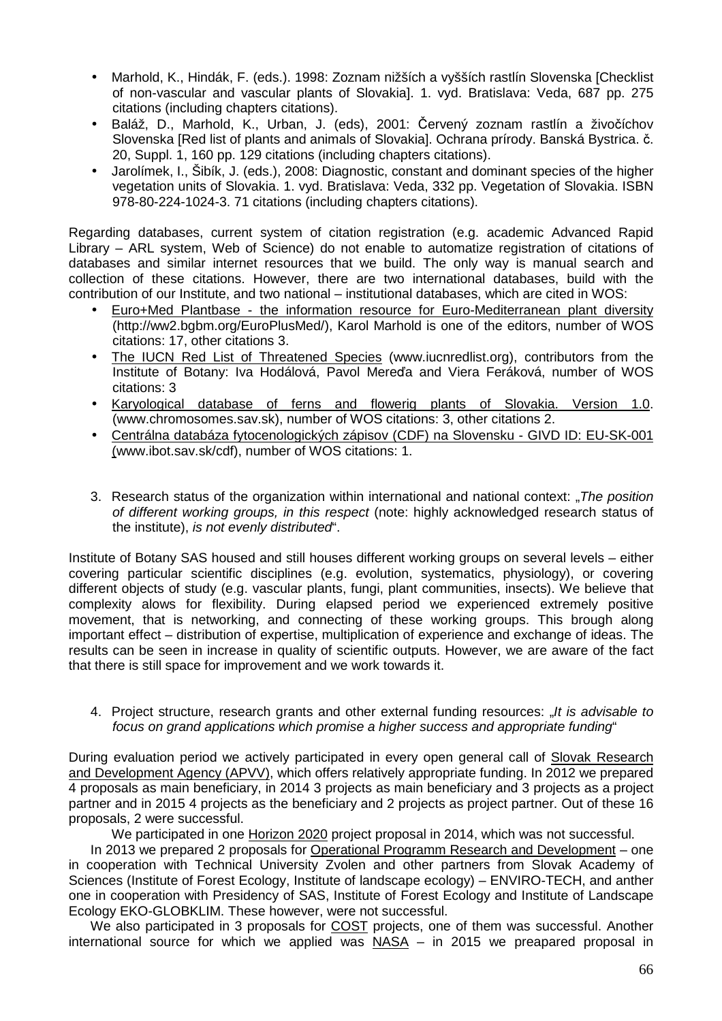- Marhold, K., Hindák, F. (eds.). 1998: Zoznam nižších a vyšších rastlín Slovenska [Checklist of non-vascular and vascular plants of Slovakia]. 1. vyd. Bratislava: Veda, 687 pp. 275 citations (including chapters citations).
- Baláž, D., Marhold, K., Urban, J. (eds), 2001: Červený zoznam rastlín a živočíchov Slovenska [Red list of plants and animals of Slovakia]. Ochrana prírody. Banská Bystrica. č. 20, Suppl. 1, 160 pp. 129 citations (including chapters citations).
- Jarolímek, I., Šibík, J. (eds.), 2008: Diagnostic, constant and dominant species of the higher vegetation units of Slovakia. 1. vyd. Bratislava: Veda, 332 pp. Vegetation of Slovakia. ISBN 978-80-224-1024-3. 71 citations (including chapters citations).

Regarding databases, current system of citation registration (e.g. academic Advanced Rapid Library – ARL system, Web of Science) do not enable to automatize registration of citations of databases and similar internet resources that we build. The only way is manual search and collection of these citations. However, there are two international databases, build with the contribution of our Institute, and two national – institutional databases, which are cited in WOS:

- Euro+Med Plantbase the information resource for Euro-Mediterranean plant diversity (http://ww2.bgbm.org/EuroPlusMed/), Karol Marhold is one of the editors, number of WOS citations: 17, other citations 3.
- The IUCN Red List of Threatened Species (www.iucnredlist.org), contributors from the Institute of Botany: Iva Hodálová, Pavol Mereďa and Viera Feráková, number of WOS citations: 3
- Karyological database of ferns and flowerig plants of Slovakia. Version 1.0. (www.chromosomes.sav.sk), number of WOS citations: 3, other citations 2.
- Centrálna databáza fytocenologických zápisov (CDF) na Slovensku GIVD ID: EU-SK-001 (www.ibot.sav.sk/cdf), number of WOS citations: 1.
- 3. Research status of the organization within international and national context: "The position of different working groups, in this respect (note: highly acknowledged research status of the institute), is not evenly distributed".

Institute of Botany SAS housed and still houses different working groups on several levels – either covering particular scientific disciplines (e.g. evolution, systematics, physiology), or covering different objects of study (e.g. vascular plants, fungi, plant communities, insects). We believe that complexity alows for flexibility. During elapsed period we experienced extremely positive movement, that is networking, and connecting of these working groups. This brough along important effect – distribution of expertise, multiplication of experience and exchange of ideas. The results can be seen in increase in quality of scientific outputs. However, we are aware of the fact that there is still space for improvement and we work towards it.

4. Project structure, research grants and other external funding resources: "It is advisable to focus on grand applications which promise a higher success and appropriate funding"

During evaluation period we actively participated in every open general call of Slovak Research and Development Agency (APVV), which offers relatively appropriate funding. In 2012 we prepared 4 proposals as main beneficiary, in 2014 3 projects as main beneficiary and 3 projects as a project partner and in 2015 4 projects as the beneficiary and 2 projects as project partner. Out of these 16 proposals, 2 were successful.

We participated in one Horizon 2020 project proposal in 2014, which was not successful.

In 2013 we prepared 2 proposals for Operational Programm Research and Development – one in cooperation with Technical University Zvolen and other partners from Slovak Academy of Sciences (Institute of Forest Ecology, Institute of landscape ecology) – ENVIRO-TECH, and anther one in cooperation with Presidency of SAS, Institute of Forest Ecology and Institute of Landscape Ecology EKO-GLOBKLIM. These however, were not successful.

We also participated in 3 proposals for COST projects, one of them was successful. Another international source for which we applied was NASA – in 2015 we preapared proposal in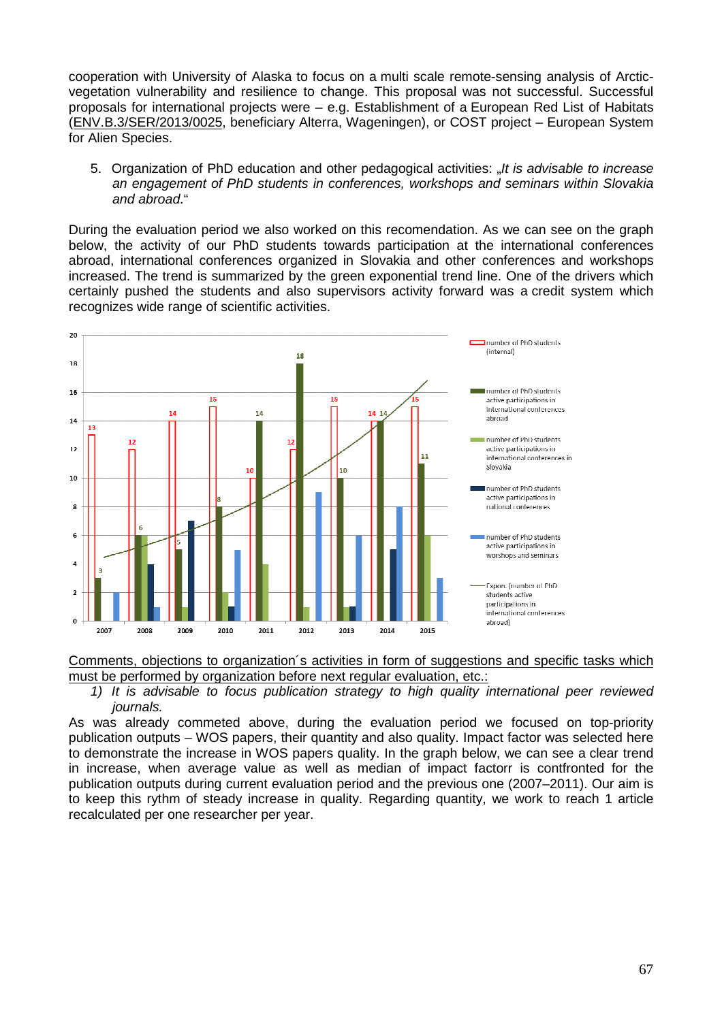cooperation with University of Alaska to focus on a multi scale remote-sensing analysis of Arcticvegetation vulnerability and resilience to change. This proposal was not successful. Successful proposals for international projects were – e.g. Establishment of a European Red List of Habitats (ENV.B.3/SER/2013/0025, beneficiary Alterra, Wageningen), or COST project – European System for Alien Species.

5. Organization of PhD education and other pedagogical activities: "It is advisable to increase an engagement of PhD students in conferences, workshops and seminars within Slovakia and abroad."

During the evaluation period we also worked on this recomendation. As we can see on the graph below, the activity of our PhD students towards participation at the international conferences abroad, international conferences organized in Slovakia and other conferences and workshops increased. The trend is summarized by the green exponential trend line. One of the drivers which certainly pushed the students and also supervisors activity forward was a credit system which recognizes wide range of scientific activities.



Comments, objections to organization´s activities in form of suggestions and specific tasks which must be performed by organization before next regular evaluation, etc.:

1) It is advisable to focus publication strategy to high quality international peer reviewed journals.

As was already commeted above, during the evaluation period we focused on top-priority publication outputs – WOS papers, their quantity and also quality. Impact factor was selected here to demonstrate the increase in WOS papers quality. In the graph below, we can see a clear trend in increase, when average value as well as median of impact factorr is contfronted for the publication outputs during current evaluation period and the previous one (2007–2011). Our aim is to keep this rythm of steady increase in quality. Regarding quantity, we work to reach 1 article recalculated per one researcher per year.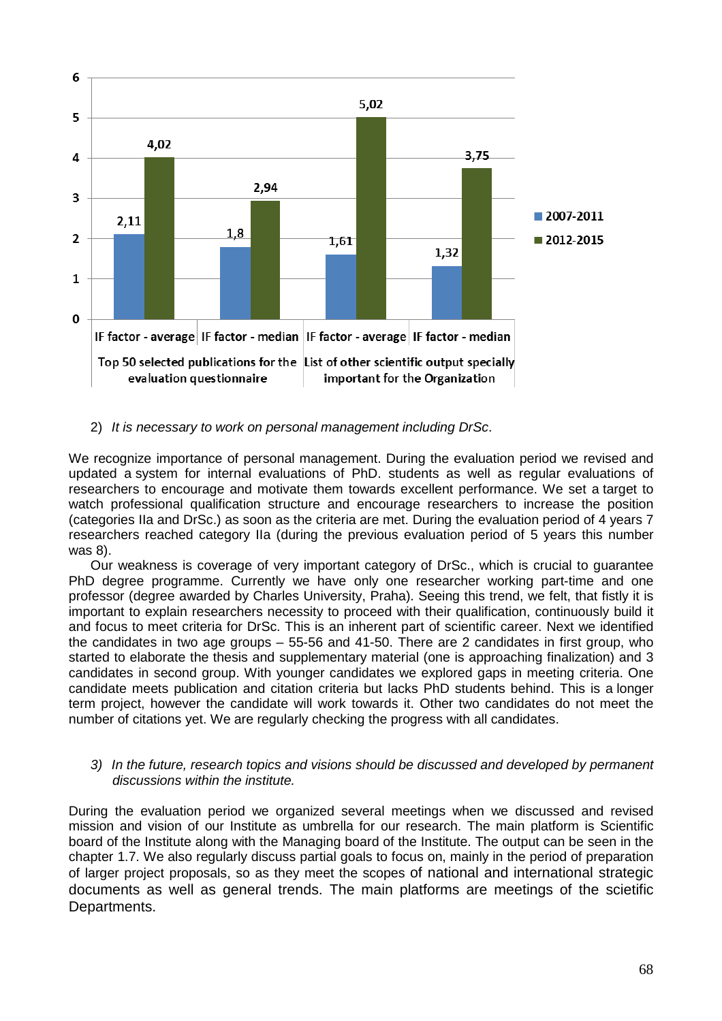

# 2) It is necessary to work on personal management including DrSc.

We recognize importance of personal management. During the evaluation period we revised and updated a system for internal evaluations of PhD. students as well as regular evaluations of researchers to encourage and motivate them towards excellent performance. We set a target to watch professional qualification structure and encourage researchers to increase the position (categories IIa and DrSc.) as soon as the criteria are met. During the evaluation period of 4 years 7 researchers reached category IIa (during the previous evaluation period of 5 years this number was 8).

Our weakness is coverage of very important category of DrSc., which is crucial to guarantee PhD degree programme. Currently we have only one researcher working part-time and one professor (degree awarded by Charles University, Praha). Seeing this trend, we felt, that fistly it is important to explain researchers necessity to proceed with their qualification, continuously build it and focus to meet criteria for DrSc. This is an inherent part of scientific career. Next we identified the candidates in two age groups – 55-56 and 41-50. There are 2 candidates in first group, who started to elaborate the thesis and supplementary material (one is approaching finalization) and 3 candidates in second group. With younger candidates we explored gaps in meeting criteria. One candidate meets publication and citation criteria but lacks PhD students behind. This is a longer term project, however the candidate will work towards it. Other two candidates do not meet the number of citations yet. We are regularly checking the progress with all candidates.

#### 3) In the future, research topics and visions should be discussed and developed by permanent discussions within the institute.

During the evaluation period we organized several meetings when we discussed and revised mission and vision of our Institute as umbrella for our research. The main platform is Scientific board of the Institute along with the Managing board of the Institute. The output can be seen in the chapter 1.7. We also regularly discuss partial goals to focus on, mainly in the period of preparation of larger project proposals, so as they meet the scopes of national and international strategic documents as well as general trends. The main platforms are meetings of the scietific Departments.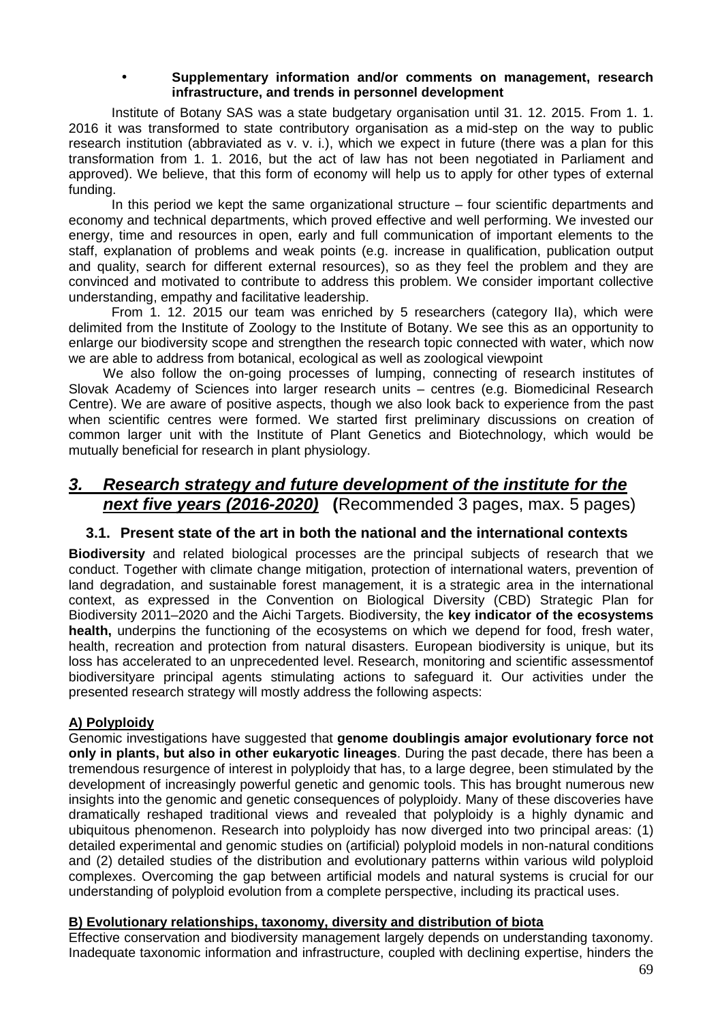# • **Supplementary information and/or comments on management, research infrastructure, and trends in personnel development**

Institute of Botany SAS was a state budgetary organisation until 31. 12. 2015. From 1. 1. 2016 it was transformed to state contributory organisation as a mid-step on the way to public research institution (abbraviated as v. v. i.), which we expect in future (there was a plan for this transformation from 1. 1. 2016, but the act of law has not been negotiated in Parliament and approved). We believe, that this form of economy will help us to apply for other types of external funding.

In this period we kept the same organizational structure – four scientific departments and economy and technical departments, which proved effective and well performing. We invested our energy, time and resources in open, early and full communication of important elements to the staff, explanation of problems and weak points (e.g. increase in qualification, publication output and quality, search for different external resources), so as they feel the problem and they are convinced and motivated to contribute to address this problem. We consider important collective understanding, empathy and facilitative leadership.

From 1. 12. 2015 our team was enriched by 5 researchers (category IIa), which were delimited from the Institute of Zoology to the Institute of Botany. We see this as an opportunity to enlarge our biodiversity scope and strengthen the research topic connected with water, which now we are able to address from botanical, ecological as well as zoological viewpoint

We also follow the on-going processes of lumping, connecting of research institutes of Slovak Academy of Sciences into larger research units – centres (e.g. Biomedicinal Research Centre). We are aware of positive aspects, though we also look back to experience from the past when scientific centres were formed. We started first preliminary discussions on creation of common larger unit with the Institute of Plant Genetics and Biotechnology, which would be mutually beneficial for research in plant physiology.

# **3. Research strategy and future development of the institute for the next five years (2016-2020) (**Recommended 3 pages, max. 5 pages)

# **3.1. Present state of the art in both the national and the international contexts**

**Biodiversity** and related biological processes are the principal subjects of research that we conduct. Together with climate change mitigation, protection of international waters, prevention of land degradation, and sustainable forest management, it is a strategic area in the international context, as expressed in the Convention on Biological Diversity (CBD) Strategic Plan for Biodiversity 2011–2020 and the Aichi Targets. Biodiversity, the **key indicator of the ecosystems health,** underpins the functioning of the ecosystems on which we depend for food, fresh water, health, recreation and protection from natural disasters. European biodiversity is unique, but its loss has accelerated to an unprecedented level. Research, monitoring and scientific assessmentof biodiversityare principal agents stimulating actions to safeguard it. Our activities under the presented research strategy will mostly address the following aspects:

# **A) Polyploidy**

Genomic investigations have suggested that **genome doublingis amajor evolutionary force not only in plants, but also in other eukaryotic lineages**. During the past decade, there has been a tremendous resurgence of interest in polyploidy that has, to a large degree, been stimulated by the development of increasingly powerful genetic and genomic tools. This has brought numerous new insights into the genomic and genetic consequences of polyploidy. Many of these discoveries have dramatically reshaped traditional views and revealed that polyploidy is a highly dynamic and ubiquitous phenomenon. Research into polyploidy has now diverged into two principal areas: (1) detailed experimental and genomic studies on (artificial) polyploid models in non-natural conditions and (2) detailed studies of the distribution and evolutionary patterns within various wild polyploid complexes. Overcoming the gap between artificial models and natural systems is crucial for our understanding of polyploid evolution from a complete perspective, including its practical uses.

# **B) Evolutionary relationships, taxonomy, diversity and distribution of biota**

Effective conservation and biodiversity management largely depends on understanding taxonomy. Inadequate taxonomic information and infrastructure, coupled with declining expertise, hinders the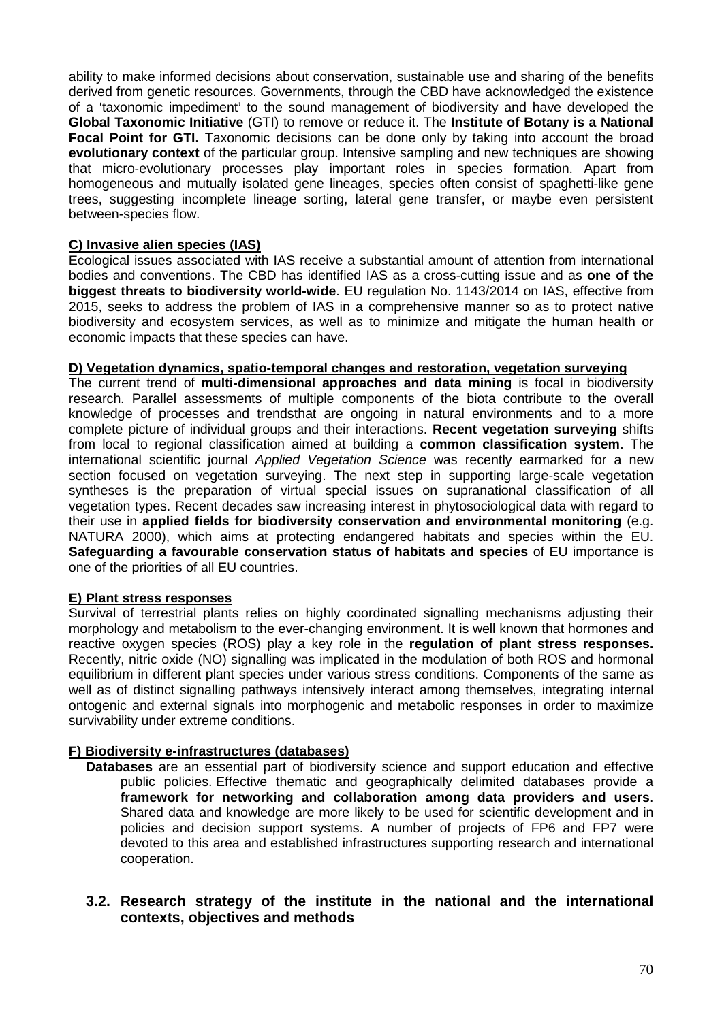ability to make informed decisions about conservation, sustainable use and sharing of the benefits derived from genetic resources. Governments, through the CBD have acknowledged the existence of a 'taxonomic impediment' to the sound management of biodiversity and have developed the **Global Taxonomic Initiative** (GTI) to remove or reduce it. The **Institute of Botany is a National Focal Point for GTI.** Taxonomic decisions can be done only by taking into account the broad **evolutionary context** of the particular group. Intensive sampling and new techniques are showing that micro-evolutionary processes play important roles in species formation. Apart from homogeneous and mutually isolated gene lineages, species often consist of spaghetti-like gene trees, suggesting incomplete lineage sorting, lateral gene transfer, or maybe even persistent between-species flow.

# **C) Invasive alien species (IAS)**

Ecological issues associated with IAS receive a substantial amount of attention from international bodies and conventions. The CBD has identified IAS as a cross-cutting issue and as **one of the biggest threats to biodiversity world-wide**. EU regulation No. 1143/2014 on IAS, effective from 2015, seeks to address the problem of IAS in a comprehensive manner so as to protect native biodiversity and ecosystem services, as well as to minimize and mitigate the human health or economic impacts that these species can have.

#### **D) Vegetation dynamics, spatio-temporal changes and restoration, vegetation surveying**

The current trend of **multi-dimensional approaches and data mining** is focal in biodiversity research. Parallel assessments of multiple components of the biota contribute to the overall knowledge of processes and trendsthat are ongoing in natural environments and to a more complete picture of individual groups and their interactions. **Recent vegetation surveying** shifts from local to regional classification aimed at building a **common classification system**. The international scientific journal Applied Vegetation Science was recently earmarked for a new section focused on vegetation surveying. The next step in supporting large-scale vegetation syntheses is the preparation of virtual special issues on supranational classification of all vegetation types. Recent decades saw increasing interest in phytosociological data with regard to their use in **applied fields for biodiversity conservation and environmental monitoring** (e.g. NATURA 2000), which aims at protecting endangered habitats and species within the EU. **Safeguarding a favourable conservation status of habitats and species** of EU importance is one of the priorities of all EU countries.

# **E) Plant stress responses**

Survival of terrestrial plants relies on highly coordinated signalling mechanisms adjusting their morphology and metabolism to the ever-changing environment. It is well known that hormones and reactive oxygen species (ROS) play a key role in the **regulation of plant stress responses.** Recently, nitric oxide (NO) signalling was implicated in the modulation of both ROS and hormonal equilibrium in different plant species under various stress conditions. Components of the same as well as of distinct signalling pathways intensively interact among themselves, integrating internal ontogenic and external signals into morphogenic and metabolic responses in order to maximize survivability under extreme conditions.

# **F) Biodiversity e-infrastructures (databases)**

**Databases** are an essential part of biodiversity science and support education and effective public policies. Effective thematic and geographically delimited databases provide a **framework for networking and collaboration among data providers and users**. Shared data and knowledge are more likely to be used for scientific development and in policies and decision support systems. A number of projects of FP6 and FP7 were devoted to this area and established infrastructures supporting research and international cooperation.

# **3.2. Research strategy of the institute in the national and the international contexts, objectives and methods**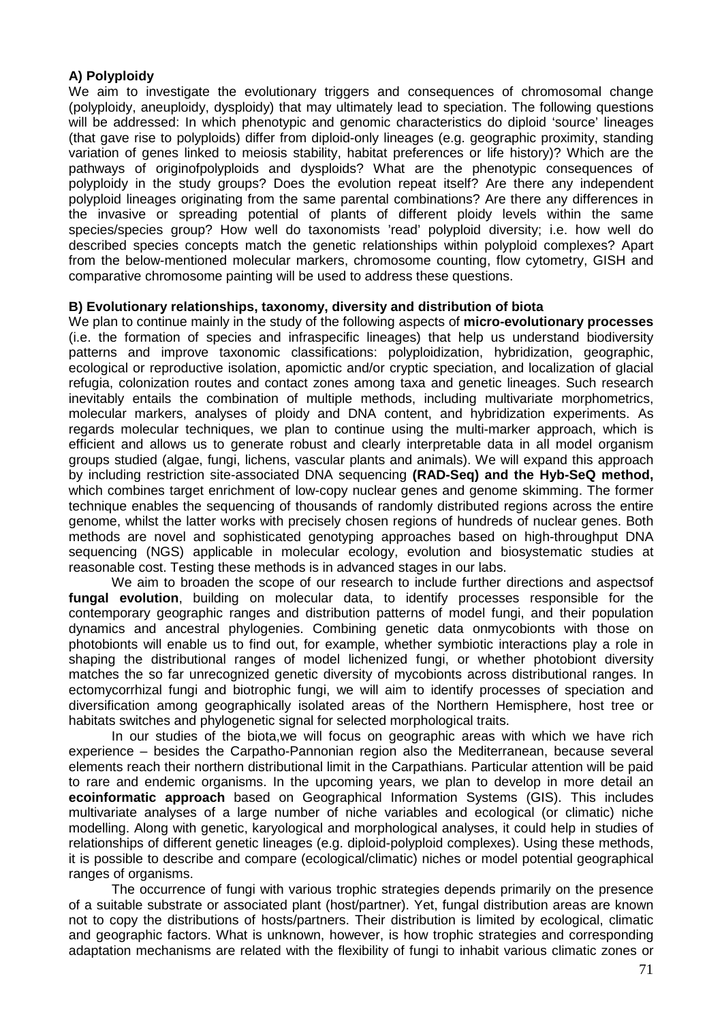# **A) Polyploidy**

We aim to investigate the evolutionary triggers and consequences of chromosomal change (polyploidy, aneuploidy, dysploidy) that may ultimately lead to speciation. The following questions will be addressed: In which phenotypic and genomic characteristics do diploid 'source' lineages (that gave rise to polyploids) differ from diploid-only lineages (e.g. geographic proximity, standing variation of genes linked to meiosis stability, habitat preferences or life history)? Which are the pathways of originofpolyploids and dysploids? What are the phenotypic consequences of polyploidy in the study groups? Does the evolution repeat itself? Are there any independent polyploid lineages originating from the same parental combinations? Are there any differences in the invasive or spreading potential of plants of different ploidy levels within the same species/species group? How well do taxonomists 'read' polyploid diversity; i.e. how well do described species concepts match the genetic relationships within polyploid complexes? Apart from the below-mentioned molecular markers, chromosome counting, flow cytometry, GISH and comparative chromosome painting will be used to address these questions.

# **B) Evolutionary relationships, taxonomy, diversity and distribution of biota**

We plan to continue mainly in the study of the following aspects of **micro-evolutionary processes** (i.e. the formation of species and infraspecific lineages) that help us understand biodiversity patterns and improve taxonomic classifications: polyploidization, hybridization, geographic, ecological or reproductive isolation, apomictic and/or cryptic speciation, and localization of glacial refugia, colonization routes and contact zones among taxa and genetic lineages. Such research inevitably entails the combination of multiple methods, including multivariate morphometrics, molecular markers, analyses of ploidy and DNA content, and hybridization experiments. As regards molecular techniques, we plan to continue using the multi-marker approach, which is efficient and allows us to generate robust and clearly interpretable data in all model organism groups studied (algae, fungi, lichens, vascular plants and animals). We will expand this approach by including restriction site-associated DNA sequencing **(RAD-Seq) and the Hyb-SeQ method,**  which combines target enrichment of low-copy nuclear genes and genome skimming. The former technique enables the sequencing of thousands of randomly distributed regions across the entire genome, whilst the latter works with precisely chosen regions of hundreds of nuclear genes. Both methods are novel and sophisticated genotyping approaches based on high-throughput DNA sequencing (NGS) applicable in molecular ecology, evolution and biosystematic studies at reasonable cost. Testing these methods is in advanced stages in our labs.

We aim to broaden the scope of our research to include further directions and aspectsof **fungal evolution**, building on molecular data, to identify processes responsible for the contemporary geographic ranges and distribution patterns of model fungi, and their population dynamics and ancestral phylogenies. Combining genetic data onmycobionts with those on photobionts will enable us to find out, for example, whether symbiotic interactions play a role in shaping the distributional ranges of model lichenized fungi, or whether photobiont diversity matches the so far unrecognized genetic diversity of mycobionts across distributional ranges. In ectomycorrhizal fungi and biotrophic fungi, we will aim to identify processes of speciation and diversification among geographically isolated areas of the Northern Hemisphere, host tree or habitats switches and phylogenetic signal for selected morphological traits.

In our studies of the biota,we will focus on geographic areas with which we have rich experience – besides the Carpatho-Pannonian region also the Mediterranean, because several elements reach their northern distributional limit in the Carpathians. Particular attention will be paid to rare and endemic organisms. In the upcoming years, we plan to develop in more detail an **ecoinformatic approach** based on Geographical Information Systems (GIS). This includes multivariate analyses of a large number of niche variables and ecological (or climatic) niche modelling. Along with genetic, karyological and morphological analyses, it could help in studies of relationships of different genetic lineages (e.g. diploid-polyploid complexes). Using these methods, it is possible to describe and compare (ecological/climatic) niches or model potential geographical ranges of organisms.

The occurrence of fungi with various trophic strategies depends primarily on the presence of a suitable substrate or associated plant (host/partner). Yet, fungal distribution areas are known not to copy the distributions of hosts/partners. Their distribution is limited by ecological, climatic and geographic factors. What is unknown, however, is how trophic strategies and corresponding adaptation mechanisms are related with the flexibility of fungi to inhabit various climatic zones or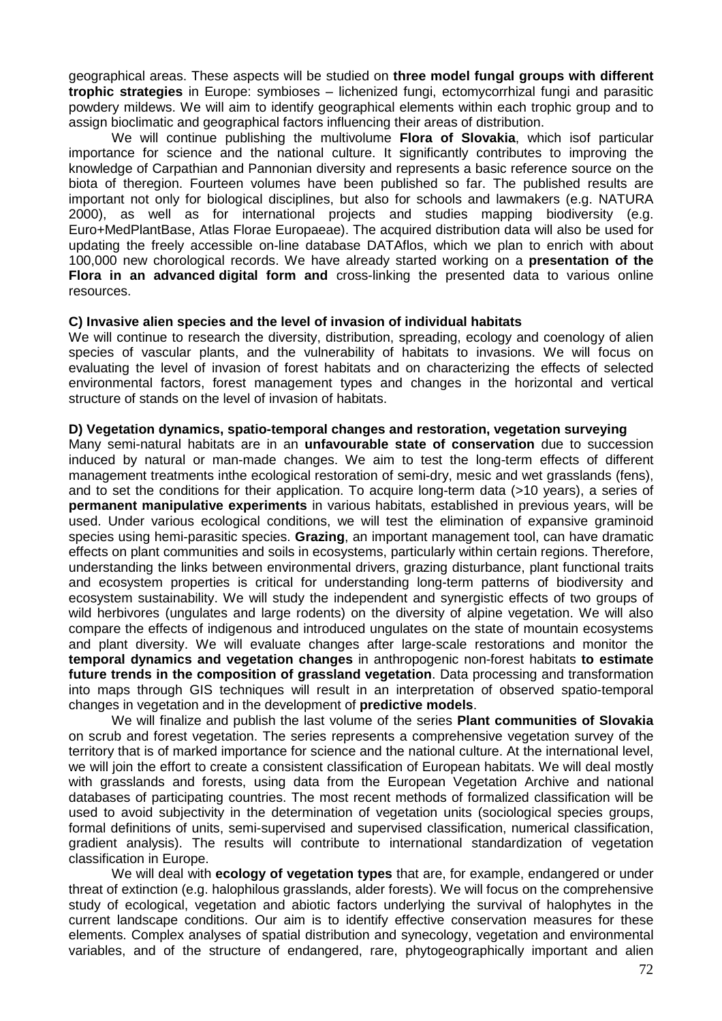geographical areas. These aspects will be studied on **three model fungal groups with different trophic strategies** in Europe: symbioses – lichenized fungi, ectomycorrhizal fungi and parasitic powdery mildews. We will aim to identify geographical elements within each trophic group and to assign bioclimatic and geographical factors influencing their areas of distribution.

We will continue publishing the multivolume **Flora of Slovakia**, which isof particular importance for science and the national culture. It significantly contributes to improving the knowledge of Carpathian and Pannonian diversity and represents a basic reference source on the biota of theregion. Fourteen volumes have been published so far. The published results are important not only for biological disciplines, but also for schools and lawmakers (e.g. NATURA 2000), as well as for international projects and studies mapping biodiversity (e.g. Euro+MedPlantBase, Atlas Florae Europaeae). The acquired distribution data will also be used for updating the freely accessible on-line database DATAflos, which we plan to enrich with about 100,000 new chorological records. We have already started working on a **presentation of the Flora in an advanced digital form and** cross-linking the presented data to various online resources.

#### **C) Invasive alien species and the level of invasion of individual habitats**

We will continue to research the diversity, distribution, spreading, ecology and coenology of alien species of vascular plants, and the vulnerability of habitats to invasions. We will focus on evaluating the level of invasion of forest habitats and on characterizing the effects of selected environmental factors, forest management types and changes in the horizontal and vertical structure of stands on the level of invasion of habitats.

#### **D) Vegetation dynamics, spatio-temporal changes and restoration, vegetation surveying**

Many semi-natural habitats are in an **unfavourable state of conservation** due to succession induced by natural or man-made changes. We aim to test the long-term effects of different management treatments inthe ecological restoration of semi-dry, mesic and wet grasslands (fens), and to set the conditions for their application. To acquire long-term data (>10 years), a series of **permanent manipulative experiments** in various habitats, established in previous years, will be used. Under various ecological conditions, we will test the elimination of expansive graminoid species using hemi-parasitic species. **Grazing**, an important management tool, can have dramatic effects on plant communities and soils in ecosystems, particularly within certain regions. Therefore, understanding the links between environmental drivers, grazing disturbance, plant functional traits and ecosystem properties is critical for understanding long-term patterns of biodiversity and ecosystem sustainability. We will study the independent and synergistic effects of two groups of wild herbivores (ungulates and large rodents) on the diversity of alpine vegetation. We will also compare the effects of indigenous and introduced ungulates on the state of mountain ecosystems and plant diversity. We will evaluate changes after large-scale restorations and monitor the **temporal dynamics and vegetation changes** in anthropogenic non-forest habitats **to estimate future trends in the composition of grassland vegetation**. Data processing and transformation into maps through GIS techniques will result in an interpretation of observed spatio-temporal changes in vegetation and in the development of **predictive models**.

We will finalize and publish the last volume of the series **Plant communities of Slovakia** on scrub and forest vegetation. The series represents a comprehensive vegetation survey of the territory that is of marked importance for science and the national culture. At the international level, we will join the effort to create a consistent classification of European habitats. We will deal mostly with grasslands and forests, using data from the European Vegetation Archive and national databases of participating countries. The most recent methods of formalized classification will be used to avoid subjectivity in the determination of vegetation units (sociological species groups, formal definitions of units, semi-supervised and supervised classification, numerical classification, gradient analysis). The results will contribute to international standardization of vegetation classification in Europe.

We will deal with **ecology of vegetation types** that are, for example, endangered or under threat of extinction (e.g. halophilous grasslands, alder forests). We will focus on the comprehensive study of ecological, vegetation and abiotic factors underlying the survival of halophytes in the current landscape conditions. Our aim is to identify effective conservation measures for these elements. Complex analyses of spatial distribution and synecology, vegetation and environmental variables, and of the structure of endangered, rare, phytogeographically important and alien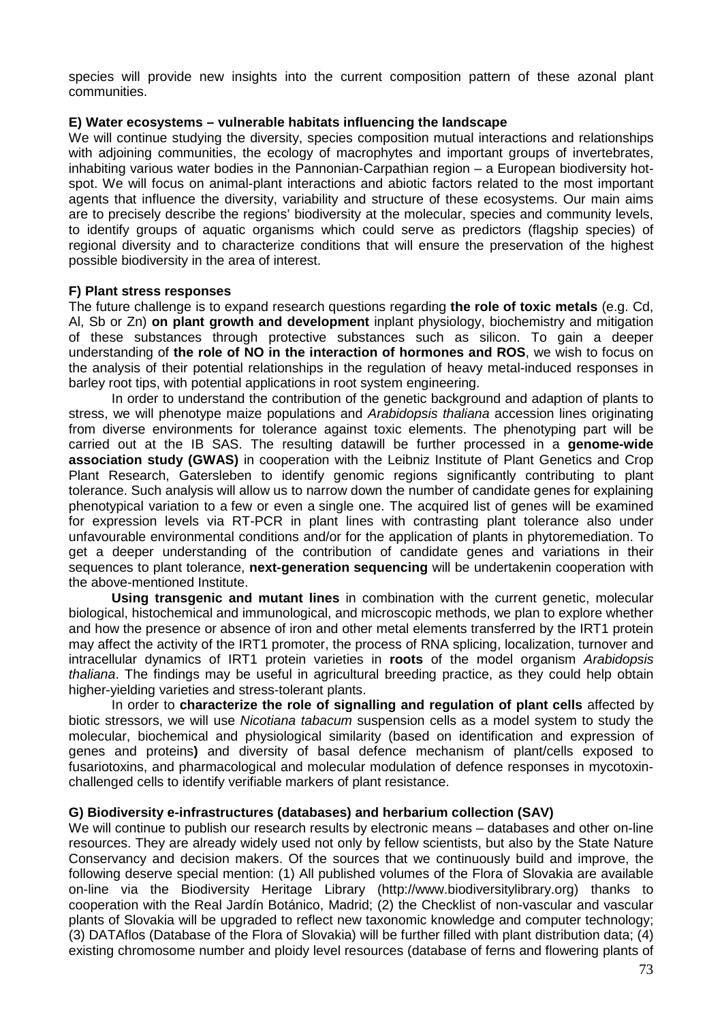species will provide new insights into the current composition pattern of these azonal plant communities.

### **E) Water ecosystems – vulnerable habitats influencing the landscape**

We will continue studying the diversity, species composition mutual interactions and relationships with adjoining communities, the ecology of macrophytes and important groups of invertebrates, inhabiting various water bodies in the Pannonian-Carpathian region – a European biodiversity hotspot. We will focus on animal-plant interactions and abiotic factors related to the most important agents that influence the diversity, variability and structure of these ecosystems. Our main aims are to precisely describe the regions' biodiversity at the molecular, species and community levels, to identify groups of aquatic organisms which could serve as predictors (flagship species) of regional diversity and to characterize conditions that will ensure the preservation of the highest possible biodiversity in the area of interest.

#### **F) Plant stress responses**

The future challenge is to expand research questions regarding **the role of toxic metals** (e.g. Cd, Al, Sb or Zn) **on plant growth and development** inplant physiology, biochemistry and mitigation of these substances through protective substances such as silicon. To gain a deeper understanding of **the role of NO in the interaction of hormones and ROS**, we wish to focus on the analysis of their potential relationships in the regulation of heavy metal-induced responses in barley root tips, with potential applications in root system engineering.

In order to understand the contribution of the genetic background and adaption of plants to stress, we will phenotype maize populations and Arabidopsis thaliana accession lines originating from diverse environments for tolerance against toxic elements. The phenotyping part will be carried out at the IB SAS. The resulting datawill be further processed in a **genome-wide association study (GWAS)** in cooperation with the Leibniz Institute of Plant Genetics and Crop Plant Research, Gatersleben to identify genomic regions significantly contributing to plant tolerance. Such analysis will allow us to narrow down the number of candidate genes for explaining phenotypical variation to a few or even a single one. The acquired list of genes will be examined for expression levels via RT-PCR in plant lines with contrasting plant tolerance also under unfavourable environmental conditions and/or for the application of plants in phytoremediation. To get a deeper understanding of the contribution of candidate genes and variations in their sequences to plant tolerance, **next-generation sequencing** will be undertakenin cooperation with the above-mentioned Institute.

**Using transgenic and mutant lines** in combination with the current genetic, molecular biological, histochemical and immunological, and microscopic methods, we plan to explore whether and how the presence or absence of iron and other metal elements transferred by the IRT1 protein may affect the activity of the IRT1 promoter, the process of RNA splicing, localization, turnover and intracellular dynamics of IRT1 protein varieties in **roots** of the model organism Arabidopsis thaliana. The findings may be useful in agricultural breeding practice, as they could help obtain higher-yielding varieties and stress-tolerant plants.

In order to **characterize the role of signalling and regulation of plant cells** affected by biotic stressors, we will use Nicotiana tabacum suspension cells as a model system to study the molecular, biochemical and physiological similarity (based on identification and expression of genes and proteins**)** and diversity of basal defence mechanism of plant/cells exposed to fusariotoxins, and pharmacological and molecular modulation of defence responses in mycotoxinchallenged cells to identify verifiable markers of plant resistance.

#### **G) Biodiversity e-infrastructures (databases) and herbarium collection (SAV)**

We will continue to publish our research results by electronic means – databases and other on-line resources. They are already widely used not only by fellow scientists, but also by the State Nature Conservancy and decision makers. Of the sources that we continuously build and improve, the following deserve special mention: (1) All published volumes of the Flora of Slovakia are available on-line via the Biodiversity Heritage Library (http://www.biodiversitylibrary.org) thanks to cooperation with the Real Jardín Botánico, Madrid; (2) the Checklist of non-vascular and vascular plants of Slovakia will be upgraded to reflect new taxonomic knowledge and computer technology; (3) DATAflos (Database of the Flora of Slovakia) will be further filled with plant distribution data; (4) existing chromosome number and ploidy level resources (database of ferns and flowering plants of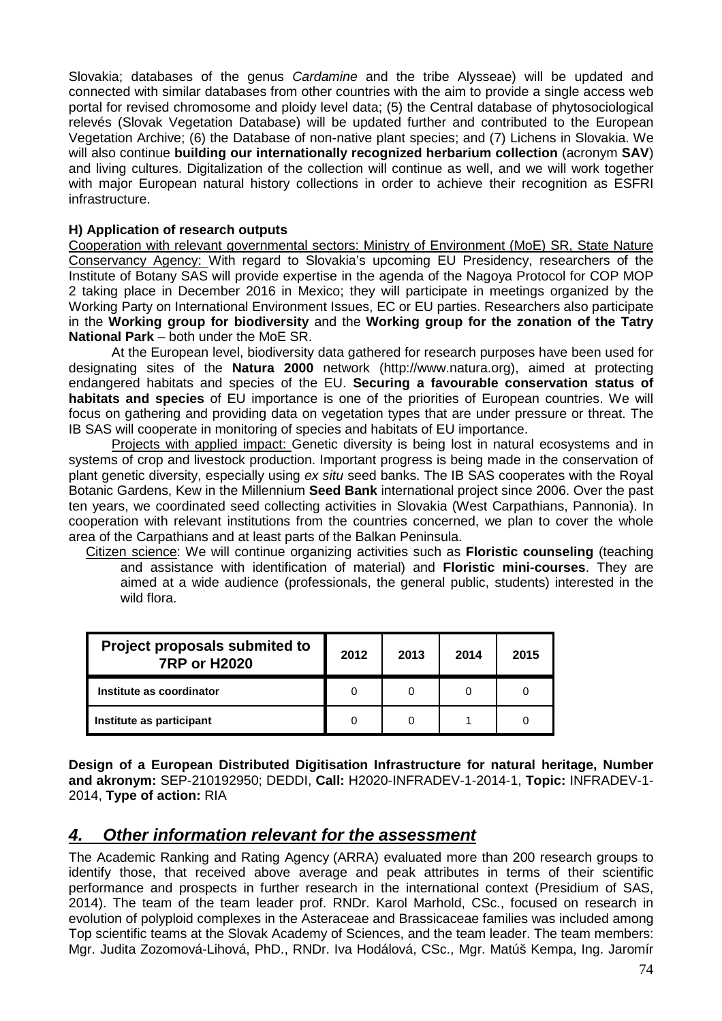Slovakia; databases of the genus *Cardamine* and the tribe Alysseae) will be updated and connected with similar databases from other countries with the aim to provide a single access web portal for revised chromosome and ploidy level data; (5) the Central database of phytosociological relevés (Slovak Vegetation Database) will be updated further and contributed to the European Vegetation Archive; (6) the Database of non-native plant species; and (7) Lichens in Slovakia. We will also continue **building our internationally recognized herbarium collection** (acronym **SAV**) and living cultures. Digitalization of the collection will continue as well, and we will work together with major European natural history collections in order to achieve their recognition as ESFRI infrastructure.

## **H) Application of research outputs**

Cooperation with relevant governmental sectors: Ministry of Environment (MoE) SR, State Nature Conservancy Agency: With regard to Slovakia's upcoming EU Presidency, researchers of the Institute of Botany SAS will provide expertise in the agenda of the Nagoya Protocol for COP MOP 2 taking place in December 2016 in Mexico; they will participate in meetings organized by the Working Party on International Environment Issues, EC or EU parties. Researchers also participate in the **Working group for biodiversity** and the **Working group for the zonation of the Tatry National Park** – both under the MoE SR.

At the European level, biodiversity data gathered for research purposes have been used for designating sites of the **Natura 2000** network (http://www.natura.org), aimed at protecting endangered habitats and species of the EU. **Securing a favourable conservation status of habitats and species** of EU importance is one of the priorities of European countries. We will focus on gathering and providing data on vegetation types that are under pressure or threat. The IB SAS will cooperate in monitoring of species and habitats of EU importance.

Projects with applied impact: Genetic diversity is being lost in natural ecosystems and in systems of crop and livestock production. Important progress is being made in the conservation of plant genetic diversity, especially using ex situ seed banks. The IB SAS cooperates with the Royal Botanic Gardens, Kew in the Millennium **Seed Bank** international project since 2006. Over the past ten years, we coordinated seed collecting activities in Slovakia (West Carpathians, Pannonia). In cooperation with relevant institutions from the countries concerned, we plan to cover the whole area of the Carpathians and at least parts of the Balkan Peninsula.

Citizen science: We will continue organizing activities such as **Floristic counseling** (teaching and assistance with identification of material) and **Floristic mini-courses**. They are aimed at a wide audience (professionals, the general public, students) interested in the wild flora.

| Project proposals submited to<br><b>7RP or H2020</b> | 2012 | 2013 | 2014 | 2015 |
|------------------------------------------------------|------|------|------|------|
| Institute as coordinator                             |      |      |      |      |
| Institute as participant                             |      |      |      |      |

**Design of a European Distributed Digitisation Infrastructure for natural heritage, Number and akronym:** SEP-210192950; DEDDI, **Call:** H2020-INFRADEV-1-2014-1, **Topic:** INFRADEV-1- 2014, **Type of action:** RIA

# **4. Other information relevant for the assessment**

The Academic Ranking and Rating Agency (ARRA) evaluated more than 200 research groups to identify those, that received above average and peak attributes in terms of their scientific performance and prospects in further research in the international context (Presidium of SAS, 2014). The team of the team leader prof. RNDr. Karol Marhold, CSc., focused on research in evolution of polyploid complexes in the Asteraceae and Brassicaceae families was included among Top scientific teams at the Slovak Academy of Sciences, and the team leader. The team members: Mgr. Judita Zozomová-Lihová, PhD., RNDr. Iva Hodálová, CSc., Mgr. Matúš Kempa, Ing. Jaromír